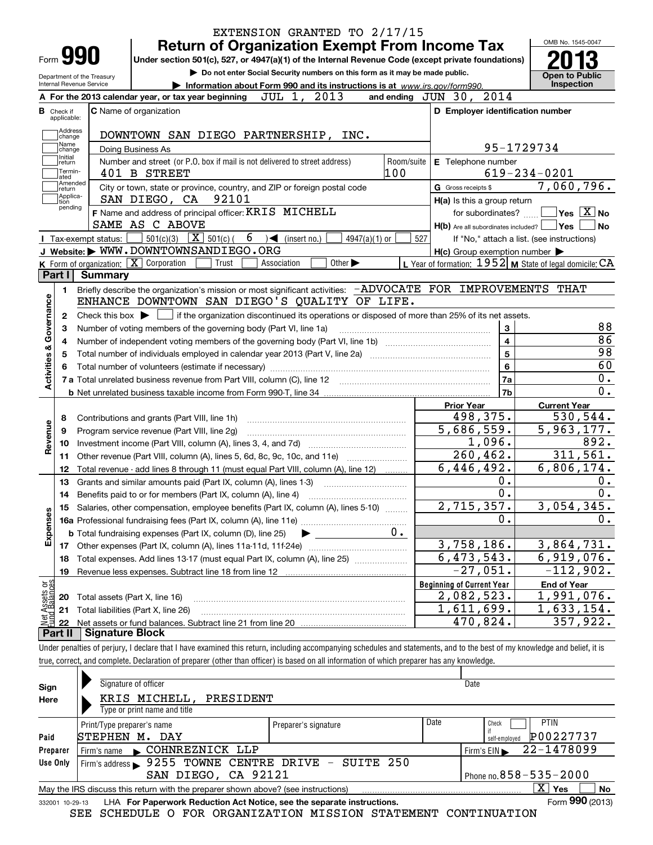|                         |                                  |                                | EXTENSION GRANTED TO 2/17/15                                                                                                                                               |                                                           |                                            |
|-------------------------|----------------------------------|--------------------------------|----------------------------------------------------------------------------------------------------------------------------------------------------------------------------|-----------------------------------------------------------|--------------------------------------------|
|                         |                                  | Form <b>990</b>                | <b>Return of Organization Exempt From Income Tax</b><br>Under section 501(c), 527, or 4947(a)(1) of the Internal Revenue Code (except private foundations)                 |                                                           | OMB No. 1545-0047                          |
|                         |                                  | Department of the Treasury     | Do not enter Social Security numbers on this form as it may be made public.                                                                                                |                                                           | <b>Open to Public</b>                      |
|                         |                                  | Internal Revenue Service       | Information about Form 990 and its instructions is at www.irs.gov/form990.                                                                                                 |                                                           | <b>Inspection</b>                          |
|                         |                                  |                                | JUL 1, 2013<br>A For the 2013 calendar year, or tax year beginning                                                                                                         | and ending JUN 30, 2014                                   |                                            |
|                         | <b>B</b> Check if<br>applicable: |                                | <b>C</b> Name of organization                                                                                                                                              | D Employer identification number                          |                                            |
|                         | Address<br>change<br>Name        |                                | DOWNTOWN SAN DIEGO PARTNERSHIP, INC.<br>Doing Business As                                                                                                                  | 95-1729734                                                |                                            |
|                         | change<br>  Initial              |                                |                                                                                                                                                                            |                                                           |                                            |
|                         | return<br>Termin-<br>lated       |                                | Number and street (or P.O. box if mail is not delivered to street address)<br>100<br>401 B STREET                                                                          | Room/suite E Telephone number                             | $619 - 234 - 0201$                         |
|                         | Amended<br>∣return               |                                | City or town, state or province, country, and ZIP or foreign postal code                                                                                                   | G Gross receipts \$                                       | 7,060,796.                                 |
|                         | Applica-<br>tion                 |                                | 92101<br>SAN DIEGO, CA                                                                                                                                                     | $H(a)$ is this a group return                             |                                            |
|                         | pending                          |                                | F Name and address of principal officer: KRIS MICHELL                                                                                                                      | for subordinates?                                         | $\blacksquare$ Yes $\boxed{\text{X}}$ No   |
|                         |                                  |                                | SAME AS C ABOVE                                                                                                                                                            | $H(b)$ Are all subordinates included? $\Box$ Yes          | <b>No</b>                                  |
|                         |                                  | Tax-exempt status:             | 501(c)(3) $X$ 501(c)(<br>6<br>$4947(a)(1)$ or<br>$\leq$ (insert no.)                                                                                                       | 527                                                       | If "No," attach a list. (see instructions) |
|                         |                                  |                                | J Website: WWW.DOWNTOWNSANDIEGO.ORG                                                                                                                                        | $H(c)$ Group exemption number $\blacktriangleright$       |                                            |
|                         |                                  |                                | K Form of organization: $\boxed{\mathbf{X}}$ Corporation<br>Other $\blacktriangleright$<br>Trust<br>Association                                                            | L Year of formation: $1952$ M State of legal domicile: CA |                                            |
|                         |                                  | Part I Summary                 |                                                                                                                                                                            |                                                           |                                            |
|                         | 1.                               |                                | Briefly describe the organization's mission or most significant activities: - ADVOCATE FOR IMPROVEMENTS THAT                                                               |                                                           |                                            |
|                         |                                  |                                | ENHANCE DOWNTOWN SAN DIEGO'S QUALITY OF LIFE.                                                                                                                              |                                                           |                                            |
| Governance              | 2                                |                                | Check this box $\blacktriangleright$ $\Box$ if the organization discontinued its operations or disposed of more than 25% of its net assets.                                |                                                           |                                            |
|                         | з                                |                                | Number of voting members of the governing body (Part VI, line 1a)                                                                                                          | 3                                                         | 88                                         |
|                         | 4                                |                                |                                                                                                                                                                            | 4                                                         | 86                                         |
| <b>Activities &amp;</b> | 5                                |                                | 5                                                                                                                                                                          | 98                                                        |                                            |
|                         |                                  |                                |                                                                                                                                                                            | 6                                                         | 60                                         |
|                         |                                  |                                |                                                                                                                                                                            | <b>7a</b>                                                 | 0.                                         |
|                         |                                  |                                |                                                                                                                                                                            | 7b                                                        | 0.                                         |
|                         |                                  |                                |                                                                                                                                                                            | <b>Prior Year</b>                                         | <b>Current Year</b>                        |
|                         | 8                                |                                | Contributions and grants (Part VIII, line 1h)                                                                                                                              | 498,375.                                                  | 530,544.                                   |
| Revenue                 | 9                                |                                | Program service revenue (Part VIII, line 2g)                                                                                                                               | 5,686,559.                                                | 5,963,177.                                 |
|                         | 10                               |                                |                                                                                                                                                                            | 1,096.                                                    | 892.                                       |
|                         | 11                               |                                | Other revenue (Part VIII, column (A), lines 5, 6d, 8c, 9c, 10c, and 11e)                                                                                                   | $\overline{260, 462}$ .                                   | 311,561.                                   |
|                         | 12                               |                                | Total revenue - add lines 8 through 11 (must equal Part VIII, column (A), line 12)                                                                                         | 6,446,492.                                                | 6,806,174.                                 |
|                         | 13                               |                                | Grants and similar amounts paid (Part IX, column (A), lines 1-3)                                                                                                           | 0.                                                        | 0.                                         |
|                         | 14                               |                                | Benefits paid to or for members (Part IX, column (A), line 4)                                                                                                              | 0.                                                        | 0.                                         |
|                         |                                  |                                | Salaries, other compensation, employee benefits (Part IX, column (A), lines 5-10)                                                                                          | 2,715,357.                                                | 3,054,345.                                 |
| Expenses                |                                  |                                |                                                                                                                                                                            | 0.                                                        | 0.                                         |
|                         |                                  |                                | 0.<br><b>b</b> Total fundraising expenses (Part IX, column (D), line 25)                                                                                                   |                                                           |                                            |
|                         |                                  |                                |                                                                                                                                                                            | 3,758,186.                                                | 3,864,731.                                 |
|                         | 18                               |                                | Total expenses. Add lines 13-17 (must equal Part IX, column (A), line 25) [                                                                                                | 6,473,543.<br>$-27,051.$                                  | 6,919,076.<br>$-112,902.$                  |
|                         | 19                               |                                |                                                                                                                                                                            |                                                           |                                            |
| Assets or<br>dBalances  |                                  |                                |                                                                                                                                                                            | <b>Beginning of Current Year</b>                          | <b>End of Year</b><br>1,991,076.           |
|                         | 20                               | Total assets (Part X, line 16) |                                                                                                                                                                            | 2,082,523.                                                |                                            |
| Net                     | 21                               |                                | Total liabilities (Part X, line 26)                                                                                                                                        | 1,611,699.                                                | 1,633,154.<br>357,922.                     |
|                         | 22<br>Part II                    | <b>Signature Block</b>         |                                                                                                                                                                            | 470,824.                                                  |                                            |
|                         |                                  |                                |                                                                                                                                                                            |                                                           |                                            |
|                         |                                  |                                | Under penalties of perjury, I declare that I have examined this return, including accompanying schedules and statements, and to the best of my knowledge and belief, it is |                                                           |                                            |
|                         |                                  |                                | true, correct, and complete. Declaration of preparer (other than officer) is based on all information of which preparer has any knowledge.                                 |                                                           |                                            |

| Sign     | Signature of officer                                                                                         |                      |      | Date                       |  |  |  |  |  |  |  |
|----------|--------------------------------------------------------------------------------------------------------------|----------------------|------|----------------------------|--|--|--|--|--|--|--|
| Here     | KRIS MICHELL,<br>PRESIDENT                                                                                   |                      |      |                            |  |  |  |  |  |  |  |
|          | Type or print name and title                                                                                 |                      |      |                            |  |  |  |  |  |  |  |
|          | Print/Type preparer's name                                                                                   | Preparer's signature | Date | <b>PTIN</b><br>Check       |  |  |  |  |  |  |  |
| Paid     | STEPHEN M.<br>DAY                                                                                            |                      |      | P00227737<br>self-emploved |  |  |  |  |  |  |  |
| Preparer | COHNREZNICK LLP<br>Firm's name                                                                               |                      |      | 22-1478099<br>Firm's $EIN$ |  |  |  |  |  |  |  |
| Use Only | Firm's address > 9255 TOWNE CENTRE DRIVE - SUITE 250                                                         |                      |      |                            |  |  |  |  |  |  |  |
|          | SAN DIEGO, CA 92121<br>Phone no. 858 - 535 - 2000                                                            |                      |      |                            |  |  |  |  |  |  |  |
|          | May the IRS discuss this return with the preparer shown above? (see instructions)                            |                      |      | $\mathbf{x}$<br>No<br>Yes  |  |  |  |  |  |  |  |
|          | Form 990 (2013)<br>LHA For Paperwork Reduction Act Notice, see the separate instructions.<br>332001 10-29-13 |                      |      |                            |  |  |  |  |  |  |  |

SEE SCHEDULE O FOR ORGANIZATION MISSION STATEMENT CONTINUATION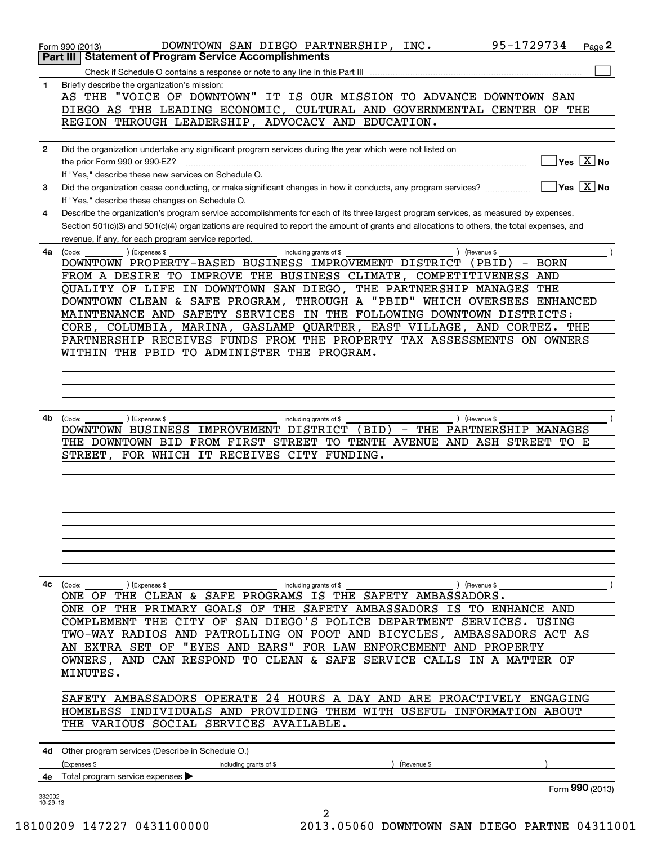|              | 95-1729734<br>DOWNTOWN SAN DIEGO PARTNERSHIP, INC.<br>Page 2<br>Form 990 (2013)                                                                                                                                |
|--------------|----------------------------------------------------------------------------------------------------------------------------------------------------------------------------------------------------------------|
|              | <b>Statement of Program Service Accomplishments</b><br>Part III I                                                                                                                                              |
| 1            | Briefly describe the organization's mission:                                                                                                                                                                   |
|              | AS THE "VOICE OF DOWNTOWN" IT IS OUR MISSION TO ADVANCE DOWNTOWN SAN                                                                                                                                           |
|              | DIEGO AS THE LEADING ECONOMIC, CULTURAL AND GOVERNMENTAL CENTER OF THE<br>REGION THROUGH LEADERSHIP, ADVOCACY AND EDUCATION.                                                                                   |
|              |                                                                                                                                                                                                                |
| $\mathbf{2}$ | Did the organization undertake any significant program services during the year which were not listed on                                                                                                       |
|              | $\sqrt{\mathsf{Yes}\ \boxed{\mathrm{X}}}$ No<br>the prior Form 990 or 990-EZ?                                                                                                                                  |
| 3            | If "Yes," describe these new services on Schedule O.<br>$\sqrt{}$ Yes $\sqrt{}$ X $\sqrt{}$ No<br>Did the organization cease conducting, or make significant changes in how it conducts, any program services? |
|              | If "Yes," describe these changes on Schedule O.                                                                                                                                                                |
| 4            | Describe the organization's program service accomplishments for each of its three largest program services, as measured by expenses.                                                                           |
|              | Section 501(c)(3) and 501(c)(4) organizations are required to report the amount of grants and allocations to others, the total expenses, and                                                                   |
| 4a           | revenue, if any, for each program service reported.<br>(Code:<br>(Expenses \$<br>including grants of \$<br>(Revenue \$                                                                                         |
|              | DOWNTOWN PROPERTY-BASED BUSINESS IMPROVEMENT DISTRICT<br>$-$ BORN<br>(PBID)                                                                                                                                    |
|              | FROM A DESIRE TO IMPROVE THE BUSINESS CLIMATE, COMPETITIVENESS AND                                                                                                                                             |
|              | QUALITY OF LIFE IN DOWNTOWN SAN DIEGO, THE PARTNERSHIP MANAGES THE                                                                                                                                             |
|              | DOWNTOWN CLEAN & SAFE PROGRAM, THROUGH A "PBID" WHICH OVERSEES ENHANCED                                                                                                                                        |
|              | MAINTENANCE AND SAFETY SERVICES IN THE FOLLOWING DOWNTOWN DISTRICTS:<br>CORE, COLUMBIA, MARINA, GASLAMP QUARTER, EAST VILLAGE, AND CORTEZ. THE                                                                 |
|              | PARTNERSHIP RECEIVES FUNDS FROM THE PROPERTY TAX ASSESSMENTS ON OWNERS                                                                                                                                         |
|              | WITHIN THE PBID<br>TO ADMINISTER THE PROGRAM.                                                                                                                                                                  |
|              |                                                                                                                                                                                                                |
|              |                                                                                                                                                                                                                |
|              |                                                                                                                                                                                                                |
| 4b           | (Expenses \$<br>) (Revenue \$<br>(Code:<br>including grants of \$                                                                                                                                              |
|              | DOWNTOWN BUSINESS IMPROVEMENT DISTRICT<br>- THE PARTNERSHIP MANAGES<br>(BID)                                                                                                                                   |
|              | THE DOWNTOWN BID FROM FIRST STREET TO TENTH AVENUE AND ASH STREET TO E                                                                                                                                         |
|              | STREET,<br>FOR WHICH IT RECEIVES CITY FUNDING.                                                                                                                                                                 |
|              |                                                                                                                                                                                                                |
|              |                                                                                                                                                                                                                |
|              |                                                                                                                                                                                                                |
|              |                                                                                                                                                                                                                |
|              |                                                                                                                                                                                                                |
|              |                                                                                                                                                                                                                |
|              |                                                                                                                                                                                                                |
|              | 4c (Code:<br>(Expenses \$<br>) (Revenue \$<br>including grants of \$                                                                                                                                           |
|              | THE CLEAN & SAFE PROGRAMS IS THE SAFETY AMBASSADORS.<br>ONE OF<br>ONE OF THE PRIMARY GOALS OF THE SAFETY AMBASSADORS IS TO ENHANCE AND                                                                         |
|              | COMPLEMENT THE CITY OF SAN DIEGO'S POLICE DEPARTMENT SERVICES. USING                                                                                                                                           |
|              | TWO-WAY RADIOS AND PATROLLING ON FOOT AND BICYCLES, AMBASSADORS ACT AS                                                                                                                                         |
|              | AN EXTRA SET OF "EYES AND EARS" FOR LAW ENFORCEMENT AND PROPERTY                                                                                                                                               |
|              | OWNERS, AND CAN RESPOND TO CLEAN & SAFE SERVICE CALLS IN A MATTER OF                                                                                                                                           |
|              | MINUTES.                                                                                                                                                                                                       |
|              | SAFETY AMBASSADORS OPERATE 24 HOURS A DAY AND ARE PROACTIVELY ENGAGING                                                                                                                                         |
|              | HOMELESS INDIVIDUALS AND PROVIDING THEM WITH USEFUL INFORMATION ABOUT                                                                                                                                          |
|              | THE VARIOUS SOCIAL SERVICES AVAILABLE.                                                                                                                                                                         |
|              |                                                                                                                                                                                                                |
|              | 4d Other program services (Describe in Schedule O.)<br>(Expenses \$<br>including grants of \$<br>(Revenue \$                                                                                                   |
|              | 4e Total program service expenses                                                                                                                                                                              |
| 332002       | Form 990 (2013)                                                                                                                                                                                                |
| 10-29-13     | 2                                                                                                                                                                                                              |
|              | 00000 1 <i>17007 01</i> 31100000<br>2013 05060 DOWNTOWN CAN DIRCO RATTE 04311                                                                                                                                  |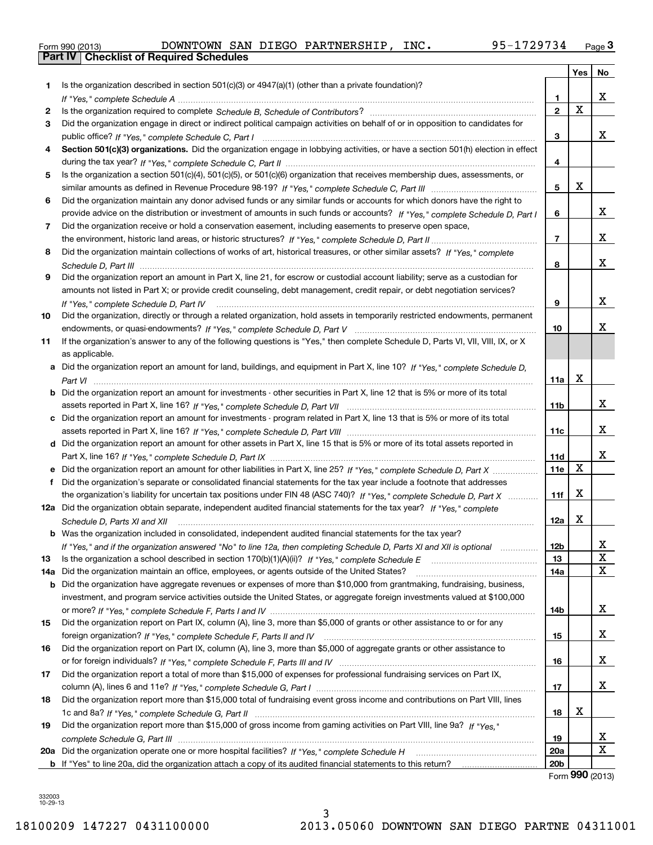|  | Form 990 (2013) |  |
|--|-----------------|--|

|     |                                                                                                                                      |                 | Yes         | No      |
|-----|--------------------------------------------------------------------------------------------------------------------------------------|-----------------|-------------|---------|
| 1   | Is the organization described in section $501(c)(3)$ or $4947(a)(1)$ (other than a private foundation)?                              |                 |             |         |
|     |                                                                                                                                      | 1               |             | x       |
| 2   |                                                                                                                                      | $\overline{2}$  | $\mathbf X$ |         |
| 3   | Did the organization engage in direct or indirect political campaign activities on behalf of or in opposition to candidates for      |                 |             |         |
|     |                                                                                                                                      | 3               |             | x       |
|     | Section 501(c)(3) organizations. Did the organization engage in lobbying activities, or have a section 501(h) election in effect     |                 |             |         |
|     |                                                                                                                                      | 4               |             |         |
| 5   | Is the organization a section 501(c)(4), 501(c)(5), or 501(c)(6) organization that receives membership dues, assessments, or         |                 |             |         |
|     |                                                                                                                                      | 5               | х           |         |
| 6   | Did the organization maintain any donor advised funds or any similar funds or accounts for which donors have the right to            |                 |             |         |
|     | provide advice on the distribution or investment of amounts in such funds or accounts? If "Yes," complete Schedule D, Part I         | 6               |             | x       |
| 7   | Did the organization receive or hold a conservation easement, including easements to preserve open space,                            |                 |             |         |
|     |                                                                                                                                      | $\overline{7}$  |             | x       |
| 8   | Did the organization maintain collections of works of art, historical treasures, or other similar assets? If "Yes," complete         |                 |             |         |
|     |                                                                                                                                      | 8               |             | x       |
| 9   | Did the organization report an amount in Part X, line 21, for escrow or custodial account liability; serve as a custodian for        |                 |             |         |
|     | amounts not listed in Part X; or provide credit counseling, debt management, credit repair, or debt negotiation services?            |                 |             |         |
|     | If "Yes," complete Schedule D, Part IV                                                                                               | 9               |             | x       |
| 10  | Did the organization, directly or through a related organization, hold assets in temporarily restricted endowments, permanent        |                 |             |         |
|     |                                                                                                                                      | 10              |             | x.      |
| 11  | If the organization's answer to any of the following questions is "Yes," then complete Schedule D, Parts VI, VIII, VIII, IX, or X    |                 |             |         |
|     | as applicable.                                                                                                                       |                 |             |         |
|     | a Did the organization report an amount for land, buildings, and equipment in Part X, line 10? If "Yes," complete Schedule D,        |                 |             |         |
|     |                                                                                                                                      | 11a             | х           |         |
|     | <b>b</b> Did the organization report an amount for investments - other securities in Part X, line 12 that is 5% or more of its total |                 |             |         |
|     |                                                                                                                                      | 11b             |             | x       |
|     | c Did the organization report an amount for investments - program related in Part X, line 13 that is 5% or more of its total         |                 |             |         |
|     |                                                                                                                                      | 11c             |             | x       |
|     | d Did the organization report an amount for other assets in Part X, line 15 that is 5% or more of its total assets reported in       |                 |             |         |
|     |                                                                                                                                      | <b>11d</b>      |             | x       |
|     |                                                                                                                                      | 11e             | X           |         |
| f   | Did the organization's separate or consolidated financial statements for the tax year include a footnote that addresses              |                 |             |         |
|     | the organization's liability for uncertain tax positions under FIN 48 (ASC 740)? If "Yes," complete Schedule D, Part X               | 11f             | X           |         |
|     | 12a Did the organization obtain separate, independent audited financial statements for the tax year? If "Yes," complete              |                 |             |         |
|     | Schedule D, Parts XI and XII                                                                                                         | 12a             | X           |         |
|     | <b>b</b> Was the organization included in consolidated, independent audited financial statements for the tax year?                   |                 |             |         |
|     | If "Yes," and if the organization answered "No" to line 12a, then completing Schedule D, Parts XI and XII is optional                | 12b             |             | ᅀ       |
| 13  |                                                                                                                                      | 13              |             | X       |
| 14a | Did the organization maintain an office, employees, or agents outside of the United States?                                          | 14a             |             | х       |
| b   | Did the organization have aggregate revenues or expenses of more than \$10,000 from grantmaking, fundraising, business,              |                 |             |         |
|     | investment, and program service activities outside the United States, or aggregate foreign investments valued at \$100,000           |                 |             |         |
|     |                                                                                                                                      | 14b             |             | X.      |
| 15  | Did the organization report on Part IX, column (A), line 3, more than \$5,000 of grants or other assistance to or for any            |                 |             |         |
|     |                                                                                                                                      | 15              |             | x       |
| 16  | Did the organization report on Part IX, column (A), line 3, more than \$5,000 of aggregate grants or other assistance to             |                 |             |         |
|     |                                                                                                                                      | 16              |             | x       |
| 17  | Did the organization report a total of more than \$15,000 of expenses for professional fundraising services on Part IX,              |                 |             |         |
|     |                                                                                                                                      | 17              |             | x       |
| 18  | Did the organization report more than \$15,000 total of fundraising event gross income and contributions on Part VIII, lines         |                 |             |         |
|     |                                                                                                                                      | 18              | x           |         |
| 19  | Did the organization report more than \$15,000 of gross income from gaming activities on Part VIII, line 9a? If "Yes."               |                 |             |         |
|     |                                                                                                                                      | 19              |             | X.<br>X |
|     |                                                                                                                                      | <b>20a</b>      |             |         |
|     |                                                                                                                                      | 20 <sub>b</sub> |             |         |

Form **990** (2013)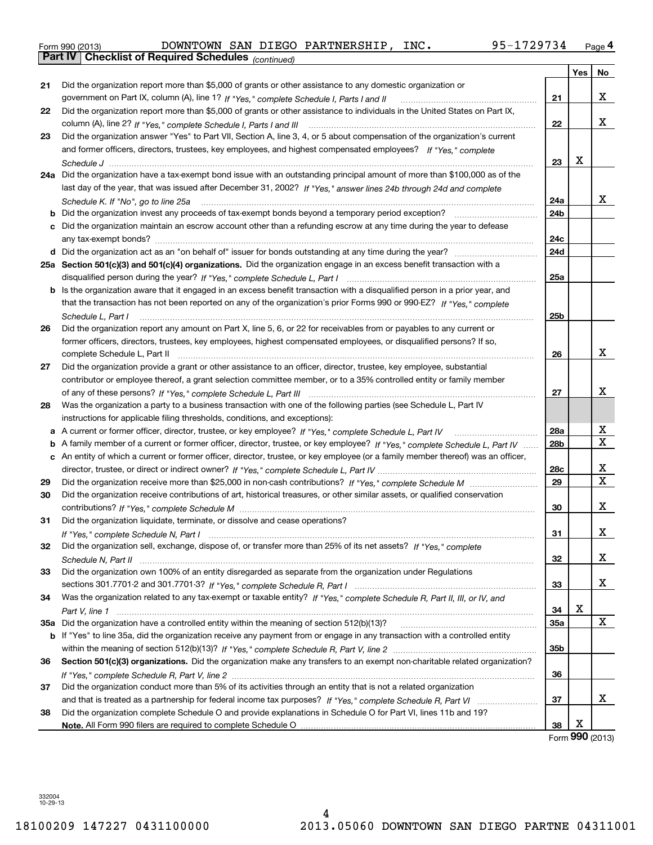| Form 990 (2013) |                                                       |  | DOWNTOWN SAN DIEGO PARTNERSHIP, | INC. | 95-1729734 | Page 4 |
|-----------------|-------------------------------------------------------|--|---------------------------------|------|------------|--------|
|                 | Part IV   Checklist of Required Schedules (continued) |  |                                 |      |            |        |

|    | Part IV  <br>Criecklist of Required Scriedules (continued)                                                                        |                 |     |    |
|----|-----------------------------------------------------------------------------------------------------------------------------------|-----------------|-----|----|
|    |                                                                                                                                   |                 | Yes | No |
| 21 | Did the organization report more than \$5,000 of grants or other assistance to any domestic organization or                       |                 |     |    |
|    | government on Part IX, column (A), line 1? If "Yes," complete Schedule I, Parts I and II                                          | 21              |     | x  |
| 22 | Did the organization report more than \$5,000 of grants or other assistance to individuals in the United States on Part IX,       |                 |     |    |
|    |                                                                                                                                   | 22              |     | x  |
| 23 | Did the organization answer "Yes" to Part VII, Section A, line 3, 4, or 5 about compensation of the organization's current        |                 |     |    |
|    | and former officers, directors, trustees, key employees, and highest compensated employees? If "Yes," complete                    |                 |     |    |
|    |                                                                                                                                   | 23              | X   |    |
|    | 24a Did the organization have a tax-exempt bond issue with an outstanding principal amount of more than \$100,000 as of the       |                 |     |    |
|    | last day of the year, that was issued after December 31, 2002? If "Yes," answer lines 24b through 24d and complete                |                 |     |    |
|    | Schedule K. If "No", go to line 25a                                                                                               | 24a             |     | x  |
|    | <b>b</b> Did the organization invest any proceeds of tax-exempt bonds beyond a temporary period exception?                        | 24b             |     |    |
|    | c Did the organization maintain an escrow account other than a refunding escrow at any time during the year to defease            |                 |     |    |
|    |                                                                                                                                   | 24с             |     |    |
|    |                                                                                                                                   | 24d             |     |    |
|    | 25a Section 501(c)(3) and 501(c)(4) organizations. Did the organization engage in an excess benefit transaction with a            |                 |     |    |
|    |                                                                                                                                   | 25a             |     |    |
|    | b Is the organization aware that it engaged in an excess benefit transaction with a disqualified person in a prior year, and      |                 |     |    |
|    | that the transaction has not been reported on any of the organization's prior Forms 990 or 990-EZ? If "Yes," complete             |                 |     |    |
|    | Schedule L, Part I                                                                                                                | 25b             |     |    |
| 26 | Did the organization report any amount on Part X, line 5, 6, or 22 for receivables from or payables to any current or             |                 |     |    |
|    | former officers, directors, trustees, key employees, highest compensated employees, or disqualified persons? If so,               |                 |     |    |
|    | complete Schedule L, Part II                                                                                                      | 26              |     | x  |
| 27 | Did the organization provide a grant or other assistance to an officer, director, trustee, key employee, substantial              |                 |     |    |
|    | contributor or employee thereof, a grant selection committee member, or to a 35% controlled entity or family member               |                 |     |    |
|    |                                                                                                                                   | 27              |     | x  |
| 28 | Was the organization a party to a business transaction with one of the following parties (see Schedule L, Part IV                 |                 |     |    |
|    | instructions for applicable filing thresholds, conditions, and exceptions):                                                       |                 |     |    |
|    | a A current or former officer, director, trustee, or key employee? If "Yes," complete Schedule L, Part IV                         | 28a             |     | х  |
|    | b A family member of a current or former officer, director, trustee, or key employee? If "Yes," complete Schedule L, Part IV      | 28 <sub>b</sub> |     | X  |
|    | c An entity of which a current or former officer, director, trustee, or key employee (or a family member thereof) was an officer, |                 |     |    |
|    |                                                                                                                                   | 28c             |     | х  |
| 29 |                                                                                                                                   | 29              |     | X  |
| 30 | Did the organization receive contributions of art, historical treasures, or other similar assets, or qualified conservation       |                 |     |    |
|    |                                                                                                                                   | 30              |     | x  |
| 31 | Did the organization liquidate, terminate, or dissolve and cease operations?                                                      |                 |     |    |
|    |                                                                                                                                   | 31              |     | X  |
| 32 | Did the organization sell, exchange, dispose of, or transfer more than 25% of its net assets? If "Yes," complete                  |                 |     |    |
|    |                                                                                                                                   | 32              |     | x  |
| 33 | Did the organization own 100% of an entity disregarded as separate from the organization under Regulations                        |                 |     |    |
|    |                                                                                                                                   | 33              |     | X  |
| 34 | Was the organization related to any tax-exempt or taxable entity? If "Yes," complete Schedule R, Part II, III, or IV, and         |                 |     |    |
|    |                                                                                                                                   | 34              | X   |    |
|    |                                                                                                                                   | 35a             |     | X  |
|    | b If "Yes" to line 35a, did the organization receive any payment from or engage in any transaction with a controlled entity       |                 |     |    |
|    |                                                                                                                                   | 35b             |     |    |
| 36 | Section 501(c)(3) organizations. Did the organization make any transfers to an exempt non-charitable related organization?        |                 |     |    |
|    |                                                                                                                                   | 36              |     |    |
| 37 | Did the organization conduct more than 5% of its activities through an entity that is not a related organization                  |                 |     |    |
|    |                                                                                                                                   | 37              |     | x  |
| 38 | Did the organization complete Schedule O and provide explanations in Schedule O for Part VI, lines 11b and 19?                    |                 |     |    |
|    |                                                                                                                                   | 38              | X   |    |
|    |                                                                                                                                   |                 |     |    |

Form (2013) **990**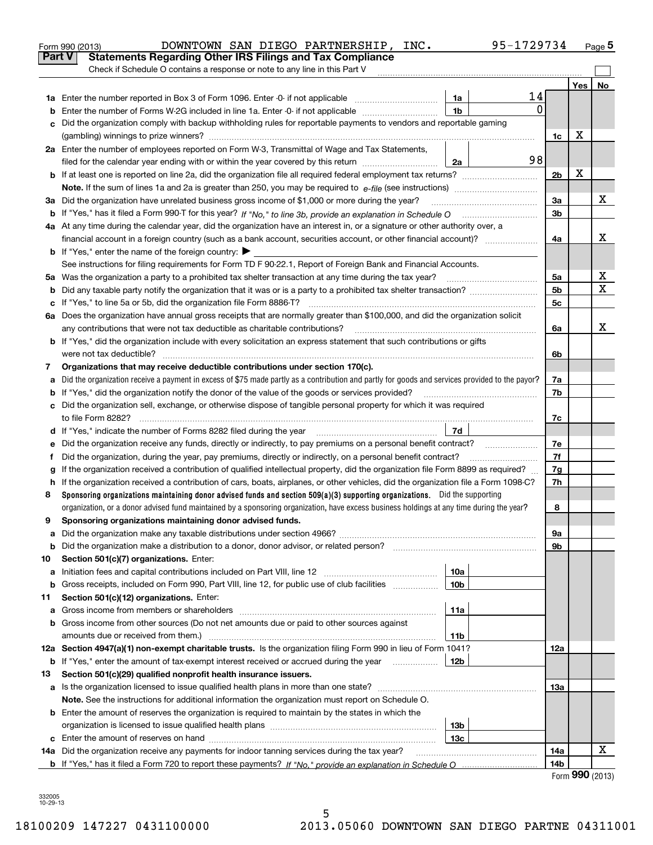| Part V<br><b>Statements Regarding Other IRS Filings and Tax Compliance</b><br>Check if Schedule O contains a response or note to any line in this Part V<br>Yes<br>14<br>1a<br>0<br>1 <sub>b</sub><br>Enter the number of Forms W-2G included in line 1a. Enter -0- if not applicable<br>b<br>Did the organization comply with backup withholding rules for reportable payments to vendors and reportable gaming<br>c<br>х<br>1c<br>2a Enter the number of employees reported on Form W-3, Transmittal of Wage and Tax Statements,<br>98<br>filed for the calendar year ending with or within the year covered by this return<br>2a<br>х<br>2 <sub>b</sub><br>х<br>3a Did the organization have unrelated business gross income of \$1,000 or more during the year?<br>3a<br>3b<br>4a At any time during the calendar year, did the organization have an interest in, or a signature or other authority over, a<br>x<br>financial account in a foreign country (such as a bank account, securities account, or other financial account)?<br>4a<br><b>b</b> If "Yes," enter the name of the foreign country: $\blacktriangleright$<br>See instructions for filing requirements for Form TD F 90-22.1, Report of Foreign Bank and Financial Accounts.<br>х<br>5a Was the organization a party to a prohibited tax shelter transaction at any time during the tax year?<br>5a<br>х<br>5 <sub>b</sub><br>b<br>5c<br>с<br>6a Does the organization have annual gross receipts that are normally greater than \$100,000, and did the organization solicit<br>x<br>6a<br><b>b</b> If "Yes," did the organization include with every solicitation an express statement that such contributions or gifts<br>6b<br>Organizations that may receive deductible contributions under section 170(c).<br>7<br>Did the organization receive a payment in excess of \$75 made partly as a contribution and partly for goods and services provided to the payor?<br>7a<br>a<br><b>b</b> If "Yes," did the organization notify the donor of the value of the goods or services provided?<br>7b<br>c Did the organization sell, exchange, or otherwise dispose of tangible personal property for which it was required<br>7c<br>7d<br>d If "Yes," indicate the number of Forms 8282 filed during the year [11] [11] The S, The Indicate the number of Forms 8282 filed during the year<br>7e<br>е<br>7f<br>Did the organization, during the year, pay premiums, directly or indirectly, on a personal benefit contract?<br>f<br>If the organization received a contribution of qualified intellectual property, did the organization file Form 8899 as required?<br>7g<br>g<br>h If the organization received a contribution of cars, boats, airplanes, or other vehicles, did the organization file a Form 1098-C?<br>7h<br>Sponsoring organizations maintaining donor advised funds and section 509(a)(3) supporting organizations. Did the supporting<br>8<br>organization, or a donor advised fund maintained by a sponsoring organization, have excess business holdings at any time during the year?<br>8<br>Sponsoring organizations maintaining donor advised funds.<br>9a<br>a<br>9b<br>b<br>Section 501(c)(7) organizations. Enter:<br>10<br>10a<br>Initiation fees and capital contributions included on Part VIII, line 12 <i>manuarrouus</i> manuations of the latest<br>а<br>10 <sub>b</sub><br>Gross receipts, included on Form 990, Part VIII, line 12, for public use of club facilities<br>b<br>Section 501(c)(12) organizations. Enter:<br>11<br>11a<br>a<br>b Gross income from other sources (Do not net amounts due or paid to other sources against<br>amounts due or received from them.)<br>11b<br>12a Section 4947(a)(1) non-exempt charitable trusts. Is the organization filing Form 990 in lieu of Form 1041?<br>12a<br><b>b</b> If "Yes," enter the amount of tax-exempt interest received or accrued during the year <i>manument</i> of<br>12b<br>Section 501(c)(29) qualified nonprofit health insurance issuers.<br>13<br>Is the organization licensed to issue qualified health plans in more than one state?<br>13а<br>a<br>Note. See the instructions for additional information the organization must report on Schedule O.<br><b>b</b> Enter the amount of reserves the organization is required to maintain by the states in which the<br>13 <sub>b</sub><br>organization is licensed to issue qualified health plans <i>communically contained in the series</i><br>13с<br>х<br>14a Did the organization receive any payments for indoor tanning services during the tax year?<br>14a<br>14 <sub>b</sub> | 95-1729734<br>DOWNTOWN SAN DIEGO PARTNERSHIP,<br>INC.<br>Form 990 (2013) |  | <u>Page</u> 5 |
|------------------------------------------------------------------------------------------------------------------------------------------------------------------------------------------------------------------------------------------------------------------------------------------------------------------------------------------------------------------------------------------------------------------------------------------------------------------------------------------------------------------------------------------------------------------------------------------------------------------------------------------------------------------------------------------------------------------------------------------------------------------------------------------------------------------------------------------------------------------------------------------------------------------------------------------------------------------------------------------------------------------------------------------------------------------------------------------------------------------------------------------------------------------------------------------------------------------------------------------------------------------------------------------------------------------------------------------------------------------------------------------------------------------------------------------------------------------------------------------------------------------------------------------------------------------------------------------------------------------------------------------------------------------------------------------------------------------------------------------------------------------------------------------------------------------------------------------------------------------------------------------------------------------------------------------------------------------------------------------------------------------------------------------------------------------------------------------------------------------------------------------------------------------------------------------------------------------------------------------------------------------------------------------------------------------------------------------------------------------------------------------------------------------------------------------------------------------------------------------------------------------------------------------------------------------------------------------------------------------------------------------------------------------------------------------------------------------------------------------------------------------------------------------------------------------------------------------------------------------------------------------------------------------------------------------------------------------------------------------------------------------------------------------------------------------------------------------------------------------------------------------------------------------------------------------------------------------------------------------------------------------------------------------------------------------------------------------------------------------------------------------------------------------------------------------------------------------------------------------------------------------------------------------------------------------------------------------------------------------------------------------------------------------------------------------------------------------------------------------------------------------------------------------------------------------------------------------------------------------------------------------------------------------------------------------------------------------------------------------------------------------------------------------------------------------------------------------------------------------------------------------------------------------------------------------------------------------------------------------------------------------------------------------------------------------------------------------------------------------------------------------------------------------------------------------------------------------------------------------------------------------------------------------------------------------------------------------------------------------------------|--------------------------------------------------------------------------|--|---------------|
|                                                                                                                                                                                                                                                                                                                                                                                                                                                                                                                                                                                                                                                                                                                                                                                                                                                                                                                                                                                                                                                                                                                                                                                                                                                                                                                                                                                                                                                                                                                                                                                                                                                                                                                                                                                                                                                                                                                                                                                                                                                                                                                                                                                                                                                                                                                                                                                                                                                                                                                                                                                                                                                                                                                                                                                                                                                                                                                                                                                                                                                                                                                                                                                                                                                                                                                                                                                                                                                                                                                                                                                                                                                                                                                                                                                                                                                                                                                                                                                                                                                                                                                                                                                                                                                                                                                                                                                                                                                                                                                                                                                                                              |                                                                          |  |               |
|                                                                                                                                                                                                                                                                                                                                                                                                                                                                                                                                                                                                                                                                                                                                                                                                                                                                                                                                                                                                                                                                                                                                                                                                                                                                                                                                                                                                                                                                                                                                                                                                                                                                                                                                                                                                                                                                                                                                                                                                                                                                                                                                                                                                                                                                                                                                                                                                                                                                                                                                                                                                                                                                                                                                                                                                                                                                                                                                                                                                                                                                                                                                                                                                                                                                                                                                                                                                                                                                                                                                                                                                                                                                                                                                                                                                                                                                                                                                                                                                                                                                                                                                                                                                                                                                                                                                                                                                                                                                                                                                                                                                                              |                                                                          |  |               |
|                                                                                                                                                                                                                                                                                                                                                                                                                                                                                                                                                                                                                                                                                                                                                                                                                                                                                                                                                                                                                                                                                                                                                                                                                                                                                                                                                                                                                                                                                                                                                                                                                                                                                                                                                                                                                                                                                                                                                                                                                                                                                                                                                                                                                                                                                                                                                                                                                                                                                                                                                                                                                                                                                                                                                                                                                                                                                                                                                                                                                                                                                                                                                                                                                                                                                                                                                                                                                                                                                                                                                                                                                                                                                                                                                                                                                                                                                                                                                                                                                                                                                                                                                                                                                                                                                                                                                                                                                                                                                                                                                                                                                              |                                                                          |  | No            |
|                                                                                                                                                                                                                                                                                                                                                                                                                                                                                                                                                                                                                                                                                                                                                                                                                                                                                                                                                                                                                                                                                                                                                                                                                                                                                                                                                                                                                                                                                                                                                                                                                                                                                                                                                                                                                                                                                                                                                                                                                                                                                                                                                                                                                                                                                                                                                                                                                                                                                                                                                                                                                                                                                                                                                                                                                                                                                                                                                                                                                                                                                                                                                                                                                                                                                                                                                                                                                                                                                                                                                                                                                                                                                                                                                                                                                                                                                                                                                                                                                                                                                                                                                                                                                                                                                                                                                                                                                                                                                                                                                                                                                              |                                                                          |  |               |
|                                                                                                                                                                                                                                                                                                                                                                                                                                                                                                                                                                                                                                                                                                                                                                                                                                                                                                                                                                                                                                                                                                                                                                                                                                                                                                                                                                                                                                                                                                                                                                                                                                                                                                                                                                                                                                                                                                                                                                                                                                                                                                                                                                                                                                                                                                                                                                                                                                                                                                                                                                                                                                                                                                                                                                                                                                                                                                                                                                                                                                                                                                                                                                                                                                                                                                                                                                                                                                                                                                                                                                                                                                                                                                                                                                                                                                                                                                                                                                                                                                                                                                                                                                                                                                                                                                                                                                                                                                                                                                                                                                                                                              |                                                                          |  |               |
|                                                                                                                                                                                                                                                                                                                                                                                                                                                                                                                                                                                                                                                                                                                                                                                                                                                                                                                                                                                                                                                                                                                                                                                                                                                                                                                                                                                                                                                                                                                                                                                                                                                                                                                                                                                                                                                                                                                                                                                                                                                                                                                                                                                                                                                                                                                                                                                                                                                                                                                                                                                                                                                                                                                                                                                                                                                                                                                                                                                                                                                                                                                                                                                                                                                                                                                                                                                                                                                                                                                                                                                                                                                                                                                                                                                                                                                                                                                                                                                                                                                                                                                                                                                                                                                                                                                                                                                                                                                                                                                                                                                                                              |                                                                          |  |               |
|                                                                                                                                                                                                                                                                                                                                                                                                                                                                                                                                                                                                                                                                                                                                                                                                                                                                                                                                                                                                                                                                                                                                                                                                                                                                                                                                                                                                                                                                                                                                                                                                                                                                                                                                                                                                                                                                                                                                                                                                                                                                                                                                                                                                                                                                                                                                                                                                                                                                                                                                                                                                                                                                                                                                                                                                                                                                                                                                                                                                                                                                                                                                                                                                                                                                                                                                                                                                                                                                                                                                                                                                                                                                                                                                                                                                                                                                                                                                                                                                                                                                                                                                                                                                                                                                                                                                                                                                                                                                                                                                                                                                                              |                                                                          |  |               |
|                                                                                                                                                                                                                                                                                                                                                                                                                                                                                                                                                                                                                                                                                                                                                                                                                                                                                                                                                                                                                                                                                                                                                                                                                                                                                                                                                                                                                                                                                                                                                                                                                                                                                                                                                                                                                                                                                                                                                                                                                                                                                                                                                                                                                                                                                                                                                                                                                                                                                                                                                                                                                                                                                                                                                                                                                                                                                                                                                                                                                                                                                                                                                                                                                                                                                                                                                                                                                                                                                                                                                                                                                                                                                                                                                                                                                                                                                                                                                                                                                                                                                                                                                                                                                                                                                                                                                                                                                                                                                                                                                                                                                              |                                                                          |  |               |
|                                                                                                                                                                                                                                                                                                                                                                                                                                                                                                                                                                                                                                                                                                                                                                                                                                                                                                                                                                                                                                                                                                                                                                                                                                                                                                                                                                                                                                                                                                                                                                                                                                                                                                                                                                                                                                                                                                                                                                                                                                                                                                                                                                                                                                                                                                                                                                                                                                                                                                                                                                                                                                                                                                                                                                                                                                                                                                                                                                                                                                                                                                                                                                                                                                                                                                                                                                                                                                                                                                                                                                                                                                                                                                                                                                                                                                                                                                                                                                                                                                                                                                                                                                                                                                                                                                                                                                                                                                                                                                                                                                                                                              |                                                                          |  |               |
|                                                                                                                                                                                                                                                                                                                                                                                                                                                                                                                                                                                                                                                                                                                                                                                                                                                                                                                                                                                                                                                                                                                                                                                                                                                                                                                                                                                                                                                                                                                                                                                                                                                                                                                                                                                                                                                                                                                                                                                                                                                                                                                                                                                                                                                                                                                                                                                                                                                                                                                                                                                                                                                                                                                                                                                                                                                                                                                                                                                                                                                                                                                                                                                                                                                                                                                                                                                                                                                                                                                                                                                                                                                                                                                                                                                                                                                                                                                                                                                                                                                                                                                                                                                                                                                                                                                                                                                                                                                                                                                                                                                                                              |                                                                          |  |               |
|                                                                                                                                                                                                                                                                                                                                                                                                                                                                                                                                                                                                                                                                                                                                                                                                                                                                                                                                                                                                                                                                                                                                                                                                                                                                                                                                                                                                                                                                                                                                                                                                                                                                                                                                                                                                                                                                                                                                                                                                                                                                                                                                                                                                                                                                                                                                                                                                                                                                                                                                                                                                                                                                                                                                                                                                                                                                                                                                                                                                                                                                                                                                                                                                                                                                                                                                                                                                                                                                                                                                                                                                                                                                                                                                                                                                                                                                                                                                                                                                                                                                                                                                                                                                                                                                                                                                                                                                                                                                                                                                                                                                                              |                                                                          |  |               |
|                                                                                                                                                                                                                                                                                                                                                                                                                                                                                                                                                                                                                                                                                                                                                                                                                                                                                                                                                                                                                                                                                                                                                                                                                                                                                                                                                                                                                                                                                                                                                                                                                                                                                                                                                                                                                                                                                                                                                                                                                                                                                                                                                                                                                                                                                                                                                                                                                                                                                                                                                                                                                                                                                                                                                                                                                                                                                                                                                                                                                                                                                                                                                                                                                                                                                                                                                                                                                                                                                                                                                                                                                                                                                                                                                                                                                                                                                                                                                                                                                                                                                                                                                                                                                                                                                                                                                                                                                                                                                                                                                                                                                              |                                                                          |  |               |
|                                                                                                                                                                                                                                                                                                                                                                                                                                                                                                                                                                                                                                                                                                                                                                                                                                                                                                                                                                                                                                                                                                                                                                                                                                                                                                                                                                                                                                                                                                                                                                                                                                                                                                                                                                                                                                                                                                                                                                                                                                                                                                                                                                                                                                                                                                                                                                                                                                                                                                                                                                                                                                                                                                                                                                                                                                                                                                                                                                                                                                                                                                                                                                                                                                                                                                                                                                                                                                                                                                                                                                                                                                                                                                                                                                                                                                                                                                                                                                                                                                                                                                                                                                                                                                                                                                                                                                                                                                                                                                                                                                                                                              |                                                                          |  |               |
|                                                                                                                                                                                                                                                                                                                                                                                                                                                                                                                                                                                                                                                                                                                                                                                                                                                                                                                                                                                                                                                                                                                                                                                                                                                                                                                                                                                                                                                                                                                                                                                                                                                                                                                                                                                                                                                                                                                                                                                                                                                                                                                                                                                                                                                                                                                                                                                                                                                                                                                                                                                                                                                                                                                                                                                                                                                                                                                                                                                                                                                                                                                                                                                                                                                                                                                                                                                                                                                                                                                                                                                                                                                                                                                                                                                                                                                                                                                                                                                                                                                                                                                                                                                                                                                                                                                                                                                                                                                                                                                                                                                                                              |                                                                          |  |               |
|                                                                                                                                                                                                                                                                                                                                                                                                                                                                                                                                                                                                                                                                                                                                                                                                                                                                                                                                                                                                                                                                                                                                                                                                                                                                                                                                                                                                                                                                                                                                                                                                                                                                                                                                                                                                                                                                                                                                                                                                                                                                                                                                                                                                                                                                                                                                                                                                                                                                                                                                                                                                                                                                                                                                                                                                                                                                                                                                                                                                                                                                                                                                                                                                                                                                                                                                                                                                                                                                                                                                                                                                                                                                                                                                                                                                                                                                                                                                                                                                                                                                                                                                                                                                                                                                                                                                                                                                                                                                                                                                                                                                                              |                                                                          |  |               |
|                                                                                                                                                                                                                                                                                                                                                                                                                                                                                                                                                                                                                                                                                                                                                                                                                                                                                                                                                                                                                                                                                                                                                                                                                                                                                                                                                                                                                                                                                                                                                                                                                                                                                                                                                                                                                                                                                                                                                                                                                                                                                                                                                                                                                                                                                                                                                                                                                                                                                                                                                                                                                                                                                                                                                                                                                                                                                                                                                                                                                                                                                                                                                                                                                                                                                                                                                                                                                                                                                                                                                                                                                                                                                                                                                                                                                                                                                                                                                                                                                                                                                                                                                                                                                                                                                                                                                                                                                                                                                                                                                                                                                              |                                                                          |  |               |
|                                                                                                                                                                                                                                                                                                                                                                                                                                                                                                                                                                                                                                                                                                                                                                                                                                                                                                                                                                                                                                                                                                                                                                                                                                                                                                                                                                                                                                                                                                                                                                                                                                                                                                                                                                                                                                                                                                                                                                                                                                                                                                                                                                                                                                                                                                                                                                                                                                                                                                                                                                                                                                                                                                                                                                                                                                                                                                                                                                                                                                                                                                                                                                                                                                                                                                                                                                                                                                                                                                                                                                                                                                                                                                                                                                                                                                                                                                                                                                                                                                                                                                                                                                                                                                                                                                                                                                                                                                                                                                                                                                                                                              |                                                                          |  |               |
|                                                                                                                                                                                                                                                                                                                                                                                                                                                                                                                                                                                                                                                                                                                                                                                                                                                                                                                                                                                                                                                                                                                                                                                                                                                                                                                                                                                                                                                                                                                                                                                                                                                                                                                                                                                                                                                                                                                                                                                                                                                                                                                                                                                                                                                                                                                                                                                                                                                                                                                                                                                                                                                                                                                                                                                                                                                                                                                                                                                                                                                                                                                                                                                                                                                                                                                                                                                                                                                                                                                                                                                                                                                                                                                                                                                                                                                                                                                                                                                                                                                                                                                                                                                                                                                                                                                                                                                                                                                                                                                                                                                                                              |                                                                          |  |               |
|                                                                                                                                                                                                                                                                                                                                                                                                                                                                                                                                                                                                                                                                                                                                                                                                                                                                                                                                                                                                                                                                                                                                                                                                                                                                                                                                                                                                                                                                                                                                                                                                                                                                                                                                                                                                                                                                                                                                                                                                                                                                                                                                                                                                                                                                                                                                                                                                                                                                                                                                                                                                                                                                                                                                                                                                                                                                                                                                                                                                                                                                                                                                                                                                                                                                                                                                                                                                                                                                                                                                                                                                                                                                                                                                                                                                                                                                                                                                                                                                                                                                                                                                                                                                                                                                                                                                                                                                                                                                                                                                                                                                                              |                                                                          |  |               |
|                                                                                                                                                                                                                                                                                                                                                                                                                                                                                                                                                                                                                                                                                                                                                                                                                                                                                                                                                                                                                                                                                                                                                                                                                                                                                                                                                                                                                                                                                                                                                                                                                                                                                                                                                                                                                                                                                                                                                                                                                                                                                                                                                                                                                                                                                                                                                                                                                                                                                                                                                                                                                                                                                                                                                                                                                                                                                                                                                                                                                                                                                                                                                                                                                                                                                                                                                                                                                                                                                                                                                                                                                                                                                                                                                                                                                                                                                                                                                                                                                                                                                                                                                                                                                                                                                                                                                                                                                                                                                                                                                                                                                              |                                                                          |  |               |
|                                                                                                                                                                                                                                                                                                                                                                                                                                                                                                                                                                                                                                                                                                                                                                                                                                                                                                                                                                                                                                                                                                                                                                                                                                                                                                                                                                                                                                                                                                                                                                                                                                                                                                                                                                                                                                                                                                                                                                                                                                                                                                                                                                                                                                                                                                                                                                                                                                                                                                                                                                                                                                                                                                                                                                                                                                                                                                                                                                                                                                                                                                                                                                                                                                                                                                                                                                                                                                                                                                                                                                                                                                                                                                                                                                                                                                                                                                                                                                                                                                                                                                                                                                                                                                                                                                                                                                                                                                                                                                                                                                                                                              |                                                                          |  |               |
|                                                                                                                                                                                                                                                                                                                                                                                                                                                                                                                                                                                                                                                                                                                                                                                                                                                                                                                                                                                                                                                                                                                                                                                                                                                                                                                                                                                                                                                                                                                                                                                                                                                                                                                                                                                                                                                                                                                                                                                                                                                                                                                                                                                                                                                                                                                                                                                                                                                                                                                                                                                                                                                                                                                                                                                                                                                                                                                                                                                                                                                                                                                                                                                                                                                                                                                                                                                                                                                                                                                                                                                                                                                                                                                                                                                                                                                                                                                                                                                                                                                                                                                                                                                                                                                                                                                                                                                                                                                                                                                                                                                                                              |                                                                          |  |               |
|                                                                                                                                                                                                                                                                                                                                                                                                                                                                                                                                                                                                                                                                                                                                                                                                                                                                                                                                                                                                                                                                                                                                                                                                                                                                                                                                                                                                                                                                                                                                                                                                                                                                                                                                                                                                                                                                                                                                                                                                                                                                                                                                                                                                                                                                                                                                                                                                                                                                                                                                                                                                                                                                                                                                                                                                                                                                                                                                                                                                                                                                                                                                                                                                                                                                                                                                                                                                                                                                                                                                                                                                                                                                                                                                                                                                                                                                                                                                                                                                                                                                                                                                                                                                                                                                                                                                                                                                                                                                                                                                                                                                                              |                                                                          |  |               |
|                                                                                                                                                                                                                                                                                                                                                                                                                                                                                                                                                                                                                                                                                                                                                                                                                                                                                                                                                                                                                                                                                                                                                                                                                                                                                                                                                                                                                                                                                                                                                                                                                                                                                                                                                                                                                                                                                                                                                                                                                                                                                                                                                                                                                                                                                                                                                                                                                                                                                                                                                                                                                                                                                                                                                                                                                                                                                                                                                                                                                                                                                                                                                                                                                                                                                                                                                                                                                                                                                                                                                                                                                                                                                                                                                                                                                                                                                                                                                                                                                                                                                                                                                                                                                                                                                                                                                                                                                                                                                                                                                                                                                              |                                                                          |  |               |
|                                                                                                                                                                                                                                                                                                                                                                                                                                                                                                                                                                                                                                                                                                                                                                                                                                                                                                                                                                                                                                                                                                                                                                                                                                                                                                                                                                                                                                                                                                                                                                                                                                                                                                                                                                                                                                                                                                                                                                                                                                                                                                                                                                                                                                                                                                                                                                                                                                                                                                                                                                                                                                                                                                                                                                                                                                                                                                                                                                                                                                                                                                                                                                                                                                                                                                                                                                                                                                                                                                                                                                                                                                                                                                                                                                                                                                                                                                                                                                                                                                                                                                                                                                                                                                                                                                                                                                                                                                                                                                                                                                                                                              |                                                                          |  |               |
|                                                                                                                                                                                                                                                                                                                                                                                                                                                                                                                                                                                                                                                                                                                                                                                                                                                                                                                                                                                                                                                                                                                                                                                                                                                                                                                                                                                                                                                                                                                                                                                                                                                                                                                                                                                                                                                                                                                                                                                                                                                                                                                                                                                                                                                                                                                                                                                                                                                                                                                                                                                                                                                                                                                                                                                                                                                                                                                                                                                                                                                                                                                                                                                                                                                                                                                                                                                                                                                                                                                                                                                                                                                                                                                                                                                                                                                                                                                                                                                                                                                                                                                                                                                                                                                                                                                                                                                                                                                                                                                                                                                                                              |                                                                          |  |               |
|                                                                                                                                                                                                                                                                                                                                                                                                                                                                                                                                                                                                                                                                                                                                                                                                                                                                                                                                                                                                                                                                                                                                                                                                                                                                                                                                                                                                                                                                                                                                                                                                                                                                                                                                                                                                                                                                                                                                                                                                                                                                                                                                                                                                                                                                                                                                                                                                                                                                                                                                                                                                                                                                                                                                                                                                                                                                                                                                                                                                                                                                                                                                                                                                                                                                                                                                                                                                                                                                                                                                                                                                                                                                                                                                                                                                                                                                                                                                                                                                                                                                                                                                                                                                                                                                                                                                                                                                                                                                                                                                                                                                                              |                                                                          |  |               |
|                                                                                                                                                                                                                                                                                                                                                                                                                                                                                                                                                                                                                                                                                                                                                                                                                                                                                                                                                                                                                                                                                                                                                                                                                                                                                                                                                                                                                                                                                                                                                                                                                                                                                                                                                                                                                                                                                                                                                                                                                                                                                                                                                                                                                                                                                                                                                                                                                                                                                                                                                                                                                                                                                                                                                                                                                                                                                                                                                                                                                                                                                                                                                                                                                                                                                                                                                                                                                                                                                                                                                                                                                                                                                                                                                                                                                                                                                                                                                                                                                                                                                                                                                                                                                                                                                                                                                                                                                                                                                                                                                                                                                              |                                                                          |  |               |
|                                                                                                                                                                                                                                                                                                                                                                                                                                                                                                                                                                                                                                                                                                                                                                                                                                                                                                                                                                                                                                                                                                                                                                                                                                                                                                                                                                                                                                                                                                                                                                                                                                                                                                                                                                                                                                                                                                                                                                                                                                                                                                                                                                                                                                                                                                                                                                                                                                                                                                                                                                                                                                                                                                                                                                                                                                                                                                                                                                                                                                                                                                                                                                                                                                                                                                                                                                                                                                                                                                                                                                                                                                                                                                                                                                                                                                                                                                                                                                                                                                                                                                                                                                                                                                                                                                                                                                                                                                                                                                                                                                                                                              |                                                                          |  |               |
|                                                                                                                                                                                                                                                                                                                                                                                                                                                                                                                                                                                                                                                                                                                                                                                                                                                                                                                                                                                                                                                                                                                                                                                                                                                                                                                                                                                                                                                                                                                                                                                                                                                                                                                                                                                                                                                                                                                                                                                                                                                                                                                                                                                                                                                                                                                                                                                                                                                                                                                                                                                                                                                                                                                                                                                                                                                                                                                                                                                                                                                                                                                                                                                                                                                                                                                                                                                                                                                                                                                                                                                                                                                                                                                                                                                                                                                                                                                                                                                                                                                                                                                                                                                                                                                                                                                                                                                                                                                                                                                                                                                                                              |                                                                          |  |               |
|                                                                                                                                                                                                                                                                                                                                                                                                                                                                                                                                                                                                                                                                                                                                                                                                                                                                                                                                                                                                                                                                                                                                                                                                                                                                                                                                                                                                                                                                                                                                                                                                                                                                                                                                                                                                                                                                                                                                                                                                                                                                                                                                                                                                                                                                                                                                                                                                                                                                                                                                                                                                                                                                                                                                                                                                                                                                                                                                                                                                                                                                                                                                                                                                                                                                                                                                                                                                                                                                                                                                                                                                                                                                                                                                                                                                                                                                                                                                                                                                                                                                                                                                                                                                                                                                                                                                                                                                                                                                                                                                                                                                                              |                                                                          |  |               |
|                                                                                                                                                                                                                                                                                                                                                                                                                                                                                                                                                                                                                                                                                                                                                                                                                                                                                                                                                                                                                                                                                                                                                                                                                                                                                                                                                                                                                                                                                                                                                                                                                                                                                                                                                                                                                                                                                                                                                                                                                                                                                                                                                                                                                                                                                                                                                                                                                                                                                                                                                                                                                                                                                                                                                                                                                                                                                                                                                                                                                                                                                                                                                                                                                                                                                                                                                                                                                                                                                                                                                                                                                                                                                                                                                                                                                                                                                                                                                                                                                                                                                                                                                                                                                                                                                                                                                                                                                                                                                                                                                                                                                              |                                                                          |  |               |
|                                                                                                                                                                                                                                                                                                                                                                                                                                                                                                                                                                                                                                                                                                                                                                                                                                                                                                                                                                                                                                                                                                                                                                                                                                                                                                                                                                                                                                                                                                                                                                                                                                                                                                                                                                                                                                                                                                                                                                                                                                                                                                                                                                                                                                                                                                                                                                                                                                                                                                                                                                                                                                                                                                                                                                                                                                                                                                                                                                                                                                                                                                                                                                                                                                                                                                                                                                                                                                                                                                                                                                                                                                                                                                                                                                                                                                                                                                                                                                                                                                                                                                                                                                                                                                                                                                                                                                                                                                                                                                                                                                                                                              |                                                                          |  |               |
|                                                                                                                                                                                                                                                                                                                                                                                                                                                                                                                                                                                                                                                                                                                                                                                                                                                                                                                                                                                                                                                                                                                                                                                                                                                                                                                                                                                                                                                                                                                                                                                                                                                                                                                                                                                                                                                                                                                                                                                                                                                                                                                                                                                                                                                                                                                                                                                                                                                                                                                                                                                                                                                                                                                                                                                                                                                                                                                                                                                                                                                                                                                                                                                                                                                                                                                                                                                                                                                                                                                                                                                                                                                                                                                                                                                                                                                                                                                                                                                                                                                                                                                                                                                                                                                                                                                                                                                                                                                                                                                                                                                                                              |                                                                          |  |               |
|                                                                                                                                                                                                                                                                                                                                                                                                                                                                                                                                                                                                                                                                                                                                                                                                                                                                                                                                                                                                                                                                                                                                                                                                                                                                                                                                                                                                                                                                                                                                                                                                                                                                                                                                                                                                                                                                                                                                                                                                                                                                                                                                                                                                                                                                                                                                                                                                                                                                                                                                                                                                                                                                                                                                                                                                                                                                                                                                                                                                                                                                                                                                                                                                                                                                                                                                                                                                                                                                                                                                                                                                                                                                                                                                                                                                                                                                                                                                                                                                                                                                                                                                                                                                                                                                                                                                                                                                                                                                                                                                                                                                                              |                                                                          |  |               |
|                                                                                                                                                                                                                                                                                                                                                                                                                                                                                                                                                                                                                                                                                                                                                                                                                                                                                                                                                                                                                                                                                                                                                                                                                                                                                                                                                                                                                                                                                                                                                                                                                                                                                                                                                                                                                                                                                                                                                                                                                                                                                                                                                                                                                                                                                                                                                                                                                                                                                                                                                                                                                                                                                                                                                                                                                                                                                                                                                                                                                                                                                                                                                                                                                                                                                                                                                                                                                                                                                                                                                                                                                                                                                                                                                                                                                                                                                                                                                                                                                                                                                                                                                                                                                                                                                                                                                                                                                                                                                                                                                                                                                              |                                                                          |  |               |
|                                                                                                                                                                                                                                                                                                                                                                                                                                                                                                                                                                                                                                                                                                                                                                                                                                                                                                                                                                                                                                                                                                                                                                                                                                                                                                                                                                                                                                                                                                                                                                                                                                                                                                                                                                                                                                                                                                                                                                                                                                                                                                                                                                                                                                                                                                                                                                                                                                                                                                                                                                                                                                                                                                                                                                                                                                                                                                                                                                                                                                                                                                                                                                                                                                                                                                                                                                                                                                                                                                                                                                                                                                                                                                                                                                                                                                                                                                                                                                                                                                                                                                                                                                                                                                                                                                                                                                                                                                                                                                                                                                                                                              |                                                                          |  |               |
|                                                                                                                                                                                                                                                                                                                                                                                                                                                                                                                                                                                                                                                                                                                                                                                                                                                                                                                                                                                                                                                                                                                                                                                                                                                                                                                                                                                                                                                                                                                                                                                                                                                                                                                                                                                                                                                                                                                                                                                                                                                                                                                                                                                                                                                                                                                                                                                                                                                                                                                                                                                                                                                                                                                                                                                                                                                                                                                                                                                                                                                                                                                                                                                                                                                                                                                                                                                                                                                                                                                                                                                                                                                                                                                                                                                                                                                                                                                                                                                                                                                                                                                                                                                                                                                                                                                                                                                                                                                                                                                                                                                                                              |                                                                          |  |               |
|                                                                                                                                                                                                                                                                                                                                                                                                                                                                                                                                                                                                                                                                                                                                                                                                                                                                                                                                                                                                                                                                                                                                                                                                                                                                                                                                                                                                                                                                                                                                                                                                                                                                                                                                                                                                                                                                                                                                                                                                                                                                                                                                                                                                                                                                                                                                                                                                                                                                                                                                                                                                                                                                                                                                                                                                                                                                                                                                                                                                                                                                                                                                                                                                                                                                                                                                                                                                                                                                                                                                                                                                                                                                                                                                                                                                                                                                                                                                                                                                                                                                                                                                                                                                                                                                                                                                                                                                                                                                                                                                                                                                                              |                                                                          |  |               |
|                                                                                                                                                                                                                                                                                                                                                                                                                                                                                                                                                                                                                                                                                                                                                                                                                                                                                                                                                                                                                                                                                                                                                                                                                                                                                                                                                                                                                                                                                                                                                                                                                                                                                                                                                                                                                                                                                                                                                                                                                                                                                                                                                                                                                                                                                                                                                                                                                                                                                                                                                                                                                                                                                                                                                                                                                                                                                                                                                                                                                                                                                                                                                                                                                                                                                                                                                                                                                                                                                                                                                                                                                                                                                                                                                                                                                                                                                                                                                                                                                                                                                                                                                                                                                                                                                                                                                                                                                                                                                                                                                                                                                              |                                                                          |  |               |
|                                                                                                                                                                                                                                                                                                                                                                                                                                                                                                                                                                                                                                                                                                                                                                                                                                                                                                                                                                                                                                                                                                                                                                                                                                                                                                                                                                                                                                                                                                                                                                                                                                                                                                                                                                                                                                                                                                                                                                                                                                                                                                                                                                                                                                                                                                                                                                                                                                                                                                                                                                                                                                                                                                                                                                                                                                                                                                                                                                                                                                                                                                                                                                                                                                                                                                                                                                                                                                                                                                                                                                                                                                                                                                                                                                                                                                                                                                                                                                                                                                                                                                                                                                                                                                                                                                                                                                                                                                                                                                                                                                                                                              |                                                                          |  |               |
|                                                                                                                                                                                                                                                                                                                                                                                                                                                                                                                                                                                                                                                                                                                                                                                                                                                                                                                                                                                                                                                                                                                                                                                                                                                                                                                                                                                                                                                                                                                                                                                                                                                                                                                                                                                                                                                                                                                                                                                                                                                                                                                                                                                                                                                                                                                                                                                                                                                                                                                                                                                                                                                                                                                                                                                                                                                                                                                                                                                                                                                                                                                                                                                                                                                                                                                                                                                                                                                                                                                                                                                                                                                                                                                                                                                                                                                                                                                                                                                                                                                                                                                                                                                                                                                                                                                                                                                                                                                                                                                                                                                                                              |                                                                          |  |               |
|                                                                                                                                                                                                                                                                                                                                                                                                                                                                                                                                                                                                                                                                                                                                                                                                                                                                                                                                                                                                                                                                                                                                                                                                                                                                                                                                                                                                                                                                                                                                                                                                                                                                                                                                                                                                                                                                                                                                                                                                                                                                                                                                                                                                                                                                                                                                                                                                                                                                                                                                                                                                                                                                                                                                                                                                                                                                                                                                                                                                                                                                                                                                                                                                                                                                                                                                                                                                                                                                                                                                                                                                                                                                                                                                                                                                                                                                                                                                                                                                                                                                                                                                                                                                                                                                                                                                                                                                                                                                                                                                                                                                                              |                                                                          |  |               |
|                                                                                                                                                                                                                                                                                                                                                                                                                                                                                                                                                                                                                                                                                                                                                                                                                                                                                                                                                                                                                                                                                                                                                                                                                                                                                                                                                                                                                                                                                                                                                                                                                                                                                                                                                                                                                                                                                                                                                                                                                                                                                                                                                                                                                                                                                                                                                                                                                                                                                                                                                                                                                                                                                                                                                                                                                                                                                                                                                                                                                                                                                                                                                                                                                                                                                                                                                                                                                                                                                                                                                                                                                                                                                                                                                                                                                                                                                                                                                                                                                                                                                                                                                                                                                                                                                                                                                                                                                                                                                                                                                                                                                              |                                                                          |  |               |
|                                                                                                                                                                                                                                                                                                                                                                                                                                                                                                                                                                                                                                                                                                                                                                                                                                                                                                                                                                                                                                                                                                                                                                                                                                                                                                                                                                                                                                                                                                                                                                                                                                                                                                                                                                                                                                                                                                                                                                                                                                                                                                                                                                                                                                                                                                                                                                                                                                                                                                                                                                                                                                                                                                                                                                                                                                                                                                                                                                                                                                                                                                                                                                                                                                                                                                                                                                                                                                                                                                                                                                                                                                                                                                                                                                                                                                                                                                                                                                                                                                                                                                                                                                                                                                                                                                                                                                                                                                                                                                                                                                                                                              |                                                                          |  |               |
|                                                                                                                                                                                                                                                                                                                                                                                                                                                                                                                                                                                                                                                                                                                                                                                                                                                                                                                                                                                                                                                                                                                                                                                                                                                                                                                                                                                                                                                                                                                                                                                                                                                                                                                                                                                                                                                                                                                                                                                                                                                                                                                                                                                                                                                                                                                                                                                                                                                                                                                                                                                                                                                                                                                                                                                                                                                                                                                                                                                                                                                                                                                                                                                                                                                                                                                                                                                                                                                                                                                                                                                                                                                                                                                                                                                                                                                                                                                                                                                                                                                                                                                                                                                                                                                                                                                                                                                                                                                                                                                                                                                                                              |                                                                          |  |               |
|                                                                                                                                                                                                                                                                                                                                                                                                                                                                                                                                                                                                                                                                                                                                                                                                                                                                                                                                                                                                                                                                                                                                                                                                                                                                                                                                                                                                                                                                                                                                                                                                                                                                                                                                                                                                                                                                                                                                                                                                                                                                                                                                                                                                                                                                                                                                                                                                                                                                                                                                                                                                                                                                                                                                                                                                                                                                                                                                                                                                                                                                                                                                                                                                                                                                                                                                                                                                                                                                                                                                                                                                                                                                                                                                                                                                                                                                                                                                                                                                                                                                                                                                                                                                                                                                                                                                                                                                                                                                                                                                                                                                                              |                                                                          |  |               |
|                                                                                                                                                                                                                                                                                                                                                                                                                                                                                                                                                                                                                                                                                                                                                                                                                                                                                                                                                                                                                                                                                                                                                                                                                                                                                                                                                                                                                                                                                                                                                                                                                                                                                                                                                                                                                                                                                                                                                                                                                                                                                                                                                                                                                                                                                                                                                                                                                                                                                                                                                                                                                                                                                                                                                                                                                                                                                                                                                                                                                                                                                                                                                                                                                                                                                                                                                                                                                                                                                                                                                                                                                                                                                                                                                                                                                                                                                                                                                                                                                                                                                                                                                                                                                                                                                                                                                                                                                                                                                                                                                                                                                              |                                                                          |  |               |
|                                                                                                                                                                                                                                                                                                                                                                                                                                                                                                                                                                                                                                                                                                                                                                                                                                                                                                                                                                                                                                                                                                                                                                                                                                                                                                                                                                                                                                                                                                                                                                                                                                                                                                                                                                                                                                                                                                                                                                                                                                                                                                                                                                                                                                                                                                                                                                                                                                                                                                                                                                                                                                                                                                                                                                                                                                                                                                                                                                                                                                                                                                                                                                                                                                                                                                                                                                                                                                                                                                                                                                                                                                                                                                                                                                                                                                                                                                                                                                                                                                                                                                                                                                                                                                                                                                                                                                                                                                                                                                                                                                                                                              |                                                                          |  |               |
|                                                                                                                                                                                                                                                                                                                                                                                                                                                                                                                                                                                                                                                                                                                                                                                                                                                                                                                                                                                                                                                                                                                                                                                                                                                                                                                                                                                                                                                                                                                                                                                                                                                                                                                                                                                                                                                                                                                                                                                                                                                                                                                                                                                                                                                                                                                                                                                                                                                                                                                                                                                                                                                                                                                                                                                                                                                                                                                                                                                                                                                                                                                                                                                                                                                                                                                                                                                                                                                                                                                                                                                                                                                                                                                                                                                                                                                                                                                                                                                                                                                                                                                                                                                                                                                                                                                                                                                                                                                                                                                                                                                                                              |                                                                          |  |               |
|                                                                                                                                                                                                                                                                                                                                                                                                                                                                                                                                                                                                                                                                                                                                                                                                                                                                                                                                                                                                                                                                                                                                                                                                                                                                                                                                                                                                                                                                                                                                                                                                                                                                                                                                                                                                                                                                                                                                                                                                                                                                                                                                                                                                                                                                                                                                                                                                                                                                                                                                                                                                                                                                                                                                                                                                                                                                                                                                                                                                                                                                                                                                                                                                                                                                                                                                                                                                                                                                                                                                                                                                                                                                                                                                                                                                                                                                                                                                                                                                                                                                                                                                                                                                                                                                                                                                                                                                                                                                                                                                                                                                                              |                                                                          |  |               |
|                                                                                                                                                                                                                                                                                                                                                                                                                                                                                                                                                                                                                                                                                                                                                                                                                                                                                                                                                                                                                                                                                                                                                                                                                                                                                                                                                                                                                                                                                                                                                                                                                                                                                                                                                                                                                                                                                                                                                                                                                                                                                                                                                                                                                                                                                                                                                                                                                                                                                                                                                                                                                                                                                                                                                                                                                                                                                                                                                                                                                                                                                                                                                                                                                                                                                                                                                                                                                                                                                                                                                                                                                                                                                                                                                                                                                                                                                                                                                                                                                                                                                                                                                                                                                                                                                                                                                                                                                                                                                                                                                                                                                              |                                                                          |  |               |
|                                                                                                                                                                                                                                                                                                                                                                                                                                                                                                                                                                                                                                                                                                                                                                                                                                                                                                                                                                                                                                                                                                                                                                                                                                                                                                                                                                                                                                                                                                                                                                                                                                                                                                                                                                                                                                                                                                                                                                                                                                                                                                                                                                                                                                                                                                                                                                                                                                                                                                                                                                                                                                                                                                                                                                                                                                                                                                                                                                                                                                                                                                                                                                                                                                                                                                                                                                                                                                                                                                                                                                                                                                                                                                                                                                                                                                                                                                                                                                                                                                                                                                                                                                                                                                                                                                                                                                                                                                                                                                                                                                                                                              |                                                                          |  |               |
|                                                                                                                                                                                                                                                                                                                                                                                                                                                                                                                                                                                                                                                                                                                                                                                                                                                                                                                                                                                                                                                                                                                                                                                                                                                                                                                                                                                                                                                                                                                                                                                                                                                                                                                                                                                                                                                                                                                                                                                                                                                                                                                                                                                                                                                                                                                                                                                                                                                                                                                                                                                                                                                                                                                                                                                                                                                                                                                                                                                                                                                                                                                                                                                                                                                                                                                                                                                                                                                                                                                                                                                                                                                                                                                                                                                                                                                                                                                                                                                                                                                                                                                                                                                                                                                                                                                                                                                                                                                                                                                                                                                                                              |                                                                          |  |               |
|                                                                                                                                                                                                                                                                                                                                                                                                                                                                                                                                                                                                                                                                                                                                                                                                                                                                                                                                                                                                                                                                                                                                                                                                                                                                                                                                                                                                                                                                                                                                                                                                                                                                                                                                                                                                                                                                                                                                                                                                                                                                                                                                                                                                                                                                                                                                                                                                                                                                                                                                                                                                                                                                                                                                                                                                                                                                                                                                                                                                                                                                                                                                                                                                                                                                                                                                                                                                                                                                                                                                                                                                                                                                                                                                                                                                                                                                                                                                                                                                                                                                                                                                                                                                                                                                                                                                                                                                                                                                                                                                                                                                                              |                                                                          |  |               |
| $\Omega$ $\Omega$                                                                                                                                                                                                                                                                                                                                                                                                                                                                                                                                                                                                                                                                                                                                                                                                                                                                                                                                                                                                                                                                                                                                                                                                                                                                                                                                                                                                                                                                                                                                                                                                                                                                                                                                                                                                                                                                                                                                                                                                                                                                                                                                                                                                                                                                                                                                                                                                                                                                                                                                                                                                                                                                                                                                                                                                                                                                                                                                                                                                                                                                                                                                                                                                                                                                                                                                                                                                                                                                                                                                                                                                                                                                                                                                                                                                                                                                                                                                                                                                                                                                                                                                                                                                                                                                                                                                                                                                                                                                                                                                                                                                            |                                                                          |  |               |

Form (2013) **990**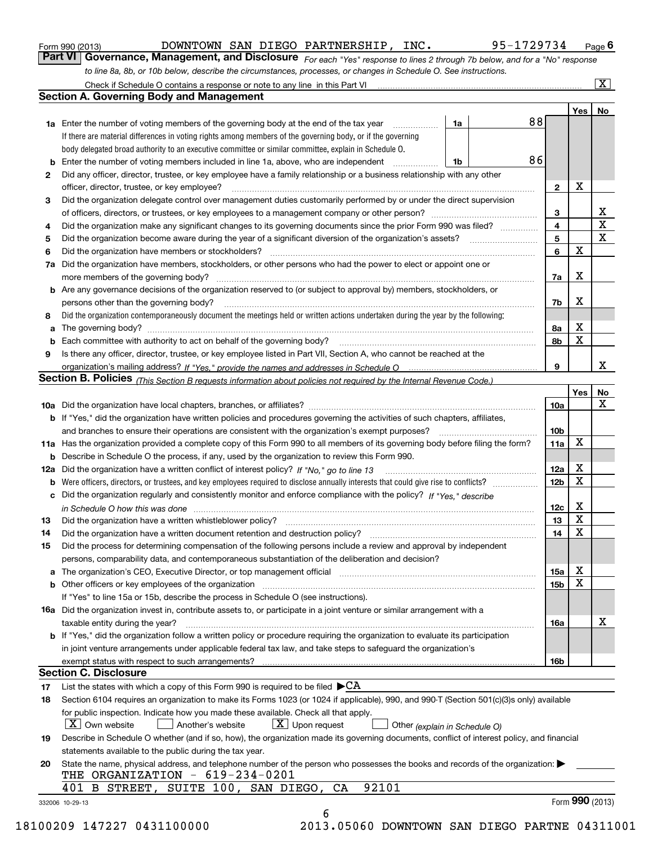| Form 990 (2013) |  |  |
|-----------------|--|--|
|                 |  |  |

DOWNTOWN SAN DIEGO PARTNERSHIP, INC. 95-1729734

*For each "Yes" response to lines 2 through 7b below, and for a "No" response to line 8a, 8b, or 10b below, describe the circumstances, processes, or changes in Schedule O. See instructions.* Form 990 (2013) **COWNTOWN SAN DIEGO PARTNERSHIP, INC.** 95-1729734 Page 6<br>**Part VI Governance, Management, and Disclosure** For each "Yes" response to lines 2 through 7b below, and for a "No" response

|              |                                                                                                                                                                               |    |    |                 | Yes   No    |             |
|--------------|-------------------------------------------------------------------------------------------------------------------------------------------------------------------------------|----|----|-----------------|-------------|-------------|
|              | <b>1a</b> Enter the number of voting members of the governing body at the end of the tax year                                                                                 | 1a | 88 |                 |             |             |
|              | If there are material differences in voting rights among members of the governing body, or if the governing                                                                   |    |    |                 |             |             |
|              | body delegated broad authority to an executive committee or similar committee, explain in Schedule O.                                                                         |    |    |                 |             |             |
|              |                                                                                                                                                                               | 1b | 86 |                 |             |             |
| $\mathbf{2}$ | Did any officer, director, trustee, or key employee have a family relationship or a business relationship with any other                                                      |    |    |                 |             |             |
|              | officer, director, trustee, or key employee?                                                                                                                                  |    |    | $\mathbf{2}$    | X           |             |
| 3            | Did the organization delegate control over management duties customarily performed by or under the direct supervision                                                         |    |    |                 |             |             |
|              |                                                                                                                                                                               |    |    | 3               |             | X           |
| 4            | Did the organization make any significant changes to its governing documents since the prior Form 990 was filed?                                                              |    |    | $\overline{4}$  |             | $\mathbf X$ |
| 5            |                                                                                                                                                                               |    |    | 5               |             | X           |
| 6            |                                                                                                                                                                               |    |    | 6               | $\mathbf X$ |             |
| 7a           | Did the organization have members, stockholders, or other persons who had the power to elect or appoint one or                                                                |    |    |                 |             |             |
|              |                                                                                                                                                                               |    |    | 7a              | х           |             |
|              | <b>b</b> Are any governance decisions of the organization reserved to (or subject to approval by) members, stockholders, or                                                   |    |    |                 |             |             |
|              | persons other than the governing body?                                                                                                                                        |    |    | 7b              | Х           |             |
| 8            | Did the organization contemporaneously document the meetings held or written actions undertaken during the year by the following:                                             |    |    |                 |             |             |
| a            |                                                                                                                                                                               |    |    | 8a              | X           |             |
|              |                                                                                                                                                                               |    |    | 8b              | X           |             |
| 9            | Is there any officer, director, trustee, or key employee listed in Part VII, Section A, who cannot be reached at the                                                          |    |    |                 |             |             |
|              |                                                                                                                                                                               |    |    | 9               |             | x           |
|              | Section B. Policies (This Section B requests information about policies not required by the Internal Revenue Code.)                                                           |    |    |                 |             |             |
|              |                                                                                                                                                                               |    |    |                 | Yes         | No          |
|              |                                                                                                                                                                               |    |    | 10a             |             | X           |
|              |                                                                                                                                                                               |    |    |                 |             |             |
|              | <b>b</b> If "Yes," did the organization have written policies and procedures governing the activities of such chapters, affiliates,                                           |    |    |                 |             |             |
|              |                                                                                                                                                                               |    |    | 10 <sub>b</sub> | X           |             |
|              | 11a Has the organization provided a complete copy of this Form 990 to all members of its governing body before filing the form?                                               |    |    | 11a             |             |             |
|              | <b>b</b> Describe in Schedule O the process, if any, used by the organization to review this Form 990.                                                                        |    |    |                 |             |             |
|              |                                                                                                                                                                               |    |    | 12a             | X           |             |
| b            |                                                                                                                                                                               |    |    | 12 <sub>b</sub> | X           |             |
|              | c Did the organization regularly and consistently monitor and enforce compliance with the policy? If "Yes." describe                                                          |    |    |                 |             |             |
|              | in Schedule O how this was done manufactured and continuum control of the Schedule O how this was done manufactured and continuum control of the Schedule O how this was done |    |    | 12c             | х           |             |
| 13           |                                                                                                                                                                               |    |    | 13              | X           |             |
| 14           | Did the organization have a written document retention and destruction policy? manufactured and the organization have a written document retention and destruction policy?    |    |    | 14              | X           |             |
| 15           | Did the process for determining compensation of the following persons include a review and approval by independent                                                            |    |    |                 |             |             |
|              | persons, comparability data, and contemporaneous substantiation of the deliberation and decision?                                                                             |    |    |                 |             |             |
|              |                                                                                                                                                                               |    |    | 15a             | X           |             |
|              | <b>b</b> Other officers or key employees of the organization                                                                                                                  |    |    | 15 <sub>b</sub> | X           |             |
|              | If "Yes" to line 15a or 15b, describe the process in Schedule O (see instructions).                                                                                           |    |    |                 |             |             |
|              | <b>16a</b> Did the organization invest in, contribute assets to, or participate in a joint venture or similar arrangement with a                                              |    |    |                 |             |             |
|              | taxable entity during the year?                                                                                                                                               |    |    | 16a             |             | X           |
|              | b If "Yes," did the organization follow a written policy or procedure requiring the organization to evaluate its participation                                                |    |    |                 |             |             |
|              | in joint venture arrangements under applicable federal tax law, and take steps to safeguard the organization's                                                                |    |    |                 |             |             |
|              | exempt status with respect to such arrangements?                                                                                                                              |    |    | 16 <sub>b</sub> |             |             |
|              | <b>Section C. Disclosure</b>                                                                                                                                                  |    |    |                 |             |             |
| 17           | List the states with which a copy of this Form 990 is required to be filed $\blacktriangleright$ CA                                                                           |    |    |                 |             |             |
| 18           | Section 6104 requires an organization to make its Forms 1023 (or 1024 if applicable), 990, and 990-T (Section 501(c)(3)s only) available                                      |    |    |                 |             |             |
|              | for public inspection. Indicate how you made these available. Check all that apply.                                                                                           |    |    |                 |             |             |
|              | $ X $ Own website<br>$X$ Upon request<br>Another's website<br>Other (explain in Schedule O)                                                                                   |    |    |                 |             |             |
| 19           | Describe in Schedule O whether (and if so, how), the organization made its governing documents, conflict of interest policy, and financial                                    |    |    |                 |             |             |
|              |                                                                                                                                                                               |    |    |                 |             |             |
|              | statements available to the public during the tax year.                                                                                                                       |    |    |                 |             |             |
| 20           | State the name, physical address, and telephone number of the person who possesses the books and records of the organization:                                                 |    |    |                 |             |             |
|              | THE ORGANIZATION - 619-234-0201<br>92101<br>401 B STREET, SUITE 100, SAN DIEGO, CA                                                                                            |    |    |                 |             |             |
|              |                                                                                                                                                                               |    |    |                 |             |             |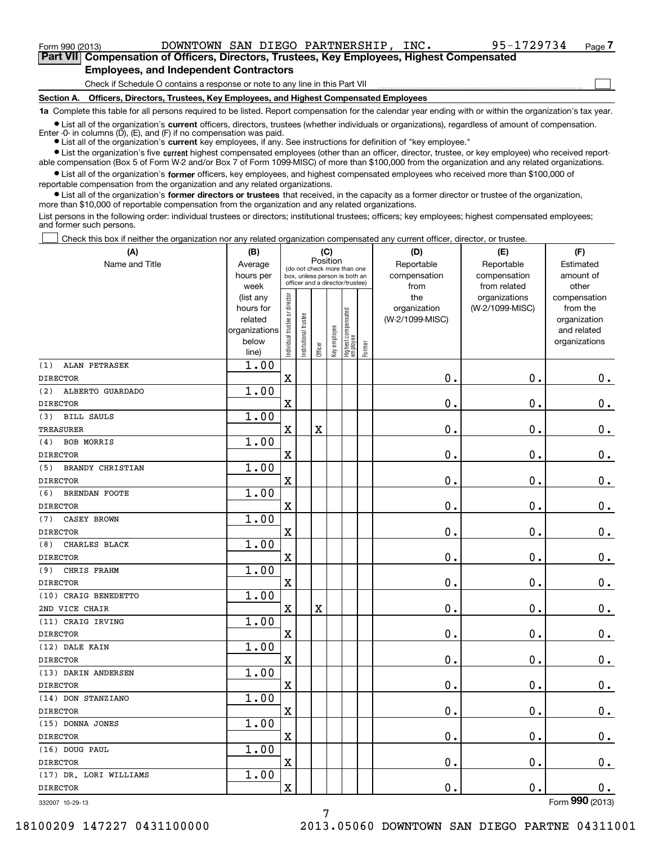<code>Form</code> 990 (2013) DOWNTOWN SAN DIEGO PARTNERSHIP, INC  $\bullet$  95-1729734  $\,$  <code>Page</code>

 $\mathcal{L}^{\text{max}}$ 

**7Part VII Compensation of Officers, Directors, Trustees, Key Employees, Highest Compensated Employees, and Independent Contractors**

Check if Schedule O contains a response or note to any line in this Part VII

**Section A. Officers, Directors, Trustees, Key Employees, and Highest Compensated Employees**

**1a**  Complete this table for all persons required to be listed. Report compensation for the calendar year ending with or within the organization's tax year.

**•** List all of the organization's current officers, directors, trustees (whether individuals or organizations), regardless of amount of compensation. Enter -0- in columns  $(D)$ ,  $(E)$ , and  $(F)$  if no compensation was paid.

● List all of the organization's **current** key employees, if any. See instructions for definition of "key employee."

**•** List the organization's five current highest compensated employees (other than an officer, director, trustee, or key employee) who received reportable compensation (Box 5 of Form W-2 and/or Box 7 of Form 1099-MISC) of more than \$100,000 from the organization and any related organizations.

 $\bullet$  List all of the organization's **former** officers, key employees, and highest compensated employees who received more than \$100,000 of reportable compensation from the organization and any related organizations.

**•** List all of the organization's former directors or trustees that received, in the capacity as a former director or trustee of the organization, more than \$10,000 of reportable compensation from the organization and any related organizations.

List persons in the following order: individual trustees or directors; institutional trustees; officers; key employees; highest compensated employees; and former such persons.

Check this box if neither the organization nor any related organization compensated any current officer, director, or trustee.  $\mathcal{L}^{\text{max}}$ 

| (A)                         | (B)                      |                                         |                                                                  | (C)         |              |                                  |        | (D)             | (E)             | (F)                         |
|-----------------------------|--------------------------|-----------------------------------------|------------------------------------------------------------------|-------------|--------------|----------------------------------|--------|-----------------|-----------------|-----------------------------|
| Name and Title              | Average                  | Position<br>(do not check more than one |                                                                  |             |              |                                  |        | Reportable      | Reportable      | Estimated                   |
|                             | hours per                |                                         | box, unless person is both an<br>officer and a director/trustee) |             |              |                                  |        | compensation    | compensation    | amount of                   |
|                             | week                     |                                         |                                                                  |             |              |                                  |        | from            | from related    | other                       |
|                             | (list any                |                                         |                                                                  |             |              |                                  |        | the             | organizations   | compensation                |
|                             | hours for                |                                         |                                                                  |             |              |                                  |        | organization    | (W-2/1099-MISC) | from the                    |
|                             | related<br>organizations |                                         |                                                                  |             |              |                                  |        | (W-2/1099-MISC) |                 | organization<br>and related |
|                             | below                    |                                         |                                                                  |             |              |                                  |        |                 |                 | organizations               |
|                             | line)                    | Individual trustee or director          | Institutional trustee                                            | Officer     | Key employee | Highest compensated<br> employee | Former |                 |                 |                             |
| ALAN PETRASEK<br>(1)        | 1.00                     |                                         |                                                                  |             |              |                                  |        |                 |                 |                             |
| <b>DIRECTOR</b>             |                          | $\overline{\mathbf{X}}$                 |                                                                  |             |              |                                  |        | 0.              | 0.              | 0.                          |
| ALBERTO GUARDADO<br>(2)     | 1.00                     |                                         |                                                                  |             |              |                                  |        |                 |                 |                             |
| <b>DIRECTOR</b>             |                          | X                                       |                                                                  |             |              |                                  |        | 0.              | 0.              | 0.                          |
| <b>BILL SAULS</b><br>(3)    | 1.00                     |                                         |                                                                  |             |              |                                  |        |                 |                 |                             |
| <b>TREASURER</b>            |                          | $\rm X$                                 |                                                                  | $\mathbf X$ |              |                                  |        | 0.              | 0.              | 0.                          |
| <b>BOB MORRIS</b><br>(4)    | 1.00                     |                                         |                                                                  |             |              |                                  |        |                 |                 |                             |
| <b>DIRECTOR</b>             |                          | X                                       |                                                                  |             |              |                                  |        | 0.              | 0.              | $0_{.}$                     |
| BRANDY CHRISTIAN<br>(5)     | 1.00                     |                                         |                                                                  |             |              |                                  |        |                 |                 |                             |
| <b>DIRECTOR</b>             |                          | X                                       |                                                                  |             |              |                                  |        | 0.              | 0.              | $0_{.}$                     |
| <b>BRENDAN FOOTE</b><br>(6) | 1.00                     |                                         |                                                                  |             |              |                                  |        |                 |                 |                             |
| <b>DIRECTOR</b>             |                          | X                                       |                                                                  |             |              |                                  |        | 0.              | 0.              | $\mathbf 0$ .               |
| CASEY BROWN<br>(7)          | 1.00                     |                                         |                                                                  |             |              |                                  |        |                 |                 |                             |
| <b>DIRECTOR</b>             |                          | X                                       |                                                                  |             |              |                                  |        | 0.              | 0.              | $\mathbf 0$ .               |
| CHARLES BLACK<br>(8)        | 1.00                     |                                         |                                                                  |             |              |                                  |        |                 |                 |                             |
| <b>DIRECTOR</b>             |                          | X                                       |                                                                  |             |              |                                  |        | 0.              | 0.              | $\mathbf 0$ .               |
| CHRIS FRAHM<br>(9)          | 1.00                     |                                         |                                                                  |             |              |                                  |        |                 |                 |                             |
| <b>DIRECTOR</b>             |                          | X                                       |                                                                  |             |              |                                  |        | 0.              | 0.              | $\mathbf 0$ .               |
| (10) CRAIG BENEDETTO        | 1.00                     |                                         |                                                                  |             |              |                                  |        |                 |                 |                             |
| 2ND VICE CHAIR              |                          | $\mathbf X$                             |                                                                  | $\mathbf X$ |              |                                  |        | 0.              | 0.              | $\mathbf 0$ .               |
| (11) CRAIG IRVING           | 1.00                     |                                         |                                                                  |             |              |                                  |        |                 |                 |                             |
| <b>DIRECTOR</b>             |                          | X                                       |                                                                  |             |              |                                  |        | 0.              | 0.              | $\mathbf 0$ .               |
| (12) DALE KAIN              | 1.00                     |                                         |                                                                  |             |              |                                  |        |                 |                 |                             |
| <b>DIRECTOR</b>             |                          | X                                       |                                                                  |             |              |                                  |        | 0.              | 0.              | $\mathbf 0$ .               |
| (13) DARIN ANDERSEN         | 1.00                     |                                         |                                                                  |             |              |                                  |        |                 |                 |                             |
| <b>DIRECTOR</b>             |                          | X                                       |                                                                  |             |              |                                  |        | 0.              | 0.              | $0$ .                       |
| (14) DON STANZIANO          | 1.00                     |                                         |                                                                  |             |              |                                  |        |                 |                 |                             |
| <b>DIRECTOR</b>             |                          | $\mathbf X$                             |                                                                  |             |              |                                  |        | 0.              | $\mathbf 0$ .   | 0.                          |
| (15) DONNA JONES            | 1.00                     |                                         |                                                                  |             |              |                                  |        |                 |                 |                             |
| <b>DIRECTOR</b>             |                          | $\mathbf X$                             |                                                                  |             |              |                                  |        | $\mathbf 0$ .   | $\mathbf 0$ .   | 0.                          |
| (16) DOUG PAUL              | 1.00                     |                                         |                                                                  |             |              |                                  |        |                 |                 |                             |
| <b>DIRECTOR</b>             |                          | $\mathbf X$                             |                                                                  |             |              |                                  |        | 0.              | $\mathbf 0$ .   | 0.                          |
| (17) DR. LORI WILLIAMS      | 1.00                     |                                         |                                                                  |             |              |                                  |        |                 |                 |                             |
| <b>DIRECTOR</b>             |                          | $\mathbf X$                             |                                                                  |             |              |                                  |        | 0.              | $\mathbf 0$ .   | 0.                          |
| 332007 10-29-13             |                          |                                         |                                                                  |             |              |                                  |        |                 |                 | Form 990 (2013)             |

332007 10-29-13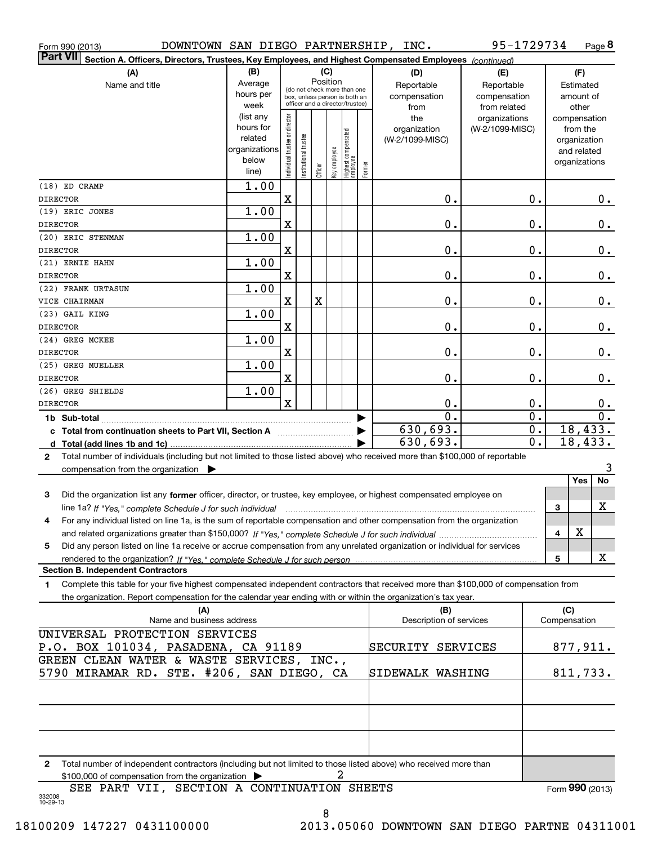| DOWNTOWN SAN DIEGO PARTNERSHIP, INC.<br>Form 990 (2013)                                                                                   |                |                                |                                                              |          |              |                                  |        |                                | 95-1729734       |   | Page 8              |
|-------------------------------------------------------------------------------------------------------------------------------------------|----------------|--------------------------------|--------------------------------------------------------------|----------|--------------|----------------------------------|--------|--------------------------------|------------------|---|---------------------|
| <b>Part VII</b><br>Section A. Officers, Directors, Trustees, Key Employees, and Highest Compensated Employees (continued)                 |                |                                |                                                              |          |              |                                  |        |                                |                  |   |                     |
| (A)                                                                                                                                       | (B)            |                                |                                                              | (C)      |              |                                  |        | (D)                            | (E)              |   | (F)                 |
| Name and title                                                                                                                            | Average        |                                |                                                              | Position |              |                                  |        | Reportable                     | Reportable       |   | Estimated           |
|                                                                                                                                           | hours per      |                                | (do not check more than one<br>box, unless person is both an |          |              |                                  |        | compensation                   | compensation     |   | amount of           |
|                                                                                                                                           | week           |                                | officer and a director/trustee)                              |          |              |                                  |        | from                           | from related     |   | other               |
|                                                                                                                                           | (list any      |                                |                                                              |          |              |                                  |        | the                            | organizations    |   | compensation        |
|                                                                                                                                           | hours for      |                                |                                                              |          |              |                                  |        | organization                   | (W-2/1099-MISC)  |   | from the            |
|                                                                                                                                           | related        |                                |                                                              |          |              |                                  |        | (W-2/1099-MISC)                |                  |   | organization        |
|                                                                                                                                           | organizations  |                                |                                                              |          |              |                                  |        |                                |                  |   | and related         |
|                                                                                                                                           | below<br>line) | Individual trustee or director | Institutional trustee                                        | Officer  | Key employee | Highest compensated<br> employee | Former |                                |                  |   | organizations       |
| (18) ED CRAMP                                                                                                                             | 1.00           |                                |                                                              |          |              |                                  |        |                                |                  |   |                     |
| <b>DIRECTOR</b>                                                                                                                           |                | X                              |                                                              |          |              |                                  |        | 0.                             | 0.               |   | 0.                  |
| (19) ERIC JONES                                                                                                                           | 1.00           |                                |                                                              |          |              |                                  |        |                                |                  |   |                     |
| <b>DIRECTOR</b>                                                                                                                           |                | X                              |                                                              |          |              |                                  |        | 0.                             | 0.               |   | 0.                  |
| (20) ERIC STENMAN                                                                                                                         | 1.00           |                                |                                                              |          |              |                                  |        |                                |                  |   |                     |
| <b>DIRECTOR</b>                                                                                                                           |                | X                              |                                                              |          |              |                                  |        | 0.                             | 0.               |   | 0.                  |
| (21) ERNIE HAHN                                                                                                                           | 1.00           |                                |                                                              |          |              |                                  |        |                                |                  |   |                     |
| <b>DIRECTOR</b>                                                                                                                           |                | X                              |                                                              |          |              |                                  |        | 0.                             | 0.               |   | 0.                  |
| (22) FRANK URTASUN                                                                                                                        | 1.00           |                                |                                                              |          |              |                                  |        |                                |                  |   |                     |
| VICE CHAIRMAN                                                                                                                             |                | X                              |                                                              | X        |              |                                  |        | 0.                             | 0.               |   | 0.                  |
| (23) GAIL KING                                                                                                                            | 1.00           |                                |                                                              |          |              |                                  |        |                                |                  |   |                     |
| <b>DIRECTOR</b>                                                                                                                           |                | $\mathbf X$                    |                                                              |          |              |                                  |        | 0.                             | 0.               |   | 0.                  |
| (24) GREG MCKEE                                                                                                                           | 1.00           |                                |                                                              |          |              |                                  |        |                                |                  |   |                     |
| <b>DIRECTOR</b>                                                                                                                           |                | X                              |                                                              |          |              |                                  |        | 0.                             | 0.               |   | 0.                  |
| (25) GREG MUELLER                                                                                                                         | 1.00           |                                |                                                              |          |              |                                  |        |                                |                  |   |                     |
| <b>DIRECTOR</b>                                                                                                                           |                | X                              |                                                              |          |              |                                  |        | 0.                             | 0.               |   | 0.                  |
| (26) GREG SHIELDS                                                                                                                         | 1.00           |                                |                                                              |          |              |                                  |        |                                |                  |   |                     |
| <b>DIRECTOR</b>                                                                                                                           |                | $\mathbf x$                    |                                                              |          |              |                                  |        | $\mathbf 0$ .                  | 0.               |   | 0.                  |
|                                                                                                                                           |                |                                |                                                              |          |              |                                  |        | $\overline{0}$ .               | $\overline{0}$ . |   | $\overline{0}$ .    |
|                                                                                                                                           |                |                                |                                                              |          |              |                                  |        | 630,693.                       | $\overline{0}$ . |   | 18,433.             |
| c Total from continuation sheets to Part VII, Section A                                                                                   |                |                                |                                                              |          |              |                                  |        | 630,693.                       | $\overline{0}$ . |   | 18,433.             |
| Total number of individuals (including but not limited to those listed above) who received more than \$100,000 of reportable              |                |                                |                                                              |          |              |                                  |        |                                |                  |   |                     |
| $\mathbf{2}$                                                                                                                              |                |                                |                                                              |          |              |                                  |        |                                |                  |   | 3                   |
| compensation from the organization $\blacktriangleright$                                                                                  |                |                                |                                                              |          |              |                                  |        |                                |                  |   | Yes<br>No           |
|                                                                                                                                           |                |                                |                                                              |          |              |                                  |        |                                |                  |   |                     |
| 3<br>Did the organization list any former officer, director, or trustee, key employee, or highest compensated employee on                 |                |                                |                                                              |          |              |                                  |        |                                |                  |   | х                   |
| line 1a? If "Yes," complete Schedule J for such individual material content in the content of the Schedule J for such individual          |                |                                |                                                              |          |              |                                  |        |                                |                  | 3 |                     |
| For any individual listed on line 1a, is the sum of reportable compensation and other compensation from the organization                  |                |                                |                                                              |          |              |                                  |        |                                |                  |   | X                   |
|                                                                                                                                           |                |                                |                                                              |          |              |                                  |        |                                |                  | 4 |                     |
| Did any person listed on line 1a receive or accrue compensation from any unrelated organization or individual for services<br>5           |                |                                |                                                              |          |              |                                  |        |                                |                  |   |                     |
|                                                                                                                                           |                |                                |                                                              |          |              |                                  |        |                                |                  | 5 | х                   |
| <b>Section B. Independent Contractors</b>                                                                                                 |                |                                |                                                              |          |              |                                  |        |                                |                  |   |                     |
| Complete this table for your five highest compensated independent contractors that received more than \$100,000 of compensation from<br>1 |                |                                |                                                              |          |              |                                  |        |                                |                  |   |                     |
| the organization. Report compensation for the calendar year ending with or within the organization's tax year.                            |                |                                |                                                              |          |              |                                  |        |                                |                  |   |                     |
| (A)<br>Name and business address                                                                                                          |                |                                |                                                              |          |              |                                  |        | (B)<br>Description of services |                  |   | (C)<br>Compensation |
|                                                                                                                                           |                |                                |                                                              |          |              |                                  |        |                                |                  |   |                     |
| UNIVERSAL PROTECTION SERVICES                                                                                                             |                |                                |                                                              |          |              |                                  |        |                                |                  |   |                     |
| P.O. BOX 101034, PASADENA, CA 91189                                                                                                       |                |                                |                                                              |          |              |                                  |        | SECURITY SERVICES              |                  |   | 877, 911.           |
| GREEN CLEAN WATER & WASTE SERVICES, INC.,                                                                                                 |                |                                |                                                              |          |              |                                  |        |                                |                  |   |                     |
| 5790 MIRAMAR RD. STE. #206, SAN DIEGO, CA                                                                                                 |                |                                |                                                              |          |              |                                  |        | SIDEWALK WASHING               |                  |   | 811,733.            |
|                                                                                                                                           |                |                                |                                                              |          |              |                                  |        |                                |                  |   |                     |
|                                                                                                                                           |                |                                |                                                              |          |              |                                  |        |                                |                  |   |                     |
|                                                                                                                                           |                |                                |                                                              |          |              |                                  |        |                                |                  |   |                     |
|                                                                                                                                           |                |                                |                                                              |          |              |                                  |        |                                |                  |   |                     |
|                                                                                                                                           |                |                                |                                                              |          |              |                                  |        |                                |                  |   |                     |
| Total number of independent contractors (including but not limited to those listed above) who received more than<br>2                     |                |                                |                                                              |          |              |                                  |        |                                |                  |   |                     |
| \$100,000 of compensation from the organization                                                                                           |                |                                |                                                              |          |              | 2                                |        |                                |                  |   |                     |
| SEE PART VII, SECTION A CONTINUATION SHEETS<br>332008<br>10-29-13                                                                         |                |                                |                                                              |          |              |                                  |        |                                |                  |   | Form 990 (2013)     |

8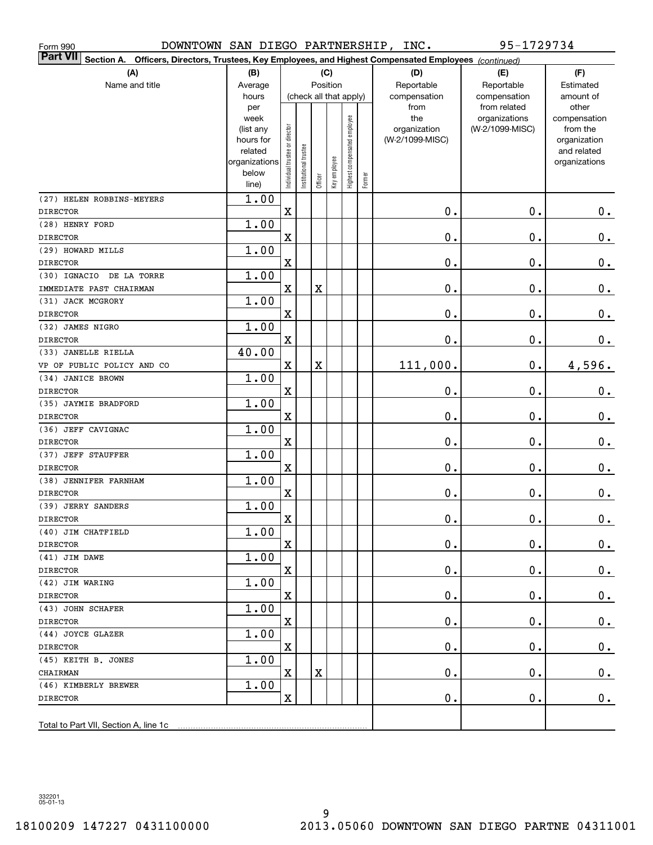| Form 990                                                                                                                     | DOWNTOWN SAN DIEGO PARTNERSHIP, INC. |                                |                       |             |              |                              |        | 95-1729734      |                               |                       |  |
|------------------------------------------------------------------------------------------------------------------------------|--------------------------------------|--------------------------------|-----------------------|-------------|--------------|------------------------------|--------|-----------------|-------------------------------|-----------------------|--|
| <b>Part VII</b><br>Section A.<br>Officers, Directors, Trustees, Key Employees, and Highest Compensated Employees (continued) |                                      |                                |                       |             |              |                              |        |                 |                               |                       |  |
| (A)                                                                                                                          | (B)                                  |                                |                       | (C)         |              |                              |        | (D)             | (E)                           | (F)                   |  |
| Name and title                                                                                                               | Average                              |                                |                       |             | Position     |                              |        | Reportable      | Reportable                    | Estimated             |  |
|                                                                                                                              | hours                                |                                |                       |             |              | (check all that apply)       |        | compensation    | compensation                  | amount of             |  |
|                                                                                                                              | per<br>week                          |                                |                       |             |              |                              |        | from<br>the     | from related<br>organizations | other<br>compensation |  |
|                                                                                                                              | (list any                            |                                |                       |             |              |                              |        | organization    | (W-2/1099-MISC)               | from the              |  |
|                                                                                                                              | hours for                            |                                |                       |             |              |                              |        | (W-2/1099-MISC) |                               | organization          |  |
|                                                                                                                              | related                              |                                |                       |             |              |                              |        |                 |                               | and related           |  |
|                                                                                                                              | organizations<br>below               |                                |                       |             |              |                              |        |                 |                               | organizations         |  |
|                                                                                                                              | line)                                | Individual trustee or director | Institutional trustee | Officer     | Key employee | Highest compensated employee | Former |                 |                               |                       |  |
| (27) HELEN ROBBINS-MEYERS                                                                                                    | 1.00                                 |                                |                       |             |              |                              |        |                 |                               |                       |  |
| <b>DIRECTOR</b>                                                                                                              |                                      | $\mathbf X$                    |                       |             |              |                              |        | $\mathbf 0$ .   | 0.                            | $0_{.}$               |  |
| (28) HENRY FORD                                                                                                              | 1.00                                 |                                |                       |             |              |                              |        |                 |                               |                       |  |
| <b>DIRECTOR</b>                                                                                                              |                                      | X                              |                       |             |              |                              |        | $\mathbf 0$ .   | 0.                            | $\mathbf 0$ .         |  |
| (29) HOWARD MILLS                                                                                                            | 1.00                                 |                                |                       |             |              |                              |        |                 |                               |                       |  |
| <b>DIRECTOR</b>                                                                                                              |                                      | X                              |                       |             |              |                              |        | $\mathbf 0$ .   | 0.                            | $\mathbf 0$ .         |  |
| (30) IGNACIO<br>DE LA TORRE                                                                                                  | 1.00                                 |                                |                       |             |              |                              |        |                 |                               |                       |  |
| IMMEDIATE PAST CHAIRMAN                                                                                                      |                                      | X                              |                       | $\mathbf X$ |              |                              |        | $\mathbf 0$ .   | 0.                            | 0.                    |  |
| (31) JACK MCGRORY                                                                                                            | 1.00                                 |                                |                       |             |              |                              |        |                 |                               |                       |  |
| <b>DIRECTOR</b>                                                                                                              |                                      | X                              |                       |             |              |                              |        | $\mathbf 0$ .   | 0.                            | 0.                    |  |
| (32) JAMES NIGRO                                                                                                             | 1.00                                 |                                |                       |             |              |                              |        |                 |                               |                       |  |
| <b>DIRECTOR</b>                                                                                                              |                                      | X                              |                       |             |              |                              |        | $\mathbf 0$ .   | 0.                            | 0.                    |  |
| (33) JANELLE RIELLA                                                                                                          | 40.00                                |                                |                       |             |              |                              |        |                 |                               |                       |  |
| VP OF PUBLIC POLICY AND CO                                                                                                   |                                      | X                              |                       | $\mathbf X$ |              |                              |        | 111,000.        | 0.                            | 4,596.                |  |
| (34) JANICE BROWN                                                                                                            | 1.00                                 |                                |                       |             |              |                              |        |                 |                               |                       |  |
| <b>DIRECTOR</b>                                                                                                              |                                      | X                              |                       |             |              |                              |        | $\mathbf 0$ .   | 0.                            | $\mathbf 0$ .         |  |
| (35) JAYMIE BRADFORD                                                                                                         | 1.00                                 |                                |                       |             |              |                              |        |                 |                               |                       |  |
| <b>DIRECTOR</b>                                                                                                              |                                      | X                              |                       |             |              |                              |        | $\mathbf 0$ .   | 0.                            | 0.                    |  |
| (36) JEFF CAVIGNAC                                                                                                           | 1.00                                 |                                |                       |             |              |                              |        |                 |                               |                       |  |
| <b>DIRECTOR</b>                                                                                                              |                                      | X                              |                       |             |              |                              |        | $\mathbf 0$ .   | 0.                            | 0.                    |  |
| (37) JEFF STAUFFER                                                                                                           | 1.00                                 |                                |                       |             |              |                              |        |                 |                               |                       |  |
| <b>DIRECTOR</b>                                                                                                              |                                      | X                              |                       |             |              |                              |        | $\mathbf 0$ .   | 0.                            | 0.                    |  |
| (38) JENNIFER FARNHAM                                                                                                        | 1.00                                 |                                |                       |             |              |                              |        |                 |                               |                       |  |
| <b>DIRECTOR</b>                                                                                                              |                                      | $\mathbf X$                    |                       |             |              |                              |        | 0.              | $\mathbf 0$ .                 | 0.                    |  |
| (39) JERRY SANDERS                                                                                                           | 1.00                                 |                                |                       |             |              |                              |        | $\mathbf 0$ .   | $0$ .                         |                       |  |
| <b>DIRECTOR</b><br>(40) JIM CHATFIELD                                                                                        | 1.00                                 | x                              |                       |             |              |                              |        |                 |                               | $\pmb{0}$ .           |  |
| <b>DIRECTOR</b>                                                                                                              |                                      | X                              |                       |             |              |                              |        | $\mathbf 0$ .   | 0.                            | 0.                    |  |
| (41) JIM DAWE                                                                                                                | 1.00                                 |                                |                       |             |              |                              |        |                 |                               |                       |  |
| DIRECTOR                                                                                                                     |                                      | X                              |                       |             |              |                              |        | $\mathbf 0$ .   | $\mathbf 0$ .                 | 0.                    |  |
| (42) JIM WARING                                                                                                              | 1.00                                 |                                |                       |             |              |                              |        |                 |                               |                       |  |
| DIRECTOR                                                                                                                     |                                      | X                              |                       |             |              |                              |        | $\mathbf 0$ .   | $\mathbf 0$ .                 | 0.                    |  |
| (43) JOHN SCHAFER                                                                                                            | 1.00                                 |                                |                       |             |              |                              |        |                 |                               |                       |  |
| <b>DIRECTOR</b>                                                                                                              |                                      | X                              |                       |             |              |                              |        | $\mathbf 0$ .   | $\mathbf 0$ .                 | 0.                    |  |
| (44) JOYCE GLAZER                                                                                                            | 1.00                                 |                                |                       |             |              |                              |        |                 |                               |                       |  |
| <b>DIRECTOR</b>                                                                                                              |                                      | X                              |                       |             |              |                              |        | 0.              | 0.                            | 0.                    |  |
| (45) KEITH B. JONES                                                                                                          | 1.00                                 |                                |                       |             |              |                              |        |                 |                               |                       |  |
| CHAIRMAN                                                                                                                     |                                      | X                              |                       | X           |              |                              |        | $\mathbf 0$ .   | $\mathbf 0$ .                 | 0.                    |  |
| (46) KIMBERLY BREWER                                                                                                         | 1.00                                 |                                |                       |             |              |                              |        |                 |                               |                       |  |
| <b>DIRECTOR</b>                                                                                                              |                                      | X                              |                       |             |              |                              |        | $\mathbf 0$ .   | $\mathbf 0$ .                 | 0.                    |  |
|                                                                                                                              |                                      |                                |                       |             |              |                              |        |                 |                               |                       |  |
| Total to Part VII, Section A, line 1c                                                                                        |                                      |                                |                       |             |              |                              |        |                 |                               |                       |  |

332201 05-01-13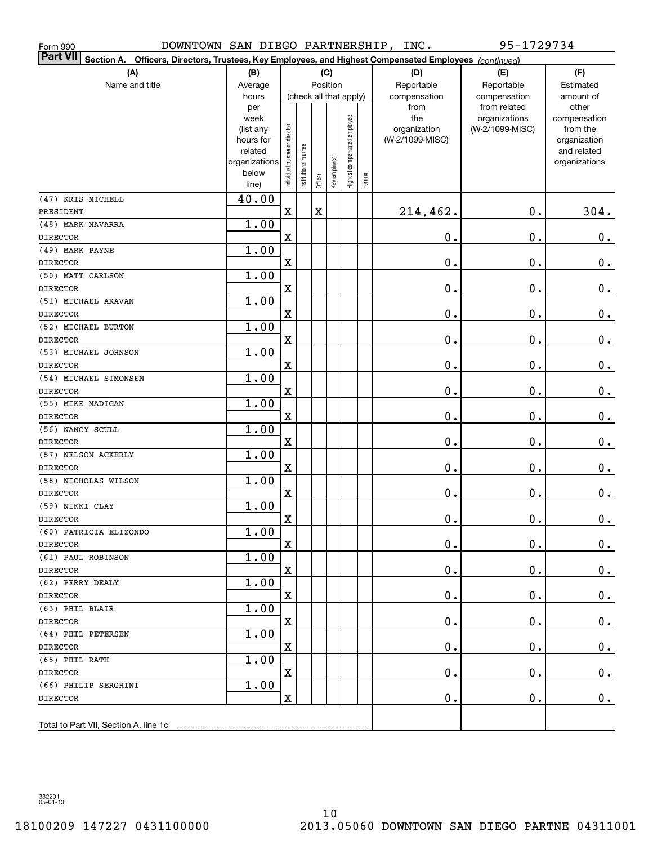| Form 990                                                                                                               | 95-1729734<br>DOWNTOWN SAN DIEGO PARTNERSHIP, INC. |                                |                       |             |              |                              |        |                 |                               |                       |
|------------------------------------------------------------------------------------------------------------------------|----------------------------------------------------|--------------------------------|-----------------------|-------------|--------------|------------------------------|--------|-----------------|-------------------------------|-----------------------|
| Part VII <br>Officers, Directors, Trustees, Key Employees, and Highest Compensated Employees (continued)<br>Section A. |                                                    |                                |                       |             |              |                              |        |                 |                               |                       |
| (A)                                                                                                                    | (B)                                                |                                |                       |             | (C)          |                              |        | (D)             | (E)                           | (F)                   |
| Name and title                                                                                                         | Average                                            |                                |                       |             | Position     |                              |        | Reportable      | Reportable                    | Estimated             |
|                                                                                                                        | hours                                              |                                |                       |             |              | (check all that apply)       |        | compensation    | compensation                  | amount of             |
|                                                                                                                        | per<br>week                                        |                                |                       |             |              |                              |        | from<br>the     | from related<br>organizations | other<br>compensation |
|                                                                                                                        | (list any                                          |                                |                       |             |              |                              |        | organization    | (W-2/1099-MISC)               | from the              |
|                                                                                                                        | hours for                                          |                                |                       |             |              |                              |        | (W-2/1099-MISC) |                               | organization          |
|                                                                                                                        | related                                            |                                |                       |             |              |                              |        |                 |                               | and related           |
|                                                                                                                        | organizations                                      |                                |                       |             |              |                              |        |                 |                               | organizations         |
|                                                                                                                        | below<br>line)                                     | Individual trustee or director | Institutional trustee | Officer     | Key employee | Highest compensated employee | Former |                 |                               |                       |
|                                                                                                                        |                                                    |                                |                       |             |              |                              |        |                 |                               |                       |
| (47) KRIS MICHELL<br>PRESIDENT                                                                                         | 40.00                                              | $\mathbf x$                    |                       | $\mathbf X$ |              |                              |        | 214,462.        | $0$ .                         | 304.                  |
| (48) MARK NAVARRA                                                                                                      | 1.00                                               |                                |                       |             |              |                              |        |                 |                               |                       |
| <b>DIRECTOR</b>                                                                                                        |                                                    | $\mathbf X$                    |                       |             |              |                              |        | 0.              | 0.                            | $\mathbf 0$ .         |
| (49) MARK PAYNE                                                                                                        | 1.00                                               |                                |                       |             |              |                              |        |                 |                               |                       |
| <b>DIRECTOR</b>                                                                                                        |                                                    | $\mathbf X$                    |                       |             |              |                              |        | 0.              | 0.                            | $\mathbf 0$ .         |
| (50) MATT CARLSON                                                                                                      | 1.00                                               |                                |                       |             |              |                              |        |                 |                               |                       |
| <b>DIRECTOR</b>                                                                                                        |                                                    | $\mathbf X$                    |                       |             |              |                              |        | 0.              | 0.                            | $\mathbf 0$ .         |
| (51) MICHAEL AKAVAN                                                                                                    | 1.00                                               |                                |                       |             |              |                              |        |                 |                               |                       |
| <b>DIRECTOR</b>                                                                                                        |                                                    | $\mathbf X$                    |                       |             |              |                              |        | 0.              | 0.                            | $\mathbf 0$ .         |
| (52) MICHAEL BURTON                                                                                                    | 1.00                                               |                                |                       |             |              |                              |        |                 |                               |                       |
| <b>DIRECTOR</b>                                                                                                        |                                                    | $\mathbf X$                    |                       |             |              |                              |        | 0.              | 0.                            | $\mathbf 0$ .         |
| (53) MICHAEL JOHNSON                                                                                                   | 1.00                                               |                                |                       |             |              |                              |        |                 |                               |                       |
| <b>DIRECTOR</b>                                                                                                        |                                                    | $\mathbf X$                    |                       |             |              |                              |        | 0.              | 0.                            | $\mathbf 0$ .         |
| (54) MICHAEL SIMONSEN                                                                                                  | 1.00                                               |                                |                       |             |              |                              |        |                 |                               |                       |
| <b>DIRECTOR</b>                                                                                                        |                                                    | $\mathbf X$                    |                       |             |              |                              |        | 0.              | 0.                            | $\mathbf 0$ .         |
| (55) MIKE MADIGAN                                                                                                      | 1.00                                               |                                |                       |             |              |                              |        |                 |                               |                       |
| <b>DIRECTOR</b>                                                                                                        |                                                    | $\mathbf X$                    |                       |             |              |                              |        | 0.              | 0.                            | $\mathbf 0$ .         |
| (56) NANCY SCULL                                                                                                       | 1.00                                               |                                |                       |             |              |                              |        |                 |                               |                       |
| <b>DIRECTOR</b>                                                                                                        |                                                    | $\mathbf X$                    |                       |             |              |                              |        | 0.              | 0.                            | $0_{\cdot}$           |
| (57) NELSON ACKERLY                                                                                                    | 1.00                                               |                                |                       |             |              |                              |        |                 |                               |                       |
| <b>DIRECTOR</b>                                                                                                        |                                                    | $\mathbf X$                    |                       |             |              |                              |        | 0.              | 0.                            | $0_{.}$               |
| (58) NICHOLAS WILSON<br><b>DIRECTOR</b>                                                                                | 1.00                                               | $\mathbf X$                    |                       |             |              |                              |        | 0.              | 0.                            |                       |
| (59) NIKKI CLAY                                                                                                        | 1.00                                               |                                |                       |             |              |                              |        |                 |                               | $0_{.}$               |
| <b>DIRECTOR</b>                                                                                                        |                                                    | $\mathbf X$                    |                       |             |              |                              |        | $\mathbf 0$ .   | $\mathbf 0$ .                 | 0.                    |
| (60) PATRICIA ELIZONDO                                                                                                 | 1.00                                               |                                |                       |             |              |                              |        |                 |                               |                       |
| <b>DIRECTOR</b>                                                                                                        |                                                    | $\mathbf X$                    |                       |             |              |                              |        | 0.              | 0.                            | $0$ .                 |
| (61) PAUL ROBINSON                                                                                                     | 1.00                                               |                                |                       |             |              |                              |        |                 |                               |                       |
| DIRECTOR                                                                                                               |                                                    | $\mathbf X$                    |                       |             |              |                              |        | 0.              | 0.                            | 0.                    |
| (62) PERRY DEALY                                                                                                       | 1.00                                               |                                |                       |             |              |                              |        |                 |                               |                       |
| DIRECTOR                                                                                                               |                                                    | $\mathbf X$                    |                       |             |              |                              |        | 0.              | 0.                            | 0.                    |
| (63) PHIL BLAIR                                                                                                        | 1.00                                               |                                |                       |             |              |                              |        |                 |                               |                       |
| <b>DIRECTOR</b>                                                                                                        |                                                    | $\mathbf X$                    |                       |             |              |                              |        | 0.              | 0.                            | 0.                    |
| (64) PHIL PETERSEN                                                                                                     | 1.00                                               |                                |                       |             |              |                              |        |                 |                               |                       |
| <b>DIRECTOR</b>                                                                                                        |                                                    | $\mathbf X$                    |                       |             |              |                              |        | 0.              | 0.                            | 0.                    |
| (65) PHIL RATH                                                                                                         | 1.00                                               |                                |                       |             |              |                              |        |                 |                               |                       |
| <b>DIRECTOR</b>                                                                                                        |                                                    | $\mathbf X$                    |                       |             |              |                              |        | 0.              | 0.                            | 0.                    |
| (66) PHILIP SERGHINI                                                                                                   | 1.00                                               |                                |                       |             |              |                              |        |                 |                               |                       |
| <b>DIRECTOR</b>                                                                                                        |                                                    | $\mathbf X$                    |                       |             |              |                              |        | $\mathbf 0$ .   | 0.                            | $0$ .                 |
|                                                                                                                        |                                                    |                                |                       |             |              |                              |        |                 |                               |                       |
| Total to Part VII, Section A, line 1c                                                                                  |                                                    |                                |                       |             |              |                              |        |                 |                               |                       |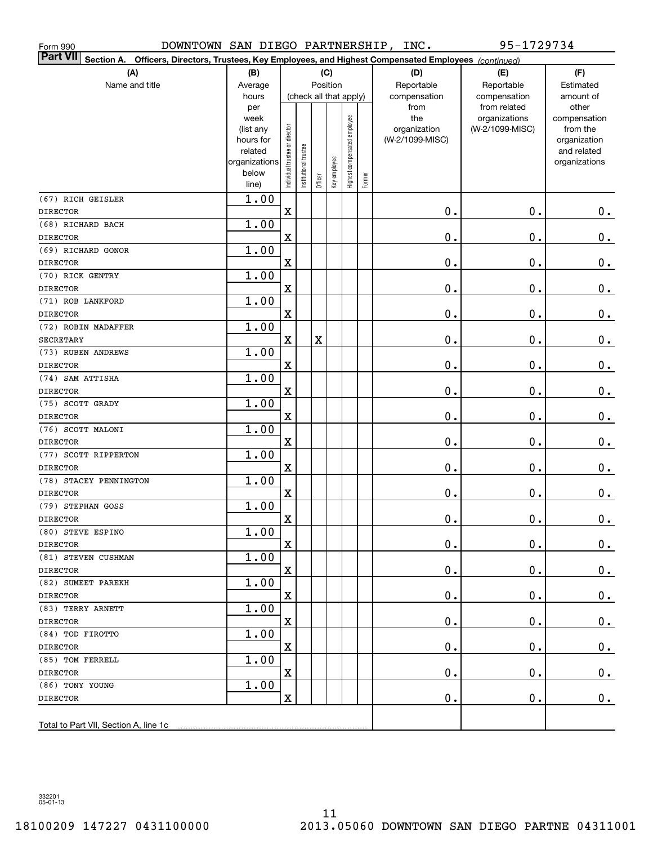| DOWNTOWN SAN DIEGO PARTNERSHIP, INC.<br>Form 990                                                                   |               |                                |                       |                         |              |                              | 95-1729734 |                 |                               |                       |
|--------------------------------------------------------------------------------------------------------------------|---------------|--------------------------------|-----------------------|-------------------------|--------------|------------------------------|------------|-----------------|-------------------------------|-----------------------|
| Part VII Section A.<br>Officers, Directors, Trustees, Key Employees, and Highest Compensated Employees (continued) |               |                                |                       |                         |              |                              |            |                 |                               |                       |
| (A)                                                                                                                | (B)           |                                |                       | (C)                     |              |                              |            | (D)             | (E)                           | (F)                   |
| Name and title                                                                                                     | Average       |                                |                       |                         | Position     |                              |            | Reportable      | Reportable                    | Estimated             |
|                                                                                                                    | hours         |                                |                       |                         |              | (check all that apply)       |            | compensation    | compensation                  | amount of             |
|                                                                                                                    | per<br>week   |                                |                       |                         |              |                              |            | from<br>the     | from related<br>organizations | other<br>compensation |
|                                                                                                                    | (list any     |                                |                       |                         |              |                              |            | organization    | (W-2/1099-MISC)               | from the              |
|                                                                                                                    | hours for     |                                |                       |                         |              |                              |            | (W-2/1099-MISC) |                               | organization          |
|                                                                                                                    | related       |                                |                       |                         |              |                              |            |                 |                               | and related           |
|                                                                                                                    | organizations |                                |                       |                         |              |                              |            |                 |                               | organizations         |
|                                                                                                                    | below         | Individual trustee or director | Institutional trustee | Officer                 | Key employee | Highest compensated employee | Former     |                 |                               |                       |
| (67) RICH GEISLER                                                                                                  | line)<br>1.00 |                                |                       |                         |              |                              |            |                 |                               |                       |
| <b>DIRECTOR</b>                                                                                                    |               | $\mathbf X$                    |                       |                         |              |                              |            | 0.              | 0.                            | $\mathbf 0$ .         |
| (68) RICHARD BACH                                                                                                  | 1.00          |                                |                       |                         |              |                              |            |                 |                               |                       |
| <b>DIRECTOR</b>                                                                                                    |               | $\mathbf X$                    |                       |                         |              |                              |            | 0.              | 0.                            | $\mathbf 0$ .         |
| (69) RICHARD GONOR                                                                                                 | 1.00          |                                |                       |                         |              |                              |            |                 |                               |                       |
| <b>DIRECTOR</b>                                                                                                    |               | $\mathbf X$                    |                       |                         |              |                              |            | 0.              | 0.                            | $\mathbf 0$ .         |
| (70) RICK GENTRY                                                                                                   | 1.00          |                                |                       |                         |              |                              |            |                 |                               |                       |
| <b>DIRECTOR</b>                                                                                                    |               | $\mathbf X$                    |                       |                         |              |                              |            | 0.              | 0.                            | $\mathbf 0$ .         |
| (71) ROB LANKFORD                                                                                                  | 1.00          |                                |                       |                         |              |                              |            |                 |                               |                       |
| <b>DIRECTOR</b>                                                                                                    |               | $\mathbf X$                    |                       |                         |              |                              |            | 0.              | 0.                            | $\mathbf 0$ .         |
| (72) ROBIN MADAFFER                                                                                                | 1.00          |                                |                       |                         |              |                              |            |                 |                               |                       |
| <b>SECRETARY</b>                                                                                                   |               | $\mathbf X$                    |                       | $\overline{\textbf{X}}$ |              |                              |            | 0.              | 0.                            | $\mathbf 0$ .         |
| (73) RUBEN ANDREWS                                                                                                 | 1.00          |                                |                       |                         |              |                              |            |                 |                               |                       |
| <b>DIRECTOR</b>                                                                                                    |               | $\mathbf X$                    |                       |                         |              |                              |            | 0.              | 0.                            | $0$ .                 |
| (74) SAM ATTISHA                                                                                                   | 1.00          |                                |                       |                         |              |                              |            |                 |                               |                       |
| <b>DIRECTOR</b>                                                                                                    |               | $\mathbf X$                    |                       |                         |              |                              |            | 0.              | 0.                            | $0$ .                 |
| (75) SCOTT GRADY                                                                                                   | 1.00          |                                |                       |                         |              |                              |            |                 |                               |                       |
| <b>DIRECTOR</b>                                                                                                    |               | $\mathbf X$                    |                       |                         |              |                              |            | 0.              | 0.                            | $0_{.}$               |
| (76) SCOTT MALONI                                                                                                  | 1.00          |                                |                       |                         |              |                              |            |                 |                               |                       |
| <b>DIRECTOR</b>                                                                                                    |               | $\mathbf X$                    |                       |                         |              |                              |            | 0.              | 0.                            | 0.                    |
| (77) SCOTT RIPPERTON                                                                                               | 1.00          |                                |                       |                         |              |                              |            | 0.              |                               |                       |
| <b>DIRECTOR</b><br>(78) STACEY PENNINGTON                                                                          | 1.00          | $\mathbf X$                    |                       |                         |              |                              |            |                 | 0.                            | 0.                    |
| <b>DIRECTOR</b>                                                                                                    |               | $\mathbf X$                    |                       |                         |              |                              |            | 0.              | 0.                            | $\mathbf 0$ .         |
| (79) STEPHAN GOSS                                                                                                  | 1.00          |                                |                       |                         |              |                              |            |                 |                               |                       |
| <b>DIRECTOR</b>                                                                                                    |               | X                              |                       |                         |              |                              |            | $0$ .           | $\mathbf 0$ .                 | 0.                    |
| (80) STEVE ESPINO                                                                                                  | 1.00          |                                |                       |                         |              |                              |            |                 |                               |                       |
| DIRECTOR                                                                                                           |               | $\mathbf X$                    |                       |                         |              |                              |            | 0.              | 0.                            | 0.                    |
| (81) STEVEN CUSHMAN                                                                                                | 1.00          |                                |                       |                         |              |                              |            |                 |                               |                       |
| DIRECTOR                                                                                                           |               | $\mathbf X$                    |                       |                         |              |                              |            | 0.              | 0.                            | $0_{.}$               |
| (82) SUMEET PAREKH                                                                                                 | 1.00          |                                |                       |                         |              |                              |            |                 |                               |                       |
| DIRECTOR                                                                                                           |               | $\mathbf X$                    |                       |                         |              |                              |            | 0.              | 0.                            | $\mathbf 0$ .         |
| (83) TERRY ARNETT                                                                                                  | 1.00          |                                |                       |                         |              |                              |            |                 |                               |                       |
| DIRECTOR                                                                                                           |               | $\mathbf X$                    |                       |                         |              |                              |            | 0.              | 0.                            | $\mathbf 0$ .         |
| (84) TOD FIROTTO                                                                                                   | 1.00          |                                |                       |                         |              |                              |            |                 |                               |                       |
| DIRECTOR                                                                                                           |               | $\mathbf X$                    |                       |                         |              |                              |            | 0.              | 0.                            | $\mathbf 0$ .         |
| (85) TOM FERRELL                                                                                                   | 1.00          |                                |                       |                         |              |                              |            |                 |                               |                       |
| <b>DIRECTOR</b>                                                                                                    |               | $\mathbf X$                    |                       |                         |              |                              |            | 0.              | 0.                            | $\mathbf 0$ .         |
| (86) TONY YOUNG                                                                                                    | 1.00          |                                |                       |                         |              |                              |            |                 |                               |                       |
| <b>DIRECTOR</b>                                                                                                    |               | $\mathbf X$                    |                       |                         |              |                              |            | 0.              | 0.                            | $0_{.}$               |
| Total to Part VII, Section A, line 1c                                                                              |               |                                |                       |                         |              |                              |            |                 |                               |                       |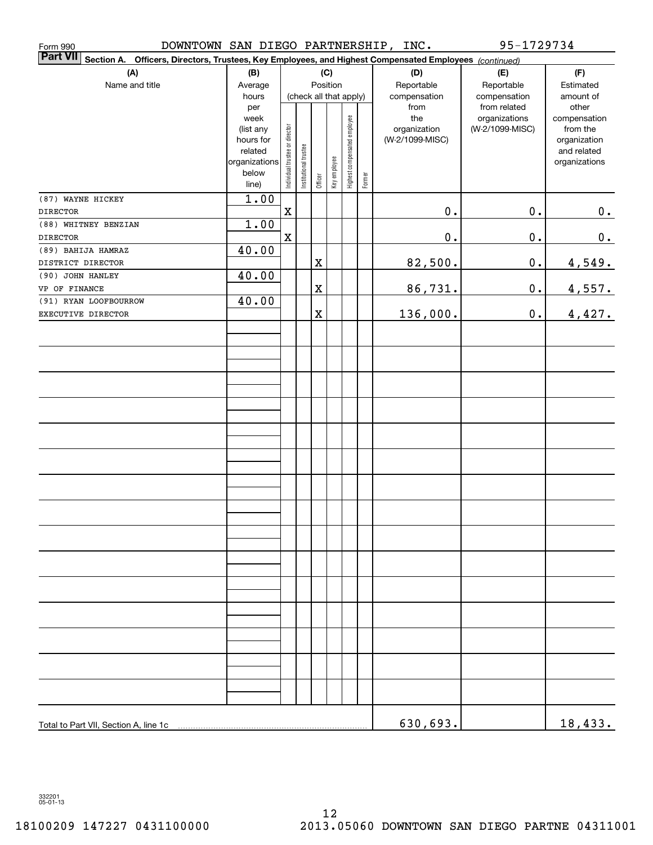| DOWNTOWN SAN DIEGO PARTNERSHIP, INC.<br>Form 990                                                                             |                      |                                |                       |             |                        |                              |        |                 | 95-1729734      |                             |
|------------------------------------------------------------------------------------------------------------------------------|----------------------|--------------------------------|-----------------------|-------------|------------------------|------------------------------|--------|-----------------|-----------------|-----------------------------|
| <b>Part VII</b><br>Section A.<br>Officers, Directors, Trustees, Key Employees, and Highest Compensated Employees (continued) |                      |                                |                       |             |                        |                              |        |                 |                 |                             |
| (A)                                                                                                                          | (B)                  |                                |                       |             | (C)                    |                              |        | (D)             | (E)             | (F)                         |
| Name and title                                                                                                               | Average              |                                |                       |             | Position               |                              |        | Reportable      | Reportable      | Estimated                   |
|                                                                                                                              | hours                |                                |                       |             | (check all that apply) |                              |        | compensation    | compensation    | amount of                   |
|                                                                                                                              | per                  |                                |                       |             |                        |                              |        | from            | from related    | other                       |
|                                                                                                                              | week                 |                                |                       |             |                        |                              |        | the             | organizations   | compensation                |
|                                                                                                                              | (list any            |                                |                       |             |                        |                              |        | organization    | (W-2/1099-MISC) | from the                    |
|                                                                                                                              | hours for<br>related |                                |                       |             |                        |                              |        | (W-2/1099-MISC) |                 | organization<br>and related |
|                                                                                                                              | organizations        |                                |                       |             |                        |                              |        |                 |                 | organizations               |
|                                                                                                                              | below                | Individual trustee or director | Institutional trustee |             |                        | Highest compensated employee |        |                 |                 |                             |
|                                                                                                                              | line)                |                                |                       | Officer     | Key employee           |                              | Former |                 |                 |                             |
| (87) WAYNE HICKEY                                                                                                            | 1.00                 |                                |                       |             |                        |                              |        |                 |                 |                             |
| <b>DIRECTOR</b>                                                                                                              |                      | $\mathbf X$                    |                       |             |                        |                              |        | $\mathbf 0$ .   | $0$ .           | 0.                          |
| (88) WHITNEY BENZIAN                                                                                                         | 1.00                 |                                |                       |             |                        |                              |        |                 |                 |                             |
| <b>DIRECTOR</b>                                                                                                              |                      | $\mathbf X$                    |                       |             |                        |                              |        | $\mathbf 0$ .   | $\mathbf 0$ .   | 0.                          |
| (89) BAHIJA HAMRAZ                                                                                                           | 40.00                |                                |                       |             |                        |                              |        |                 |                 |                             |
| DISTRICT DIRECTOR                                                                                                            |                      |                                |                       | X           |                        |                              |        | 82,500.         | $0$ .           | 4,549.                      |
| (90) JOHN HANLEY                                                                                                             | 40.00                |                                |                       |             |                        |                              |        |                 |                 |                             |
| VP OF FINANCE                                                                                                                |                      |                                |                       | X           |                        |                              |        | 86,731.         | $0$ .           | 4,557.                      |
| (91) RYAN LOOFBOURROW                                                                                                        | 40.00                |                                |                       |             |                        |                              |        |                 |                 |                             |
| EXECUTIVE DIRECTOR                                                                                                           |                      |                                |                       | $\mathbf X$ |                        |                              |        | 136,000.        | $0$ .           | 4,427.                      |
|                                                                                                                              |                      |                                |                       |             |                        |                              |        |                 |                 |                             |
|                                                                                                                              |                      |                                |                       |             |                        |                              |        |                 |                 |                             |
|                                                                                                                              |                      |                                |                       |             |                        |                              |        |                 |                 |                             |
|                                                                                                                              |                      |                                |                       |             |                        |                              |        |                 |                 |                             |
|                                                                                                                              |                      |                                |                       |             |                        |                              |        |                 |                 |                             |
|                                                                                                                              |                      |                                |                       |             |                        |                              |        |                 |                 |                             |
|                                                                                                                              |                      |                                |                       |             |                        |                              |        |                 |                 |                             |
|                                                                                                                              |                      |                                |                       |             |                        |                              |        |                 |                 |                             |
|                                                                                                                              |                      |                                |                       |             |                        |                              |        |                 |                 |                             |
|                                                                                                                              |                      |                                |                       |             |                        |                              |        |                 |                 |                             |
|                                                                                                                              |                      |                                |                       |             |                        |                              |        |                 |                 |                             |
|                                                                                                                              |                      |                                |                       |             |                        |                              |        |                 |                 |                             |
|                                                                                                                              |                      |                                |                       |             |                        |                              |        |                 |                 |                             |
|                                                                                                                              |                      |                                |                       |             |                        |                              |        |                 |                 |                             |
|                                                                                                                              |                      |                                |                       |             |                        |                              |        |                 |                 |                             |
|                                                                                                                              |                      |                                |                       |             |                        |                              |        |                 |                 |                             |
|                                                                                                                              |                      |                                |                       |             |                        |                              |        |                 |                 |                             |
|                                                                                                                              |                      |                                |                       |             |                        |                              |        |                 |                 |                             |
|                                                                                                                              |                      |                                |                       |             |                        |                              |        |                 |                 |                             |
|                                                                                                                              |                      |                                |                       |             |                        |                              |        |                 |                 |                             |
|                                                                                                                              |                      |                                |                       |             |                        |                              |        |                 |                 |                             |
|                                                                                                                              |                      |                                |                       |             |                        |                              |        |                 |                 |                             |
|                                                                                                                              |                      |                                |                       |             |                        |                              |        |                 |                 |                             |
|                                                                                                                              |                      |                                |                       |             |                        |                              |        |                 |                 |                             |
|                                                                                                                              |                      |                                |                       |             |                        |                              |        |                 |                 |                             |
|                                                                                                                              |                      |                                |                       |             |                        |                              |        |                 |                 |                             |
|                                                                                                                              |                      |                                |                       |             |                        |                              |        |                 |                 |                             |
|                                                                                                                              |                      |                                |                       |             |                        |                              |        |                 |                 |                             |
|                                                                                                                              |                      |                                |                       |             |                        |                              |        |                 |                 |                             |
|                                                                                                                              |                      |                                |                       |             |                        |                              |        | 630,693.        |                 | 18,433.                     |
|                                                                                                                              |                      |                                |                       |             |                        |                              |        |                 |                 |                             |

332201 05-01-13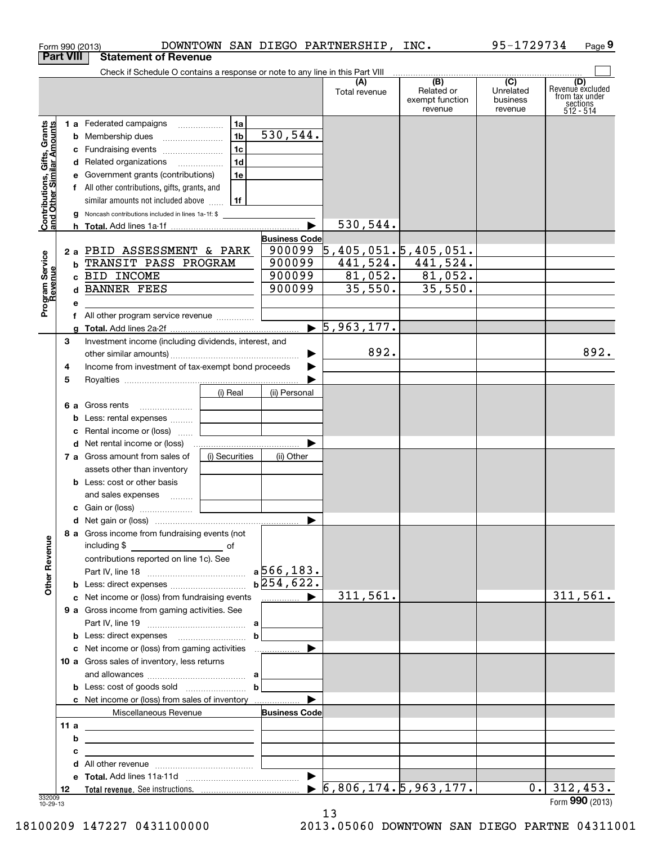|                                                           |                  | Form 990 (2013)                                                               |                |                      |   | DOWNTOWN SAN DIEGO PARTNERSHIP, INC. |                                          | 95-1729734                                           | Page 9                                                             |
|-----------------------------------------------------------|------------------|-------------------------------------------------------------------------------|----------------|----------------------|---|--------------------------------------|------------------------------------------|------------------------------------------------------|--------------------------------------------------------------------|
|                                                           | <b>Part VIII</b> | <b>Statement of Revenue</b>                                                   |                |                      |   |                                      |                                          |                                                      |                                                                    |
|                                                           |                  | Check if Schedule O contains a response or note to any line in this Part VIII |                |                      |   |                                      | (B)                                      |                                                      |                                                                    |
|                                                           |                  |                                                                               |                |                      |   | (A)<br>Total revenue                 | Related or<br>exempt function<br>revenue | $\overline{(C)}$<br>Unrelated<br>business<br>revenue | (D)<br>Revenue excluded<br>from tax under<br>sections<br>512 - 514 |
|                                                           |                  | 1 a Federated campaigns                                                       | 1a             |                      |   |                                      |                                          |                                                      |                                                                    |
| Contributions, Gifts, Grants<br>and Other Similar Amounts |                  |                                                                               | 1 <sub>b</sub> | 530,544.             |   |                                      |                                          |                                                      |                                                                    |
|                                                           |                  | c Fundraising events                                                          | 1c             |                      |   |                                      |                                          |                                                      |                                                                    |
|                                                           |                  | d Related organizations                                                       | 1d             |                      |   |                                      |                                          |                                                      |                                                                    |
|                                                           |                  | e Government grants (contributions)                                           | 1e             |                      |   |                                      |                                          |                                                      |                                                                    |
|                                                           |                  | f All other contributions, gifts, grants, and                                 |                |                      |   |                                      |                                          |                                                      |                                                                    |
|                                                           |                  | similar amounts not included above $\frac{1}{11}$                             |                |                      |   |                                      |                                          |                                                      |                                                                    |
|                                                           |                  | <b>g</b> Noncash contributions included in lines 1a-1f: \$                    |                |                      |   | 530,544.                             |                                          |                                                      |                                                                    |
|                                                           |                  |                                                                               |                | <b>Business Code</b> |   |                                      |                                          |                                                      |                                                                    |
|                                                           |                  | 2 a PBID ASSESSMENT & PARK                                                    |                | 900099               |   |                                      | 5,405,051.5,405,051.                     |                                                      |                                                                    |
|                                                           | b                | TRANSIT PASS PROGRAM                                                          |                | 900099               |   | 441,524.                             | 441,524.                                 |                                                      |                                                                    |
|                                                           |                  | c BID INCOME                                                                  |                | 900099               |   | 81,052.                              | 81,052.                                  |                                                      |                                                                    |
|                                                           | d                | <b>BANNER FEES</b>                                                            |                | 900099               |   | 35,550.                              | 35,550.                                  |                                                      |                                                                    |
| Program Service<br>Revenue                                | е                |                                                                               |                |                      |   |                                      |                                          |                                                      |                                                                    |
|                                                           |                  | f All other program service revenue                                           |                |                      |   |                                      |                                          |                                                      |                                                                    |
|                                                           |                  |                                                                               |                |                      |   | $\blacktriangleright$ 5,963,177.     |                                          |                                                      |                                                                    |
|                                                           | 3                | Investment income (including dividends, interest, and                         |                |                      |   |                                      |                                          |                                                      |                                                                    |
|                                                           |                  |                                                                               |                |                      | ▶ | 892.                                 |                                          |                                                      | 892.                                                               |
|                                                           | 4                | Income from investment of tax-exempt bond proceeds                            |                |                      |   |                                      |                                          |                                                      |                                                                    |
|                                                           | 5                |                                                                               |                |                      |   |                                      |                                          |                                                      |                                                                    |
|                                                           |                  |                                                                               | (i) Real       | (ii) Personal        |   |                                      |                                          |                                                      |                                                                    |
|                                                           |                  | <b>6 a</b> Gross rents                                                        |                |                      |   |                                      |                                          |                                                      |                                                                    |
|                                                           |                  | b Less: rental expenses                                                       |                |                      |   |                                      |                                          |                                                      |                                                                    |
|                                                           |                  | <b>c</b> Rental income or (loss) $\ldots$                                     |                |                      |   |                                      |                                          |                                                      |                                                                    |
|                                                           |                  | 7 a Gross amount from sales of                                                | (i) Securities | (ii) Other           |   |                                      |                                          |                                                      |                                                                    |
|                                                           |                  | assets other than inventory                                                   |                |                      |   |                                      |                                          |                                                      |                                                                    |
|                                                           |                  | <b>b</b> Less: cost or other basis                                            |                |                      |   |                                      |                                          |                                                      |                                                                    |
|                                                           |                  | and sales expenses                                                            |                |                      |   |                                      |                                          |                                                      |                                                                    |
|                                                           |                  |                                                                               |                |                      |   |                                      |                                          |                                                      |                                                                    |
|                                                           |                  |                                                                               |                |                      |   |                                      |                                          |                                                      |                                                                    |
| <b>Other Revenue</b>                                      |                  | 8 a Gross income from fundraising events (not                                 |                |                      |   |                                      |                                          |                                                      |                                                                    |
|                                                           |                  | contributions reported on line 1c). See                                       |                |                      |   |                                      |                                          |                                                      |                                                                    |
|                                                           |                  |                                                                               |                |                      |   |                                      |                                          |                                                      |                                                                    |
|                                                           |                  | <b>b</b> Less: direct expenses <i>manually contained</i>                      |                | $b$ 254,622.         |   |                                      |                                          |                                                      |                                                                    |
|                                                           |                  | c Net income or (loss) from fundraising events                                |                | .                    |   | 311,561.                             |                                          |                                                      | 311,561.                                                           |
|                                                           |                  | 9 a Gross income from gaming activities. See                                  |                |                      |   |                                      |                                          |                                                      |                                                                    |
|                                                           |                  |                                                                               |                |                      |   |                                      |                                          |                                                      |                                                                    |
|                                                           |                  | <b>b</b> Less: direct expenses                                                |                | $\mathbf{b}$         |   |                                      |                                          |                                                      |                                                                    |
|                                                           |                  | c Net income or (loss) from gaming activities                                 |                |                      |   |                                      |                                          |                                                      |                                                                    |
|                                                           |                  | 10 a Gross sales of inventory, less returns                                   |                |                      |   |                                      |                                          |                                                      |                                                                    |
|                                                           |                  |                                                                               |                | $\mathbf{b}$         |   |                                      |                                          |                                                      |                                                                    |
|                                                           |                  | c Net income or (loss) from sales of inventory                                |                |                      |   |                                      |                                          |                                                      |                                                                    |
|                                                           |                  | Miscellaneous Revenue                                                         |                | <b>Business Code</b> |   |                                      |                                          |                                                      |                                                                    |
|                                                           | 11a              | <u> 1980 - Andrea Andrew Maria (h. 1980).</u>                                 |                |                      |   |                                      |                                          |                                                      |                                                                    |
|                                                           | b                |                                                                               |                |                      |   |                                      |                                          |                                                      |                                                                    |
|                                                           | с                |                                                                               |                |                      |   |                                      |                                          |                                                      |                                                                    |
|                                                           |                  | All other revenue <i>communically contained</i>                               |                |                      |   |                                      |                                          |                                                      |                                                                    |
|                                                           |                  |                                                                               |                |                      |   |                                      |                                          |                                                      |                                                                    |
|                                                           | 12               |                                                                               |                |                      |   |                                      | 6,806,174.5,963,177.                     | $0$ .                                                | 312,453.                                                           |
| 332009<br>10-29-13                                        |                  |                                                                               |                |                      |   |                                      |                                          |                                                      | Form $990$ (2013)                                                  |

13

10-29-13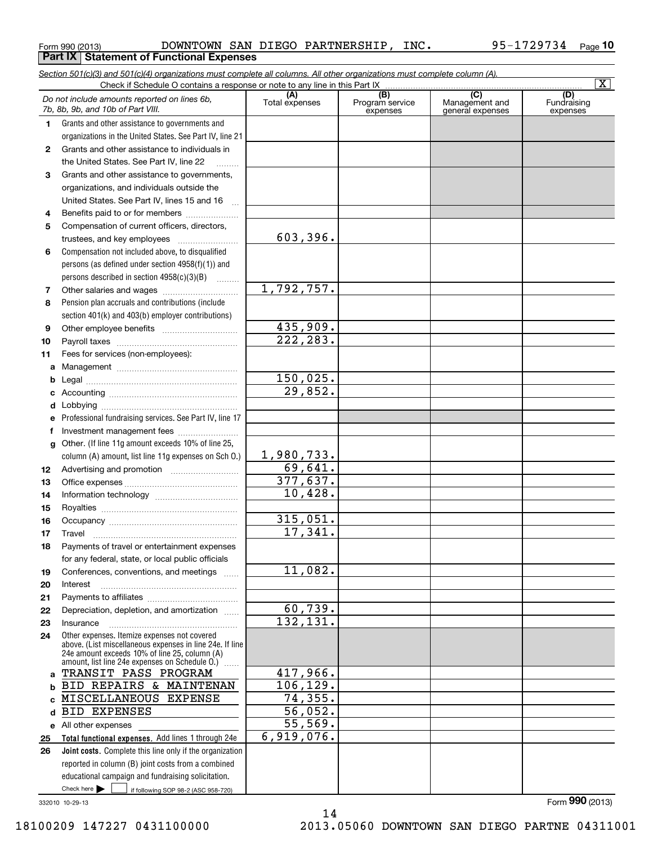|  | Form 990 (2013) |
|--|-----------------|

Form 990 (2013) Page DOWNTOWN SAN DIEGO PARTNERSHIP, INC. 95-1729734 **Part IX | Statement of Functional Expenses** 

|              | Section 501(c)(3) and 501(c)(4) organizations must complete all columns. All other organizations must complete column (A).                                |                     |                             |                                    | $\overline{\mathbf{x}}$ |
|--------------|-----------------------------------------------------------------------------------------------------------------------------------------------------------|---------------------|-----------------------------|------------------------------------|-------------------------|
|              | Check if Schedule O contains a response or note to any line in this Part IX.                                                                              | (A)                 | (B)                         | $\overline{(C)}$                   | (D)                     |
|              | Do not include amounts reported on lines 6b,<br>7b, 8b, 9b, and 10b of Part VIII.                                                                         | Total expenses      | Program service<br>expenses | Management and<br>general expenses | Fundraising<br>expenses |
| 1.           | Grants and other assistance to governments and                                                                                                            |                     |                             |                                    |                         |
|              | organizations in the United States. See Part IV, line 21                                                                                                  |                     |                             |                                    |                         |
| $\mathbf{2}$ | Grants and other assistance to individuals in                                                                                                             |                     |                             |                                    |                         |
|              | the United States. See Part IV, line 22                                                                                                                   |                     |                             |                                    |                         |
| 3            | Grants and other assistance to governments,                                                                                                               |                     |                             |                                    |                         |
|              | organizations, and individuals outside the                                                                                                                |                     |                             |                                    |                         |
|              | United States. See Part IV, lines 15 and 16<br>$\mathbf{r}$                                                                                               |                     |                             |                                    |                         |
| 4            | Benefits paid to or for members                                                                                                                           |                     |                             |                                    |                         |
| 5            | Compensation of current officers, directors,                                                                                                              |                     |                             |                                    |                         |
|              | trustees, and key employees                                                                                                                               | 603,396.            |                             |                                    |                         |
| 6            | Compensation not included above, to disqualified                                                                                                          |                     |                             |                                    |                         |
|              | persons (as defined under section 4958(f)(1)) and                                                                                                         |                     |                             |                                    |                         |
|              | persons described in section 4958(c)(3)(B)                                                                                                                |                     |                             |                                    |                         |
| 7            |                                                                                                                                                           | 1,792,757.          |                             |                                    |                         |
| 8            | Pension plan accruals and contributions (include                                                                                                          |                     |                             |                                    |                         |
|              | section 401(k) and 403(b) employer contributions)                                                                                                         |                     |                             |                                    |                         |
| 9            |                                                                                                                                                           | 435,909.            |                             |                                    |                         |
| 10           |                                                                                                                                                           | 222, 283.           |                             |                                    |                         |
| 11           | Fees for services (non-employees):                                                                                                                        |                     |                             |                                    |                         |
| a            |                                                                                                                                                           |                     |                             |                                    |                         |
| b            |                                                                                                                                                           | 150,025.<br>29,852. |                             |                                    |                         |
| c            |                                                                                                                                                           |                     |                             |                                    |                         |
| d            |                                                                                                                                                           |                     |                             |                                    |                         |
|              | Professional fundraising services. See Part IV, line 17                                                                                                   |                     |                             |                                    |                         |
|              | Investment management fees                                                                                                                                |                     |                             |                                    |                         |
| g            | Other. (If line 11g amount exceeds 10% of line 25,                                                                                                        | 1,980,733.          |                             |                                    |                         |
|              | column (A) amount, list line 11g expenses on Sch O.)                                                                                                      | 69,641.             |                             |                                    |                         |
| 12           |                                                                                                                                                           | 377,637.            |                             |                                    |                         |
| 13           |                                                                                                                                                           | 10,428.             |                             |                                    |                         |
| 14<br>15     |                                                                                                                                                           |                     |                             |                                    |                         |
| 16           |                                                                                                                                                           | 315,051.            |                             |                                    |                         |
| 17           |                                                                                                                                                           | 17,341.             |                             |                                    |                         |
| 18           | Payments of travel or entertainment expenses                                                                                                              |                     |                             |                                    |                         |
|              | for any federal, state, or local public officials                                                                                                         |                     |                             |                                    |                         |
| 19           | Conferences, conventions, and meetings                                                                                                                    | 11,082.             |                             |                                    |                         |
| 20           | Interest                                                                                                                                                  |                     |                             |                                    |                         |
| 21           |                                                                                                                                                           |                     |                             |                                    |                         |
| 22           | Depreciation, depletion, and amortization                                                                                                                 | 60,739.             |                             |                                    |                         |
| 23           | Insurance                                                                                                                                                 | 132, 131.           |                             |                                    |                         |
| 24           | Other expenses. Itemize expenses not covered<br>above. (List miscellaneous expenses in line 24e. If line<br>24e amount exceeds 10% of line 25, column (A) |                     |                             |                                    |                         |
|              | amount, list line 24e expenses on Schedule O.)                                                                                                            |                     |                             |                                    |                         |
| a            | TRANSIT PASS PROGRAM                                                                                                                                      | 417,966.            |                             |                                    |                         |
| b            | BID REPAIRS & MAINTENAN                                                                                                                                   | 106, 129.           |                             |                                    |                         |
|              | MISCELLANEOUS EXPENSE                                                                                                                                     | 74,355.             |                             |                                    |                         |
| d            | <b>BID EXPENSES</b>                                                                                                                                       | 56,052.             |                             |                                    |                         |
|              | e All other expenses                                                                                                                                      | 55,569.             |                             |                                    |                         |
| 25           | Total functional expenses. Add lines 1 through 24e                                                                                                        | 6,919,076.          |                             |                                    |                         |
| 26           | Joint costs. Complete this line only if the organization                                                                                                  |                     |                             |                                    |                         |
|              | reported in column (B) joint costs from a combined                                                                                                        |                     |                             |                                    |                         |
|              | educational campaign and fundraising solicitation.                                                                                                        |                     |                             |                                    |                         |
|              | Check here $\blacktriangleright$<br>if following SOP 98-2 (ASC 958-720)                                                                                   |                     |                             |                                    |                         |

332010 10-29-13

14 18100209 147227 0431100000 2013.05060 DOWNTOWN SAN DIEGO PARTNE 04311001

Form (2013) **990**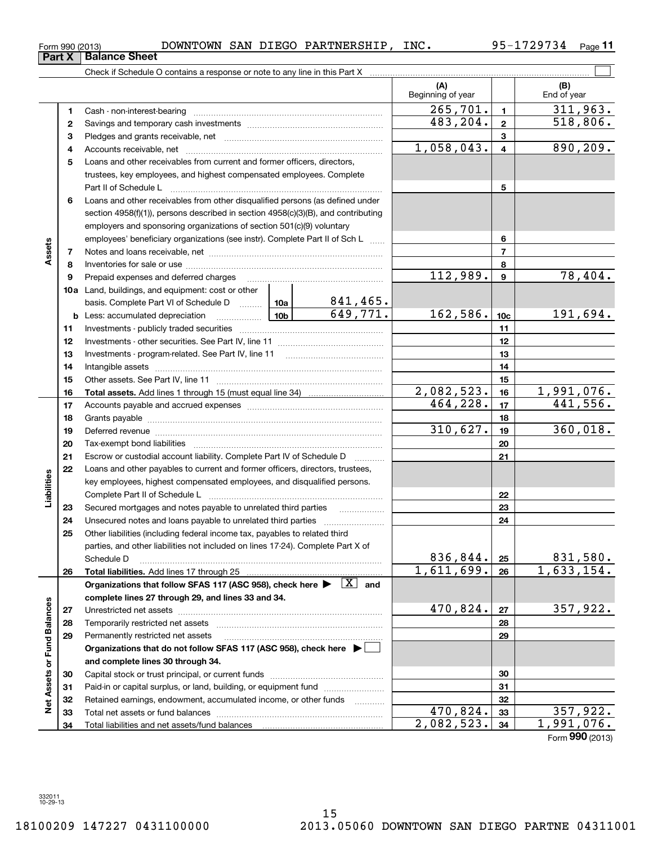Form 990 (2013) Page DOWNTOWN SAN DIEGO PARTNERSHIP, INC. 95-1729734

Check if Schedule O contains a response or note to any line in this Part X

**11**

 $\mathcal{L}^{\text{max}}$ 

|                             |    |                                                                                                                                                                                                                                |                                | (A)<br>Beginning of year |                         | (B)<br>End of year |
|-----------------------------|----|--------------------------------------------------------------------------------------------------------------------------------------------------------------------------------------------------------------------------------|--------------------------------|--------------------------|-------------------------|--------------------|
|                             | 1  |                                                                                                                                                                                                                                |                                | 265,701.                 | $\mathbf{1}$            | 311,963.           |
|                             | 2  |                                                                                                                                                                                                                                |                                | 483, 204.                | $\overline{2}$          | 518,806.           |
|                             | з  |                                                                                                                                                                                                                                |                                |                          | 3                       |                    |
|                             | 4  |                                                                                                                                                                                                                                |                                | 1,058,043.               | $\overline{\mathbf{4}}$ | 890, 209.          |
|                             | 5  | Loans and other receivables from current and former officers, directors,                                                                                                                                                       |                                |                          |                         |                    |
|                             |    | trustees, key employees, and highest compensated employees. Complete                                                                                                                                                           |                                |                          |                         |                    |
|                             |    |                                                                                                                                                                                                                                |                                |                          | 5                       |                    |
|                             | 6  | Loans and other receivables from other disqualified persons (as defined under                                                                                                                                                  |                                |                          |                         |                    |
|                             |    | section $4958(f)(1)$ , persons described in section $4958(c)(3)(B)$ , and contributing                                                                                                                                         |                                |                          |                         |                    |
|                             |    | employers and sponsoring organizations of section 501(c)(9) voluntary                                                                                                                                                          |                                |                          |                         |                    |
|                             |    | employees' beneficiary organizations (see instr). Complete Part II of Sch L                                                                                                                                                    |                                |                          | 6                       |                    |
| Assets                      | 7  |                                                                                                                                                                                                                                |                                |                          | $\overline{7}$          |                    |
|                             | 8  |                                                                                                                                                                                                                                |                                |                          | 8                       |                    |
|                             | 9  | Prepaid expenses and deferred charges                                                                                                                                                                                          |                                | 112,989.                 | $\mathbf{9}$            | 78,404.            |
|                             |    | <b>10a</b> Land, buildings, and equipment: cost or other                                                                                                                                                                       |                                |                          |                         |                    |
|                             |    | basis. Complete Part VI of Schedule D  10a                                                                                                                                                                                     | $\frac{841,465.649}{649,771.}$ |                          |                         |                    |
|                             |    | $\boxed{10b}$<br><b>b</b> Less: accumulated depreciation                                                                                                                                                                       |                                | 162,586.                 | 10 <sub>c</sub>         | 191,694.           |
|                             | 11 |                                                                                                                                                                                                                                |                                |                          | 11                      |                    |
|                             | 12 |                                                                                                                                                                                                                                |                                |                          | 12                      |                    |
|                             | 13 |                                                                                                                                                                                                                                |                                |                          | 13                      |                    |
|                             | 14 |                                                                                                                                                                                                                                |                                |                          | 14                      |                    |
|                             | 15 |                                                                                                                                                                                                                                |                                |                          | 15                      |                    |
|                             | 16 |                                                                                                                                                                                                                                |                                | 2,082,523.               | 16                      | 1,991,076.         |
|                             | 17 |                                                                                                                                                                                                                                |                                | 464, 228.                | 17                      | 441,556.           |
|                             | 18 |                                                                                                                                                                                                                                |                                |                          | 18                      |                    |
|                             | 19 | Deferred revenue manual contracts and contracts are all the contracts and contracts are contracted and contracts are contracted and contract are contracted and contract are contracted and contract are contracted and contra |                                | 310,627.                 | 19                      | 360,018.           |
|                             | 20 |                                                                                                                                                                                                                                |                                |                          | 20                      |                    |
|                             | 21 | Escrow or custodial account liability. Complete Part IV of Schedule D                                                                                                                                                          | $\overline{\phantom{a}}$       |                          | 21                      |                    |
|                             | 22 | Loans and other payables to current and former officers, directors, trustees,                                                                                                                                                  |                                |                          |                         |                    |
| Liabilities                 |    | key employees, highest compensated employees, and disqualified persons.                                                                                                                                                        |                                |                          |                         |                    |
|                             |    |                                                                                                                                                                                                                                |                                |                          | 22                      |                    |
|                             | 23 | Secured mortgages and notes payable to unrelated third parties                                                                                                                                                                 |                                |                          | 23                      |                    |
|                             | 24 | Unsecured notes and loans payable to unrelated third parties                                                                                                                                                                   |                                |                          | 24                      |                    |
|                             | 25 | Other liabilities (including federal income tax, payables to related third                                                                                                                                                     |                                |                          |                         |                    |
|                             |    | parties, and other liabilities not included on lines 17-24). Complete Part X of                                                                                                                                                |                                |                          |                         |                    |
|                             |    | Schedule D                                                                                                                                                                                                                     |                                | 836,844.                 | 25                      | <u>831,580.</u>    |
|                             | 26 |                                                                                                                                                                                                                                |                                | 1,611,699.               | 26                      | 1,633,154.         |
|                             |    | Organizations that follow SFAS 117 (ASC 958), check here $\blacktriangleright \begin{array}{c} \boxed{X} \end{array}$ and                                                                                                      |                                |                          |                         |                    |
|                             |    | complete lines 27 through 29, and lines 33 and 34.                                                                                                                                                                             |                                |                          |                         |                    |
|                             | 27 |                                                                                                                                                                                                                                |                                | 470,824.                 | 27                      | 357,922.           |
|                             | 28 |                                                                                                                                                                                                                                |                                |                          | 28                      |                    |
|                             | 29 | Permanently restricted net assets                                                                                                                                                                                              |                                |                          | 29                      |                    |
|                             |    | Organizations that do not follow SFAS 117 (ASC 958), check here ▶ │                                                                                                                                                            |                                |                          |                         |                    |
|                             |    | and complete lines 30 through 34.                                                                                                                                                                                              |                                |                          |                         |                    |
|                             | 30 |                                                                                                                                                                                                                                |                                |                          | 30                      |                    |
|                             | 31 | Paid-in or capital surplus, or land, building, or equipment fund                                                                                                                                                               |                                |                          | 31                      |                    |
| Net Assets or Fund Balances | 32 | Retained earnings, endowment, accumulated income, or other funds                                                                                                                                                               |                                | 470,824.                 | 32                      | 357,922.           |
|                             | 33 |                                                                                                                                                                                                                                |                                | 2,082,523.               | 33<br>34                | 1,991,076.         |
|                             | 34 |                                                                                                                                                                                                                                |                                |                          |                         | Form 990 (2013)    |

**Part X Balance Sheet**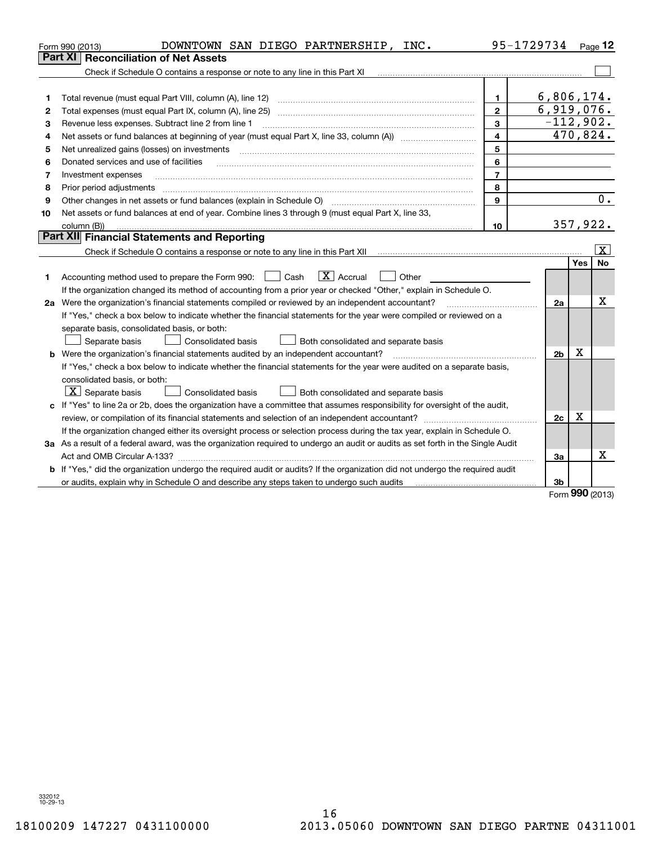| <b>Reconciliation of Net Assets</b><br>Part XI<br>6,806,174.<br>Total revenue (must equal Part VIII, column (A), line 12)<br>$\mathbf{1}$<br>1<br>6,919,076.<br>$\mathbf{2}$<br>$\overline{2}$<br>$-112,902.$<br>3<br>Revenue less expenses. Subtract line 2 from line 1<br>3<br>$\overline{470,824}$ .<br>4<br>Net assets or fund balances at beginning of year (must equal Part X, line 33, column (A)) manured manu-<br>4<br>5<br>Net unrealized gains (losses) on investments<br>5<br>6<br>Donated services and use of facilities<br>6<br>$\overline{7}$<br>Investment expenses<br>7<br>8<br>Prior period adjustments<br>8<br>Other changes in net assets or fund balances (explain in Schedule O)<br>9<br>9<br>Net assets or fund balances at end of year. Combine lines 3 through 9 (must equal Part X, line 33,<br>10<br>357,922.<br>10 <sup>10</sup><br>column (B))<br>Part XII Financial Statements and Reporting | Page $12$               |  |  |  |  |  |  |
|----------------------------------------------------------------------------------------------------------------------------------------------------------------------------------------------------------------------------------------------------------------------------------------------------------------------------------------------------------------------------------------------------------------------------------------------------------------------------------------------------------------------------------------------------------------------------------------------------------------------------------------------------------------------------------------------------------------------------------------------------------------------------------------------------------------------------------------------------------------------------------------------------------------------------|-------------------------|--|--|--|--|--|--|
|                                                                                                                                                                                                                                                                                                                                                                                                                                                                                                                                                                                                                                                                                                                                                                                                                                                                                                                            |                         |  |  |  |  |  |  |
|                                                                                                                                                                                                                                                                                                                                                                                                                                                                                                                                                                                                                                                                                                                                                                                                                                                                                                                            |                         |  |  |  |  |  |  |
|                                                                                                                                                                                                                                                                                                                                                                                                                                                                                                                                                                                                                                                                                                                                                                                                                                                                                                                            |                         |  |  |  |  |  |  |
|                                                                                                                                                                                                                                                                                                                                                                                                                                                                                                                                                                                                                                                                                                                                                                                                                                                                                                                            |                         |  |  |  |  |  |  |
|                                                                                                                                                                                                                                                                                                                                                                                                                                                                                                                                                                                                                                                                                                                                                                                                                                                                                                                            |                         |  |  |  |  |  |  |
|                                                                                                                                                                                                                                                                                                                                                                                                                                                                                                                                                                                                                                                                                                                                                                                                                                                                                                                            |                         |  |  |  |  |  |  |
|                                                                                                                                                                                                                                                                                                                                                                                                                                                                                                                                                                                                                                                                                                                                                                                                                                                                                                                            |                         |  |  |  |  |  |  |
|                                                                                                                                                                                                                                                                                                                                                                                                                                                                                                                                                                                                                                                                                                                                                                                                                                                                                                                            |                         |  |  |  |  |  |  |
|                                                                                                                                                                                                                                                                                                                                                                                                                                                                                                                                                                                                                                                                                                                                                                                                                                                                                                                            |                         |  |  |  |  |  |  |
|                                                                                                                                                                                                                                                                                                                                                                                                                                                                                                                                                                                                                                                                                                                                                                                                                                                                                                                            |                         |  |  |  |  |  |  |
|                                                                                                                                                                                                                                                                                                                                                                                                                                                                                                                                                                                                                                                                                                                                                                                                                                                                                                                            |                         |  |  |  |  |  |  |
|                                                                                                                                                                                                                                                                                                                                                                                                                                                                                                                                                                                                                                                                                                                                                                                                                                                                                                                            | 0.                      |  |  |  |  |  |  |
|                                                                                                                                                                                                                                                                                                                                                                                                                                                                                                                                                                                                                                                                                                                                                                                                                                                                                                                            |                         |  |  |  |  |  |  |
|                                                                                                                                                                                                                                                                                                                                                                                                                                                                                                                                                                                                                                                                                                                                                                                                                                                                                                                            |                         |  |  |  |  |  |  |
|                                                                                                                                                                                                                                                                                                                                                                                                                                                                                                                                                                                                                                                                                                                                                                                                                                                                                                                            |                         |  |  |  |  |  |  |
|                                                                                                                                                                                                                                                                                                                                                                                                                                                                                                                                                                                                                                                                                                                                                                                                                                                                                                                            | $\overline{\mathbf{x}}$ |  |  |  |  |  |  |
| <b>Yes</b>                                                                                                                                                                                                                                                                                                                                                                                                                                                                                                                                                                                                                                                                                                                                                                                                                                                                                                                 | <b>No</b>               |  |  |  |  |  |  |
| $\boxed{\text{X}}$ Accrual<br>Accounting method used to prepare the Form 990: <u>[</u> Cash<br>$\vert$ $\vert$ Other<br>1                                                                                                                                                                                                                                                                                                                                                                                                                                                                                                                                                                                                                                                                                                                                                                                                  |                         |  |  |  |  |  |  |
| If the organization changed its method of accounting from a prior year or checked "Other," explain in Schedule O.                                                                                                                                                                                                                                                                                                                                                                                                                                                                                                                                                                                                                                                                                                                                                                                                          |                         |  |  |  |  |  |  |
| 2a Were the organization's financial statements compiled or reviewed by an independent accountant?<br>2a                                                                                                                                                                                                                                                                                                                                                                                                                                                                                                                                                                                                                                                                                                                                                                                                                   | Х                       |  |  |  |  |  |  |
| If "Yes," check a box below to indicate whether the financial statements for the year were compiled or reviewed on a                                                                                                                                                                                                                                                                                                                                                                                                                                                                                                                                                                                                                                                                                                                                                                                                       |                         |  |  |  |  |  |  |
| separate basis, consolidated basis, or both:                                                                                                                                                                                                                                                                                                                                                                                                                                                                                                                                                                                                                                                                                                                                                                                                                                                                               |                         |  |  |  |  |  |  |
| Both consolidated and separate basis<br>Separate basis<br><b>Consolidated basis</b>                                                                                                                                                                                                                                                                                                                                                                                                                                                                                                                                                                                                                                                                                                                                                                                                                                        |                         |  |  |  |  |  |  |
| Х<br><b>b</b> Were the organization's financial statements audited by an independent accountant?<br>2 <sub>b</sub>                                                                                                                                                                                                                                                                                                                                                                                                                                                                                                                                                                                                                                                                                                                                                                                                         |                         |  |  |  |  |  |  |
| If "Yes," check a box below to indicate whether the financial statements for the year were audited on a separate basis,                                                                                                                                                                                                                                                                                                                                                                                                                                                                                                                                                                                                                                                                                                                                                                                                    |                         |  |  |  |  |  |  |
| consolidated basis, or both:                                                                                                                                                                                                                                                                                                                                                                                                                                                                                                                                                                                                                                                                                                                                                                                                                                                                                               |                         |  |  |  |  |  |  |
| $\lfloor x \rfloor$ Separate basis<br><b>Consolidated basis</b><br>Both consolidated and separate basis                                                                                                                                                                                                                                                                                                                                                                                                                                                                                                                                                                                                                                                                                                                                                                                                                    |                         |  |  |  |  |  |  |
| c If "Yes" to line 2a or 2b, does the organization have a committee that assumes responsibility for oversight of the audit,                                                                                                                                                                                                                                                                                                                                                                                                                                                                                                                                                                                                                                                                                                                                                                                                |                         |  |  |  |  |  |  |
| x<br>2c                                                                                                                                                                                                                                                                                                                                                                                                                                                                                                                                                                                                                                                                                                                                                                                                                                                                                                                    |                         |  |  |  |  |  |  |
| If the organization changed either its oversight process or selection process during the tax year, explain in Schedule O.                                                                                                                                                                                                                                                                                                                                                                                                                                                                                                                                                                                                                                                                                                                                                                                                  |                         |  |  |  |  |  |  |
| 3a As a result of a federal award, was the organization required to undergo an audit or audits as set forth in the Single Audit                                                                                                                                                                                                                                                                                                                                                                                                                                                                                                                                                                                                                                                                                                                                                                                            |                         |  |  |  |  |  |  |
| Act and OMB Circular A-133?<br>За                                                                                                                                                                                                                                                                                                                                                                                                                                                                                                                                                                                                                                                                                                                                                                                                                                                                                          | x                       |  |  |  |  |  |  |
| b If "Yes," did the organization undergo the required audit or audits? If the organization did not undergo the required audit                                                                                                                                                                                                                                                                                                                                                                                                                                                                                                                                                                                                                                                                                                                                                                                              |                         |  |  |  |  |  |  |
| 3b<br>or audits, explain why in Schedule O and describe any steps taken to undergo such audits<br>nnn.                                                                                                                                                                                                                                                                                                                                                                                                                                                                                                                                                                                                                                                                                                                                                                                                                     |                         |  |  |  |  |  |  |

Form (2013) **990**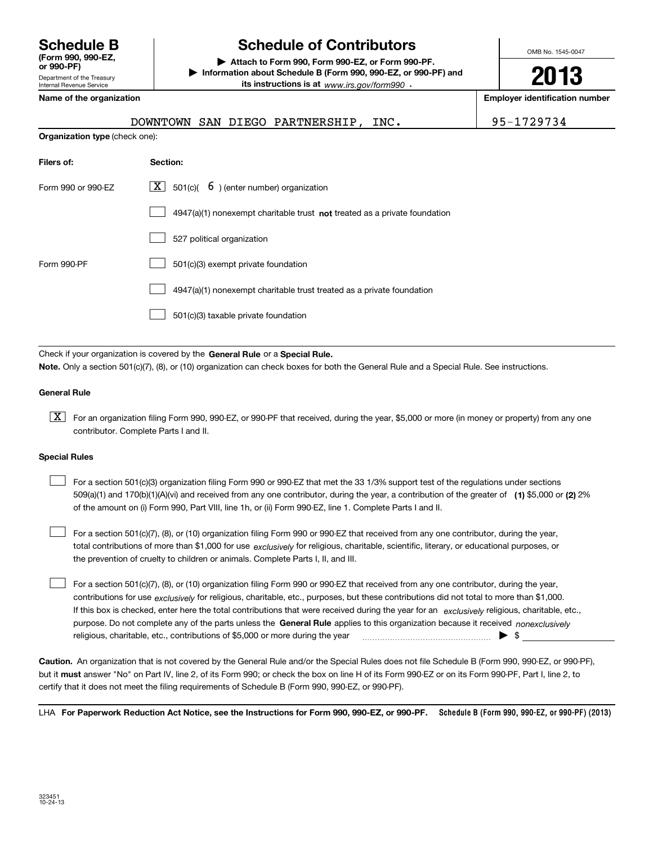Department of the Treasury Internal Revenue Service **(Form 990, 990-EZ, or 990-PF)**

# **Schedule B Schedule of Contributors**

**| Attach to Form 990, Form 990-EZ, or Form 990-PF. | Information about Schedule B (Form 990, 990-EZ, or 990-PF) and its instructions is at** www.irs.gov/form990  $\cdot$ 

**Name of the organization Employer identification number**

**Organization type** (check one):

|  | DOWNTOWN SAN DIEGO PARTNERSHIP, INC. |  |
|--|--------------------------------------|--|
|  |                                      |  |

OMB No. 1545-0047

**2013**

95-1729734

| Filers of:         | Section:                                                                    |
|--------------------|-----------------------------------------------------------------------------|
| Form 990 or 990-FZ | $\lfloor x \rfloor$ 501(c)( 6) (enter number) organization                  |
|                    | $4947(a)(1)$ nonexempt charitable trust not treated as a private foundation |
|                    | 527 political organization                                                  |
| Form 990-PF        | 501(c)(3) exempt private foundation                                         |
|                    | 4947(a)(1) nonexempt charitable trust treated as a private foundation       |
|                    | 501(c)(3) taxable private foundation                                        |

Check if your organization is covered by the **General Rule** or a **Special Rule. Note.**  Only a section 501(c)(7), (8), or (10) organization can check boxes for both the General Rule and a Special Rule. See instructions.

## **General Rule**

 $\boxed{\textbf{X}}$  For an organization filing Form 990, 990-EZ, or 990-PF that received, during the year, \$5,000 or more (in money or property) from any one contributor. Complete Parts I and II.

## **Special Rules**

 $\mathcal{L}^{\text{max}}$ 

509(a)(1) and 170(b)(1)(A)(vi) and received from any one contributor, during the year, a contribution of the greater of **(1)** \$5,000 or **(2)** 2% For a section 501(c)(3) organization filing Form 990 or 990-EZ that met the 33 1/3% support test of the regulations under sections of the amount on (i) Form 990, Part VIII, line 1h, or (ii) Form 990-EZ, line 1. Complete Parts I and II.  $\mathcal{L}^{\text{max}}$ 

total contributions of more than \$1,000 for use *exclusively* for religious, charitable, scientific, literary, or educational purposes, or For a section 501(c)(7), (8), or (10) organization filing Form 990 or 990-EZ that received from any one contributor, during the year, the prevention of cruelty to children or animals. Complete Parts I, II, and III.

purpose. Do not complete any of the parts unless the **General Rule** applies to this organization because it received *nonexclusively* contributions for use <sub>exclusively</sub> for religious, charitable, etc., purposes, but these contributions did not total to more than \$1,000. If this box is checked, enter here the total contributions that were received during the year for an exclusively religious, charitable, etc., For a section 501(c)(7), (8), or (10) organization filing Form 990 or 990-EZ that received from any one contributor, during the year, religious, charitable, etc., contributions of \$5,000 or more during the year  $\quad \ldots \quad \ldots \quad \bullet \quad$ \$  $\mathcal{L}^{\text{max}}$ 

**Caution.**An organization that is not covered by the General Rule and/or the Special Rules does not file Schedule B (Form 990, 990-EZ, or 990-PF),  **must** but it answer "No" on Part IV, line 2, of its Form 990; or check the box on line H of its Form 990-EZ or on its Form 990-PF, Part I, line 2, to certify that it does not meet the filing requirements of Schedule B (Form 990, 990-EZ, or 990-PF).

LHA For Paperwork Reduction Act Notice, see the Instructions for Form 990, 990-EZ, or 990-PF. Schedule B (Form 990, 990-EZ, or 990-PF) (2013)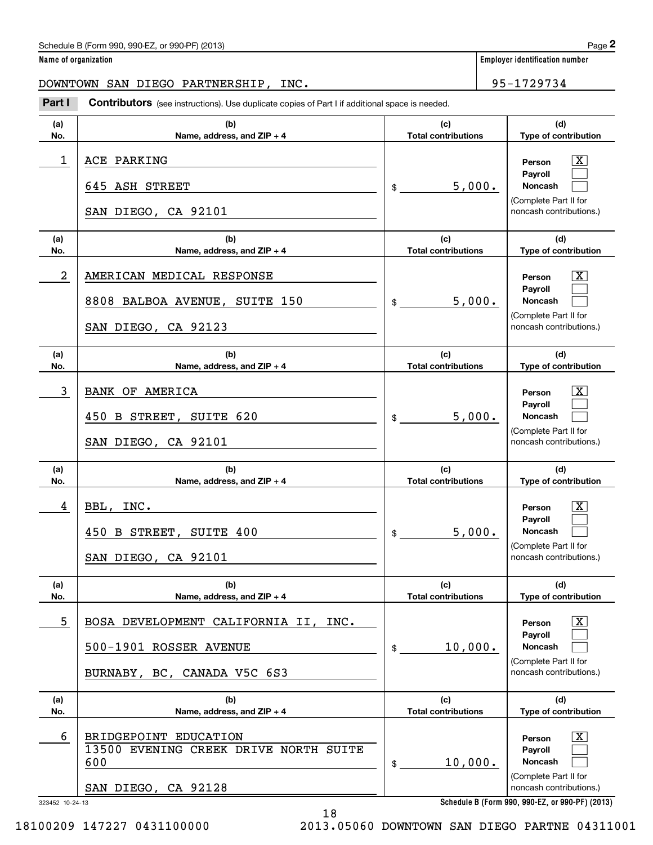|  | Name of organization |
|--|----------------------|
|--|----------------------|

**Employer identification number** 

DOWNTOWN SAN DIEGO PARTNERSHIP, INC. 95-1729734

Chedule B (Form 990, 990-EZ, or 990-PF) (2013)<br> **2 ame of organization**<br> **2 Part I Contributors** (see instructions). Use duplicate copies of Part I if additional space is needed.<br> **295-1729734**<br> **295-1729734** 

| (a)<br>No. | (b)<br>Name, address, and ZIP + 4                                                                                          | (c)<br><b>Total contributions</b>           | (d)<br>Type of contribution                                                                                   |  |
|------------|----------------------------------------------------------------------------------------------------------------------------|---------------------------------------------|---------------------------------------------------------------------------------------------------------------|--|
| 1          | ACE PARKING<br>645 ASH STREET<br>SAN DIEGO, CA 92101                                                                       | 5,000.<br>$\mathsf{\$}$                     | х<br>Person<br>Pavroll<br><b>Noncash</b><br>(Complete Part II for<br>noncash contributions.)                  |  |
| (a)<br>No. | (b)<br>Name, address, and ZIP + 4                                                                                          | (c)<br><b>Total contributions</b>           | (d)<br>Type of contribution                                                                                   |  |
| 2          | AMERICAN MEDICAL RESPONSE<br>8808 BALBOA AVENUE, SUITE 150<br>SAN DIEGO, CA 92123                                          | 5,000.<br>$\mathfrak s$                     | x<br>Person<br>Payroll<br>Noncash<br>(Complete Part II for<br>noncash contributions.)                         |  |
| (a)<br>No. | (b)<br>Name, address, and ZIP + 4                                                                                          | (c)<br><b>Total contributions</b>           | (d)<br>Type of contribution                                                                                   |  |
| 3          | BANK OF AMERICA<br>B STREET, SUITE 620<br>450<br>SAN DIEGO, CA 92101                                                       | 5,000.<br>\$                                | Person<br>Pavroll<br>Noncash<br>(Complete Part II for<br>noncash contributions.)                              |  |
|            |                                                                                                                            |                                             |                                                                                                               |  |
| (a)<br>No. | (b)<br>Name, address, and ZIP + 4                                                                                          | (c)<br><b>Total contributions</b>           | (d)<br>Type of contribution                                                                                   |  |
| 4          | INC.<br>BBL,<br>B STREET, SUITE 400<br>450<br>SAN DIEGO, CA 92101                                                          | 5,000.<br>$\$$                              | Person<br>Payroll<br>Noncash<br>(Complete Part II for<br>noncash contributions.)                              |  |
| (a)<br>No. | (b)<br>Name, address, and ZIP + 4                                                                                          | (c)<br><b>Total contributions</b>           | (d)<br>Type of contribution                                                                                   |  |
| 5          | BOSA DEVELOPMENT CALIFORNIA II, INC.<br>500-1901 ROSSER AVENUE<br>BURNABY, BC, CANADA V5C 6S3                              | 10,000.<br>\$                               | х<br>Person<br>Payroll<br>Noncash<br>(Complete Part II for<br>noncash contributions.)                         |  |
| (a)        | (b)                                                                                                                        | (c)                                         | (d)                                                                                                           |  |
| No.<br>6   | Name, address, and ZIP + 4<br>BRIDGEPOINT EDUCATION<br>13500 EVENING CREEK DRIVE NORTH SUITE<br>600<br>SAN DIEGO, CA 92128 | <b>Total contributions</b><br>10,000.<br>\$ | Type of contribution<br>х<br>Person<br>Payroll<br>Noncash<br>(Complete Part II for<br>noncash contributions.) |  |

**Schedule B (Form 990, 990-EZ, or 990-PF) (2013)**

18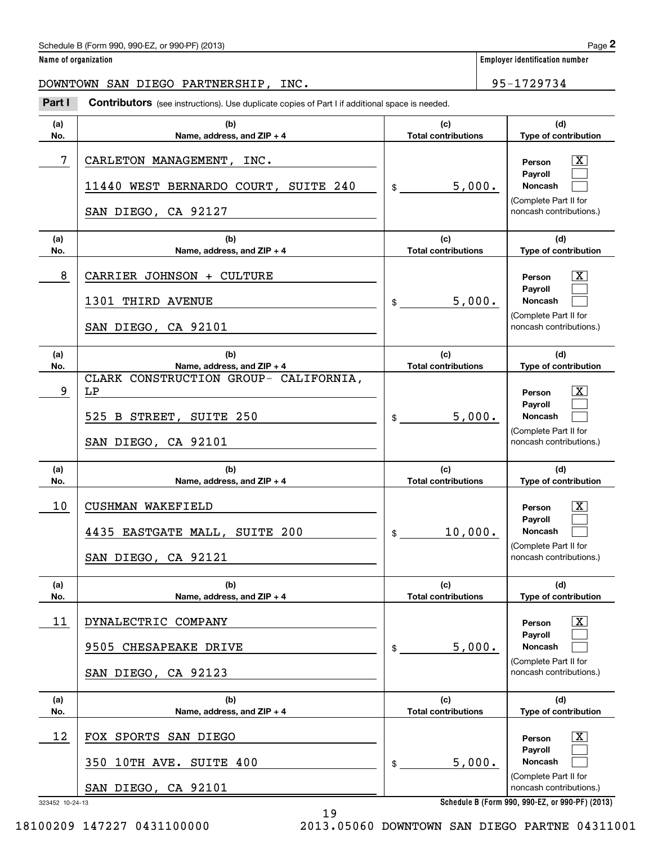DOWNTOWN SAN DIEGO PARTNERSHIP, INC. 95-1729734

Contributors (see instructions). Use duplicate copies of Part I if additional space is needed. Employer identification Page 2<br> **2** ame of organization<br> **2Part I** Contributors (see instructions). Use duplicate copies of Part I if additional space is needed.<br>
Part I Contributors (see instructions). Use duplicate copie

| (a) | (b)                                                                                           | (c)                        | (d)                                                                                                                                                 |
|-----|-----------------------------------------------------------------------------------------------|----------------------------|-----------------------------------------------------------------------------------------------------------------------------------------------------|
| No. | Name, address, and ZIP + 4                                                                    | <b>Total contributions</b> | Type of contribution                                                                                                                                |
| 7   | CARLETON MANAGEMENT, INC.<br>11440 WEST BERNARDO COURT, SUITE 240<br>SAN DIEGO, CA 92127      | 5,000.<br>$\frac{1}{2}$    | ΙX<br>Person<br>Payroll<br>Noncash<br>(Complete Part II for<br>noncash contributions.)                                                              |
| (a) | (b)                                                                                           | (c)                        | (d)                                                                                                                                                 |
| No. | Name, address, and $ZIP + 4$                                                                  | <b>Total contributions</b> | Type of contribution                                                                                                                                |
| 8   | CARRIER JOHNSON + CULTURE<br>1301 THIRD AVENUE<br>SAN DIEGO, CA 92101                         | 5,000.                     | ΙX<br>Person<br>Payroll<br>Noncash<br>(Complete Part II for<br>noncash contributions.)                                                              |
| (a) | (b)                                                                                           | (c)                        | (d)                                                                                                                                                 |
| No. | Name, address, and ZIP + 4                                                                    | <b>Total contributions</b> | Type of contribution                                                                                                                                |
| 9   | CLARK CONSTRUCTION GROUP- CALIFORNIA,<br>LP<br>525 B STREET, SUITE 250<br>SAN DIEGO, CA 92101 | 5,000.<br>$\frac{1}{2}$    | $\vert$ X $\vert$<br>Person<br>Payroll<br><b>Noncash</b><br>(Complete Part II for<br>noncash contributions.)                                        |
| (a) | (b)                                                                                           | (c)                        | (d)                                                                                                                                                 |
| No. | Name, address, and ZIP + 4                                                                    | <b>Total contributions</b> | Type of contribution                                                                                                                                |
| 10  | CUSHMAN WAKEFIELD<br>4435 EASTGATE MALL, SUITE 200<br>SAN DIEGO, CA 92121                     | 10,000.<br>$\frac{1}{2}$   | $\mathbf{X}$<br>Person<br>Payroll<br><b>Noncash</b><br>(Complete Part II for<br>noncash contributions.)                                             |
| (a) | (b)                                                                                           | (c)                        | (d)                                                                                                                                                 |
| No. | Name, address, and ZIP + 4                                                                    | <b>Total contributions</b> | Type of contribution                                                                                                                                |
| 11  | DYNALECTRIC COMPANY<br>9505 CHESAPEAKE DRIVE<br>SAN DIEGO, CA 92123                           | 5,000.<br>$\mathsf{\$}$    | $\vert$ X<br>Person<br>Payroll<br>Noncash<br>(Complete Part II for<br>noncash contributions.)                                                       |
| (a) | (b)                                                                                           | (c)                        | (d)                                                                                                                                                 |
| No. | Name, address, and ZIP + 4                                                                    | <b>Total contributions</b> | Type of contribution                                                                                                                                |
| 12  | FOX SPORTS SAN DIEGO<br>10TH AVE. SUITE 400<br>350<br>SAN DIEGO, CA 92101<br>323452 10-24-13  | 5,000.<br>$\mathsf{\$}$    | $\mathbf{X}$<br>Person<br>Payroll<br>Noncash<br>(Complete Part II for<br>noncash contributions.)<br>Schedule B (Form 990, 990-EZ, or 990-PF) (2013) |

19

18100209 147227 0431100000 2013.05060 DOWNTOWN SAN DIEGO PARTNE 04311001

**Schedule B (Form 990, 990-EZ, or 990-PF) (2013)**

**Name of organization Employer identification number**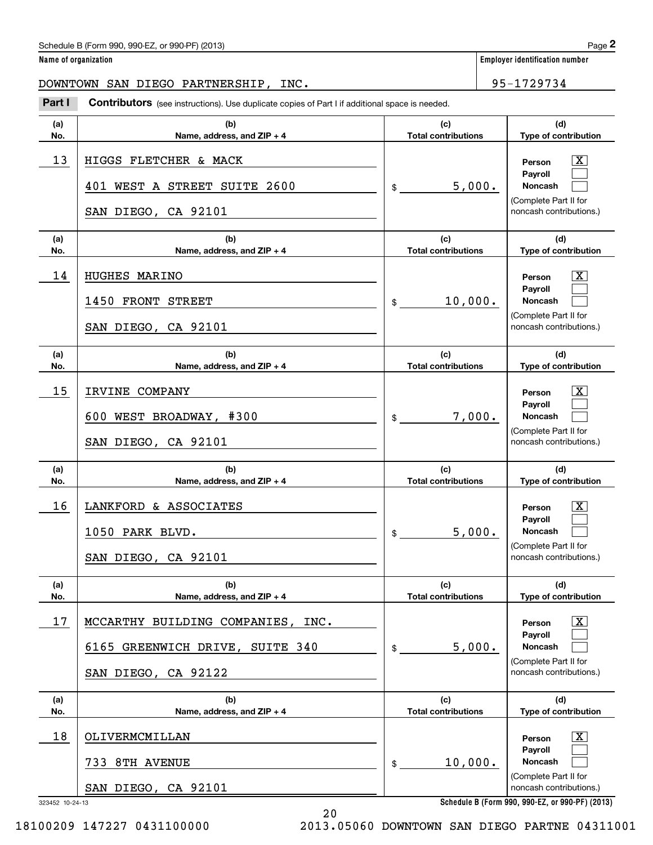## **Name of organization Employer identification number**

DOWNTOWN SAN DIEGO PARTNERSHIP, INC. 95-1729734

Contributors (see instructions). Use duplicate copies of Part I if additional space is needed. Employer identification Page 2<br> **2** ame of organization<br> **2Part I** Contributors (see instructions). Use duplicate copies of Part I if additional space is needed.<br>
Part I Contributors (see instructions). Use duplicate copie

| (a)                   | (b)                                                                                                        | (c)<br><b>Total contributions</b> | (d)                                                                                                                                                 |  |  |
|-----------------------|------------------------------------------------------------------------------------------------------------|-----------------------------------|-----------------------------------------------------------------------------------------------------------------------------------------------------|--|--|
| No.<br>13             | Name, address, and ZIP + 4<br>HIGGS FLETCHER & MACK<br>401 WEST A STREET SUITE 2600<br>SAN DIEGO, CA 92101 | 5,000.<br>$\mathsf{\$}$           | Type of contribution<br>X<br>Person<br>Payroll<br>Noncash<br>(Complete Part II for<br>noncash contributions.)                                       |  |  |
| (a)<br>No.            | (b)<br>Name, address, and $ZIP + 4$                                                                        | (c)<br><b>Total contributions</b> | (d)<br>Type of contribution                                                                                                                         |  |  |
| 14                    | HUGHES MARINO<br>1450 FRONT STREET<br>SAN DIEGO, CA 92101                                                  | 10,000.<br>$\frac{1}{2}$          | X<br>Person<br>Payroll<br>Noncash<br>(Complete Part II for<br>noncash contributions.)                                                               |  |  |
| (a)<br>No.            | (b)<br>Name, address, and ZIP + 4                                                                          | (c)<br><b>Total contributions</b> | (d)<br>Type of contribution                                                                                                                         |  |  |
| 15                    | IRVINE COMPANY<br>600 WEST BROADWAY, #300<br>SAN DIEGO, CA 92101                                           | 7,000.<br>$\frac{1}{2}$           | X<br>Person<br>Payroll<br>Noncash<br>(Complete Part II for<br>noncash contributions.)                                                               |  |  |
| (a)<br>No.            | (b)<br>Name, address, and ZIP + 4                                                                          | (c)<br><b>Total contributions</b> | (d)<br>Type of contribution                                                                                                                         |  |  |
| 16                    | LANKFORD & ASSOCIATES<br>1050 PARK BLVD.<br>SAN DIEGO, CA 92101                                            | 5,000.<br>$\frac{1}{2}$           | X<br>Person<br>Payroll<br>Noncash<br>(Complete Part II for<br>noncash contributions.)                                                               |  |  |
| (a)<br>No.            | (b)<br>Name, address, and ZIP + 4                                                                          | (c)<br><b>Total contributions</b> | (d)<br>Type of contribution                                                                                                                         |  |  |
| 17                    | MCCARTHY BUILDING COMPANIES, INC.<br>6165 GREENWICH DRIVE, SUITE 340<br>SAN DIEGO, CA 92122                | 5,000.<br>$$$ $-$                 | $\boxed{\text{X}}$<br>Person<br>Payroll<br>Noncash<br>(Complete Part II for<br>noncash contributions.)                                              |  |  |
| (a)<br>No.            | (b)<br>Name, address, and ZIP + 4                                                                          | (c)<br><b>Total contributions</b> | (d)<br>Type of contribution                                                                                                                         |  |  |
| 18<br>323452 10-24-13 | OLIVERMCMILLAN<br>733 8TH AVENUE<br>SAN DIEGO, CA 92101                                                    | 10,000.<br>$\mathsf{\$}$          | $\mathbf{X}$<br>Person<br>Payroll<br>Noncash<br>(Complete Part II for<br>noncash contributions.)<br>Schedule B (Form 990, 990-EZ, or 990-PF) (2013) |  |  |

**Schedule B (Form 990, 990-EZ, or 990-PF) (2013)**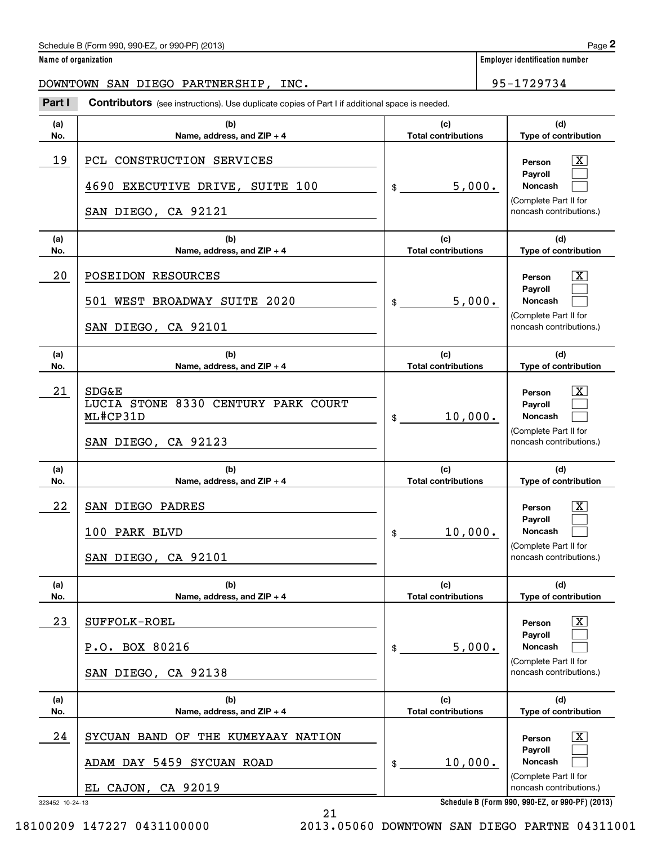# DOWNTOWN SAN DIEGO PARTNERSHIP, INC. 95-1729734

Contributors (see instructions). Use duplicate copies of Part I if additional space is needed. Employer identification Page 2<br> **2** ame of organization<br> **2Part I** Contributors (see instructions). Use duplicate copies of Part I if additional space is needed.<br> **Part I** Contributors (see instructions). Use duplicate cop

| (a)                   | (b)                                                                                        | (c)                        | (d)                                                                                                                                                        |  |
|-----------------------|--------------------------------------------------------------------------------------------|----------------------------|------------------------------------------------------------------------------------------------------------------------------------------------------------|--|
| No.                   | Name, address, and $ZIP + 4$                                                               | <b>Total contributions</b> | Type of contribution                                                                                                                                       |  |
| 19                    | PCL CONSTRUCTION SERVICES<br>4690 EXECUTIVE DRIVE, SUITE 100<br>SAN DIEGO, CA 92121        | 5,000.<br>$\frac{1}{2}$    | X  <br>Person<br>Payroll<br>Noncash<br>(Complete Part II for<br>noncash contributions.)                                                                    |  |
| (a)                   | (b)                                                                                        | (c)                        | (d)                                                                                                                                                        |  |
| No.                   | Name, address, and $ZIP + 4$                                                               | <b>Total contributions</b> | Type of contribution                                                                                                                                       |  |
| 20                    | POSEIDON RESOURCES<br>501 WEST BROADWAY SUITE 2020<br>SAN DIEGO, CA 92101                  | 5,000.<br>$\frac{1}{2}$    | X  <br>Person<br>Payroll<br>Noncash<br>(Complete Part II for<br>noncash contributions.)                                                                    |  |
| (a)                   | (b)                                                                                        | (c)                        | (d)                                                                                                                                                        |  |
| No.                   | Name, address, and $ZIP + 4$                                                               | <b>Total contributions</b> | Type of contribution                                                                                                                                       |  |
| 21                    | <b>SDG&amp;E</b><br>LUCIA STONE 8330 CENTURY PARK COURT<br>ML#CP31D<br>SAN DIEGO, CA 92123 | 10,000.<br>$\frac{1}{2}$   | X  <br>Person<br>Payroll<br>Noncash<br>(Complete Part II for<br>noncash contributions.)                                                                    |  |
| (a)                   | (b)                                                                                        | (c)                        | (d)                                                                                                                                                        |  |
| No.                   | Name, address, and ZIP + 4                                                                 | <b>Total contributions</b> | Type of contribution                                                                                                                                       |  |
| 22                    | SAN DIEGO PADRES<br>100 PARK BLVD<br>SAN DIEGO, CA 92101                                   | 10,000.                    | $\lfloor x \rfloor$<br>Person<br>Payroll<br>Noncash<br>(Complete Part II for<br>noncash contributions.)                                                    |  |
| (a)                   | (b)                                                                                        | (c)                        | (d)                                                                                                                                                        |  |
| No.                   | Name, address, and ZIP + 4                                                                 | <b>Total contributions</b> | Type of contribution                                                                                                                                       |  |
| 23                    | SUFFOLK-ROEL<br>P.O. BOX 80216<br>SAN DIEGO, CA 92138                                      | 5,000.<br>$\mathsf{\$}$    | $\vert$ X<br>Person<br>Payroll<br>Noncash<br>(Complete Part II for<br>noncash contributions.)                                                              |  |
| (a)                   | (b)                                                                                        | (c)                        | (d)                                                                                                                                                        |  |
| No.                   | Name, address, and ZIP + 4                                                                 | <b>Total contributions</b> | Type of contribution                                                                                                                                       |  |
| 24<br>323452 10-24-13 | SYCUAN BAND OF THE KUMEYAAY NATION<br>ADAM DAY 5459 SYCUAN ROAD<br>EL CAJON, CA 92019      | 10,000.<br>$\mathsf{\$}$   | $\lfloor x \rfloor$<br>Person<br>Payroll<br>Noncash<br>(Complete Part II for<br>noncash contributions.)<br>Schedule B (Form 990, 990-EZ, or 990-PF) (2013) |  |

**Schedule B (Form 990, 990-EZ, or 990-PF) (2013)**

**Name of organization Employer identification number**

18100209 147227 0431100000 2013.05060 DOWNTOWN SAN DIEGO PARTNE 04311001

21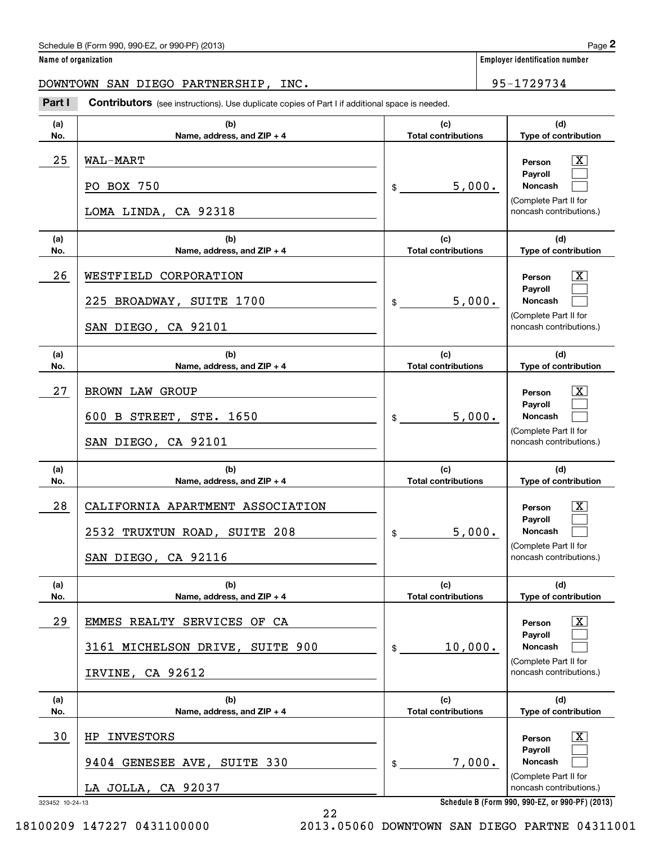**Name of organization Employer identification number**

DOWNTOWN SAN DIEGO PARTNERSHIP, INC. 95-1729734

Chedule B (Form 990, 990-EZ, or 990-PF) (2013)<br> **2 ame of organization**<br> **2 Part I Contributors** (see instructions). Use duplicate copies of Part I if additional space is needed.<br> **295-1729734**<br> **295-1729734** 

| (a)<br>No. | (b)<br>Name, address, and ZIP + 4                                                               | (c)<br><b>Total contributions</b>          | (d)<br>Type of contribution                                                                                                                                                            |  |  |
|------------|-------------------------------------------------------------------------------------------------|--------------------------------------------|----------------------------------------------------------------------------------------------------------------------------------------------------------------------------------------|--|--|
| 25         | <b>WAL-MART</b><br>PO BOX 750<br>5,000.<br>$\frac{1}{2}$<br>LOMA LINDA, CA 92318                |                                            | x<br>Person<br>Payroll<br>Noncash<br>(Complete Part II for<br>noncash contributions.)                                                                                                  |  |  |
| (a)<br>No. | (b)<br>Name, address, and $ZIP + 4$                                                             | (c)<br><b>Total contributions</b>          | (d)<br>Type of contribution                                                                                                                                                            |  |  |
| 26         | WESTFIELD CORPORATION<br>225 BROADWAY, SUITE 1700<br>SAN DIEGO, CA 92101                        | 5,000.<br>$\mathsf{\$}$                    | x<br>Person<br>Payroll<br><b>Noncash</b><br>(Complete Part II for<br>noncash contributions.)                                                                                           |  |  |
| (a)<br>No. | (b)<br>Name, address, and ZIP + 4                                                               | (c)<br><b>Total contributions</b>          | (d)<br>Type of contribution                                                                                                                                                            |  |  |
| 27         | BROWN LAW GROUP<br>600 B STREET, STE. 1650<br>SAN DIEGO, CA 92101                               | 5,000.<br>$\mathsf{\$}$                    | x<br>Person<br>Payroll<br><b>Noncash</b><br>(Complete Part II for<br>noncash contributions.)                                                                                           |  |  |
| (a)<br>No. | (b)<br>Name, address, and ZIP + 4                                                               | (c)<br><b>Total contributions</b>          | (d)<br>Type of contribution                                                                                                                                                            |  |  |
|            |                                                                                                 |                                            |                                                                                                                                                                                        |  |  |
| 28         | CALIFORNIA APARTMENT ASSOCIATION<br>2532 TRUXTUN ROAD, SUITE 208<br>SAN DIEGO, CA 92116         | 5,000.<br>$\mathsf{\$}$                    | x<br>Person<br>Payroll<br>Noncash<br>(Complete Part II for<br>noncash contributions.)                                                                                                  |  |  |
| (a)<br>No. | (b)<br>Name, address, and ZIP + 4                                                               | (c)<br><b>Total contributions</b>          | (d)<br>Type of contribution                                                                                                                                                            |  |  |
| 29         | EMMES REALTY SERVICES OF CA<br>3161 MICHELSON DRIVE, SUITE 900<br>IRVINE, CA 92612              | 10,000.<br>\$                              | x<br>Person<br>Payroll<br><b>Noncash</b><br>(Complete Part II for<br>noncash contributions.)                                                                                           |  |  |
| (a)        | (b)                                                                                             | (c)                                        | (d)                                                                                                                                                                                    |  |  |
| No.<br>30  | Name, address, and ZIP + 4<br>HP INVESTORS<br>9404 GENESEE AVE, SUITE 330<br>LA JOLLA, CA 92037 | <b>Total contributions</b><br>7,000.<br>\$ | Type of contribution<br>$\overline{\mathbf{X}}$<br>Person<br>Payroll<br>Noncash<br>(Complete Part II for<br>noncash contributions.)<br>Schedule B (Form 990, 990-EZ, or 990-PF) (2013) |  |  |

**Schedule B (Form 990, 990-EZ, or 990-PF) (2013)**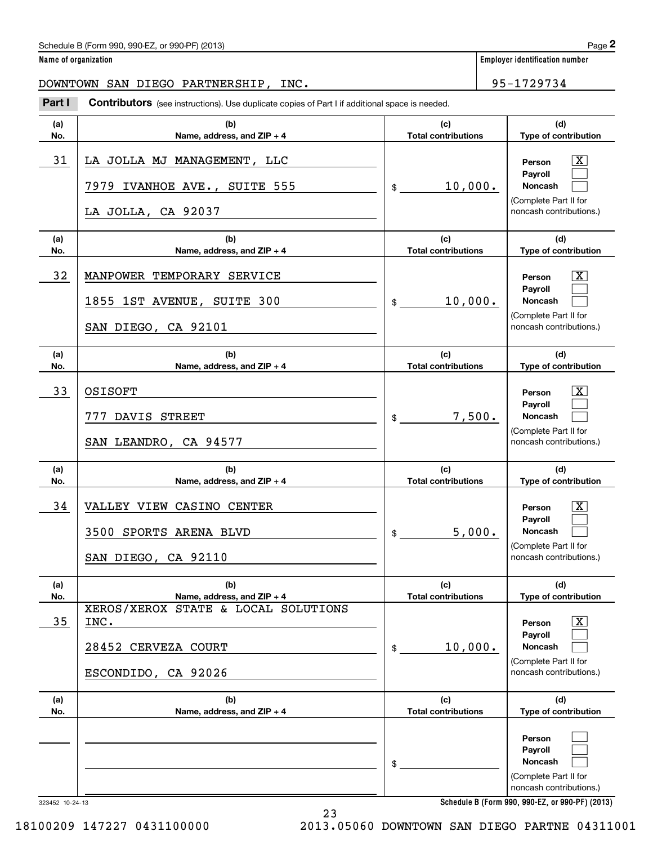# DOWNTOWN SAN DIEGO PARTNERSHIP, INC. 95-1729734

Chedule B (Form 990, 990-EZ, or 990-PF) (2013)<br> **2 ame of organization**<br> **2 Part I Contributors** (see instructions). Use duplicate copies of Part I if additional space is needed.<br> **295-1729734**<br> **295-1729734** 

| (a) | (b)                                                                                       | (c)                        | (d)                                                                                                                                 |
|-----|-------------------------------------------------------------------------------------------|----------------------------|-------------------------------------------------------------------------------------------------------------------------------------|
| No. | Name, address, and ZIP + 4                                                                | <b>Total contributions</b> | Type of contribution                                                                                                                |
| 31  | LA JOLLA MJ MANAGEMENT, LLC<br>7979 IVANHOE AVE., SUITE 555<br>LA JOLLA, CA 92037         | 10,000.                    | ΙX<br>Person<br>Payroll<br>Noncash<br>(Complete Part II for<br>noncash contributions.)                                              |
| (a) | (b)                                                                                       | (c)                        | (d)                                                                                                                                 |
| No. | Name, address, and ZIP + 4                                                                | <b>Total contributions</b> | Type of contribution                                                                                                                |
| 32  | MANPOWER TEMPORARY SERVICE<br>1855 1ST AVENUE, SUITE 300<br>SAN DIEGO, CA 92101           | 10,000.<br>$\frac{1}{2}$   | ΙX<br>Person<br>Payroll<br>Noncash<br>(Complete Part II for<br>noncash contributions.)                                              |
| (a) | (b)                                                                                       | (c)                        | (d)                                                                                                                                 |
| No. | Name, address, and $ZIP + 4$                                                              | <b>Total contributions</b> | Type of contribution                                                                                                                |
| 33  | OSISOFT<br>777 DAVIS STREET<br>SAN LEANDRO, CA 94577                                      | 7,500.<br>$\frac{1}{2}$    | ΙX<br>Person<br>Payroll<br>Noncash<br>(Complete Part II for<br>noncash contributions.)                                              |
| (a) | (b)                                                                                       | (c)                        | (d)                                                                                                                                 |
| No. | Name, address, and ZIP + 4                                                                | <b>Total contributions</b> | Type of contribution                                                                                                                |
| 34  | VALLEY VIEW CASINO CENTER<br>3500 SPORTS ARENA BLVD<br>SAN DIEGO, CA 92110                | 5,000.<br>$\frac{1}{2}$    | ΙX<br>Person<br>Payroll<br>Noncash<br>(Complete Part II for<br>noncash contributions.)                                              |
| (a) | (b)                                                                                       | (c)                        | (d)                                                                                                                                 |
| No. | Name, address, and ZIP + 4                                                                | <b>Total contributions</b> | Type of contribution                                                                                                                |
| 35  | XEROS/XEROX STATE & LOCAL SOLUTIONS<br>INC.<br>28452 CERVEZA COURT<br>ESCONDIDO, CA 92026 | 10,000.<br>$\mathfrak{S}$  | $\mathbf{X}$<br>Person<br>Payroll<br>Noncash<br>(Complete Part II for<br>noncash contributions.)                                    |
| (a) | (b)                                                                                       | (c)                        | (d)                                                                                                                                 |
| No. | Name, address, and ZIP + 4                                                                | <b>Total contributions</b> | Type of contribution                                                                                                                |
|     |                                                                                           | \$                         | Person<br>Payroll<br>Noncash<br>(Complete Part II for<br>noncash contributions.)<br>Cohodule B (Form 000, 000 E7, or 000 BE) (9019) |

23

**Name of organization Employer identification number**

323452 10-24-13

**Schedule B (Form 990, 990-EZ, or 990-PF) (2013)**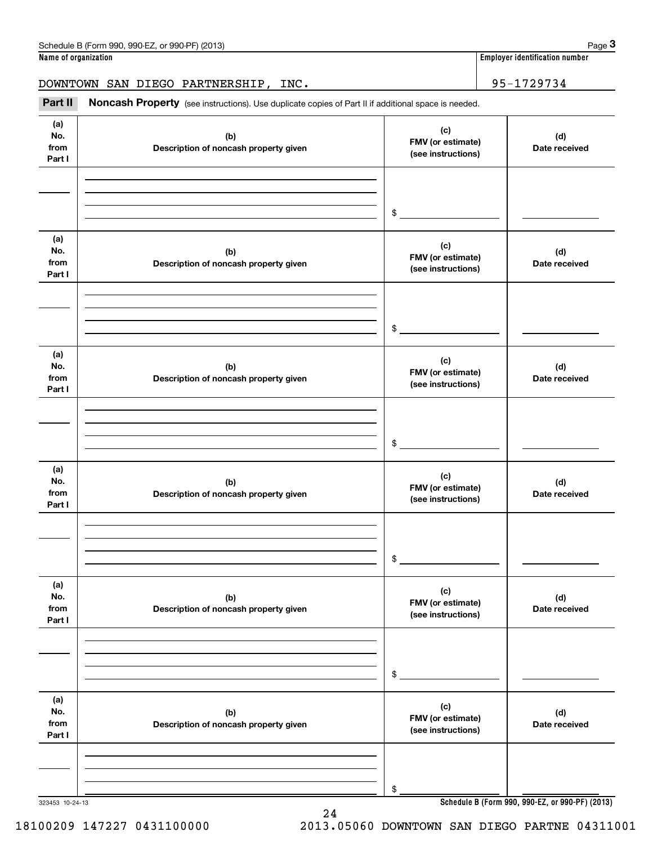**Name of organization Employer identification number**

DOWNTOWN SAN DIEGO PARTNERSHIP, INC. 95-1729734

# Employer identification number<br>
ame of organization<br> **3Part II Noncash Property** (see instructions). Use duplicate copies of Part II if additional space is needed.<br> **Part II Noncash Property** (see instructions). Use du

| (a)<br>No.<br>from<br>Part I | (b)<br>Description of noncash property given | (c)<br>FMV (or estimate)<br>(see instructions) | (d)<br>Date received                            |
|------------------------------|----------------------------------------------|------------------------------------------------|-------------------------------------------------|
|                              |                                              |                                                |                                                 |
|                              |                                              | $\frac{1}{2}$                                  |                                                 |
| (a)<br>No.<br>from<br>Part I | (b)<br>Description of noncash property given | (c)<br>FMV (or estimate)<br>(see instructions) | (d)<br>Date received                            |
|                              |                                              |                                                |                                                 |
|                              |                                              | $\mathfrak{S}$                                 |                                                 |
| (a)<br>No.<br>from<br>Part I | (b)<br>Description of noncash property given | (c)<br>FMV (or estimate)<br>(see instructions) | (d)<br>Date received                            |
|                              |                                              |                                                |                                                 |
|                              |                                              | $\mathfrak{S}$                                 |                                                 |
| (a)<br>No.<br>from<br>Part I | (b)<br>Description of noncash property given | (c)<br>FMV (or estimate)<br>(see instructions) | (d)<br>Date received                            |
|                              |                                              |                                                |                                                 |
|                              |                                              | $\mathfrak s$                                  |                                                 |
| (a)<br>No.<br>from<br>Part I | (b)<br>Description of noncash property given | (c)<br>FMV (or estimate)<br>(see instructions) | (d)<br>Date received                            |
|                              |                                              |                                                |                                                 |
|                              |                                              | \$                                             |                                                 |
| (a)<br>No.<br>from<br>Part I | (b)<br>Description of noncash property given | (c)<br>FMV (or estimate)<br>(see instructions) | (d)<br>Date received                            |
|                              |                                              |                                                |                                                 |
|                              |                                              | \$                                             |                                                 |
| 323453 10-24-13              |                                              |                                                | Schedule B (Form 990, 990-EZ, or 990-PF) (2013) |

24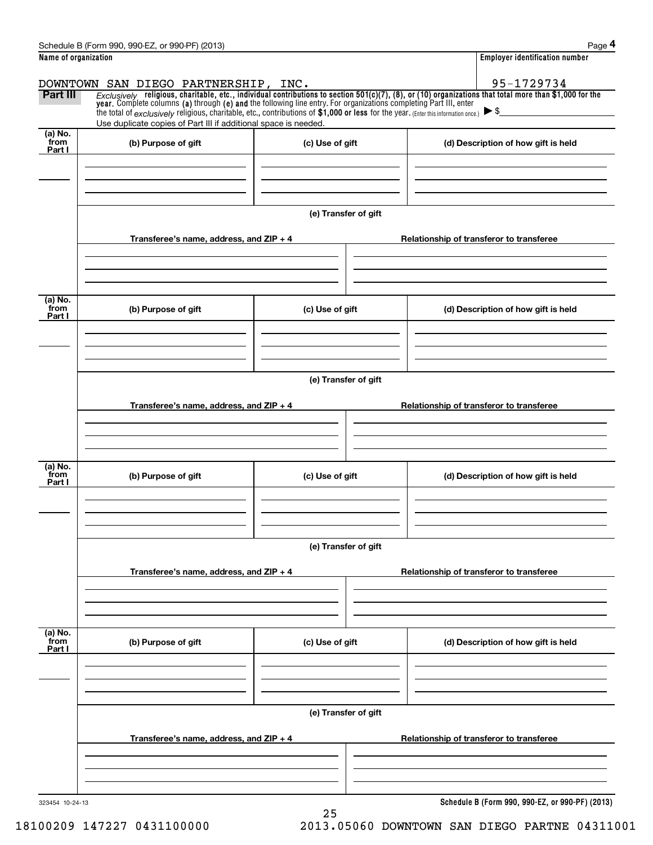| المحافيت المتحددة فتاله بمستدلة                 | l Faceborio Montfilestico annibon |
|-------------------------------------------------|-----------------------------------|
| Schedule B (Form 990, 990-EZ, or 990-PF) (2013) | Page                              |

|                           | Schedule B (Form 990, 990-EZ, or 990-PF) (2013)                                                                                                                                                                                                                                                                                                    |                      | Page 4                                                                                                                                                       |
|---------------------------|----------------------------------------------------------------------------------------------------------------------------------------------------------------------------------------------------------------------------------------------------------------------------------------------------------------------------------------------------|----------------------|--------------------------------------------------------------------------------------------------------------------------------------------------------------|
| Name of organization      |                                                                                                                                                                                                                                                                                                                                                    |                      | <b>Employer identification number</b>                                                                                                                        |
|                           | DOWNTOWN SAN DIEGO PARTNERSHIP, INC.                                                                                                                                                                                                                                                                                                               |                      | 95-1729734                                                                                                                                                   |
| Part III                  | year. Complete columns (a) through (e) and the following line entry. For organizations completing Part III, enter<br>the total of $exclusively$ religious, charitable, etc., contributions of $$1,000$ or less for the year. (Enter this information once.) $\triangleright$ \$<br>Use duplicate copies of Part III if additional space is needed. |                      | $Exclusively$ religious, charitable, etc., individual contributions to section $501(c)(7)$ , (8), or (10) organizations that total more than \$1,000 for the |
| (a) No.<br>from<br>Part I | (b) Purpose of gift                                                                                                                                                                                                                                                                                                                                | (c) Use of gift      | (d) Description of how gift is held                                                                                                                          |
|                           |                                                                                                                                                                                                                                                                                                                                                    |                      |                                                                                                                                                              |
|                           |                                                                                                                                                                                                                                                                                                                                                    | (e) Transfer of gift |                                                                                                                                                              |
|                           | Transferee's name, address, and $ZIP + 4$                                                                                                                                                                                                                                                                                                          |                      | Relationship of transferor to transferee                                                                                                                     |
| (a) No.<br>from           | (b) Purpose of gift                                                                                                                                                                                                                                                                                                                                | (c) Use of gift      | (d) Description of how gift is held                                                                                                                          |
| Part I                    |                                                                                                                                                                                                                                                                                                                                                    |                      |                                                                                                                                                              |
|                           |                                                                                                                                                                                                                                                                                                                                                    | (e) Transfer of gift |                                                                                                                                                              |
|                           | Transferee's name, address, and ZIP + 4                                                                                                                                                                                                                                                                                                            |                      | Relationship of transferor to transferee                                                                                                                     |
| (a) No.                   |                                                                                                                                                                                                                                                                                                                                                    |                      |                                                                                                                                                              |
| from<br>Part I            | (b) Purpose of gift                                                                                                                                                                                                                                                                                                                                | (c) Use of gift      | (d) Description of how gift is held                                                                                                                          |
|                           |                                                                                                                                                                                                                                                                                                                                                    | (e) Transfer of gift |                                                                                                                                                              |
|                           | Transferee's name, address, and ZIP + 4                                                                                                                                                                                                                                                                                                            |                      | Relationship of transferor to transferee                                                                                                                     |
|                           |                                                                                                                                                                                                                                                                                                                                                    |                      |                                                                                                                                                              |
| (a) No.<br>from<br>Part I | (b) Purpose of gift                                                                                                                                                                                                                                                                                                                                | (c) Use of gift      | (d) Description of how gift is held                                                                                                                          |
|                           |                                                                                                                                                                                                                                                                                                                                                    |                      |                                                                                                                                                              |
|                           | Transferee's name, address, and ZIP + 4                                                                                                                                                                                                                                                                                                            | (e) Transfer of gift | Relationship of transferor to transferee                                                                                                                     |
|                           |                                                                                                                                                                                                                                                                                                                                                    |                      |                                                                                                                                                              |
|                           |                                                                                                                                                                                                                                                                                                                                                    |                      | 0.00000007                                                                                                                                                   |

25

**Schedule B (Form 990, 990-EZ, or 990-PF) (2013)**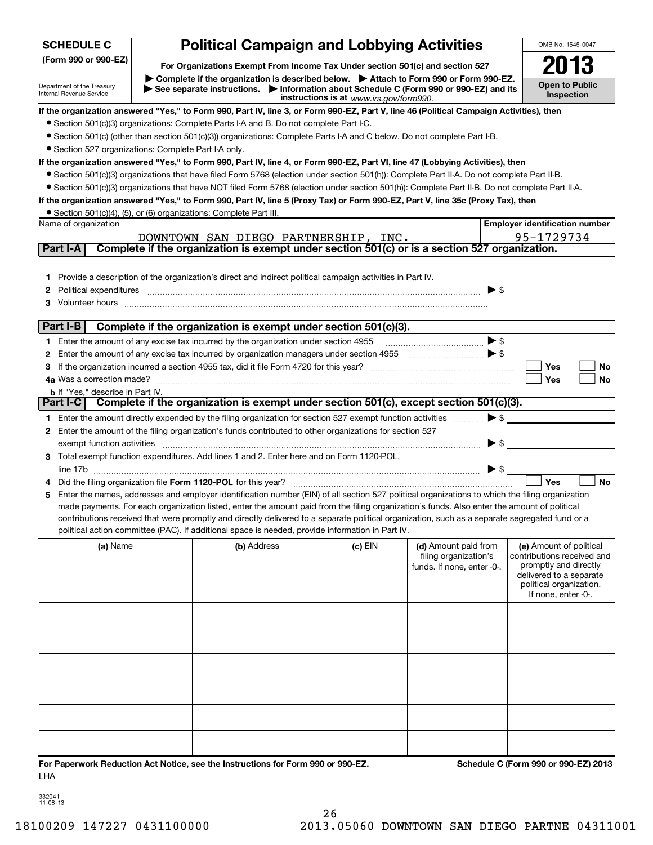| <b>SCHEDULE C</b>                                                  |                                                                                                                                                                                                                        | <b>Political Campaign and Lobbying Activities</b>                                                                                                                                                                                                                                                                                                                                                 |         |                                                                             | OMB No. 1545-0047                                                                                                                                           |  |
|--------------------------------------------------------------------|------------------------------------------------------------------------------------------------------------------------------------------------------------------------------------------------------------------------|---------------------------------------------------------------------------------------------------------------------------------------------------------------------------------------------------------------------------------------------------------------------------------------------------------------------------------------------------------------------------------------------------|---------|-----------------------------------------------------------------------------|-------------------------------------------------------------------------------------------------------------------------------------------------------------|--|
| (Form 990 or 990-EZ)                                               | For Organizations Exempt From Income Tax Under section 501(c) and section 527                                                                                                                                          |                                                                                                                                                                                                                                                                                                                                                                                                   |         |                                                                             |                                                                                                                                                             |  |
| Department of the Treasury<br><b>Internal Revenue Service</b>      | Complete if the organization is described below. Attach to Form 990 or Form 990-EZ.<br>See separate instructions. Information about Schedule C (Form 990 or 990-EZ) and its<br>instructions is at www.irs.gov/form990. |                                                                                                                                                                                                                                                                                                                                                                                                   |         |                                                                             |                                                                                                                                                             |  |
|                                                                    |                                                                                                                                                                                                                        | If the organization answered "Yes," to Form 990, Part IV, line 3, or Form 990-EZ, Part V, line 46 (Political Campaign Activities), then                                                                                                                                                                                                                                                           |         |                                                                             |                                                                                                                                                             |  |
|                                                                    |                                                                                                                                                                                                                        | • Section 501(c)(3) organizations: Complete Parts I-A and B. Do not complete Part I-C.                                                                                                                                                                                                                                                                                                            |         |                                                                             |                                                                                                                                                             |  |
|                                                                    |                                                                                                                                                                                                                        | • Section 501(c) (other than section 501(c)(3)) organizations: Complete Parts I-A and C below. Do not complete Part I-B.                                                                                                                                                                                                                                                                          |         |                                                                             |                                                                                                                                                             |  |
| • Section 527 organizations: Complete Part I-A only.               |                                                                                                                                                                                                                        |                                                                                                                                                                                                                                                                                                                                                                                                   |         |                                                                             |                                                                                                                                                             |  |
|                                                                    |                                                                                                                                                                                                                        | If the organization answered "Yes," to Form 990, Part IV, line 4, or Form 990-EZ, Part VI, line 47 (Lobbying Activities), then                                                                                                                                                                                                                                                                    |         |                                                                             |                                                                                                                                                             |  |
|                                                                    |                                                                                                                                                                                                                        | • Section 501(c)(3) organizations that have filed Form 5768 (election under section 501(h)): Complete Part II-A. Do not complete Part II-B.                                                                                                                                                                                                                                                       |         |                                                                             |                                                                                                                                                             |  |
|                                                                    |                                                                                                                                                                                                                        | • Section 501(c)(3) organizations that have NOT filed Form 5768 (election under section 501(h)): Complete Part II-B. Do not complete Part II-A.<br>If the organization answered "Yes," to Form 990, Part IV, line 5 (Proxy Tax) or Form 990-EZ, Part V, line 35c (Proxy Tax), then                                                                                                                |         |                                                                             |                                                                                                                                                             |  |
| • Section 501(c)(4), (5), or (6) organizations: Complete Part III. |                                                                                                                                                                                                                        |                                                                                                                                                                                                                                                                                                                                                                                                   |         |                                                                             |                                                                                                                                                             |  |
| Name of organization                                               |                                                                                                                                                                                                                        |                                                                                                                                                                                                                                                                                                                                                                                                   |         |                                                                             | <b>Employer identification number</b>                                                                                                                       |  |
|                                                                    |                                                                                                                                                                                                                        | DOWNTOWN SAN DIEGO PARTNERSHIP, INC.                                                                                                                                                                                                                                                                                                                                                              |         |                                                                             | 95-1729734                                                                                                                                                  |  |
| Part I-A                                                           |                                                                                                                                                                                                                        | Complete if the organization is exempt under section 501(c) or is a section 527 organization.                                                                                                                                                                                                                                                                                                     |         |                                                                             |                                                                                                                                                             |  |
|                                                                    |                                                                                                                                                                                                                        |                                                                                                                                                                                                                                                                                                                                                                                                   |         |                                                                             |                                                                                                                                                             |  |
|                                                                    |                                                                                                                                                                                                                        | 1 Provide a description of the organization's direct and indirect political campaign activities in Part IV.                                                                                                                                                                                                                                                                                       |         |                                                                             |                                                                                                                                                             |  |
|                                                                    |                                                                                                                                                                                                                        |                                                                                                                                                                                                                                                                                                                                                                                                   |         | $\triangleright$ \$                                                         |                                                                                                                                                             |  |
|                                                                    |                                                                                                                                                                                                                        |                                                                                                                                                                                                                                                                                                                                                                                                   |         |                                                                             |                                                                                                                                                             |  |
| Part I-B                                                           |                                                                                                                                                                                                                        | Complete if the organization is exempt under section 501(c)(3).                                                                                                                                                                                                                                                                                                                                   |         |                                                                             |                                                                                                                                                             |  |
|                                                                    |                                                                                                                                                                                                                        | 1 Enter the amount of any excise tax incurred by the organization under section 4955                                                                                                                                                                                                                                                                                                              |         | $\ldots$ $\blacktriangleright$ \$                                           |                                                                                                                                                             |  |
|                                                                    |                                                                                                                                                                                                                        |                                                                                                                                                                                                                                                                                                                                                                                                   |         |                                                                             |                                                                                                                                                             |  |
|                                                                    |                                                                                                                                                                                                                        |                                                                                                                                                                                                                                                                                                                                                                                                   |         |                                                                             | Yes<br>No                                                                                                                                                   |  |
|                                                                    |                                                                                                                                                                                                                        |                                                                                                                                                                                                                                                                                                                                                                                                   |         |                                                                             | Yes<br>No                                                                                                                                                   |  |
| <b>b</b> If "Yes," describe in Part IV.                            |                                                                                                                                                                                                                        |                                                                                                                                                                                                                                                                                                                                                                                                   |         |                                                                             |                                                                                                                                                             |  |
| Part I-C                                                           |                                                                                                                                                                                                                        | Complete if the organization is exempt under section 501(c), except section 501(c)(3).                                                                                                                                                                                                                                                                                                            |         |                                                                             |                                                                                                                                                             |  |
|                                                                    |                                                                                                                                                                                                                        | 1 Enter the amount directly expended by the filing organization for section 527 exempt function activities                                                                                                                                                                                                                                                                                        |         | $\blacktriangleright$ \$                                                    |                                                                                                                                                             |  |
|                                                                    |                                                                                                                                                                                                                        | 2 Enter the amount of the filing organization's funds contributed to other organizations for section 527                                                                                                                                                                                                                                                                                          |         |                                                                             |                                                                                                                                                             |  |
|                                                                    |                                                                                                                                                                                                                        | exempt function activities exercised and contain a series of the series of the series of the series of the series of the series of the series of the series of the series of the series of the series of the series of the ser                                                                                                                                                                    |         | $\blacktriangleright$ \$                                                    |                                                                                                                                                             |  |
|                                                                    |                                                                                                                                                                                                                        | 3 Total exempt function expenditures. Add lines 1 and 2. Enter here and on Form 1120-POL,                                                                                                                                                                                                                                                                                                         |         |                                                                             |                                                                                                                                                             |  |
|                                                                    |                                                                                                                                                                                                                        | line 17b                                                                                                                                                                                                                                                                                                                                                                                          |         | $\triangleright$ \$                                                         | <b>No</b><br>Yes                                                                                                                                            |  |
|                                                                    |                                                                                                                                                                                                                        | 5 Enter the names, addresses and employer identification number (EIN) of all section 527 political organizations to which the filing organization                                                                                                                                                                                                                                                 |         |                                                                             |                                                                                                                                                             |  |
|                                                                    |                                                                                                                                                                                                                        | made payments. For each organization listed, enter the amount paid from the filing organization's funds. Also enter the amount of political<br>contributions received that were promptly and directly delivered to a separate political organization, such as a separate segregated fund or a<br>political action committee (PAC). If additional space is needed, provide information in Part IV. |         |                                                                             |                                                                                                                                                             |  |
| (a) Name                                                           |                                                                                                                                                                                                                        | (b) Address                                                                                                                                                                                                                                                                                                                                                                                       | (c) EIN | (d) Amount paid from<br>filing organization's<br>funds. If none, enter -0-. | (e) Amount of political<br>contributions received and<br>promptly and directly<br>delivered to a separate<br>political organization.<br>If none, enter -0-. |  |
|                                                                    |                                                                                                                                                                                                                        |                                                                                                                                                                                                                                                                                                                                                                                                   |         |                                                                             |                                                                                                                                                             |  |
|                                                                    |                                                                                                                                                                                                                        |                                                                                                                                                                                                                                                                                                                                                                                                   |         |                                                                             |                                                                                                                                                             |  |
|                                                                    |                                                                                                                                                                                                                        |                                                                                                                                                                                                                                                                                                                                                                                                   |         |                                                                             |                                                                                                                                                             |  |

332041 11-08-13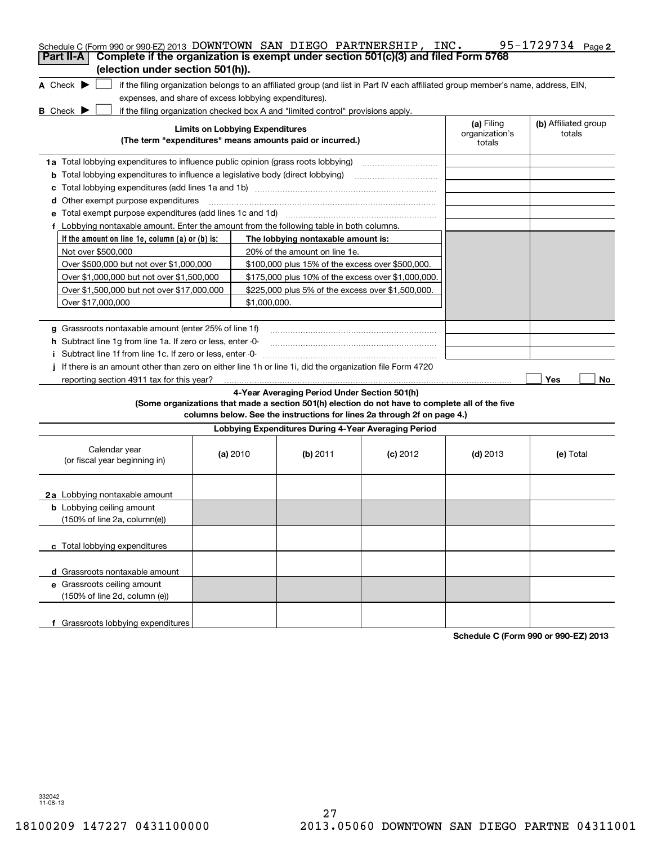| Schedule C (Form 990 or 990-EZ) 2013 DOWNTOWN SAN DIEGO PARTNERSHIP, INC.<br>Complete if the organization is exempt under section 501(c)(3) and filed Form 5768<br>Part II-A |                                        |                                                      |                                                                                                                                                                            |                                        | 95-1729734 $_{Page 2}$         |
|------------------------------------------------------------------------------------------------------------------------------------------------------------------------------|----------------------------------------|------------------------------------------------------|----------------------------------------------------------------------------------------------------------------------------------------------------------------------------|----------------------------------------|--------------------------------|
| (election under section 501(h)).                                                                                                                                             |                                        |                                                      |                                                                                                                                                                            |                                        |                                |
| A Check $\blacktriangleright$<br>if the filing organization belongs to an affiliated group (and list in Part IV each affiliated group member's name, address, EIN,           |                                        |                                                      |                                                                                                                                                                            |                                        |                                |
| expenses, and share of excess lobbying expenditures).                                                                                                                        |                                        |                                                      |                                                                                                                                                                            |                                        |                                |
| $B$ Check $\blacktriangleright$<br>if the filing organization checked box A and "limited control" provisions apply.                                                          |                                        |                                                      |                                                                                                                                                                            |                                        |                                |
| (The term "expenditures" means amounts paid or incurred.)                                                                                                                    | <b>Limits on Lobbying Expenditures</b> |                                                      |                                                                                                                                                                            | (a) Filing<br>organization's<br>totals | (b) Affiliated group<br>totals |
| 1a Total lobbying expenditures to influence public opinion (grass roots lobbying)                                                                                            |                                        |                                                      |                                                                                                                                                                            |                                        |                                |
| <b>b</b> Total lobbying expenditures to influence a legislative body (direct lobbying)                                                                                       |                                        |                                                      |                                                                                                                                                                            |                                        |                                |
| c                                                                                                                                                                            |                                        |                                                      |                                                                                                                                                                            |                                        |                                |
| <b>d</b> Other exempt purpose expenditures                                                                                                                                   |                                        |                                                      |                                                                                                                                                                            |                                        |                                |
| e Total exempt purpose expenditures (add lines 1c and 1d) [11] [12] manuscription contracts are Total exempt purpose expenditures (add lines 1c and 1d)                      |                                        |                                                      |                                                                                                                                                                            |                                        |                                |
| f Lobbying nontaxable amount. Enter the amount from the following table in both columns.                                                                                     |                                        |                                                      |                                                                                                                                                                            |                                        |                                |
| If the amount on line 1e, column $(a)$ or $(b)$ is:                                                                                                                          |                                        | The lobbying nontaxable amount is:                   |                                                                                                                                                                            |                                        |                                |
| Not over \$500,000                                                                                                                                                           |                                        | 20% of the amount on line 1e.                        |                                                                                                                                                                            |                                        |                                |
| Over \$500,000 but not over \$1,000,000                                                                                                                                      |                                        | \$100,000 plus 15% of the excess over \$500,000.     |                                                                                                                                                                            |                                        |                                |
| Over \$1,000,000 but not over \$1,500,000                                                                                                                                    |                                        | \$175,000 plus 10% of the excess over \$1,000,000.   |                                                                                                                                                                            |                                        |                                |
| Over \$1,500,000 but not over \$17,000,000                                                                                                                                   |                                        | \$225,000 plus 5% of the excess over \$1,500,000.    |                                                                                                                                                                            |                                        |                                |
| Over \$17,000,000                                                                                                                                                            | \$1,000.000.                           |                                                      |                                                                                                                                                                            |                                        |                                |
|                                                                                                                                                                              |                                        |                                                      |                                                                                                                                                                            |                                        |                                |
| g Grassroots nontaxable amount (enter 25% of line 1f)                                                                                                                        |                                        |                                                      |                                                                                                                                                                            |                                        |                                |
| h Subtract line 1q from line 1a. If zero or less, enter -0-                                                                                                                  |                                        |                                                      |                                                                                                                                                                            |                                        |                                |
| Subtract line 1f from line 1c. If zero or less, enter 0-                                                                                                                     |                                        |                                                      |                                                                                                                                                                            |                                        |                                |
| If there is an amount other than zero on either line 1h or line 1i, did the organization file Form 4720                                                                      |                                        |                                                      |                                                                                                                                                                            |                                        |                                |
| reporting section 4911 tax for this year?                                                                                                                                    |                                        |                                                      |                                                                                                                                                                            |                                        | Yes<br>No                      |
|                                                                                                                                                                              |                                        | 4-Year Averaging Period Under Section 501(h)         | (Some organizations that made a section 501(h) election do not have to complete all of the five<br>columns below. See the instructions for lines 2a through 2f on page 4.) |                                        |                                |
|                                                                                                                                                                              |                                        | Lobbying Expenditures During 4-Year Averaging Period |                                                                                                                                                                            |                                        |                                |
| Calendar year<br>(or fiscal year beginning in)                                                                                                                               | (a) $2010$                             | $(b)$ 2011                                           | $(c)$ 2012                                                                                                                                                                 | $(d)$ 2013                             | (e) Total                      |
| 2a Lobbying nontaxable amount                                                                                                                                                |                                        |                                                      |                                                                                                                                                                            |                                        |                                |
| <b>b</b> Lobbying ceiling amount<br>(150% of line 2a, column(e))                                                                                                             |                                        |                                                      |                                                                                                                                                                            |                                        |                                |
| c Total lobbying expenditures                                                                                                                                                |                                        |                                                      |                                                                                                                                                                            |                                        |                                |
| d Grassroots nontaxable amount                                                                                                                                               |                                        |                                                      |                                                                                                                                                                            |                                        |                                |
| e Grassroots ceiling amount<br>(150% of line 2d, column (e))                                                                                                                 |                                        |                                                      |                                                                                                                                                                            |                                        |                                |
| f Grassroots lobbying expenditures                                                                                                                                           |                                        |                                                      |                                                                                                                                                                            |                                        |                                |

**Schedule C (Form 990 or 990-EZ) 2013**

332042 11-08-13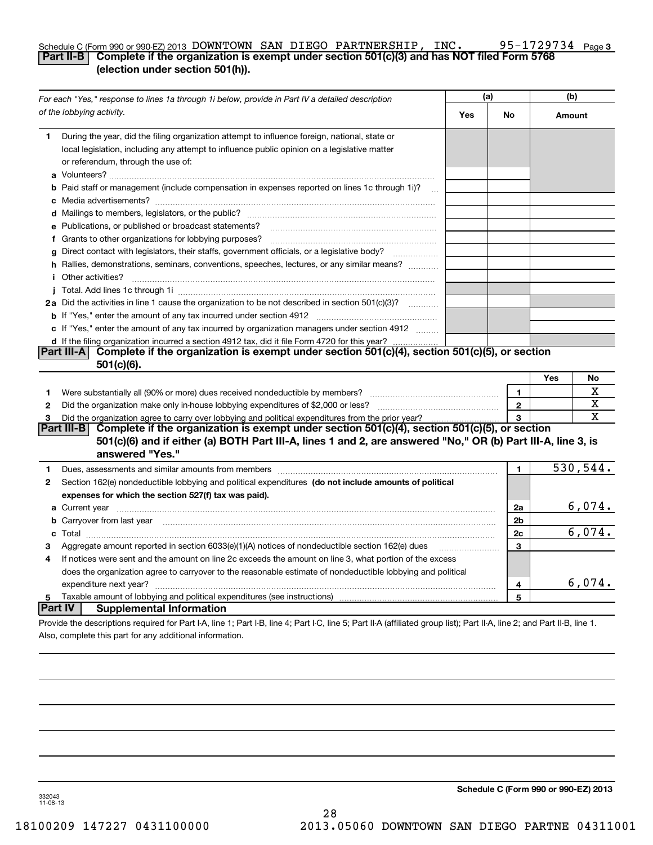### **3** Schedule C (Form 990 or 990-EZ) 2013 DOWNTOWN SAN DIEGO PARTNERSHIP, INC  $\bullet$  95-1729734  $\bullet$  page **Part II-B Complete if the organization is exempt under section 501(c)(3) and has NOT filed Form 5768 (election under section 501(h)).**

|         | For each "Yes," response to lines 1a through 1i below, provide in Part IV a detailed description                                                                                                                                                 |     | (a)            |        | (b)      |  |
|---------|--------------------------------------------------------------------------------------------------------------------------------------------------------------------------------------------------------------------------------------------------|-----|----------------|--------|----------|--|
|         | of the lobbying activity.                                                                                                                                                                                                                        | Yes | No             | Amount |          |  |
| 1       | During the year, did the filing organization attempt to influence foreign, national, state or<br>local legislation, including any attempt to influence public opinion on a legislative matter<br>or referendum, through the use of:              |     |                |        |          |  |
|         | b Paid staff or management (include compensation in expenses reported on lines 1c through 1i)?                                                                                                                                                   |     |                |        |          |  |
|         |                                                                                                                                                                                                                                                  |     |                |        |          |  |
|         | e Publications, or published or broadcast statements?                                                                                                                                                                                            |     |                |        |          |  |
|         |                                                                                                                                                                                                                                                  |     |                |        |          |  |
| q       | Direct contact with legislators, their staffs, government officials, or a legislative body?                                                                                                                                                      |     |                |        |          |  |
|         | h Rallies, demonstrations, seminars, conventions, speeches, lectures, or any similar means?<br><i>i</i> Other activities?                                                                                                                        |     |                |        |          |  |
|         |                                                                                                                                                                                                                                                  |     |                |        |          |  |
|         | 2a Did the activities in line 1 cause the organization to be not described in section 501(c)(3)?                                                                                                                                                 |     |                |        |          |  |
|         |                                                                                                                                                                                                                                                  |     |                |        |          |  |
|         | c If "Yes," enter the amount of any tax incurred by organization managers under section 4912                                                                                                                                                     |     |                |        |          |  |
|         | d If the filing organization incurred a section 4912 tax, did it file Form 4720 for this year?                                                                                                                                                   |     |                |        |          |  |
|         | Complete if the organization is exempt under section 501(c)(4), section 501(c)(5), or section<br>Part III-A<br>$501(c)(6)$ .                                                                                                                     |     |                |        |          |  |
|         |                                                                                                                                                                                                                                                  |     |                | Yes    | No       |  |
| 1       | Were substantially all (90% or more) dues received nondeductible by members?                                                                                                                                                                     |     | 1              |        | х        |  |
| 2       | Did the organization make only in house lobbying expenditures of \$2,000 or less?                                                                                                                                                                |     | $\mathbf{2}$   |        | х        |  |
| 3       | Did the organization agree to carry over lobbying and political expenditures from the prior year?                                                                                                                                                |     | 3              |        | X        |  |
|         | Complete if the organization is exempt under section 501(c)(4), section 501(c)(5), or section<br> Part III-B <br>501(c)(6) and if either (a) BOTH Part III-A, lines 1 and 2, are answered "No," OR (b) Part III-A, line 3, is<br>answered "Yes." |     |                |        |          |  |
| 1.      | Dues, assessments and similar amounts from members [11] matter content and stream and similar amounts from members [11] matter and similar amounts from members [11] matter and stream and stream and stream and stream and st                   |     | 1              |        | 530,544. |  |
| 2       | Section 162(e) nondeductible lobbying and political expenditures (do not include amounts of political                                                                                                                                            |     |                |        |          |  |
|         | expenses for which the section 527(f) tax was paid).                                                                                                                                                                                             |     |                |        |          |  |
|         |                                                                                                                                                                                                                                                  |     | 2a             |        | 6,074.   |  |
|         | <b>b</b> Carryover from last year <b>contained to the contract of the contract of contract of the contract of contract of contract of contract of contract of contract of contract of contract of contract of contract of contract of</b>        |     | 2 <sub>b</sub> |        |          |  |
|         |                                                                                                                                                                                                                                                  |     | 2c             |        | 6,074.   |  |
| 3       | Aggregate amount reported in section 6033(e)(1)(A) notices of nondeductible section 162(e) dues                                                                                                                                                  |     | 3              |        |          |  |
| 4       | If notices were sent and the amount on line 2c exceeds the amount on line 3, what portion of the excess                                                                                                                                          |     |                |        |          |  |
|         | does the organization agree to carryover to the reasonable estimate of nondeductible lobbying and political                                                                                                                                      |     |                |        |          |  |
|         | expenditure next year?                                                                                                                                                                                                                           |     | 4              |        | 6,074.   |  |
| 5       |                                                                                                                                                                                                                                                  |     | 5              |        |          |  |
| Part IV | <b>Supplemental Information</b>                                                                                                                                                                                                                  |     |                |        |          |  |
|         | Provide the descriptions required for Part I-A, line 1; Part I-B, line 4; Part I-C, line 5; Part II-A (affiliated group list); Part II-A, line 2; and Part II-B, line 1.                                                                         |     |                |        |          |  |
|         | Also, complete this part for any additional information.                                                                                                                                                                                         |     |                |        |          |  |

**Schedule C (Form 990 or 990-EZ) 2013**

332043 11-08-13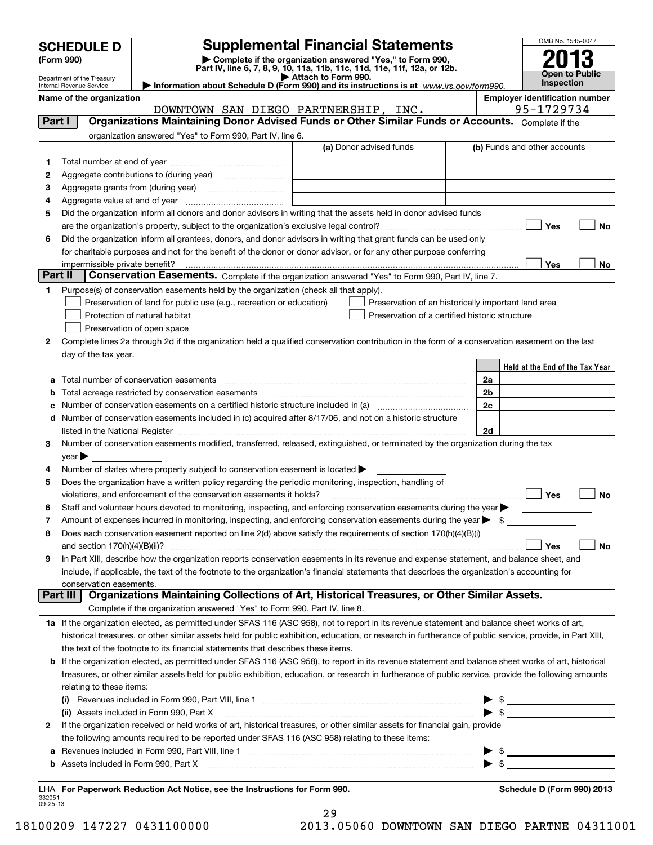| <b>CHEDULE D</b> |  |
|------------------|--|
|                  |  |

| (Form 990) |
|------------|
|            |

# **SCHEDULE D Supplemental Financial Statements**

(Form 990)<br>
Pepartment of the Treasury<br>
Department of the Treasury<br>
Department of the Treasury<br>
Information about Schedule D (Form 990) and its instructions is at www.irs.gov/form990.



Department of the Treasury Internal Revenue Service

Name of the organization<br>**DOWNTOWN SAN DIEGO PARTNERSHIP. INC.** 95-1729734 DOWNTOWN SAN DIEGO PARTNERSHIP, INC.

| Part I  | Organizations Maintaining Donor Advised Funds or Other Similar Funds or Accounts. Complete if the                                                         | ------------------      |                                                     |
|---------|-----------------------------------------------------------------------------------------------------------------------------------------------------------|-------------------------|-----------------------------------------------------|
|         | organization answered "Yes" to Form 990, Part IV, line 6.                                                                                                 |                         |                                                     |
|         |                                                                                                                                                           | (a) Donor advised funds | (b) Funds and other accounts                        |
| 1.      |                                                                                                                                                           |                         |                                                     |
| 2       | Aggregate contributions to (during year)                                                                                                                  |                         |                                                     |
| 3       | Aggregate grants from (during year)                                                                                                                       |                         |                                                     |
| 4       | Aggregate value at end of year                                                                                                                            |                         |                                                     |
| 5       | Did the organization inform all donors and donor advisors in writing that the assets held in donor advised funds                                          |                         |                                                     |
|         |                                                                                                                                                           |                         | Yes<br>No                                           |
| 6       | Did the organization inform all grantees, donors, and donor advisors in writing that grant funds can be used only                                         |                         |                                                     |
|         | for charitable purposes and not for the benefit of the donor or donor advisor, or for any other purpose conferring                                        |                         |                                                     |
|         | impermissible private benefit?                                                                                                                            |                         | Yes<br>No.                                          |
| Part II | Conservation Easements. Complete if the organization answered "Yes" to Form 990, Part IV, line 7.                                                         |                         |                                                     |
| 1       | Purpose(s) of conservation easements held by the organization (check all that apply).                                                                     |                         |                                                     |
|         | Preservation of land for public use (e.g., recreation or education)                                                                                       |                         | Preservation of an historically important land area |
|         | Protection of natural habitat                                                                                                                             |                         | Preservation of a certified historic structure      |
|         | Preservation of open space                                                                                                                                |                         |                                                     |
| 2       | Complete lines 2a through 2d if the organization held a qualified conservation contribution in the form of a conservation easement on the last            |                         |                                                     |
|         | day of the tax year.                                                                                                                                      |                         |                                                     |
|         |                                                                                                                                                           |                         | Held at the End of the Tax Year                     |
|         | Total number of conservation easements                                                                                                                    |                         | 2a                                                  |
| b       | Total acreage restricted by conservation easements                                                                                                        |                         | 2 <sub>b</sub>                                      |
| с       | Number of conservation easements on a certified historic structure included in (a) manufacture included in (a)                                            |                         | 2c                                                  |
| d       | Number of conservation easements included in (c) acquired after 8/17/06, and not on a historic structure                                                  |                         |                                                     |
|         | listed in the National Register [111] [12] states and the National Property of the National Register [11] [12]                                            |                         | 2d                                                  |
| 3       | Number of conservation easements modified, transferred, released, extinguished, or terminated by the organization during the tax                          |                         |                                                     |
|         | $year \blacktriangleright$                                                                                                                                |                         |                                                     |
| 4       | Number of states where property subject to conservation easement is located                                                                               |                         |                                                     |
| 5       | Does the organization have a written policy regarding the periodic monitoring, inspection, handling of                                                    |                         |                                                     |
|         | violations, and enforcement of the conservation easements it holds?                                                                                       |                         | Yes<br>No                                           |
| 6       | Staff and volunteer hours devoted to monitoring, inspecting, and enforcing conservation easements during the year $\blacktriangleright$                   |                         |                                                     |
| 7       | Amount of expenses incurred in monitoring, inspecting, and enforcing conservation easements during the year $\blacktriangleright$ \$                      |                         |                                                     |
| 8       | Does each conservation easement reported on line 2(d) above satisfy the requirements of section 170(h)(4)(B)(i)                                           |                         |                                                     |
|         | and section $170(h)(4)(B)(ii)?$                                                                                                                           |                         | No<br>Yes                                           |
| 9       | In Part XIII, describe how the organization reports conservation easements in its revenue and expense statement, and balance sheet, and                   |                         |                                                     |
|         | include, if applicable, the text of the footnote to the organization's financial statements that describes the organization's accounting for              |                         |                                                     |
|         | conservation easements.<br>Part III<br>Organizations Maintaining Collections of Art, Historical Treasures, or Other Similar Assets.                       |                         |                                                     |
|         | Complete if the organization answered "Yes" to Form 990, Part IV, line 8.                                                                                 |                         |                                                     |
|         | 1a If the organization elected, as permitted under SFAS 116 (ASC 958), not to report in its revenue statement and balance sheet works of art,             |                         |                                                     |
|         | historical treasures, or other similar assets held for public exhibition, education, or research in furtherance of public service, provide, in Part XIII, |                         |                                                     |
|         | the text of the footnote to its financial statements that describes these items.                                                                          |                         |                                                     |
| b       | If the organization elected, as permitted under SFAS 116 (ASC 958), to report in its revenue statement and balance sheet works of art, historical         |                         |                                                     |
|         | treasures, or other similar assets held for public exhibition, education, or research in furtherance of public service, provide the following amounts     |                         |                                                     |
|         | relating to these items:                                                                                                                                  |                         |                                                     |
|         | (i)                                                                                                                                                       |                         | $\triangleright$ \$                                 |
|         | (ii) Assets included in Form 990, Part X                                                                                                                  |                         | $\triangleright$ \$                                 |
| 2       | If the organization received or held works of art, historical treasures, or other similar assets for financial gain, provide                              |                         |                                                     |
|         | the following amounts required to be reported under SFAS 116 (ASC 958) relating to these items:                                                           |                         |                                                     |
| а       |                                                                                                                                                           |                         | $\frac{1}{2}$                                       |
| b       | Assets included in Form 990, Part X                                                                                                                       |                         | $\triangleright$ \$                                 |
|         |                                                                                                                                                           |                         |                                                     |

332051 09-25-13**For Paperwork Reduction Act Notice, see the Instructions for Form 990. Schedule D (Form 990) 2013** LHA

29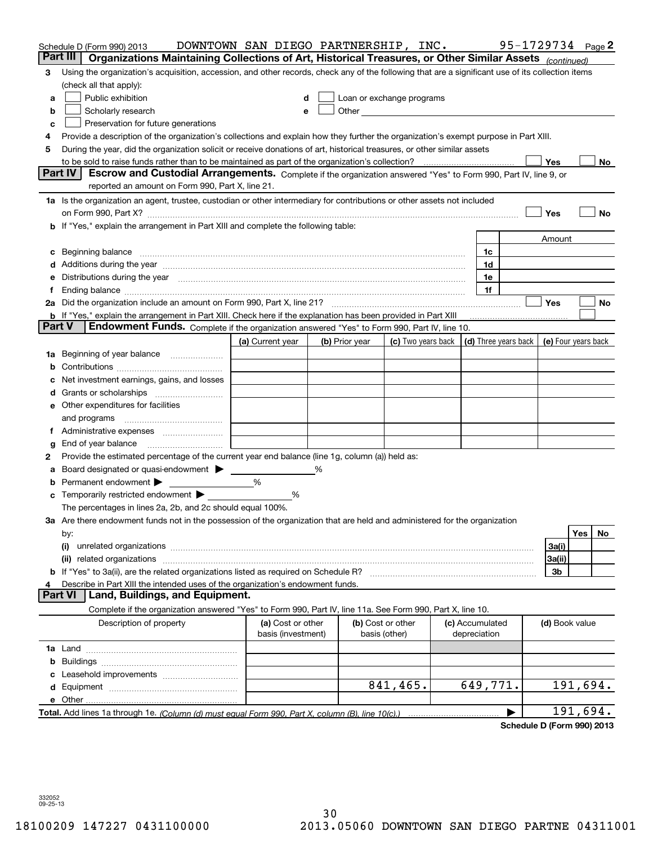| Part III<br>Organizations Maintaining Collections of Art, Historical Treasures, or Other Similar Assets (continued)<br>Using the organization's acquisition, accession, and other records, check any of the following that are a significant use of its collection items<br>3<br>(check all that apply):<br>Public exhibition<br>Loan or exchange programs<br>a<br>Other <b>Other Committee Committee Committee</b><br>Scholarly research<br>b<br>е<br>Preservation for future generations<br>с<br>Provide a description of the organization's collections and explain how they further the organization's exempt purpose in Part XIII.<br>4<br>During the year, did the organization solicit or receive donations of art, historical treasures, or other similar assets<br>5 | No                  |
|-------------------------------------------------------------------------------------------------------------------------------------------------------------------------------------------------------------------------------------------------------------------------------------------------------------------------------------------------------------------------------------------------------------------------------------------------------------------------------------------------------------------------------------------------------------------------------------------------------------------------------------------------------------------------------------------------------------------------------------------------------------------------------|---------------------|
|                                                                                                                                                                                                                                                                                                                                                                                                                                                                                                                                                                                                                                                                                                                                                                               |                     |
|                                                                                                                                                                                                                                                                                                                                                                                                                                                                                                                                                                                                                                                                                                                                                                               |                     |
|                                                                                                                                                                                                                                                                                                                                                                                                                                                                                                                                                                                                                                                                                                                                                                               |                     |
|                                                                                                                                                                                                                                                                                                                                                                                                                                                                                                                                                                                                                                                                                                                                                                               |                     |
|                                                                                                                                                                                                                                                                                                                                                                                                                                                                                                                                                                                                                                                                                                                                                                               |                     |
|                                                                                                                                                                                                                                                                                                                                                                                                                                                                                                                                                                                                                                                                                                                                                                               |                     |
|                                                                                                                                                                                                                                                                                                                                                                                                                                                                                                                                                                                                                                                                                                                                                                               |                     |
|                                                                                                                                                                                                                                                                                                                                                                                                                                                                                                                                                                                                                                                                                                                                                                               |                     |
| to be sold to raise funds rather than to be maintained as part of the organization's collection?<br>Yes                                                                                                                                                                                                                                                                                                                                                                                                                                                                                                                                                                                                                                                                       |                     |
| <b>Part IV</b><br>Escrow and Custodial Arrangements. Complete if the organization answered "Yes" to Form 990, Part IV, line 9, or                                                                                                                                                                                                                                                                                                                                                                                                                                                                                                                                                                                                                                             |                     |
| reported an amount on Form 990, Part X, line 21.                                                                                                                                                                                                                                                                                                                                                                                                                                                                                                                                                                                                                                                                                                                              |                     |
| 1a Is the organization an agent, trustee, custodian or other intermediary for contributions or other assets not included                                                                                                                                                                                                                                                                                                                                                                                                                                                                                                                                                                                                                                                      |                     |
| Yes<br>on Form 990, Part X? [11] matter contracts and contracts and contracts are contracted and contracts are contracted and contract and contract of the contract of the contract of the contract of the contract of the contract o                                                                                                                                                                                                                                                                                                                                                                                                                                                                                                                                         | No                  |
| b If "Yes," explain the arrangement in Part XIII and complete the following table:                                                                                                                                                                                                                                                                                                                                                                                                                                                                                                                                                                                                                                                                                            |                     |
| Amount                                                                                                                                                                                                                                                                                                                                                                                                                                                                                                                                                                                                                                                                                                                                                                        |                     |
| Beginning balance material content contracts and content and content and content and content and content and content and content and content and content and content and content and content and content and content and conte<br>1c<br>c                                                                                                                                                                                                                                                                                                                                                                                                                                                                                                                                     |                     |
| Additions during the year manufactured and an account of the state of the state of the state of the state of the state of the state of the state of the state of the state of the state of the state of the state of the state<br>1d                                                                                                                                                                                                                                                                                                                                                                                                                                                                                                                                          |                     |
| Distributions during the year manufactured and continuum and continuum and continuum and continuum and continuum<br>1e                                                                                                                                                                                                                                                                                                                                                                                                                                                                                                                                                                                                                                                        |                     |
| 1f<br>1.                                                                                                                                                                                                                                                                                                                                                                                                                                                                                                                                                                                                                                                                                                                                                                      |                     |
| Yes                                                                                                                                                                                                                                                                                                                                                                                                                                                                                                                                                                                                                                                                                                                                                                           | No                  |
| <b>b</b> If "Yes," explain the arrangement in Part XIII. Check here if the explanation has been provided in Part XIII<br>Part V<br>Endowment Funds. Complete if the organization answered "Yes" to Form 990, Part IV, line 10.                                                                                                                                                                                                                                                                                                                                                                                                                                                                                                                                                |                     |
| (d) Three years back<br>(a) Current year                                                                                                                                                                                                                                                                                                                                                                                                                                                                                                                                                                                                                                                                                                                                      | (e) Four years back |
| (b) Prior year<br>(c) Two years back                                                                                                                                                                                                                                                                                                                                                                                                                                                                                                                                                                                                                                                                                                                                          |                     |
| Beginning of year balance<br>1a                                                                                                                                                                                                                                                                                                                                                                                                                                                                                                                                                                                                                                                                                                                                               |                     |
| Net investment earnings, gains, and losses                                                                                                                                                                                                                                                                                                                                                                                                                                                                                                                                                                                                                                                                                                                                    |                     |
|                                                                                                                                                                                                                                                                                                                                                                                                                                                                                                                                                                                                                                                                                                                                                                               |                     |
| d<br>e Other expenditures for facilities                                                                                                                                                                                                                                                                                                                                                                                                                                                                                                                                                                                                                                                                                                                                      |                     |
|                                                                                                                                                                                                                                                                                                                                                                                                                                                                                                                                                                                                                                                                                                                                                                               |                     |
| and programs                                                                                                                                                                                                                                                                                                                                                                                                                                                                                                                                                                                                                                                                                                                                                                  |                     |
| g                                                                                                                                                                                                                                                                                                                                                                                                                                                                                                                                                                                                                                                                                                                                                                             |                     |
| Provide the estimated percentage of the current year end balance (line 1g, column (a)) held as:<br>2                                                                                                                                                                                                                                                                                                                                                                                                                                                                                                                                                                                                                                                                          |                     |
| Board designated or quasi-endowment<br>%<br>а                                                                                                                                                                                                                                                                                                                                                                                                                                                                                                                                                                                                                                                                                                                                 |                     |
| Permanent endowment $\blacktriangleright$<br>%                                                                                                                                                                                                                                                                                                                                                                                                                                                                                                                                                                                                                                                                                                                                |                     |
| Temporarily restricted endowment ><br>%                                                                                                                                                                                                                                                                                                                                                                                                                                                                                                                                                                                                                                                                                                                                       |                     |
| The percentages in lines 2a, 2b, and 2c should equal 100%.                                                                                                                                                                                                                                                                                                                                                                                                                                                                                                                                                                                                                                                                                                                    |                     |
| 3a Are there endowment funds not in the possession of the organization that are held and administered for the organization                                                                                                                                                                                                                                                                                                                                                                                                                                                                                                                                                                                                                                                    |                     |
| by:                                                                                                                                                                                                                                                                                                                                                                                                                                                                                                                                                                                                                                                                                                                                                                           | Yes<br>No.          |
| 3a(i)<br>(i)                                                                                                                                                                                                                                                                                                                                                                                                                                                                                                                                                                                                                                                                                                                                                                  |                     |
| (ii) related organizations<br>3a(ii)                                                                                                                                                                                                                                                                                                                                                                                                                                                                                                                                                                                                                                                                                                                                          |                     |
| b If "Yes" to 3a(ii), are the related organizations listed as required on Schedule R?<br>3b                                                                                                                                                                                                                                                                                                                                                                                                                                                                                                                                                                                                                                                                                   |                     |
| Describe in Part XIII the intended uses of the organization's endowment funds.                                                                                                                                                                                                                                                                                                                                                                                                                                                                                                                                                                                                                                                                                                |                     |
| Land, Buildings, and Equipment.<br>Part VI                                                                                                                                                                                                                                                                                                                                                                                                                                                                                                                                                                                                                                                                                                                                    |                     |
| Complete if the organization answered "Yes" to Form 990, Part IV, line 11a. See Form 990, Part X, line 10.                                                                                                                                                                                                                                                                                                                                                                                                                                                                                                                                                                                                                                                                    |                     |
| Description of property<br>(a) Cost or other<br>(b) Cost or other<br>(c) Accumulated<br>basis (investment)<br>basis (other)<br>depreciation                                                                                                                                                                                                                                                                                                                                                                                                                                                                                                                                                                                                                                   | (d) Book value      |
|                                                                                                                                                                                                                                                                                                                                                                                                                                                                                                                                                                                                                                                                                                                                                                               |                     |
| b                                                                                                                                                                                                                                                                                                                                                                                                                                                                                                                                                                                                                                                                                                                                                                             |                     |
|                                                                                                                                                                                                                                                                                                                                                                                                                                                                                                                                                                                                                                                                                                                                                                               |                     |
| 841,465.<br>649,771.                                                                                                                                                                                                                                                                                                                                                                                                                                                                                                                                                                                                                                                                                                                                                          | 191,694.            |
|                                                                                                                                                                                                                                                                                                                                                                                                                                                                                                                                                                                                                                                                                                                                                                               |                     |
|                                                                                                                                                                                                                                                                                                                                                                                                                                                                                                                                                                                                                                                                                                                                                                               | 191,694.            |

**Schedule D (Form 990) 2013**

332052 09-25-13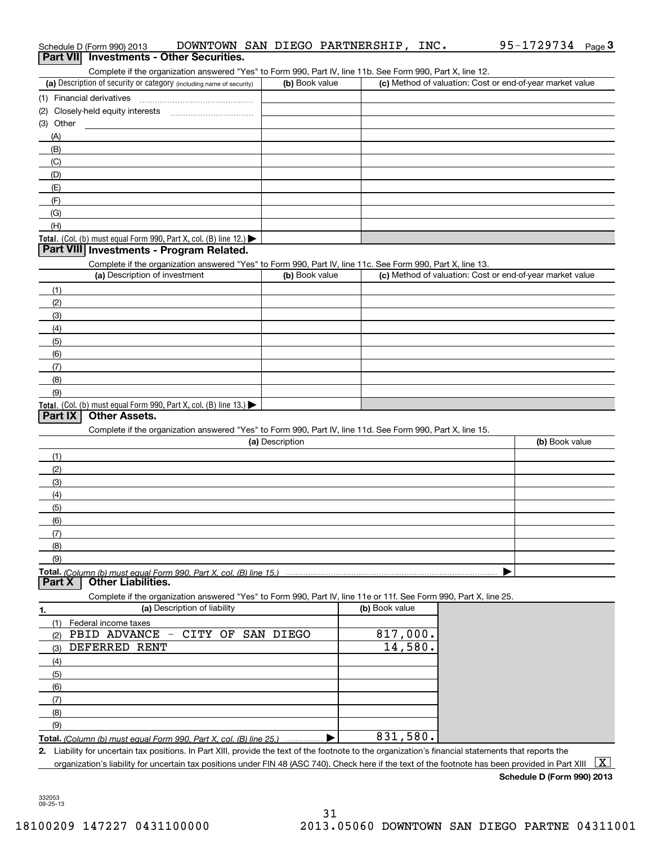|           | Schedule D (Form 990) 2013               | DOWNTOWN SAN DIEGO PARTNERSHIP, INC.                                                                                                                 |                 |                |  | 95-1729734 Page 3                                         |   |
|-----------|------------------------------------------|------------------------------------------------------------------------------------------------------------------------------------------------------|-----------------|----------------|--|-----------------------------------------------------------|---|
|           | Part VII Investments - Other Securities. |                                                                                                                                                      |                 |                |  |                                                           |   |
|           |                                          | Complete if the organization answered "Yes" to Form 990, Part IV, line 11b. See Form 990, Part X, line 12.                                           |                 |                |  |                                                           |   |
|           |                                          | (a) Description of security or category (including name of security)                                                                                 | (b) Book value  |                |  | (c) Method of valuation: Cost or end-of-year market value |   |
|           | (1) Financial derivatives                |                                                                                                                                                      |                 |                |  |                                                           |   |
|           |                                          |                                                                                                                                                      |                 |                |  |                                                           |   |
| (3) Other |                                          |                                                                                                                                                      |                 |                |  |                                                           |   |
| (A)       |                                          |                                                                                                                                                      |                 |                |  |                                                           |   |
| (B)       |                                          |                                                                                                                                                      |                 |                |  |                                                           |   |
| (C)       |                                          |                                                                                                                                                      |                 |                |  |                                                           |   |
| (D)       |                                          |                                                                                                                                                      |                 |                |  |                                                           |   |
| (E)       |                                          |                                                                                                                                                      |                 |                |  |                                                           |   |
| (F)       |                                          |                                                                                                                                                      |                 |                |  |                                                           |   |
| (G)       |                                          |                                                                                                                                                      |                 |                |  |                                                           |   |
| (H)       |                                          |                                                                                                                                                      |                 |                |  |                                                           |   |
|           |                                          | Total. (Col. (b) must equal Form 990, Part X, col. (B) line 12.)                                                                                     |                 |                |  |                                                           |   |
|           | Part VIII Investments - Program Related. |                                                                                                                                                      |                 |                |  |                                                           |   |
|           |                                          | Complete if the organization answered "Yes" to Form 990, Part IV, line 11c. See Form 990, Part X, line 13.                                           |                 |                |  |                                                           |   |
|           | (a) Description of investment            |                                                                                                                                                      | (b) Book value  |                |  | (c) Method of valuation: Cost or end-of-year market value |   |
|           |                                          |                                                                                                                                                      |                 |                |  |                                                           |   |
| (1)       |                                          |                                                                                                                                                      |                 |                |  |                                                           |   |
| (2)       |                                          |                                                                                                                                                      |                 |                |  |                                                           |   |
| (3)       |                                          |                                                                                                                                                      |                 |                |  |                                                           |   |
| (4)       |                                          |                                                                                                                                                      |                 |                |  |                                                           |   |
| (5)       |                                          |                                                                                                                                                      |                 |                |  |                                                           |   |
| (6)       |                                          |                                                                                                                                                      |                 |                |  |                                                           |   |
| (7)       |                                          |                                                                                                                                                      |                 |                |  |                                                           |   |
| (8)       |                                          |                                                                                                                                                      |                 |                |  |                                                           |   |
| (9)       |                                          |                                                                                                                                                      |                 |                |  |                                                           |   |
|           |                                          | Total. (Col. (b) must equal Form 990, Part X, col. (B) line 13.)                                                                                     |                 |                |  |                                                           |   |
| Part IX   | <b>Other Assets.</b>                     |                                                                                                                                                      |                 |                |  |                                                           |   |
|           |                                          | Complete if the organization answered "Yes" to Form 990, Part IV, line 11d. See Form 990, Part X, line 15.                                           |                 |                |  |                                                           |   |
|           |                                          |                                                                                                                                                      | (a) Description |                |  | (b) Book value                                            |   |
| (1)       |                                          |                                                                                                                                                      |                 |                |  |                                                           |   |
| (2)       |                                          |                                                                                                                                                      |                 |                |  |                                                           |   |
| (3)       |                                          |                                                                                                                                                      |                 |                |  |                                                           |   |
| (4)       |                                          |                                                                                                                                                      |                 |                |  |                                                           |   |
| (5)       |                                          |                                                                                                                                                      |                 |                |  |                                                           |   |
| (6)       |                                          |                                                                                                                                                      |                 |                |  |                                                           |   |
| (7)       |                                          |                                                                                                                                                      |                 |                |  |                                                           |   |
| (8)       |                                          |                                                                                                                                                      |                 |                |  |                                                           |   |
| (9)       |                                          |                                                                                                                                                      |                 |                |  |                                                           |   |
|           |                                          | Total. (Column (b) must equal Form 990. Part X, col. (B) line 15.)                                                                                   |                 |                |  |                                                           |   |
| Part X    | <b>Other Liabilities.</b>                |                                                                                                                                                      |                 |                |  |                                                           |   |
|           |                                          | Complete if the organization answered "Yes" to Form 990, Part IV, line 11e or 11f. See Form 990, Part X, line 25.                                    |                 |                |  |                                                           |   |
| 1.        |                                          | (a) Description of liability                                                                                                                         |                 | (b) Book value |  |                                                           |   |
| (1)       | Federal income taxes                     |                                                                                                                                                      |                 |                |  |                                                           |   |
| (2)       |                                          | PBID ADVANCE - CITY OF SAN DIEGO                                                                                                                     |                 | 817,000.       |  |                                                           |   |
| (3)       | DEFERRED RENT                            |                                                                                                                                                      |                 | 14,580.        |  |                                                           |   |
|           |                                          |                                                                                                                                                      |                 |                |  |                                                           |   |
| (4)       |                                          |                                                                                                                                                      |                 |                |  |                                                           |   |
| (5)       |                                          |                                                                                                                                                      |                 |                |  |                                                           |   |
| (6)       |                                          |                                                                                                                                                      |                 |                |  |                                                           |   |
| (7)       |                                          |                                                                                                                                                      |                 |                |  |                                                           |   |
| (8)       |                                          |                                                                                                                                                      |                 |                |  |                                                           |   |
| (9)       |                                          |                                                                                                                                                      |                 |                |  |                                                           |   |
|           |                                          | Total. (Column (b) must equal Form 990. Part X, col. (B) line 25.)                                                                                   |                 | 831,580.       |  |                                                           |   |
|           |                                          | 2. Liability for uncertain tax positions. In Part XIII, provide the text of the footnote to the organization's financial statements that reports the |                 |                |  |                                                           |   |
|           |                                          | organization's liability for uncertain tax positions under FIN 48 (ASC 740). Check here if the text of the footnote has been provided in Part XIII   |                 |                |  |                                                           | X |

| Schedule D (Form 990) 2013 |  |  |
|----------------------------|--|--|
|                            |  |  |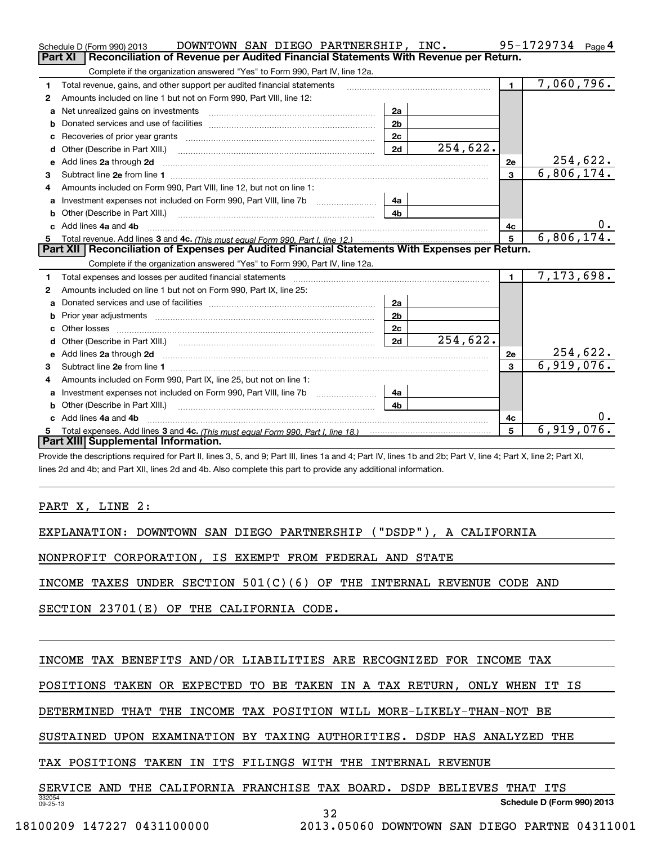|    | DOWNTOWN SAN DIEGO PARTNERSHIP, INC.<br>Schedule D (Form 990) 2013                                                                                                                                      |                |            |                | 95-1729734<br>Page 4 |
|----|---------------------------------------------------------------------------------------------------------------------------------------------------------------------------------------------------------|----------------|------------|----------------|----------------------|
|    | <b>Part XI</b><br>Reconciliation of Revenue per Audited Financial Statements With Revenue per Return.                                                                                                   |                |            |                |                      |
|    | Complete if the organization answered "Yes" to Form 990, Part IV, line 12a.                                                                                                                             |                |            |                |                      |
| 1. | Total revenue, gains, and other support per audited financial statements                                                                                                                                |                |            | $\blacksquare$ | 7,060,796.           |
| 2  | Amounts included on line 1 but not on Form 990, Part VIII, line 12:                                                                                                                                     |                |            |                |                      |
| a  | Net unrealized gains on investments [11] with an intervention and intervention and intervention and intervention                                                                                        | 2a             |            |                |                      |
|    |                                                                                                                                                                                                         | 2 <sub>b</sub> |            |                |                      |
|    |                                                                                                                                                                                                         | 2c             |            |                |                      |
| d  | Other (Describe in Part XIII.)                                                                                                                                                                          | 2d             | 254,622.   |                |                      |
| е  | Add lines 2a through 2d                                                                                                                                                                                 |                |            | 2e             | 254,622.             |
| 3  |                                                                                                                                                                                                         |                |            | $\overline{3}$ | 6,806,174.           |
| 4  | Amounts included on Form 990, Part VIII, line 12, but not on line 1:                                                                                                                                    |                |            |                |                      |
|    | Investment expenses not included on Form 990, Part VIII, line 7b [                                                                                                                                      | 4a             |            |                |                      |
|    |                                                                                                                                                                                                         | 4 <sub>h</sub> |            |                |                      |
| C. | Add lines 4a and 4b                                                                                                                                                                                     |                |            | 4с             | $0$ .                |
|    |                                                                                                                                                                                                         | 5              | 6,806,174. |                |                      |
|    |                                                                                                                                                                                                         |                |            |                |                      |
|    | Part XII   Reconciliation of Expenses per Audited Financial Statements With Expenses per Return.                                                                                                        |                |            |                |                      |
|    | Complete if the organization answered "Yes" to Form 990, Part IV, line 12a.                                                                                                                             |                |            |                |                      |
| 1  | Total expenses and losses per audited financial statements [11,11] [11] Total expenses and losses per audited financial statements [11] [11] Total expenses and losses per audited financial statements |                |            | $\blacksquare$ | 7,173,698.           |
| 2  | Amounts included on line 1 but not on Form 990, Part IX, line 25:                                                                                                                                       |                |            |                |                      |
| a  |                                                                                                                                                                                                         | 2a             |            |                |                      |
| b  |                                                                                                                                                                                                         | 2 <sub>b</sub> |            |                |                      |
| C. |                                                                                                                                                                                                         | 2c             |            |                |                      |
|    |                                                                                                                                                                                                         | 2d             | 254,622.   |                |                      |
|    |                                                                                                                                                                                                         |                |            | 2e             | 254,622.             |
| 3  |                                                                                                                                                                                                         |                |            | 3              | 6,919,076.           |
| 4  | Amounts included on Form 990, Part IX, line 25, but not on line 1:                                                                                                                                      |                |            |                |                      |
|    | Investment expenses not included on Form 990, Part VIII, line 7b [1000000000000000000000000000000000                                                                                                    | 4a             |            |                |                      |
| b  |                                                                                                                                                                                                         | 4h             |            |                |                      |
|    | Add lines 4a and 4b                                                                                                                                                                                     |                |            | 4c             | 0.                   |
|    | Part XIII Supplemental Information.                                                                                                                                                                     |                |            | 5              | 6,919,076.           |

Provide the descriptions required for Part II, lines 3, 5, and 9; Part III, lines 1a and 4; Part IV, lines 1b and 2b; Part V, line 4; Part X, line 2; Part XI, lines 2d and 4b; and Part XII, lines 2d and 4b. Also complete this part to provide any additional information.

PART X, LINE 2:

EXPLANATION: DOWNTOWN SAN DIEGO PARTNERSHIP ("DSDP"), A CALIFORNIA

NONPROFIT CORPORATION, IS EXEMPT FROM FEDERAL AND STATE

INCOME TAXES UNDER SECTION 501(C)(6) OF THE INTERNAL REVENUE CODE AND

SECTION 23701(E) OF THE CALIFORNIA CODE.

INCOME TAX BENEFITS AND/OR LIABILITIES ARE RECOGNIZED FOR INCOME TAX

POSITIONS TAKEN OR EXPECTED TO BE TAKEN IN A TAX RETURN, ONLY WHEN IT IS

DETERMINED THAT THE INCOME TAX POSITION WILL MORE-LIKELY-THAN-NOT BE

SUSTAINED UPON EXAMINATION BY TAXING AUTHORITIES. DSDP HAS ANALYZED THE

TAX POSITIONS TAKEN IN ITS FILINGS WITH THE INTERNAL REVENUE

SERVICE AND THE CALIFORNIA FRANCHISE TAX BOARD. DSDP BELIEVES THAT ITS

**Schedule D (Form 990) 2013**

332054 09-25-13

32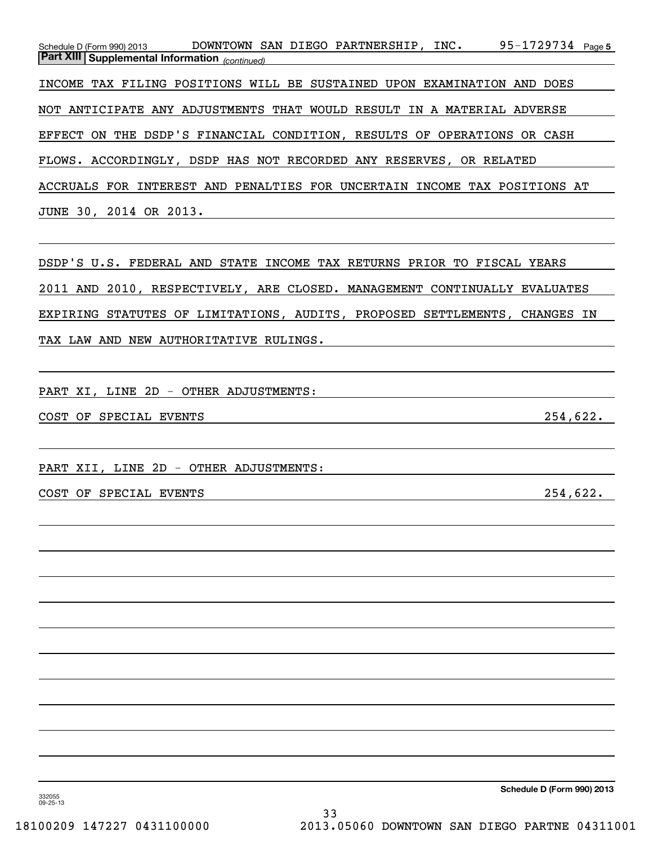95-1729734 Page 5 *(continued)* **Part XIII Supplemental Information**  Schedule D (Form 990) 2013 DOWNTOWN SAN DIEGO PARTNERSHIP, INC 95-1729734 Page INCOME TAX FILING POSITIONS WILL BE SUSTAINED UPON EXAMINATION AND DOES NOT ANTICIPATE ANY ADJUSTMENTS THAT WOULD RESULT IN A MATERIAL ADVERSE EFFECT ON THE DSDP'S FINANCIAL CONDITION, RESULTS OF OPERATIONS OR CASH FLOWS. ACCORDINGLY, DSDP HAS NOT RECORDED ANY RESERVES, OR RELATED ACCRUALS FOR INTEREST AND PENALTIES FOR UNCERTAIN INCOME TAX POSITIONS AT JUNE 30, 2014 OR 2013.

DSDP'S U.S. FEDERAL AND STATE INCOME TAX RETURNS PRIOR TO FISCAL YEARS 2011 AND 2010, RESPECTIVELY, ARE CLOSED. MANAGEMENT CONTINUALLY EVALUATES EXPIRING STATUTES OF LIMITATIONS, AUDITS, PROPOSED SETTLEMENTS, CHANGES IN TAX LAW AND NEW AUTHORITATIVE RULINGS.

PART XI, LINE 2D - OTHER ADJUSTMENTS:

COST OF SPECIAL EVENTS 254,622.

PART XII, LINE 2D - OTHER ADJUSTMENTS:

COST OF SPECIAL EVENTS 254,622.

**Schedule D (Form 990) 2013**

332055 09-25-13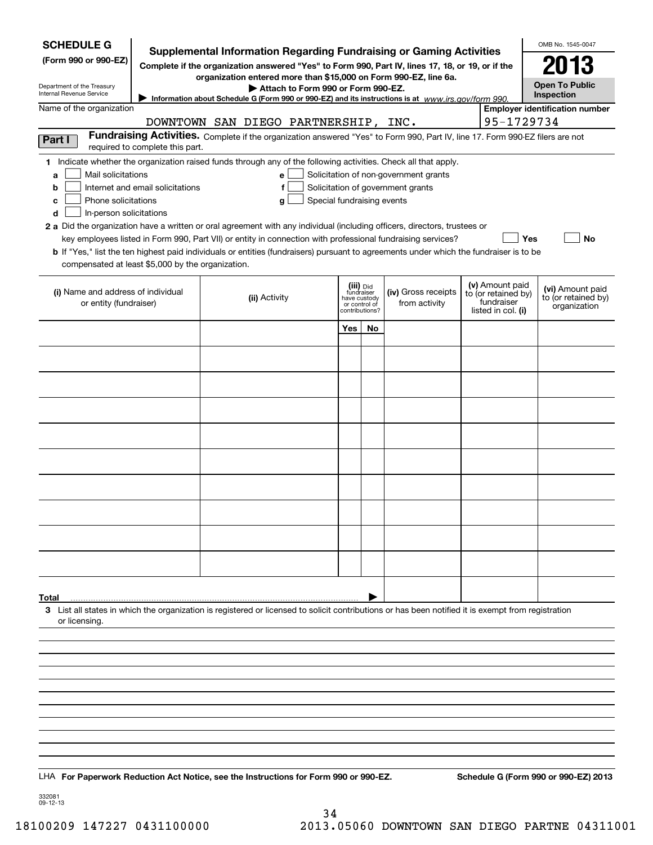| <b>SCHEDULE G</b>                                                                                                                                                                  |                                                                                                                                                                                     | <b>Supplemental Information Regarding Fundraising or Gaming Activities</b>                                                                         |                                                 |    |                                       |  |                                        | OMB No. 1545-0047                     |
|------------------------------------------------------------------------------------------------------------------------------------------------------------------------------------|-------------------------------------------------------------------------------------------------------------------------------------------------------------------------------------|----------------------------------------------------------------------------------------------------------------------------------------------------|-------------------------------------------------|----|---------------------------------------|--|----------------------------------------|---------------------------------------|
| (Form 990 or 990-EZ)<br>Complete if the organization answered "Yes" to Form 990, Part IV, lines 17, 18, or 19, or if the                                                           |                                                                                                                                                                                     |                                                                                                                                                    |                                                 |    |                                       |  |                                        |                                       |
| Department of the Treasury                                                                                                                                                         |                                                                                                                                                                                     | <b>Open To Public</b>                                                                                                                              |                                                 |    |                                       |  |                                        |                                       |
| Attach to Form 990 or Form 990-EZ.<br>Internal Revenue Service<br>Inspection<br>Information about Schedule G (Form 990 or 990-EZ) and its instructions is at www.irs.gov/form 990. |                                                                                                                                                                                     |                                                                                                                                                    |                                                 |    |                                       |  |                                        |                                       |
| Name of the organization                                                                                                                                                           |                                                                                                                                                                                     |                                                                                                                                                    |                                                 |    |                                       |  |                                        | <b>Employer identification number</b> |
|                                                                                                                                                                                    | 95-1729734<br>DOWNTOWN SAN DIEGO PARTNERSHIP, INC.<br>Fundraising Activities. Complete if the organization answered "Yes" to Form 990, Part IV, line 17. Form 990-EZ filers are not |                                                                                                                                                    |                                                 |    |                                       |  |                                        |                                       |
| Part I                                                                                                                                                                             | required to complete this part.                                                                                                                                                     |                                                                                                                                                    |                                                 |    |                                       |  |                                        |                                       |
| Mail solicitations<br>a                                                                                                                                                            |                                                                                                                                                                                     | 1 Indicate whether the organization raised funds through any of the following activities. Check all that apply.<br>e l                             |                                                 |    | Solicitation of non-government grants |  |                                        |                                       |
| b                                                                                                                                                                                  | Internet and email solicitations                                                                                                                                                    | f                                                                                                                                                  |                                                 |    | Solicitation of government grants     |  |                                        |                                       |
| Phone solicitations<br>с                                                                                                                                                           |                                                                                                                                                                                     | Special fundraising events<br>g                                                                                                                    |                                                 |    |                                       |  |                                        |                                       |
| d<br>In-person solicitations                                                                                                                                                       |                                                                                                                                                                                     | 2 a Did the organization have a written or oral agreement with any individual (including officers, directors, trustees or                          |                                                 |    |                                       |  |                                        |                                       |
|                                                                                                                                                                                    |                                                                                                                                                                                     | key employees listed in Form 990, Part VII) or entity in connection with professional fundraising services?                                        |                                                 |    |                                       |  |                                        | Yes<br>No                             |
|                                                                                                                                                                                    |                                                                                                                                                                                     | <b>b</b> If "Yes," list the ten highest paid individuals or entities (fundraisers) pursuant to agreements under which the fundraiser is to be      |                                                 |    |                                       |  |                                        |                                       |
| compensated at least \$5,000 by the organization.                                                                                                                                  |                                                                                                                                                                                     |                                                                                                                                                    |                                                 |    |                                       |  |                                        |                                       |
| (i) Name and address of individual                                                                                                                                                 |                                                                                                                                                                                     |                                                                                                                                                    | (iii) Did<br>fundraiser                         |    | (iv) Gross receipts                   |  | (v) Amount paid<br>to (or retained by) | (vi) Amount paid                      |
| or entity (fundraiser)                                                                                                                                                             |                                                                                                                                                                                     | (ii) Activity                                                                                                                                      | have custody<br>or control of<br>contributions? |    | from activity                         |  | fundraiser<br>listed in col. (i)       | to (or retained by)<br>organization   |
|                                                                                                                                                                                    |                                                                                                                                                                                     |                                                                                                                                                    | Yes                                             | No |                                       |  |                                        |                                       |
|                                                                                                                                                                                    |                                                                                                                                                                                     |                                                                                                                                                    |                                                 |    |                                       |  |                                        |                                       |
|                                                                                                                                                                                    |                                                                                                                                                                                     |                                                                                                                                                    |                                                 |    |                                       |  |                                        |                                       |
|                                                                                                                                                                                    |                                                                                                                                                                                     |                                                                                                                                                    |                                                 |    |                                       |  |                                        |                                       |
|                                                                                                                                                                                    |                                                                                                                                                                                     |                                                                                                                                                    |                                                 |    |                                       |  |                                        |                                       |
|                                                                                                                                                                                    |                                                                                                                                                                                     |                                                                                                                                                    |                                                 |    |                                       |  |                                        |                                       |
|                                                                                                                                                                                    |                                                                                                                                                                                     |                                                                                                                                                    |                                                 |    |                                       |  |                                        |                                       |
|                                                                                                                                                                                    |                                                                                                                                                                                     |                                                                                                                                                    |                                                 |    |                                       |  |                                        |                                       |
|                                                                                                                                                                                    |                                                                                                                                                                                     |                                                                                                                                                    |                                                 |    |                                       |  |                                        |                                       |
|                                                                                                                                                                                    |                                                                                                                                                                                     |                                                                                                                                                    |                                                 |    |                                       |  |                                        |                                       |
|                                                                                                                                                                                    |                                                                                                                                                                                     |                                                                                                                                                    |                                                 |    |                                       |  |                                        |                                       |
|                                                                                                                                                                                    |                                                                                                                                                                                     |                                                                                                                                                    |                                                 |    |                                       |  |                                        |                                       |
|                                                                                                                                                                                    |                                                                                                                                                                                     |                                                                                                                                                    |                                                 |    |                                       |  |                                        |                                       |
| Total                                                                                                                                                                              |                                                                                                                                                                                     | 3 List all states in which the organization is registered or licensed to solicit contributions or has been notified it is exempt from registration |                                                 |    |                                       |  |                                        |                                       |
| or licensing.                                                                                                                                                                      |                                                                                                                                                                                     |                                                                                                                                                    |                                                 |    |                                       |  |                                        |                                       |
|                                                                                                                                                                                    |                                                                                                                                                                                     |                                                                                                                                                    |                                                 |    |                                       |  |                                        |                                       |
|                                                                                                                                                                                    |                                                                                                                                                                                     |                                                                                                                                                    |                                                 |    |                                       |  |                                        |                                       |
|                                                                                                                                                                                    |                                                                                                                                                                                     |                                                                                                                                                    |                                                 |    |                                       |  |                                        |                                       |
|                                                                                                                                                                                    |                                                                                                                                                                                     |                                                                                                                                                    |                                                 |    |                                       |  |                                        |                                       |
|                                                                                                                                                                                    |                                                                                                                                                                                     |                                                                                                                                                    |                                                 |    |                                       |  |                                        |                                       |
|                                                                                                                                                                                    |                                                                                                                                                                                     |                                                                                                                                                    |                                                 |    |                                       |  |                                        |                                       |
|                                                                                                                                                                                    |                                                                                                                                                                                     |                                                                                                                                                    |                                                 |    |                                       |  |                                        |                                       |
|                                                                                                                                                                                    |                                                                                                                                                                                     |                                                                                                                                                    |                                                 |    |                                       |  |                                        |                                       |
|                                                                                                                                                                                    |                                                                                                                                                                                     | LHA For Paperwork Reduction Act Notice, see the Instructions for Form 990 or 990-EZ.                                                               |                                                 |    |                                       |  |                                        | Schedule G (Form 990 or 990-EZ) 2013  |
| 332081<br>09-12-13                                                                                                                                                                 |                                                                                                                                                                                     |                                                                                                                                                    |                                                 |    |                                       |  |                                        |                                       |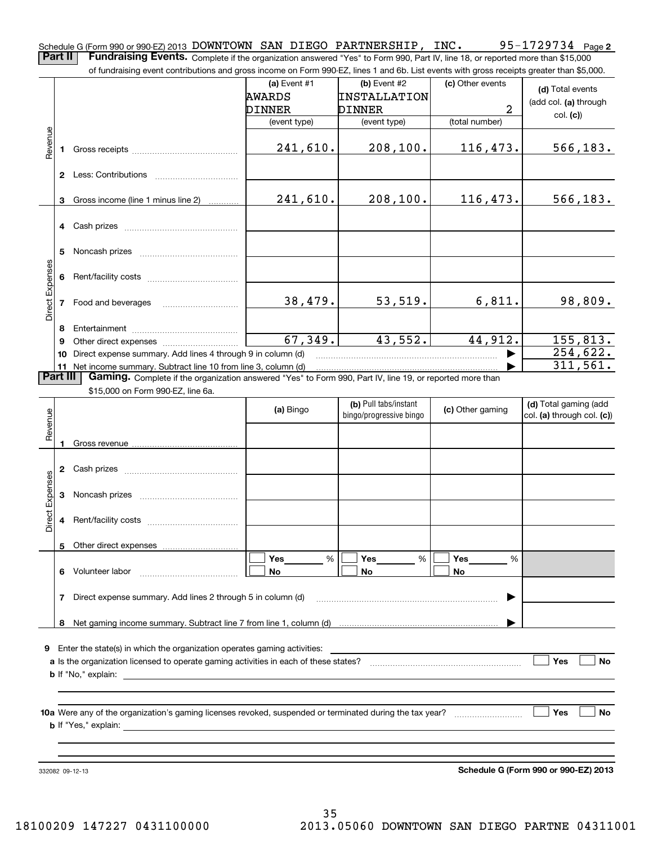**2** Schedule G (Form 990 or 990-EZ) 2013 DOWNTOWN SAN DIEGO PARTNERSHIP, INC  $\bullet$  95-1729734  $\bullet$  page **Part II** | Fundraising Events. Complete if the organization answered "Yes" to Form 990, Part IV, line 18, or reported more than \$15,000

of fundraising event contributions and gross income on Form 990-EZ, lines 1 and 6b. List events with gross receipts greater than \$5,000.

|                 |    | 01 lunuraising event commodions and gross income on Form 990-EZ, illies T and OD. Eist events with gross receipts greater than \$0,000.                                     |                |                         |                  |                                      |
|-----------------|----|-----------------------------------------------------------------------------------------------------------------------------------------------------------------------------|----------------|-------------------------|------------------|--------------------------------------|
|                 |    |                                                                                                                                                                             | (a) Event $#1$ | $(b)$ Event #2          | (c) Other events | (d) Total events                     |
|                 |    |                                                                                                                                                                             | AWARDS         | <b>INSTALLATION</b>     |                  | (add col. (a) through                |
|                 |    |                                                                                                                                                                             | DINNER         | <b>DINNER</b>           | $\overline{a}$   |                                      |
|                 |    |                                                                                                                                                                             | (event type)   | (event type)            | (total number)   | col. (c)                             |
| Revenue         |    |                                                                                                                                                                             |                |                         |                  |                                      |
|                 | 1  |                                                                                                                                                                             | 241,610.       | 208, 100.               | 116,473.         | 566, 183.                            |
|                 |    |                                                                                                                                                                             |                |                         |                  |                                      |
|                 |    |                                                                                                                                                                             |                |                         |                  |                                      |
|                 |    |                                                                                                                                                                             |                |                         |                  |                                      |
|                 | 3  | Gross income (line 1 minus line 2)                                                                                                                                          | 241,610.       | 208,100.                | 116,473.         | 566, 183.                            |
|                 |    |                                                                                                                                                                             |                |                         |                  |                                      |
|                 |    | 4 Cash prizes                                                                                                                                                               |                |                         |                  |                                      |
|                 |    |                                                                                                                                                                             |                |                         |                  |                                      |
|                 | 5  |                                                                                                                                                                             |                |                         |                  |                                      |
|                 |    |                                                                                                                                                                             |                |                         |                  |                                      |
|                 | 6  |                                                                                                                                                                             |                |                         |                  |                                      |
|                 |    |                                                                                                                                                                             |                |                         |                  |                                      |
| Direct Expenses |    |                                                                                                                                                                             | 38,479.        | 53,519.                 | 6,811.           | 98,809.                              |
|                 |    |                                                                                                                                                                             |                |                         |                  |                                      |
|                 |    |                                                                                                                                                                             |                |                         |                  |                                      |
|                 | 8  |                                                                                                                                                                             | 67,349.        | 43,552.                 | 44,912.          | 155,813.                             |
|                 | 9  | Direct expense summary. Add lines 4 through 9 in column (d)                                                                                                                 |                |                         |                  | $\overline{254,622}$ .               |
|                 | 10 |                                                                                                                                                                             |                |                         |                  | 311,561.                             |
| <b>Part III</b> |    | 11 Net income summary. Subtract line 10 from line 3, column (d)<br>Gaming. Complete if the organization answered "Yes" to Form 990, Part IV, line 19, or reported more than |                |                         |                  |                                      |
|                 |    | \$15,000 on Form 990-EZ, line 6a.                                                                                                                                           |                |                         |                  |                                      |
|                 |    |                                                                                                                                                                             |                | (b) Pull tabs/instant   |                  | (d) Total gaming (add                |
|                 |    |                                                                                                                                                                             | (a) Bingo      | bingo/progressive bingo | (c) Other gaming | col. (a) through col. (c))           |
|                 |    |                                                                                                                                                                             |                |                         |                  |                                      |
| Revenue         |    |                                                                                                                                                                             |                |                         |                  |                                      |
|                 |    |                                                                                                                                                                             |                |                         |                  |                                      |
|                 |    |                                                                                                                                                                             |                |                         |                  |                                      |
|                 |    |                                                                                                                                                                             |                |                         |                  |                                      |
| Direct Expenses |    |                                                                                                                                                                             |                |                         |                  |                                      |
|                 | 3  |                                                                                                                                                                             |                |                         |                  |                                      |
|                 |    |                                                                                                                                                                             |                |                         |                  |                                      |
|                 | 4  |                                                                                                                                                                             |                |                         |                  |                                      |
|                 |    |                                                                                                                                                                             |                |                         |                  |                                      |
|                 |    | 5 Other direct expenses                                                                                                                                                     |                |                         |                  |                                      |
|                 |    |                                                                                                                                                                             | Yes<br>%       | Yes<br>%                | Yes<br>%         |                                      |
|                 | 6  | Volunteer labor                                                                                                                                                             | No             | No                      | No               |                                      |
|                 |    |                                                                                                                                                                             |                |                         |                  |                                      |
|                 | 7  | Direct expense summary. Add lines 2 through 5 in column (d)                                                                                                                 |                |                         |                  |                                      |
|                 |    |                                                                                                                                                                             |                |                         |                  |                                      |
|                 | 8  |                                                                                                                                                                             |                |                         |                  |                                      |
|                 |    |                                                                                                                                                                             |                |                         |                  |                                      |
| 9               |    | Enter the state(s) in which the organization operates gaming activities:                                                                                                    |                |                         |                  |                                      |
|                 |    |                                                                                                                                                                             |                |                         |                  | Yes<br><b>No</b>                     |
|                 |    |                                                                                                                                                                             |                |                         |                  |                                      |
|                 |    |                                                                                                                                                                             |                |                         |                  |                                      |
|                 |    |                                                                                                                                                                             |                |                         |                  |                                      |
|                 |    |                                                                                                                                                                             |                |                         |                  | ∣ Yes<br><b>No</b>                   |
|                 |    |                                                                                                                                                                             |                |                         |                  |                                      |
|                 |    |                                                                                                                                                                             |                |                         |                  |                                      |
|                 |    |                                                                                                                                                                             |                |                         |                  |                                      |
|                 |    | 332082 09-12-13                                                                                                                                                             |                |                         |                  | Schedule G (Form 990 or 990-EZ) 2013 |

**Schedule G (Form 990 or 990-EZ) 2013**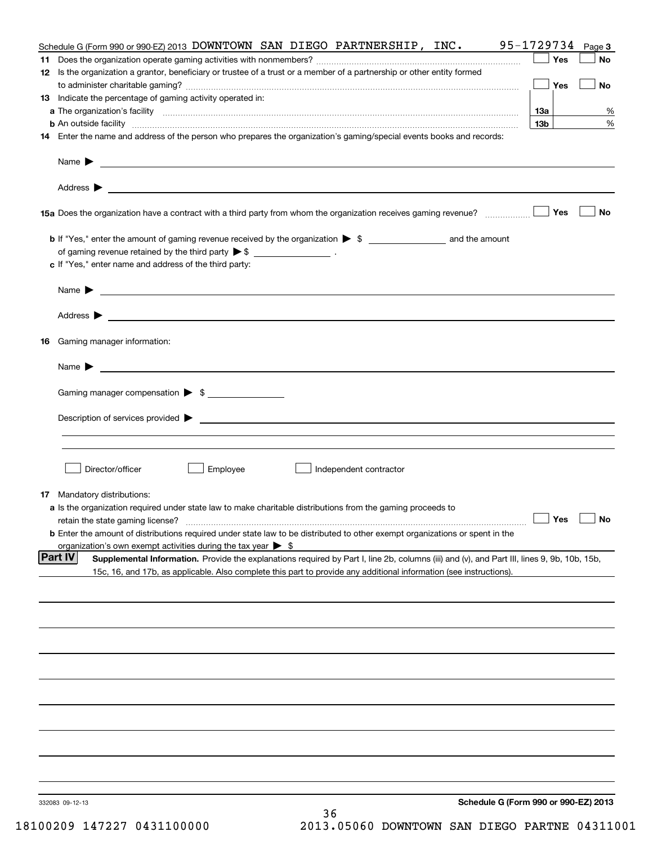| Schedule G (Form 990 or 990-EZ) 2013 DOWNTOWN SAN DIEGO PARTNERSHIP, INC.                                                                                                                                                                 | 95-1729734      | Page 3           |
|-------------------------------------------------------------------------------------------------------------------------------------------------------------------------------------------------------------------------------------------|-----------------|------------------|
|                                                                                                                                                                                                                                           | Yes             | No               |
| 12 Is the organization a grantor, beneficiary or trustee of a trust or a member of a partnership or other entity formed                                                                                                                   |                 |                  |
|                                                                                                                                                                                                                                           | Yes             | No               |
| 13 Indicate the percentage of gaming activity operated in:                                                                                                                                                                                |                 |                  |
|                                                                                                                                                                                                                                           | 13a             | %                |
| <b>b</b> An outside facility <i>www.communically.communically.communically.communically.communically.communically.communically.communically.communically.communically.communically.communically.communically.communically.communicall</i> | 13 <sub>b</sub> | %                |
| 14 Enter the name and address of the person who prepares the organization's gaming/special events books and records:                                                                                                                      |                 |                  |
|                                                                                                                                                                                                                                           |                 |                  |
|                                                                                                                                                                                                                                           |                 |                  |
| Name $\blacktriangleright$                                                                                                                                                                                                                |                 |                  |
|                                                                                                                                                                                                                                           |                 |                  |
|                                                                                                                                                                                                                                           |                 |                  |
|                                                                                                                                                                                                                                           | Yes             | No               |
|                                                                                                                                                                                                                                           |                 |                  |
| <b>b</b> If "Yes," enter the amount of gaming revenue received by the organization $\triangleright$ \$ ____________________ and the amount                                                                                                |                 |                  |
| of gaming revenue retained by the third party $\triangleright$ \$ $\_\_\_\_\_\_\_\_\_\_\_\_\_$ .                                                                                                                                          |                 |                  |
| c If "Yes," enter name and address of the third party:                                                                                                                                                                                    |                 |                  |
|                                                                                                                                                                                                                                           |                 |                  |
|                                                                                                                                                                                                                                           |                 |                  |
|                                                                                                                                                                                                                                           |                 |                  |
|                                                                                                                                                                                                                                           |                 |                  |
|                                                                                                                                                                                                                                           |                 |                  |
|                                                                                                                                                                                                                                           |                 |                  |
| <b>16</b> Gaming manager information:                                                                                                                                                                                                     |                 |                  |
|                                                                                                                                                                                                                                           |                 |                  |
|                                                                                                                                                                                                                                           |                 |                  |
|                                                                                                                                                                                                                                           |                 |                  |
| Gaming manager compensation > \$                                                                                                                                                                                                          |                 |                  |
|                                                                                                                                                                                                                                           |                 |                  |
|                                                                                                                                                                                                                                           |                 |                  |
|                                                                                                                                                                                                                                           |                 |                  |
|                                                                                                                                                                                                                                           |                 |                  |
|                                                                                                                                                                                                                                           |                 |                  |
| Director/officer<br>Employee<br>Independent contractor                                                                                                                                                                                    |                 |                  |
|                                                                                                                                                                                                                                           |                 |                  |
| <b>17</b> Mandatory distributions:                                                                                                                                                                                                        |                 |                  |
| <b>a</b> Is the organization required under state law to make charitable distributions from the gaming proceeds to                                                                                                                        |                 |                  |
|                                                                                                                                                                                                                                           |                 | __  Yes │___  No |
| <b>b</b> Enter the amount of distributions required under state law to be distributed to other exempt organizations or spent in the                                                                                                       |                 |                  |
| organization's own exempt activities during the tax year $\triangleright$ \$                                                                                                                                                              |                 |                  |
| <b>Part IV</b><br>Supplemental Information. Provide the explanations required by Part I, line 2b, columns (iii) and (v), and Part III, lines 9, 9b, 10b, 15b,                                                                             |                 |                  |
| 15c, 16, and 17b, as applicable. Also complete this part to provide any additional information (see instructions).                                                                                                                        |                 |                  |
|                                                                                                                                                                                                                                           |                 |                  |
|                                                                                                                                                                                                                                           |                 |                  |
|                                                                                                                                                                                                                                           |                 |                  |
|                                                                                                                                                                                                                                           |                 |                  |
|                                                                                                                                                                                                                                           |                 |                  |
|                                                                                                                                                                                                                                           |                 |                  |
|                                                                                                                                                                                                                                           |                 |                  |
|                                                                                                                                                                                                                                           |                 |                  |
|                                                                                                                                                                                                                                           |                 |                  |
|                                                                                                                                                                                                                                           |                 |                  |
|                                                                                                                                                                                                                                           |                 |                  |
|                                                                                                                                                                                                                                           |                 |                  |
|                                                                                                                                                                                                                                           |                 |                  |
|                                                                                                                                                                                                                                           |                 |                  |
|                                                                                                                                                                                                                                           |                 |                  |
|                                                                                                                                                                                                                                           |                 |                  |
|                                                                                                                                                                                                                                           |                 |                  |
| Schedule G (Form 990 or 990-EZ) 2013                                                                                                                                                                                                      |                 |                  |
| 332083 09-12-13<br>36                                                                                                                                                                                                                     |                 |                  |
|                                                                                                                                                                                                                                           |                 |                  |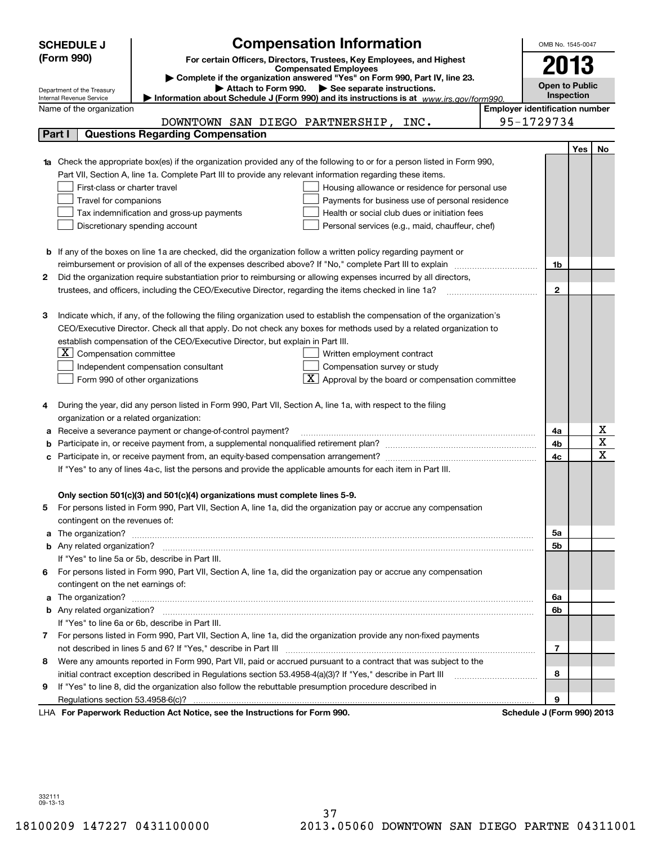|    | <b>SCHEDULE J</b>                                                                   | <b>Compensation Information</b>                                                                                                  |  | OMB No. 1545-0047                     |     |             |
|----|-------------------------------------------------------------------------------------|----------------------------------------------------------------------------------------------------------------------------------|--|---------------------------------------|-----|-------------|
|    | (Form 990)<br>For certain Officers, Directors, Trustees, Key Employees, and Highest |                                                                                                                                  |  |                                       |     |             |
|    |                                                                                     | <b>Compensated Employees</b>                                                                                                     |  | 2013                                  |     |             |
|    |                                                                                     | Complete if the organization answered "Yes" on Form 990, Part IV, line 23.<br>Attach to Form 990. See separate instructions.     |  | <b>Open to Public</b>                 |     |             |
|    | Department of the Treasury<br>Internal Revenue Service                              | Information about Schedule J (Form 990) and its instructions is at www.irs.gov/form990.                                          |  | <b>Inspection</b>                     |     |             |
|    | Name of the organization                                                            |                                                                                                                                  |  | <b>Employer identification number</b> |     |             |
|    |                                                                                     | DOWNTOWN SAN DIEGO PARTNERSHIP, INC.                                                                                             |  | 95-1729734                            |     |             |
|    | Part I                                                                              | <b>Questions Regarding Compensation</b>                                                                                          |  |                                       |     |             |
|    |                                                                                     |                                                                                                                                  |  |                                       | Yes | No          |
|    |                                                                                     | <b>1a</b> Check the appropriate box(es) if the organization provided any of the following to or for a person listed in Form 990, |  |                                       |     |             |
|    |                                                                                     | Part VII, Section A, line 1a. Complete Part III to provide any relevant information regarding these items.                       |  |                                       |     |             |
|    | First-class or charter travel                                                       | Housing allowance or residence for personal use                                                                                  |  |                                       |     |             |
|    | Travel for companions                                                               | Payments for business use of personal residence                                                                                  |  |                                       |     |             |
|    |                                                                                     | Health or social club dues or initiation fees<br>Tax indemnification and gross-up payments                                       |  |                                       |     |             |
|    |                                                                                     | Discretionary spending account<br>Personal services (e.g., maid, chauffeur, chef)                                                |  |                                       |     |             |
|    |                                                                                     |                                                                                                                                  |  |                                       |     |             |
|    |                                                                                     | <b>b</b> If any of the boxes on line 1a are checked, did the organization follow a written policy regarding payment or           |  |                                       |     |             |
|    |                                                                                     |                                                                                                                                  |  | 1b                                    |     |             |
| 2  |                                                                                     | Did the organization require substantiation prior to reimbursing or allowing expenses incurred by all directors,                 |  |                                       |     |             |
|    |                                                                                     |                                                                                                                                  |  | $\mathbf{2}$                          |     |             |
|    |                                                                                     |                                                                                                                                  |  |                                       |     |             |
| З  |                                                                                     | Indicate which, if any, of the following the filing organization used to establish the compensation of the organization's        |  |                                       |     |             |
|    |                                                                                     | CEO/Executive Director. Check all that apply. Do not check any boxes for methods used by a related organization to               |  |                                       |     |             |
|    |                                                                                     | establish compensation of the CEO/Executive Director, but explain in Part III.                                                   |  |                                       |     |             |
|    | $ \mathbf{X} $ Compensation committee                                               | Written employment contract                                                                                                      |  |                                       |     |             |
|    |                                                                                     | Compensation survey or study<br>Independent compensation consultant                                                              |  |                                       |     |             |
|    |                                                                                     | $\lfloor \underline{X} \rfloor$ Approval by the board or compensation committee<br>Form 990 of other organizations               |  |                                       |     |             |
|    |                                                                                     |                                                                                                                                  |  |                                       |     |             |
| 4  |                                                                                     | During the year, did any person listed in Form 990, Part VII, Section A, line 1a, with respect to the filing                     |  |                                       |     |             |
|    | organization or a related organization:                                             |                                                                                                                                  |  |                                       |     |             |
| а  |                                                                                     | Receive a severance payment or change-of-control payment?                                                                        |  | 4a                                    |     | х           |
| b  |                                                                                     |                                                                                                                                  |  | 4b                                    |     | $\mathbf X$ |
| с  |                                                                                     |                                                                                                                                  |  | 4c                                    |     | $\mathbf x$ |
|    |                                                                                     | If "Yes" to any of lines 4a-c, list the persons and provide the applicable amounts for each item in Part III.                    |  |                                       |     |             |
|    |                                                                                     |                                                                                                                                  |  |                                       |     |             |
|    |                                                                                     | Only section 501(c)(3) and 501(c)(4) organizations must complete lines 5-9.                                                      |  |                                       |     |             |
|    |                                                                                     | For persons listed in Form 990, Part VII, Section A, line 1a, did the organization pay or accrue any compensation                |  |                                       |     |             |
|    | contingent on the revenues of:                                                      |                                                                                                                                  |  |                                       |     |             |
|    |                                                                                     | a The organization? <b>Entitation</b> and the organization?                                                                      |  | 5a                                    |     |             |
|    |                                                                                     |                                                                                                                                  |  | 5b                                    |     |             |
|    |                                                                                     | If "Yes" to line 5a or 5b, describe in Part III.                                                                                 |  |                                       |     |             |
| 6. |                                                                                     | For persons listed in Form 990, Part VII, Section A, line 1a, did the organization pay or accrue any compensation                |  |                                       |     |             |
|    | contingent on the net earnings of:                                                  |                                                                                                                                  |  |                                       |     |             |
|    |                                                                                     | a The organization? <b>Entitation</b> and the organization?                                                                      |  | 6a                                    |     |             |
|    |                                                                                     |                                                                                                                                  |  | 6b                                    |     |             |
|    |                                                                                     | If "Yes" to line 6a or 6b, describe in Part III.                                                                                 |  |                                       |     |             |
|    |                                                                                     | 7 For persons listed in Form 990, Part VII, Section A, line 1a, did the organization provide any non-fixed payments              |  |                                       |     |             |
|    |                                                                                     |                                                                                                                                  |  | 7                                     |     |             |
| 8  |                                                                                     | Were any amounts reported in Form 990, Part VII, paid or accrued pursuant to a contract that was subject to the                  |  |                                       |     |             |
|    |                                                                                     | initial contract exception described in Regulations section 53.4958-4(a)(3)? If "Yes," describe in Part III                      |  | 8                                     |     |             |
| 9  |                                                                                     | If "Yes" to line 8, did the organization also follow the rebuttable presumption procedure described in                           |  |                                       |     |             |
|    |                                                                                     |                                                                                                                                  |  | 9                                     |     |             |
|    |                                                                                     | LHA For Paperwork Reduction Act Notice, see the Instructions for Form 990.                                                       |  | Schedule J (Form 990) 2013            |     |             |

332111 09-13-13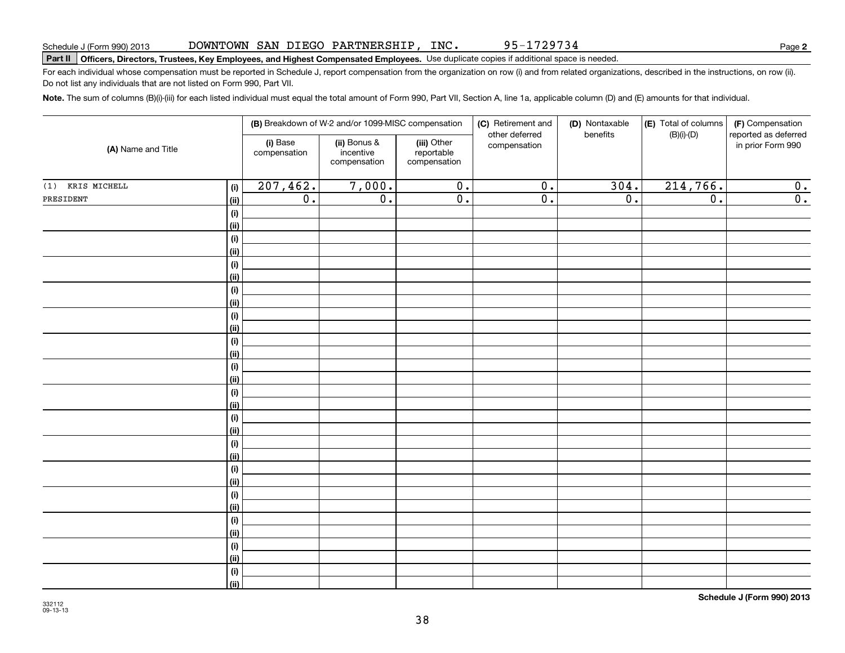95-1729734

**2**

# **Part II Officers, Directors, Trustees, Key Employees, and Highest Compensated Employees.**  Schedule J (Form 990) 2013 Page Use duplicate copies if additional space is needed.

For each individual whose compensation must be reported in Schedule J, report compensation from the organization on row (i) and from related organizations, described in the instructions, on row (ii). Do not list any individuals that are not listed on Form 990, Part VII.

**Note.**  The sum of columns (B)(i)-(iii) for each listed individual must equal the total amount of Form 990, Part VII, Section A, line 1a, applicable column (D) and (E) amounts for that individual.

| (A) Name and Title |                              | (B) Breakdown of W-2 and/or 1099-MISC compensation |                                           |                                           | (C) Retirement and<br>(D) Nontaxable<br>other deferred |                  | (E) Total of columns<br>(F) Compensation<br>$(B)(i)-(D)$<br>benefits |                                           |  |
|--------------------|------------------------------|----------------------------------------------------|-------------------------------------------|-------------------------------------------|--------------------------------------------------------|------------------|----------------------------------------------------------------------|-------------------------------------------|--|
|                    |                              | (i) Base<br>compensation                           | (ii) Bonus &<br>incentive<br>compensation | (iii) Other<br>reportable<br>compensation | compensation                                           |                  |                                                                      | reported as deferred<br>in prior Form 990 |  |
| $(1)$ KRIS MICHELL | (i)                          | 207,462.                                           | 7,000.                                    | $\overline{0}$ .                          | $\overline{0}$ .                                       | 304.             | 214,766.                                                             | 0.                                        |  |
| PRESIDENT          | <u>(ii)</u>                  | $\overline{0}$ .                                   | $\overline{0}$ .                          | $\overline{0}$ .                          | $\overline{0}$ .                                       | $\overline{0}$ . | $\overline{0}$ .                                                     | $\overline{0}$ .                          |  |
|                    | $\qquad \qquad \textbf{(i)}$ |                                                    |                                           |                                           |                                                        |                  |                                                                      |                                           |  |
|                    | <u>(ii)</u>                  |                                                    |                                           |                                           |                                                        |                  |                                                                      |                                           |  |
|                    | (i)                          |                                                    |                                           |                                           |                                                        |                  |                                                                      |                                           |  |
|                    | <u>(ii)</u>                  |                                                    |                                           |                                           |                                                        |                  |                                                                      |                                           |  |
|                    | (i)                          |                                                    |                                           |                                           |                                                        |                  |                                                                      |                                           |  |
|                    | <u>(ii)</u>                  |                                                    |                                           |                                           |                                                        |                  |                                                                      |                                           |  |
|                    | (i)                          |                                                    |                                           |                                           |                                                        |                  |                                                                      |                                           |  |
|                    | <u>(ii)</u>                  |                                                    |                                           |                                           |                                                        |                  |                                                                      |                                           |  |
|                    | (i)                          |                                                    |                                           |                                           |                                                        |                  |                                                                      |                                           |  |
|                    | <u>(ii)</u>                  |                                                    |                                           |                                           |                                                        |                  |                                                                      |                                           |  |
|                    | (i)<br><u>(ii)</u>           |                                                    |                                           |                                           |                                                        |                  |                                                                      |                                           |  |
|                    | (i)                          |                                                    |                                           |                                           |                                                        |                  |                                                                      |                                           |  |
|                    | <u>(ii)</u>                  |                                                    |                                           |                                           |                                                        |                  |                                                                      |                                           |  |
|                    | (i)                          |                                                    |                                           |                                           |                                                        |                  |                                                                      |                                           |  |
|                    | <u>(ii)</u>                  |                                                    |                                           |                                           |                                                        |                  |                                                                      |                                           |  |
|                    | (i)                          |                                                    |                                           |                                           |                                                        |                  |                                                                      |                                           |  |
|                    | <u>(ii)</u>                  |                                                    |                                           |                                           |                                                        |                  |                                                                      |                                           |  |
|                    | (i)                          |                                                    |                                           |                                           |                                                        |                  |                                                                      |                                           |  |
|                    | <u>(ii)</u>                  |                                                    |                                           |                                           |                                                        |                  |                                                                      |                                           |  |
|                    | (i)                          |                                                    |                                           |                                           |                                                        |                  |                                                                      |                                           |  |
|                    | <u>(ii)</u>                  |                                                    |                                           |                                           |                                                        |                  |                                                                      |                                           |  |
|                    | (i)                          |                                                    |                                           |                                           |                                                        |                  |                                                                      |                                           |  |
|                    | <u>(ii)</u>                  |                                                    |                                           |                                           |                                                        |                  |                                                                      |                                           |  |
|                    | (i)                          |                                                    |                                           |                                           |                                                        |                  |                                                                      |                                           |  |
|                    | <u>(ii)</u>                  |                                                    |                                           |                                           |                                                        |                  |                                                                      |                                           |  |
|                    | (i)                          |                                                    |                                           |                                           |                                                        |                  |                                                                      |                                           |  |
|                    | <u>(ii)</u>                  |                                                    |                                           |                                           |                                                        |                  |                                                                      |                                           |  |
|                    | (i)                          |                                                    |                                           |                                           |                                                        |                  |                                                                      |                                           |  |
|                    | $\vert$ (ii)                 |                                                    |                                           |                                           |                                                        |                  |                                                                      |                                           |  |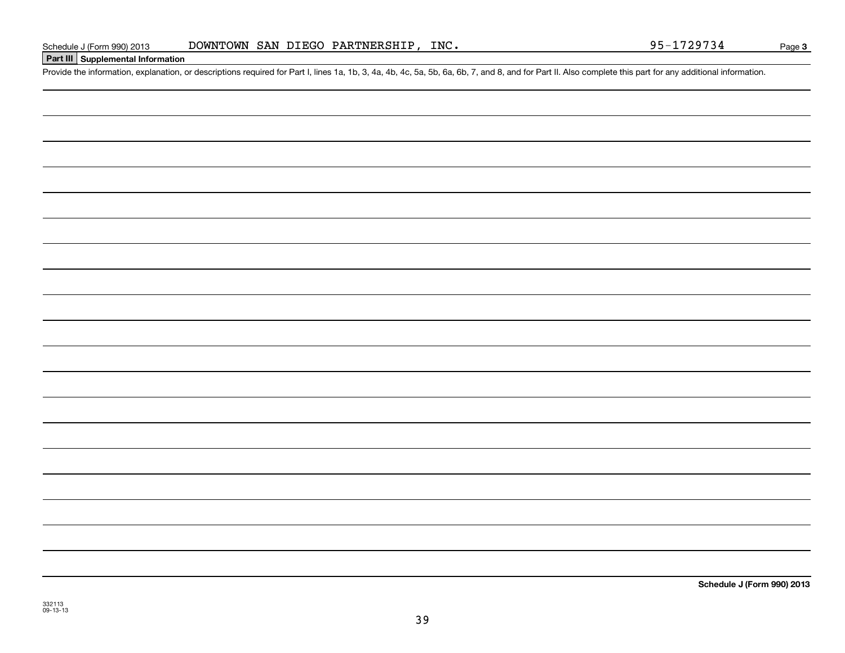# **Part III Supplemental Information**

Schedule J (Form 990) 2013 DOWNTOWN SAN DIEGO PARTNERSHIP, INC. 95-1729734<br>Part III Supplemental Information<br>Provide the information, explanation, or descriptions required for Part I, lines 1a, 1b, 3, 4a, 4b, 4c, 5a, 5b, 6

**Schedule J (Form 990) 2013**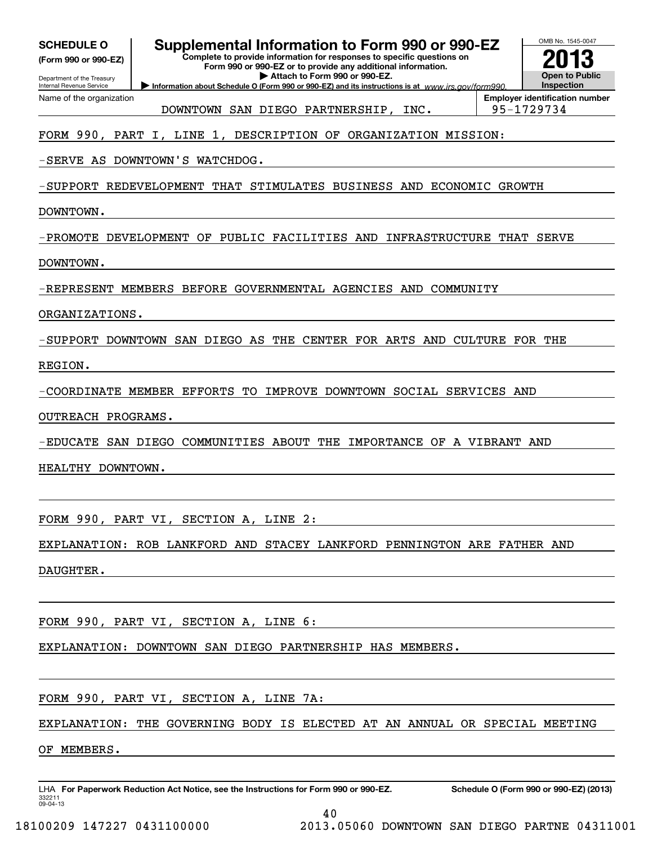| (Form 990 or 990-EZ)       |  |
|----------------------------|--|
| Department of the Treasury |  |

Name of the organization

Internal Revenue Service

# **Supplemental Information to Form 990 or 990-EZ**

**Complete to provide information for responses to specific questions on Form 990 or 990-EZ or to provide any additional information.**

**| Attach to Form 990 or 990-EZ.**

**Information about Schedule O (Form 990 or 990-EZ) and its instructions is at www.irs.gov/form990.** 



DOWNTOWN SAN DIEGO PARTNERSHIP, INC. 95-1729734

**Employer identification number**

# FORM 990, PART I, LINE 1, DESCRIPTION OF ORGANIZATION MISSION:

-SERVE AS DOWNTOWN'S WATCHDOG.

-SUPPORT REDEVELOPMENT THAT STIMULATES BUSINESS AND ECONOMIC GROWTH

DOWNTOWN.

-PROMOTE DEVELOPMENT OF PUBLIC FACILITIES AND INFRASTRUCTURE THAT SERVE

DOWNTOWN.

-REPRESENT MEMBERS BEFORE GOVERNMENTAL AGENCIES AND COMMUNITY

ORGANIZATIONS.

-SUPPORT DOWNTOWN SAN DIEGO AS THE CENTER FOR ARTS AND CULTURE FOR THE

REGION.

-COORDINATE MEMBER EFFORTS TO IMPROVE DOWNTOWN SOCIAL SERVICES AND

OUTREACH PROGRAMS.

-EDUCATE SAN DIEGO COMMUNITIES ABOUT THE IMPORTANCE OF A VIBRANT AND

HEALTHY DOWNTOWN.

FORM 990, PART VI, SECTION A, LINE 2:

EXPLANATION: ROB LANKFORD AND STACEY LANKFORD PENNINGTON ARE FATHER AND

DAUGHTER.

FORM 990, PART VI, SECTION A, LINE 6:

EXPLANATION: DOWNTOWN SAN DIEGO PARTNERSHIP HAS MEMBERS.

FORM 990, PART VI, SECTION A, LINE 7A:

EXPLANATION: THE GOVERNING BODY IS ELECTED AT AN ANNUAL OR SPECIAL MEETING

OF MEMBERS.

332211 09-04-13LHA For Paperwork Reduction Act Notice, see the Instructions for Form 990 or 990-EZ. Schedule O (Form 990 or 990-EZ) (2013)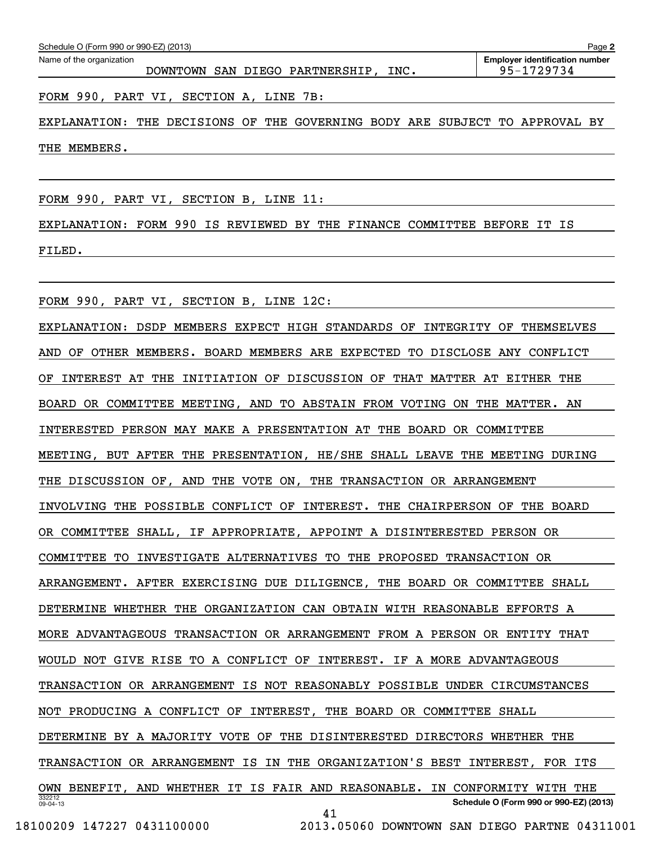| Schedule O (Form 990 or 990-EZ) (2013)<br>Page 2 |                                         |                                                     |  |  |  |  |  |
|--------------------------------------------------|-----------------------------------------|-----------------------------------------------------|--|--|--|--|--|
| Name of the organization                         | DOWNTOWN SAN DIEGO PARTNERSHIP,<br>INC. | <b>Employer identification number</b><br>95-1729734 |  |  |  |  |  |
|                                                  | FORM 990, PART VI, SECTION A, LINE 7B:  |                                                     |  |  |  |  |  |

EXPLANATION: THE DECISIONS OF THE GOVERNING BODY ARE SUBJECT TO APPROVAL BY THE MEMBERS.

FORM 990, PART VI, SECTION B, LINE 11:

EXPLANATION: FORM 990 IS REVIEWED BY THE FINANCE COMMITTEE BEFORE IT IS FILED.

FORM 990, PART VI, SECTION B, LINE 12C:

332212 09-04-13**Schedule O (Form 990 or 990-EZ) (2013)** EXPLANATION: DSDP MEMBERS EXPECT HIGH STANDARDS OF INTEGRITY OF THEMSELVES AND OF OTHER MEMBERS. BOARD MEMBERS ARE EXPECTED TO DISCLOSE ANY CONFLICT OF INTEREST AT THE INITIATION OF DISCUSSION OF THAT MATTER AT EITHER THE BOARD OR COMMITTEE MEETING, AND TO ABSTAIN FROM VOTING ON THE MATTER. AN INTERESTED PERSON MAY MAKE A PRESENTATION AT THE BOARD OR COMMITTEE MEETING, BUT AFTER THE PRESENTATION, HE/SHE SHALL LEAVE THE MEETING DURING THE DISCUSSION OF, AND THE VOTE ON, THE TRANSACTION OR ARRANGEMENT INVOLVING THE POSSIBLE CONFLICT OF INTEREST. THE CHAIRPERSON OF THE BOARD OR COMMITTEE SHALL, IF APPROPRIATE, APPOINT A DISINTERESTED PERSON OR COMMITTEE TO INVESTIGATE ALTERNATIVES TO THE PROPOSED TRANSACTION OR ARRANGEMENT. AFTER EXERCISING DUE DILIGENCE, THE BOARD OR COMMITTEE SHALL DETERMINE WHETHER THE ORGANIZATION CAN OBTAIN WITH REASONABLE EFFORTS A MORE ADVANTAGEOUS TRANSACTION OR ARRANGEMENT FROM A PERSON OR ENTITY THAT WOULD NOT GIVE RISE TO A CONFLICT OF INTEREST. IF A MORE ADVANTAGEOUS TRANSACTION OR ARRANGEMENT IS NOT REASONABLY POSSIBLE UNDER CIRCUMSTANCES NOT PRODUCING A CONFLICT OF INTEREST, THE BOARD OR COMMITTEE SHALL DETERMINE BY A MAJORITY VOTE OF THE DISINTERESTED DIRECTORS WHETHER THE TRANSACTION OR ARRANGEMENT IS IN THE ORGANIZATION'S BEST INTEREST, FOR ITS OWN BENEFIT, AND WHETHER IT IS FAIR AND REASONABLE. IN CONFORMITY WITH THE 41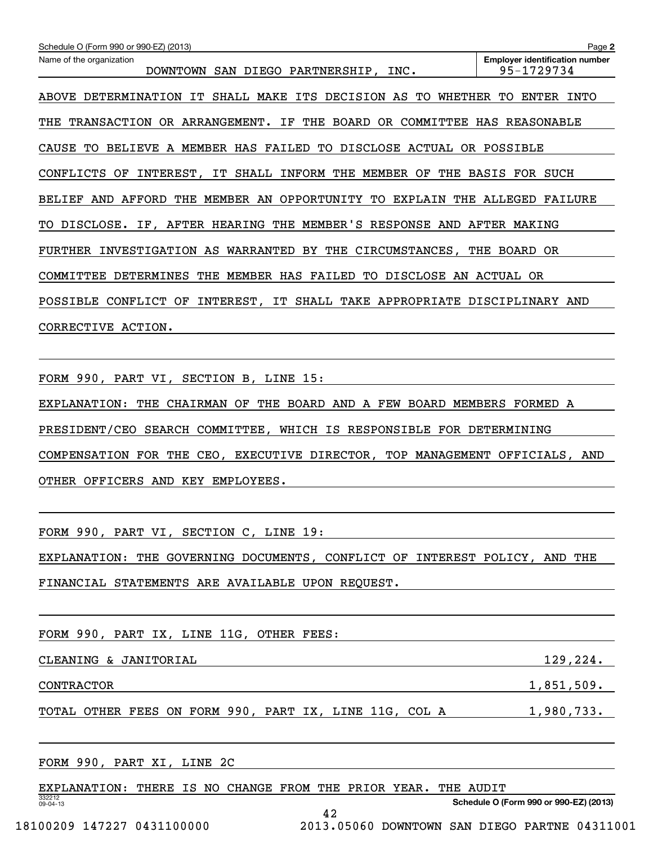| Schedule O (Form 990 or 990-EZ) (2013)                                     | Page 2                                              |
|----------------------------------------------------------------------------|-----------------------------------------------------|
| Name of the organization<br>DOWNTOWN SAN DIEGO PARTNERSHIP, INC.           | <b>Employer identification number</b><br>95-1729734 |
| ABOVE DETERMINATION IT SHALL MAKE ITS DECISION AS TO WHETHER               | TO<br>ENTER INTO                                    |
| THE TRANSACTION OR ARRANGEMENT. IF THE BOARD OR COMMITTEE HAS REASONABLE   |                                                     |
| CAUSE TO BELIEVE A MEMBER HAS FAILED TO DISCLOSE ACTUAL OR POSSIBLE        |                                                     |
| CONFLICTS OF INTEREST, IT SHALL INFORM THE MEMBER OF THE BASIS FOR SUCH    |                                                     |
| MEMBER AN OPPORTUNITY TO<br>BELIEF AND AFFORD<br>THE                       | EXPLAIN THE ALLEGED FAILURE                         |
| DISCLOSE. IF, AFTER HEARING THE MEMBER'S RESPONSE AND AFTER MAKING<br>TO . |                                                     |
| FURTHER INVESTIGATION AS WARRANTED BY THE CIRCUMSTANCES, THE BOARD OR      |                                                     |
| COMMITTEE DETERMINES THE MEMBER HAS FAILED TO DISCLOSE AN ACTUAL OR        |                                                     |
| POSSIBLE CONFLICT OF INTEREST, IT SHALL TAKE APPROPRIATE DISCIPLINARY AND  |                                                     |
| CORRECTIVE ACTION.                                                         |                                                     |
|                                                                            |                                                     |

FORM 990, PART VI, SECTION B, LINE 15:

EXPLANATION: THE CHAIRMAN OF THE BOARD AND A FEW BOARD MEMBERS FORMED A

PRESIDENT/CEO SEARCH COMMITTEE, WHICH IS RESPONSIBLE FOR DETERMINING

COMPENSATION FOR THE CEO, EXECUTIVE DIRECTOR, TOP MANAGEMENT OFFICIALS, AND

OTHER OFFICERS AND KEY EMPLOYEES.

FORM 990, PART VI, SECTION C, LINE 19:

EXPLANATION: THE GOVERNING DOCUMENTS, CONFLICT OF INTEREST POLICY, AND THE FINANCIAL STATEMENTS ARE AVAILABLE UPON REQUEST.

| FORM 990, PART IX, LINE 11G, OTHER FEES:               |            |
|--------------------------------------------------------|------------|
| CLEANING & JANITORIAL                                  | 129,224.   |
| <b>CONTRACTOR</b>                                      | 1,851,509. |
| TOTAL OTHER FEES ON FORM 990, PART IX, LINE 11G, COL A | 1,980,733. |
| FORM 990, PART XI, LINE 2C                             |            |

332212 09-04-13**Schedule O (Form 990 or 990-EZ) (2013)** EXPLANATION: THERE IS NO CHANGE FROM THE PRIOR YEAR. THE AUDIT 42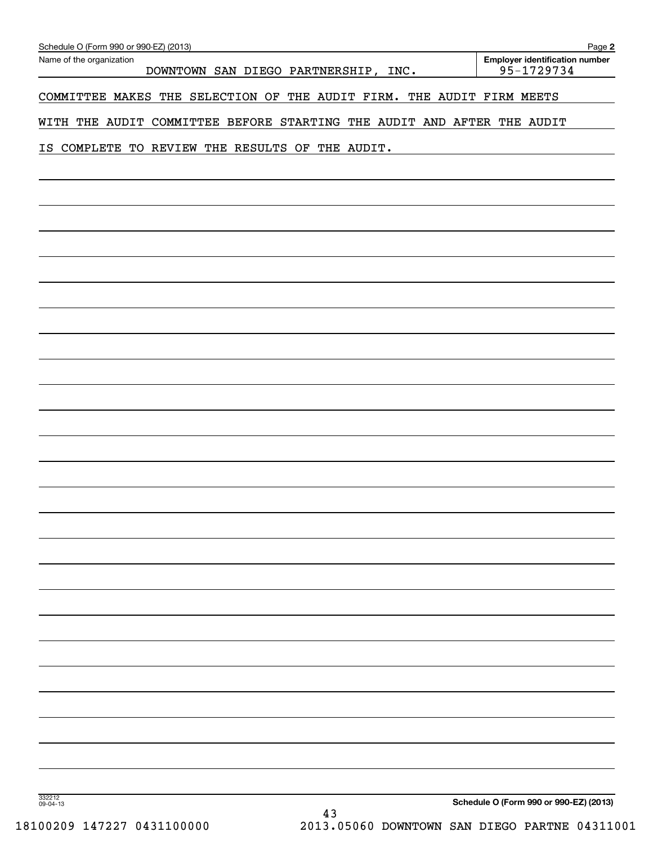| Schedule O (Form 990 or 990-EZ) (2013)<br>Name of the organization     | Page 2<br><b>Employer identification number</b> |
|------------------------------------------------------------------------|-------------------------------------------------|
| DOWNTOWN SAN DIEGO PARTNERSHIP, INC.                                   | 95-1729734                                      |
| COMMITTEE MAKES THE SELECTION OF THE AUDIT FIRM. THE AUDIT FIRM MEETS  |                                                 |
| WITH THE AUDIT COMMITTEE BEFORE STARTING THE AUDIT AND AFTER THE AUDIT |                                                 |
| COMPLETE TO REVIEW THE RESULTS OF THE AUDIT.<br>IS                     |                                                 |
|                                                                        |                                                 |
|                                                                        |                                                 |
|                                                                        |                                                 |
|                                                                        |                                                 |
|                                                                        |                                                 |
|                                                                        |                                                 |
|                                                                        |                                                 |
|                                                                        |                                                 |
|                                                                        |                                                 |
|                                                                        |                                                 |
|                                                                        |                                                 |
|                                                                        |                                                 |
|                                                                        |                                                 |
|                                                                        |                                                 |
|                                                                        |                                                 |
|                                                                        |                                                 |
|                                                                        |                                                 |
|                                                                        |                                                 |
|                                                                        |                                                 |
|                                                                        |                                                 |
|                                                                        |                                                 |
|                                                                        |                                                 |
|                                                                        |                                                 |
|                                                                        |                                                 |
|                                                                        |                                                 |
|                                                                        |                                                 |
|                                                                        |                                                 |
|                                                                        |                                                 |
| 332212<br>09-04-13                                                     | Schedule O (Form 990 or 990-EZ) (2013)          |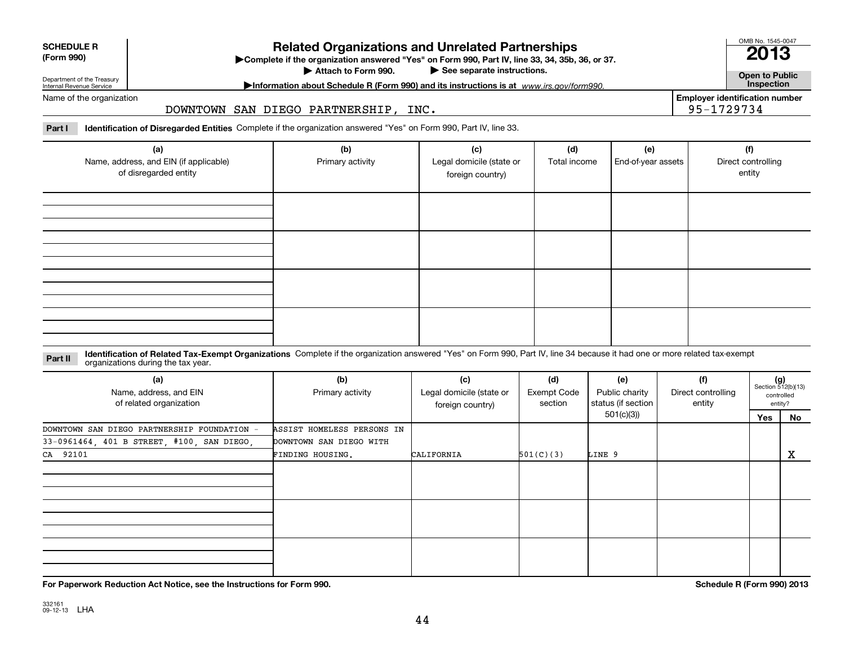| <b>SCHEDULE R</b> |
|-------------------|
|                   |

# **(Form 990)**

# **Related Organizations and Unrelated Partnerships**

**Complete if the organization answered "Yes" on Form 990, Part IV, line 33, 34, 35b, 36, or 37.** |

Attach to Form 990.

 $\blacktriangleright$  See separate instructions.

Department of the Treasury Internal Revenue Service

# **Morton about Schedule R (Form 990) and its instructions is at www.irs.gov/form990.** And **inspection**

# Name of the organization

## DOWNTOWN SAN DIEGO PARTNERSHIP, INC.

**Part I Identification of Disregarded Entities**  Complete if the organization answered "Yes" on Form 990, Part IV, line 33.

| (a)<br>Name, address, and EIN (if applicable)<br>of disregarded entity | (b)<br>Primary activity | (c)<br>Legal domicile (state or<br>foreign country) | (d)<br>Total income | (e)<br>End-of-year assets | (f)<br>Direct controlling<br>entity |
|------------------------------------------------------------------------|-------------------------|-----------------------------------------------------|---------------------|---------------------------|-------------------------------------|
|                                                                        |                         |                                                     |                     |                           |                                     |
|                                                                        |                         |                                                     |                     |                           |                                     |
|                                                                        |                         |                                                     |                     |                           |                                     |
|                                                                        |                         |                                                     |                     |                           |                                     |

### **Identification of Related Tax-Exempt Organizations** Complete if the organization answered "Yes" on Form 990, Part IV, line 34 because it had one or more related tax-exempt **Part II** organizations during the tax year.

| (a)<br>Name, address, and EIN<br>of related organization | (b)<br>Primary activity    | (c)<br>Legal domicile (state or<br>foreign country) | (d)<br><b>Exempt Code</b><br>section | (f)<br>(e)<br>Public charity<br>Direct controlling<br>status (if section  <br>entity |  | $(g)$<br>Section 512(b)(13) | controlled<br>entity? |
|----------------------------------------------------------|----------------------------|-----------------------------------------------------|--------------------------------------|--------------------------------------------------------------------------------------|--|-----------------------------|-----------------------|
|                                                          |                            |                                                     |                                      | 501(c)(3))                                                                           |  | Yes                         | No                    |
| DOWNTOWN SAN DIEGO PARTNERSHIP FOUNDATION -              | ASSIST HOMELESS PERSONS IN |                                                     |                                      |                                                                                      |  |                             |                       |
| 33-0961464, 401 B STREET, #100, SAN DIEGO,               | DOWNTOWN SAN DIEGO WITH    |                                                     |                                      |                                                                                      |  |                             |                       |
| CA 92101                                                 | FINDING HOUSING.           | CALIFORNIA                                          | 501(C)(3)                            | LINE 9                                                                               |  |                             | X                     |
|                                                          |                            |                                                     |                                      |                                                                                      |  |                             |                       |
|                                                          |                            |                                                     |                                      |                                                                                      |  |                             |                       |
|                                                          |                            |                                                     |                                      |                                                                                      |  |                             |                       |

**For Paperwork Reduction Act Notice, see the Instructions for Form 990. Schedule R (Form 990) 2013**

OMB No. 1545-0047

**2013**

**Open to Public**

**Employer identification number**

95-1729734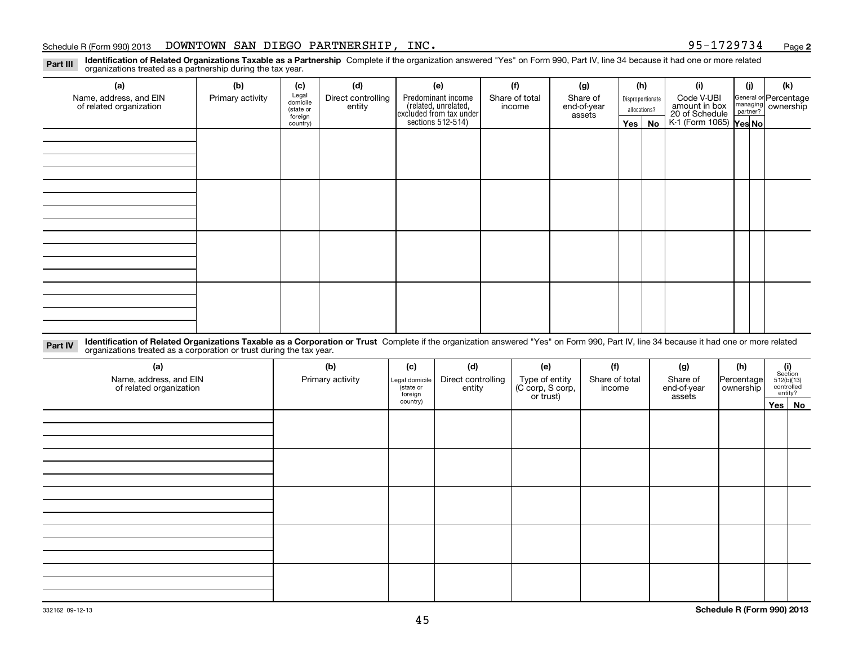## Schedule R (Form 990) 2013 DOWNTOWN SAN DIEGO PARTNERSHIP, INC 95-1729734 <sub>Page</sub>

**2**

**Part III**

**Identification of Related Organizations Taxable as a Partnership** Complete if the organization answered "Yes" on Form 990, Part IV, line 34 because it had one or more related organizations treated as a partnership during the tax year.

| (a)                                               | (b)              | (c)                  | (d)                          | (e)                                                                   | (f)                      | (g)                     |              | (h)              | (i)                                      | (i) | (k)                                                     |
|---------------------------------------------------|------------------|----------------------|------------------------------|-----------------------------------------------------------------------|--------------------------|-------------------------|--------------|------------------|------------------------------------------|-----|---------------------------------------------------------|
| Name, address, and EIN<br>of related organization | Primary activity | Legal<br>domicile    | Direct controlling<br>entity | Predominant income                                                    | Share of total<br>income | Share of<br>end-of-year |              | Disproportionate | Code V-UBI<br>amount in box              |     | General or Percentage<br>managing ownership<br>partner? |
|                                                   |                  | (state or<br>foreign |                              |                                                                       |                          | assets                  | allocations? |                  |                                          |     |                                                         |
|                                                   |                  | country)             |                              | ricolated, unrelated,<br>excluded from tax under<br>sections 512-514) |                          |                         | Yes $ $      | No               | 20 of Schedule<br>K-1 (Form 1065) Yes No |     |                                                         |
|                                                   |                  |                      |                              |                                                                       |                          |                         |              |                  |                                          |     |                                                         |
|                                                   |                  |                      |                              |                                                                       |                          |                         |              |                  |                                          |     |                                                         |
|                                                   |                  |                      |                              |                                                                       |                          |                         |              |                  |                                          |     |                                                         |
|                                                   |                  |                      |                              |                                                                       |                          |                         |              |                  |                                          |     |                                                         |
|                                                   |                  |                      |                              |                                                                       |                          |                         |              |                  |                                          |     |                                                         |
|                                                   |                  |                      |                              |                                                                       |                          |                         |              |                  |                                          |     |                                                         |
|                                                   |                  |                      |                              |                                                                       |                          |                         |              |                  |                                          |     |                                                         |
|                                                   |                  |                      |                              |                                                                       |                          |                         |              |                  |                                          |     |                                                         |
|                                                   |                  |                      |                              |                                                                       |                          |                         |              |                  |                                          |     |                                                         |
|                                                   |                  |                      |                              |                                                                       |                          |                         |              |                  |                                          |     |                                                         |
|                                                   |                  |                      |                              |                                                                       |                          |                         |              |                  |                                          |     |                                                         |
|                                                   |                  |                      |                              |                                                                       |                          |                         |              |                  |                                          |     |                                                         |
|                                                   |                  |                      |                              |                                                                       |                          |                         |              |                  |                                          |     |                                                         |
|                                                   |                  |                      |                              |                                                                       |                          |                         |              |                  |                                          |     |                                                         |
|                                                   |                  |                      |                              |                                                                       |                          |                         |              |                  |                                          |     |                                                         |
|                                                   |                  |                      |                              |                                                                       |                          |                         |              |                  |                                          |     |                                                         |
|                                                   |                  |                      |                              |                                                                       |                          |                         |              |                  |                                          |     |                                                         |

**Identification of Related Organizations Taxable as a Corporation or Trust** Complete if the organization answered "Yes" on Form 990, Part IV, line 34 because it had one or more related **Part IV** organizations treated as a corporation or trust during the tax year.

| (a)<br>Name, address, and EIN<br>of related organization | (b)<br>Primary activity | (c)<br>Legal domicile<br>(state or<br>foreign | (d)<br>Direct controlling<br>entity | (e)<br>Type of entity<br>(C corp, S corp,<br>or trust) | (f)<br>Share of total<br>income | (g)<br>Share of<br>end-of-year<br>assets | (h)<br>Percentage<br>ownership | $\begin{array}{c} \textbf{(i)}\\ \text{Section}\\ 512 \text{(b)} \text{(13)}\\ \text{controlled}\\ \text{entity?} \end{array}$ |
|----------------------------------------------------------|-------------------------|-----------------------------------------------|-------------------------------------|--------------------------------------------------------|---------------------------------|------------------------------------------|--------------------------------|--------------------------------------------------------------------------------------------------------------------------------|
|                                                          |                         | country)                                      |                                     |                                                        |                                 |                                          |                                | Yes No                                                                                                                         |
|                                                          |                         |                                               |                                     |                                                        |                                 |                                          |                                |                                                                                                                                |
|                                                          |                         |                                               |                                     |                                                        |                                 |                                          |                                |                                                                                                                                |
|                                                          |                         |                                               |                                     |                                                        |                                 |                                          |                                |                                                                                                                                |
|                                                          |                         |                                               |                                     |                                                        |                                 |                                          |                                |                                                                                                                                |
|                                                          |                         |                                               |                                     |                                                        |                                 |                                          |                                |                                                                                                                                |
|                                                          |                         |                                               |                                     |                                                        |                                 |                                          |                                |                                                                                                                                |
|                                                          |                         |                                               |                                     |                                                        |                                 |                                          |                                |                                                                                                                                |
|                                                          |                         |                                               |                                     |                                                        |                                 |                                          |                                |                                                                                                                                |
|                                                          |                         |                                               |                                     |                                                        |                                 |                                          |                                |                                                                                                                                |
|                                                          |                         |                                               |                                     |                                                        |                                 |                                          |                                |                                                                                                                                |
|                                                          |                         |                                               |                                     |                                                        |                                 |                                          |                                |                                                                                                                                |
|                                                          |                         |                                               |                                     |                                                        |                                 |                                          |                                |                                                                                                                                |
|                                                          |                         |                                               |                                     |                                                        |                                 |                                          |                                |                                                                                                                                |
|                                                          |                         |                                               |                                     |                                                        |                                 |                                          |                                |                                                                                                                                |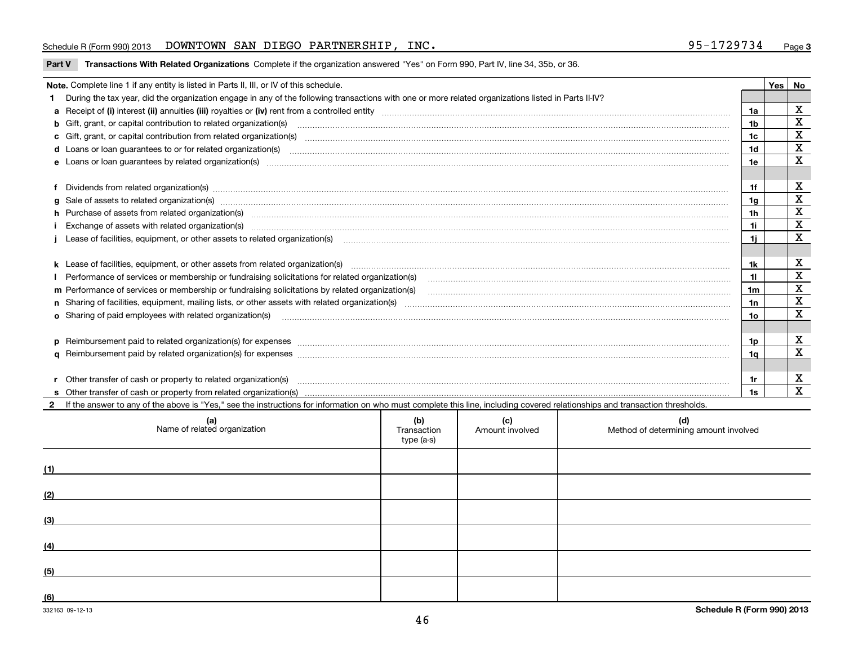## Schedule R (Form 990) 2013 DOWNTOWN SAN DIEGO PARTNERSHIP, INC 95-1729734 <sub>Page</sub>

| Part V Transactions With Related Organizations Complete if the organization answered "Yes" on Form 990, Part IV, line 34, 35b, or 36. |  |
|---------------------------------------------------------------------------------------------------------------------------------------|--|
|                                                                                                                                       |  |

| Yes   No<br>Note. Complete line 1 if any entity is listed in Parts II, III, or IV of this schedule. |                                                                                                                                                                                                                                |                |  |             |  |
|-----------------------------------------------------------------------------------------------------|--------------------------------------------------------------------------------------------------------------------------------------------------------------------------------------------------------------------------------|----------------|--|-------------|--|
|                                                                                                     | During the tax year, did the organization engage in any of the following transactions with one or more related organizations listed in Parts II-IV?                                                                            |                |  |             |  |
|                                                                                                     |                                                                                                                                                                                                                                |                |  | х           |  |
|                                                                                                     |                                                                                                                                                                                                                                | 1a             |  | X           |  |
|                                                                                                     | <b>b</b> Gift, grant, or capital contribution to related organization(s)                                                                                                                                                       | 1b             |  |             |  |
|                                                                                                     |                                                                                                                                                                                                                                | 1c             |  | $\mathbf X$ |  |
|                                                                                                     |                                                                                                                                                                                                                                | 1d             |  | X           |  |
|                                                                                                     | e Loans or loan guarantees by related organization(s) manufactured and content to content the content of the content of the content of the content of the content of the content of the content of the content of the content  | 1e             |  | $\mathbf X$ |  |
|                                                                                                     |                                                                                                                                                                                                                                |                |  |             |  |
|                                                                                                     | f Dividends from related organization(s) manufactured contains and contained and contained contained and contained and contained and contained and contained and contained and contained and contained and contained and conta | 1f             |  | X           |  |
|                                                                                                     | g Sale of assets to related organization(s) www.assettion.com/www.assettion.com/www.assettion.com/www.assettion.com/www.assettion.com/www.assettion.com/www.assettion.com/www.assettion.com/www.assettion.com/www.assettion.co | 1a             |  | X           |  |
|                                                                                                     | h Purchase of assets from related organization(s) manufactured and content to content the content of assets from related organization(s)                                                                                       | 1 <sub>h</sub> |  | $\mathbf X$ |  |
|                                                                                                     | Exchange of assets with related organization(s) www.assettion.com/www.assettion.com/www.assettion.com/www.assettion.com/www.assettion.com/www.assettion.com/www.assettion.com/www.assettion.com/www.assettion.com/www.assettio | 1i             |  | X           |  |
|                                                                                                     | Lease of facilities, equipment, or other assets to related organization(s) [11] manufaction(s) [11] manufaction(s) and all manufaction manufactures are not incomparable to the assets to related organization(s) [11] manufac | 1i.            |  | X           |  |
|                                                                                                     |                                                                                                                                                                                                                                |                |  |             |  |
|                                                                                                     |                                                                                                                                                                                                                                | 1k             |  | X           |  |
|                                                                                                     | I Performance of services or membership or fundraising solicitations for related organization(s)                                                                                                                               | 11             |  | X           |  |
|                                                                                                     | m Performance of services or membership or fundraising solicitations by related organization(s)                                                                                                                                | 1m             |  | X           |  |
|                                                                                                     |                                                                                                                                                                                                                                | 1n             |  | X           |  |
|                                                                                                     |                                                                                                                                                                                                                                | 1o             |  | X           |  |
|                                                                                                     |                                                                                                                                                                                                                                |                |  |             |  |
|                                                                                                     | p Reimbursement paid to related organization(s) for expenses [111] resummand content to content the set of the set of the set of the set of the set of the set of the set of the set of the set of the set of the set of the s | 1p             |  | х           |  |
|                                                                                                     |                                                                                                                                                                                                                                | 1a             |  | X           |  |
|                                                                                                     |                                                                                                                                                                                                                                |                |  |             |  |
|                                                                                                     | Other transfer of cash or property to related organization(s)                                                                                                                                                                  | 1r             |  | X           |  |
|                                                                                                     | s Other transfer of cash or property from related organization(s)                                                                                                                                                              | 1s             |  | X           |  |

**2**If the answer to any of the above is "Yes," see the instructions for information on who must complete this line, including covered relationships and transaction thresholds.

| (a)<br>Name of related organization | (b)<br>Transaction<br>type (a-s) | (c)<br>Amount involved | (d)<br>Method of determining amount involved |
|-------------------------------------|----------------------------------|------------------------|----------------------------------------------|
| (1)                                 |                                  |                        |                                              |
| (2)                                 |                                  |                        |                                              |
| (3)                                 |                                  |                        |                                              |
| (4)                                 |                                  |                        |                                              |
| (5)                                 |                                  |                        |                                              |
| (6)                                 |                                  |                        |                                              |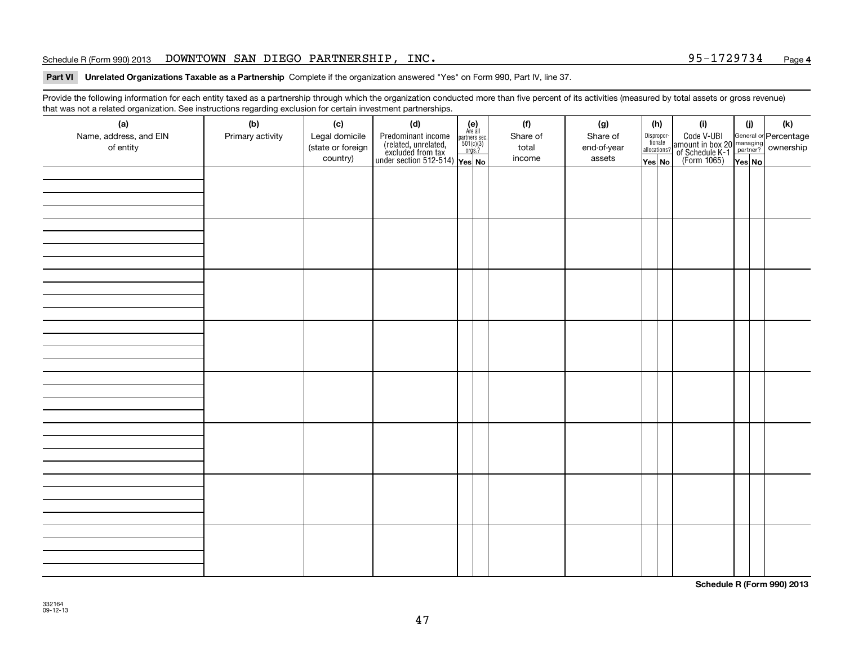# Schedule R (Form 990) 2013 DOWNTOWN SAN DIEGO PARTNERSHIP, INC. 95-1729734 <sub>Page</sub>

## **Part VI Unrelated Organizations Taxable as a Partnership Complete if the organization answered "Yes" on Form 990, Part IV, line 37.**

Provide the following information for each entity taxed as a partnership through which the organization conducted more than five percent of its activities (measured by total assets or gross revenue) that was not a related organization. See instructions regarding exclusion for certain investment partnerships.

| ັ<br>(a)               | ັ<br>ັ<br>(b)    | (c)                           | (d)                                                                                                                                      | (e)<br>Are all | (f)             | (g)                   |                                       | (h) | (i)                                                                                              | (i)    | (k) |
|------------------------|------------------|-------------------------------|------------------------------------------------------------------------------------------------------------------------------------------|----------------|-----------------|-----------------------|---------------------------------------|-----|--------------------------------------------------------------------------------------------------|--------|-----|
| Name, address, and EIN | Primary activity | Legal domicile                | Predominant income<br>(related, unrelated, $\frac{\text{area}}{\text{softmax}}$<br>excluded from tax<br>under section 512-514)<br>Yes No |                | Share of        | Share of              | Dispropor-<br>tionate<br>allocations? |     | Code V-UBI<br>amount in box 20 managing<br>of Schedule K-1<br>(Form 1065)<br>$\overline{Yes}$ No |        |     |
| of entity              |                  | (state or foreign<br>country) |                                                                                                                                          |                | total<br>income | end-of-year<br>assets | Yes No                                |     |                                                                                                  | Yes No |     |
|                        |                  |                               |                                                                                                                                          |                |                 |                       |                                       |     |                                                                                                  |        |     |
|                        |                  |                               |                                                                                                                                          |                |                 |                       |                                       |     |                                                                                                  |        |     |
|                        |                  |                               |                                                                                                                                          |                |                 |                       |                                       |     |                                                                                                  |        |     |
|                        |                  |                               |                                                                                                                                          |                |                 |                       |                                       |     |                                                                                                  |        |     |
|                        |                  |                               |                                                                                                                                          |                |                 |                       |                                       |     |                                                                                                  |        |     |
|                        |                  |                               |                                                                                                                                          |                |                 |                       |                                       |     |                                                                                                  |        |     |
|                        |                  |                               |                                                                                                                                          |                |                 |                       |                                       |     |                                                                                                  |        |     |
|                        |                  |                               |                                                                                                                                          |                |                 |                       |                                       |     |                                                                                                  |        |     |
|                        |                  |                               |                                                                                                                                          |                |                 |                       |                                       |     |                                                                                                  |        |     |
|                        |                  |                               |                                                                                                                                          |                |                 |                       |                                       |     |                                                                                                  |        |     |
|                        |                  |                               |                                                                                                                                          |                |                 |                       |                                       |     |                                                                                                  |        |     |
|                        |                  |                               |                                                                                                                                          |                |                 |                       |                                       |     |                                                                                                  |        |     |
|                        |                  |                               |                                                                                                                                          |                |                 |                       |                                       |     |                                                                                                  |        |     |
|                        |                  |                               |                                                                                                                                          |                |                 |                       |                                       |     |                                                                                                  |        |     |
|                        |                  |                               |                                                                                                                                          |                |                 |                       |                                       |     |                                                                                                  |        |     |
|                        |                  |                               |                                                                                                                                          |                |                 |                       |                                       |     |                                                                                                  |        |     |
|                        |                  |                               |                                                                                                                                          |                |                 |                       |                                       |     |                                                                                                  |        |     |
|                        |                  |                               |                                                                                                                                          |                |                 |                       |                                       |     |                                                                                                  |        |     |
|                        |                  |                               |                                                                                                                                          |                |                 |                       |                                       |     |                                                                                                  |        |     |
|                        |                  |                               |                                                                                                                                          |                |                 |                       |                                       |     |                                                                                                  |        |     |
|                        |                  |                               |                                                                                                                                          |                |                 |                       |                                       |     |                                                                                                  |        |     |
|                        |                  |                               |                                                                                                                                          |                |                 |                       |                                       |     |                                                                                                  |        |     |
|                        |                  |                               |                                                                                                                                          |                |                 |                       |                                       |     |                                                                                                  |        |     |
|                        |                  |                               |                                                                                                                                          |                |                 |                       |                                       |     |                                                                                                  |        |     |
|                        |                  |                               |                                                                                                                                          |                |                 |                       |                                       |     |                                                                                                  |        |     |
|                        |                  |                               |                                                                                                                                          |                |                 |                       |                                       |     |                                                                                                  |        |     |
|                        |                  |                               |                                                                                                                                          |                |                 |                       |                                       |     |                                                                                                  |        |     |

**Schedule R (Form 990) 2013**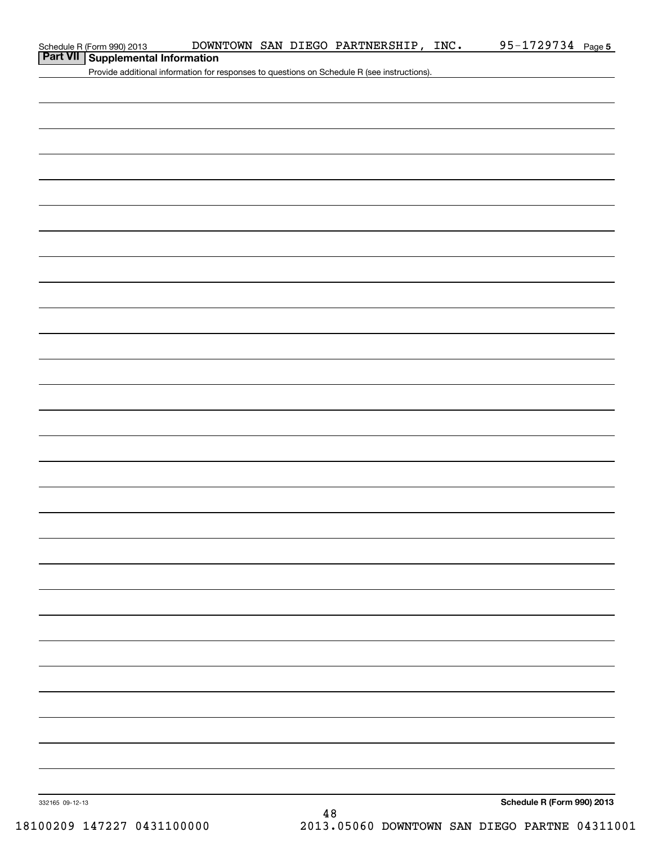| Schedule R (Form 990) 2013 |  |  |
|----------------------------|--|--|
|----------------------------|--|--|

# **Part VII Supplemental Information**

Provide additional information for responses to questions on Schedule R (see instructions).

**Schedule R (Form 990) 2013**

332165 09-12-13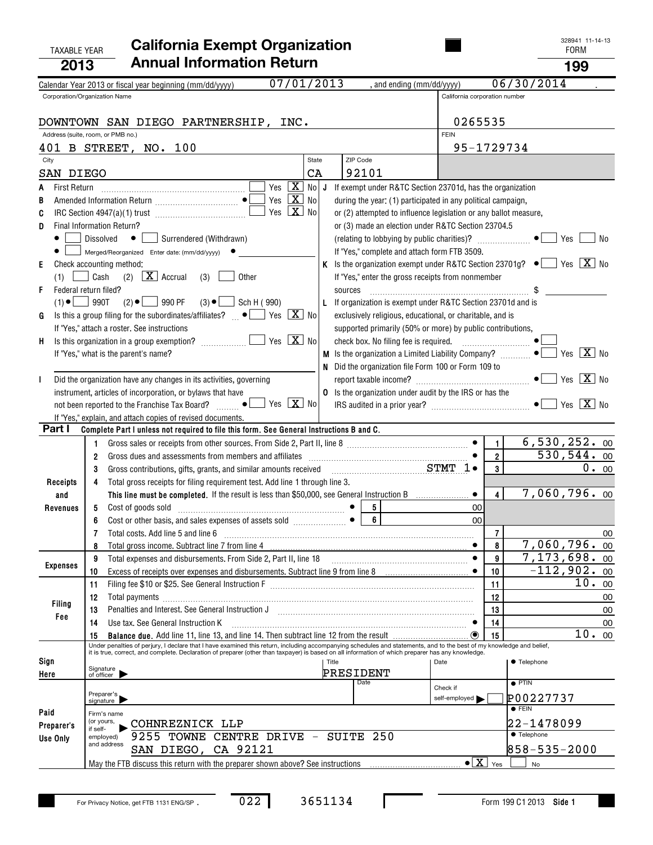# TAXABLE YEAR FORM **California Exempt Organization 2013Annual Information Return <sup>199</sup>**

| 328941 11-14-13 |
|-----------------|
|                 |

|                          | 07/01/2013<br>Calendar Year 2013 or fiscal year beginning (mm/dd/yyyy)                                                                                                                                                            | , and ending (mm/dd/yyyy)                                                                               |                                      | 06/30/2014                 |
|--------------------------|-----------------------------------------------------------------------------------------------------------------------------------------------------------------------------------------------------------------------------------|---------------------------------------------------------------------------------------------------------|--------------------------------------|----------------------------|
|                          | Corporation/Organization Name                                                                                                                                                                                                     |                                                                                                         | California corporation number        |                            |
|                          |                                                                                                                                                                                                                                   |                                                                                                         |                                      |                            |
|                          | DOWNTOWN SAN DIEGO PARTNERSHIP, INC.                                                                                                                                                                                              |                                                                                                         | 0265535                              |                            |
|                          | Address (suite, room, or PMB no.)                                                                                                                                                                                                 |                                                                                                         | <b>FEIN</b>                          |                            |
|                          | 401 B STREET, NO. 100                                                                                                                                                                                                             |                                                                                                         | 95-1729734                           |                            |
| City                     | State                                                                                                                                                                                                                             | ZIP Code                                                                                                |                                      |                            |
|                          | CA                                                                                                                                                                                                                                | 92101                                                                                                   |                                      |                            |
| SAN DIEGO                |                                                                                                                                                                                                                                   |                                                                                                         |                                      |                            |
| <b>First Return</b><br>A | $\boxed{\text{X}}$ No<br>Yes                                                                                                                                                                                                      | J<br>If exempt under R&TC Section 23701d, has the organization                                          |                                      |                            |
| В                        | $X$ No<br>Yes                                                                                                                                                                                                                     | during the year: (1) participated in any political campaign,                                            |                                      |                            |
| C                        | Yes $X$ No                                                                                                                                                                                                                        | or (2) attempted to influence legislation or any ballot measure,                                        |                                      |                            |
| D                        | Final Information Return?                                                                                                                                                                                                         | or (3) made an election under R&TC Section 23704.5                                                      |                                      |                            |
|                          | Surrendered (Withdrawn)<br>Dissolved<br>$\bullet$                                                                                                                                                                                 | (relating to lobbying by public charities)? $\Box$ $\bullet$                                            |                                      | Yes<br>No                  |
|                          | Merged/Reorganized Enter date: (mm/dd/yyyy)                                                                                                                                                                                       | If "Yes," complete and attach form FTB 3509.                                                            |                                      |                            |
| Е                        | Check accounting method:                                                                                                                                                                                                          | K Is the organization exempt under R&TC Section 23701g? $\bullet$ $\bullet$ Yes $\boxed{\mathbf{X}}$ No |                                      |                            |
|                          |                                                                                                                                                                                                                                   |                                                                                                         |                                      |                            |
| (1)                      | $\Box$ Cash<br>(2) $X$ Accrual<br>Other<br>(3)                                                                                                                                                                                    | If "Yes," enter the gross receipts from nonmember                                                       |                                      |                            |
| F                        | Federal return filed?                                                                                                                                                                                                             | sources                                                                                                 |                                      |                            |
| $(1) \bullet$ 990T       | $(2) \bullet$ 990 PF<br>$(3) \bullet$ __<br>Sch H (990)                                                                                                                                                                           | L If organization is exempt under R&TC Section 23701d and is                                            |                                      |                            |
| G                        | Is this a group filing for the subordinates/affiliates? $\Box \bullet$ $\Box$ Yes $\Box X$ No                                                                                                                                     | exclusively religious, educational, or charitable, and is                                               |                                      |                            |
|                          | If "Yes," attach a roster. See instructions                                                                                                                                                                                       | supported primarily (50% or more) by public contributions,                                              |                                      |                            |
| H,                       | Yes $\boxed{\mathbf{X}}$ No<br>Is this organization in a group exemption?                                                                                                                                                         |                                                                                                         |                                      |                            |
|                          | If "Yes," what is the parent's name?                                                                                                                                                                                              | <b>M</b> Is the organization a Limited Liability Company? $\ldots$                                      |                                      | Yes $\overline{X}$ No      |
|                          |                                                                                                                                                                                                                                   | N Did the organization file Form 100 or Form 109 to                                                     |                                      |                            |
|                          | Did the organization have any changes in its activities, governing                                                                                                                                                                |                                                                                                         |                                      |                            |
|                          | instrument, articles of incorporation, or bylaws that have                                                                                                                                                                        | <b>0</b> Is the organization under audit by the IRS or has the                                          |                                      |                            |
|                          | not been reported to the Franchise Tax Board? $\Box$ Yes $\boxed{\mathbf{X}}$ No                                                                                                                                                  |                                                                                                         |                                      | Yes $X \mid N_0$           |
|                          |                                                                                                                                                                                                                                   |                                                                                                         |                                      |                            |
|                          | If "Yes," explain, and attach copies of revised documents.                                                                                                                                                                        |                                                                                                         |                                      |                            |
| Part I                   | Complete Part I unless not required to file this form. See General Instructions B and C.                                                                                                                                          |                                                                                                         |                                      |                            |
|                          | 1.                                                                                                                                                                                                                                |                                                                                                         | $\bullet$<br>$\mathbf{1}$            | 6,530,252.00               |
|                          | Gross dues and assessments from members and affiliates<br>$\mathbf{2}$                                                                                                                                                            |                                                                                                         | $\overline{2}$                       | $\overline{530}$ , 544. 00 |
|                          | Gross contributions, gifts, grants, and similar amounts received<br>3                                                                                                                                                             | $STMT$ 1.                                                                                               | $\mathbf{3}$                         | 0.00                       |
| Receipts                 | Total gross receipts for filing requirement test. Add line 1 through line 3.                                                                                                                                                      |                                                                                                         |                                      |                            |
| and                      | This line must be completed. If the result is less than \$50,000, see General Instruction B                                                                                                                                       |                                                                                                         | $\overline{\mathbf{4}}$<br>$\bullet$ | $7,060,796.$ 00            |
| Revenues                 | Cost of goods sold<br>5                                                                                                                                                                                                           | 5                                                                                                       | 00                                   |                            |
|                          | Cost or other basis, and sales expenses of assets sold                                                                                                                                                                            | 6                                                                                                       | 00                                   |                            |
|                          | Total costs. Add line 5 and line 6                                                                                                                                                                                                |                                                                                                         | $\overline{7}$                       | 00                         |
|                          | Total gross income. Subtract line 7 from line 4                                                                                                                                                                                   |                                                                                                         | 8<br>$\bullet$                       | $7,060,796.$ 00            |
|                          |                                                                                                                                                                                                                                   |                                                                                                         |                                      | 7,173,698.00               |
| <b>Expenses</b>          | Total expenses and disbursements. From Side 2, Part II, line 18<br>9                                                                                                                                                              |                                                                                                         | 9                                    | $-112,902.$ 00             |
|                          | Excess of receipts over expenses and disbursements. Subtract line 9 from line 8 [11, 11, 11, 11, 11, 11, 11, 1<br>10                                                                                                              |                                                                                                         | 10                                   |                            |
|                          | 11                                                                                                                                                                                                                                |                                                                                                         | 11                                   | $\overline{1}0$ .<br>00    |
| <b>Filing</b>            | 12                                                                                                                                                                                                                                |                                                                                                         | 12                                   | 00                         |
| Fee                      | Penalties and Interest. See General Instruction J<br>13                                                                                                                                                                           |                                                                                                         | 13                                   | 00                         |
|                          | Use tax. See General Instruction K<br>14                                                                                                                                                                                          |                                                                                                         | 14                                   | 00                         |
|                          | Balance due. Add line 11, line 13, and line 14. Then subtract line 12 from the result<br>15                                                                                                                                       |                                                                                                         | 15<br>$\circledbullet$               | 10.00                      |
|                          | Under penalties of perjury, I declare that I have examined this return, including accompanying schedules and statements, and to the best of my knowledge and belief,<br>it is true, correct, and complete. Declaration of prepare |                                                                                                         |                                      |                            |
| Sign                     |                                                                                                                                                                                                                                   | Title                                                                                                   | Date                                 | <b>• Telephone</b>         |
| Here                     | Signature<br>of officer                                                                                                                                                                                                           | PRESIDENT                                                                                               |                                      |                            |
|                          |                                                                                                                                                                                                                                   | Date                                                                                                    | Check if                             | $\overline{\bullet}$ PTIN  |
|                          | Preparer's<br>signature                                                                                                                                                                                                           |                                                                                                         |                                      | P00227737                  |
|                          |                                                                                                                                                                                                                                   |                                                                                                         | self-employed                        | $\bullet$ FEIN             |
| Paid                     | Firm's name                                                                                                                                                                                                                       |                                                                                                         |                                      |                            |
| Preparer's               | (or yours,<br>COHNREZNICK LLP<br>if self-                                                                                                                                                                                         |                                                                                                         |                                      | 22-1478099                 |
| Use Only                 | 9255 TOWNE CENTRE DRIVE - SUITE 250<br>employed)<br>and address                                                                                                                                                                   |                                                                                                         |                                      | <b>Telephone</b>           |
|                          | SAN DIEGO, CA 92121                                                                                                                                                                                                               |                                                                                                         |                                      | 858-535-2000               |
|                          | May the FTB discuss this return with the preparer shown above? See instructions                                                                                                                                                   |                                                                                                         | $\bullet$ $\boxed{\text{X}}$<br>Yes  | No                         |
|                          |                                                                                                                                                                                                                                   |                                                                                                         |                                      |                            |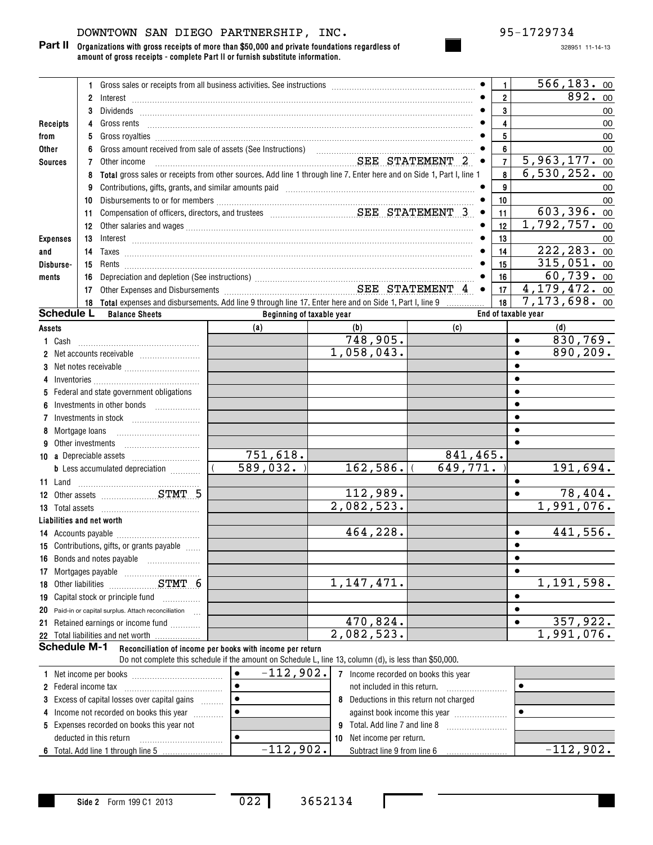# DOWNTOWN SAN DIEGO PARTNERSHIP, INC. 95-1729734

**Organizations with gross receipts of more than \$50,000 and private foundations regardless of amount of gross receipts - complete Part II or furnish substitute information. Part II**

|                     | 1.                |                                                                                                           |                                                           | Gross sales or receipts from all business activities. See instructions [11] contains the sales or receipts from all business activities. See instructions [11] [12] contains an except for the sales or the sales of the sales                                                                                                                           |                         | 1              | 566, 183.00                   |
|---------------------|-------------------|-----------------------------------------------------------------------------------------------------------|-----------------------------------------------------------|----------------------------------------------------------------------------------------------------------------------------------------------------------------------------------------------------------------------------------------------------------------------------------------------------------------------------------------------------------|-------------------------|----------------|-------------------------------|
|                     | $\mathbf{2}$      |                                                                                                           |                                                           | $Interest \begin{array}{c} \rule{2.5cm}{0.15cm} \rule{2.5cm}{0.15cm} \rule{2.5cm}{0.15cm} \rule{2.5cm}{0.15cm} \rule{2.5cm}{0.15cm} \rule{2.5cm}{0.15cm} \rule{2.5cm}{0.15cm} \rule{2.5cm}{0.15cm} \rule{2.5cm}{0.15cm} \rule{2.5cm}{0.15cm} \rule{2.5cm}{0.15cm} \rule{2.5cm}{0.15cm} \rule{2.5cm}{0.15cm} \rule{2.5cm}{0.15cm} \rule{2.5cm}{0.15cm} \$ |                         | $\overline{2}$ | 892.00                        |
|                     | 3                 |                                                                                                           |                                                           |                                                                                                                                                                                                                                                                                                                                                          |                         | 3              | 00                            |
| Receipts            | 4                 | Gross rents                                                                                               |                                                           |                                                                                                                                                                                                                                                                                                                                                          |                         | 4              | 00                            |
| from                | 5                 |                                                                                                           |                                                           |                                                                                                                                                                                                                                                                                                                                                          |                         | 5              | 00                            |
| <b>Other</b>        | 6                 |                                                                                                           |                                                           |                                                                                                                                                                                                                                                                                                                                                          |                         | 6              | 00                            |
| <b>Sources</b>      | 7                 | Other income                                                                                              |                                                           | SEE STATEMENT 2                                                                                                                                                                                                                                                                                                                                          | $\bullet$               | $\overline{7}$ | 5,963,177.00                  |
|                     | 8                 |                                                                                                           |                                                           | Total gross sales or receipts from other sources. Add line 1 through line 7. Enter here and on Side 1, Part I, line 1                                                                                                                                                                                                                                    |                         | 8              | $\overline{6,530,252.}$<br>00 |
|                     | 9                 |                                                                                                           |                                                           | Contributions, gifts, grants, and similar amounts paid manufactured contributions, aifts, and similar                                                                                                                                                                                                                                                    |                         | 9              | 00                            |
|                     | 10                |                                                                                                           |                                                           |                                                                                                                                                                                                                                                                                                                                                          |                         | 10             | 00                            |
|                     | 11                |                                                                                                           |                                                           |                                                                                                                                                                                                                                                                                                                                                          | $\bullet$               | 11             | 603,396.00                    |
|                     | 12                |                                                                                                           |                                                           |                                                                                                                                                                                                                                                                                                                                                          |                         | 12             | 1,792,757. 00                 |
| <b>Expenses</b>     | 13                |                                                                                                           |                                                           |                                                                                                                                                                                                                                                                                                                                                          |                         | 13             | 00                            |
| and                 | 14                |                                                                                                           |                                                           |                                                                                                                                                                                                                                                                                                                                                          |                         | 14             | $\overline{222,283}$ . 00     |
| Disburse-           | 15                |                                                                                                           |                                                           |                                                                                                                                                                                                                                                                                                                                                          |                         | 15             | 315,051.00                    |
| ments               | 16                |                                                                                                           |                                                           |                                                                                                                                                                                                                                                                                                                                                          |                         | 16             | 60,739.00                     |
|                     | 17                |                                                                                                           |                                                           | Depreciation and depletion (See instructions)<br>Other Expenses and Disbursements<br>Citier Expenses and Disbursements<br>Citier STATEMENT 4                                                                                                                                                                                                             | $\bullet$               | 17             | 4,179,472. 00                 |
|                     |                   | 18 Total expenses and disbursements. Add line 9 through line 17. Enter here and on Side 1, Part I, line 9 |                                                           |                                                                                                                                                                                                                                                                                                                                                          | .                       | 18             | 7,173,698.00                  |
| <b>Schedule L</b>   |                   | <b>Balance Sheets</b>                                                                                     |                                                           | Beginning of taxable year                                                                                                                                                                                                                                                                                                                                |                         |                | End of taxable year           |
| Assets              |                   |                                                                                                           | (a)                                                       | (b)                                                                                                                                                                                                                                                                                                                                                      | (c)                     |                | (d)                           |
| 1 Cash              |                   |                                                                                                           |                                                           | 748,905.                                                                                                                                                                                                                                                                                                                                                 |                         |                | 830,769.<br>$\bullet$         |
| 2                   |                   |                                                                                                           |                                                           | 1,058,043.                                                                                                                                                                                                                                                                                                                                               |                         |                | 890,209.<br>$\bullet$         |
| 3                   |                   |                                                                                                           |                                                           |                                                                                                                                                                                                                                                                                                                                                          |                         |                | $\bullet$                     |
| 4                   |                   |                                                                                                           |                                                           |                                                                                                                                                                                                                                                                                                                                                          |                         |                | $\bullet$                     |
| 5.                  |                   | Federal and state government obligations                                                                  |                                                           |                                                                                                                                                                                                                                                                                                                                                          |                         |                | $\bullet$                     |
| 6                   |                   |                                                                                                           |                                                           |                                                                                                                                                                                                                                                                                                                                                          |                         |                | $\bullet$                     |
| 7                   |                   | Investments in stock [11] [11] Investments in stock                                                       |                                                           |                                                                                                                                                                                                                                                                                                                                                          |                         |                | $\bullet$                     |
| 8                   | Mortgage loans    |                                                                                                           |                                                           |                                                                                                                                                                                                                                                                                                                                                          |                         |                | $\bullet$                     |
| 9                   | Other investments |                                                                                                           |                                                           |                                                                                                                                                                                                                                                                                                                                                          |                         |                | $\bullet$                     |
|                     |                   |                                                                                                           | 751,618.                                                  |                                                                                                                                                                                                                                                                                                                                                          | 841,465.                |                |                               |
|                     |                   | <b>b</b> Less accumulated depreciation <i></i>                                                            | 589,032.                                                  | 162, 586.                                                                                                                                                                                                                                                                                                                                                | $\overline{649}$ , 771. |                | 191,694.                      |
| 11 Land             |                   |                                                                                                           |                                                           |                                                                                                                                                                                                                                                                                                                                                          |                         |                | $\bullet$                     |
|                     |                   | 12 Other assets <b>STMT 5</b>                                                                             |                                                           | 112,989.                                                                                                                                                                                                                                                                                                                                                 |                         |                | 78,404.<br>$\bullet$          |
|                     |                   |                                                                                                           |                                                           | 2,082,523.                                                                                                                                                                                                                                                                                                                                               |                         |                | 1,991,076.                    |
|                     |                   | Liabilities and net worth                                                                                 |                                                           |                                                                                                                                                                                                                                                                                                                                                          |                         |                |                               |
|                     |                   |                                                                                                           |                                                           | 464,228.                                                                                                                                                                                                                                                                                                                                                 |                         |                | 441,556.<br>$\bullet$         |
|                     |                   | 15 Contributions, gifts, or grants payable                                                                |                                                           |                                                                                                                                                                                                                                                                                                                                                          |                         |                | $\bullet$                     |
|                     |                   | 16 Bonds and notes payable                                                                                |                                                           |                                                                                                                                                                                                                                                                                                                                                          |                         |                | $\bullet$                     |
|                     |                   |                                                                                                           |                                                           |                                                                                                                                                                                                                                                                                                                                                          |                         |                | $\bullet$                     |
|                     |                   |                                                                                                           |                                                           | 1, 147, 471.                                                                                                                                                                                                                                                                                                                                             |                         |                | 1,191,598.                    |
| 19                  |                   | Capital stock or principle fund                                                                           |                                                           |                                                                                                                                                                                                                                                                                                                                                          |                         |                | $\bullet$                     |
| 20                  |                   | Paid-in or capital surplus. Attach reconciliation                                                         |                                                           |                                                                                                                                                                                                                                                                                                                                                          |                         |                | $\bullet$                     |
| 21                  |                   | Retained earnings or income fund                                                                          |                                                           | 470,824.                                                                                                                                                                                                                                                                                                                                                 |                         |                | 357,922.<br>$\bullet$         |
|                     |                   | 22 Total liabilities and net worth                                                                        |                                                           | 2,082,523.                                                                                                                                                                                                                                                                                                                                               |                         |                | 1,991,076.                    |
| <b>Schedule M-1</b> |                   |                                                                                                           | Reconciliation of income per books with income per return |                                                                                                                                                                                                                                                                                                                                                          |                         |                |                               |
|                     |                   |                                                                                                           |                                                           | Do not complete this schedule if the amount on Schedule L, line 13, column (d), is less than \$50,000.                                                                                                                                                                                                                                                   |                         |                |                               |

| 1 Net income per books                               | $-112,902.$ |    | Income recorded on books this year    |              |
|------------------------------------------------------|-------------|----|---------------------------------------|--------------|
| 2 Federal income tax                                 |             |    | not included in this return.          |              |
| <b>3</b> Excess of capital losses over capital gains |             |    | Deductions in this return not charged |              |
| 4 Income not recorded on books this year             |             |    | against book income this year         |              |
| 5 Expenses recorded on books this year not           |             | -9 | Total, Add line 7 and line 8          |              |
| deducted in this return                              |             | 10 | Net income per return.                |              |
|                                                      | $-112,902.$ |    | Subtract line 9 from line 6           | $-112,902$ . |

022 3652134

 $\mathbf{I}$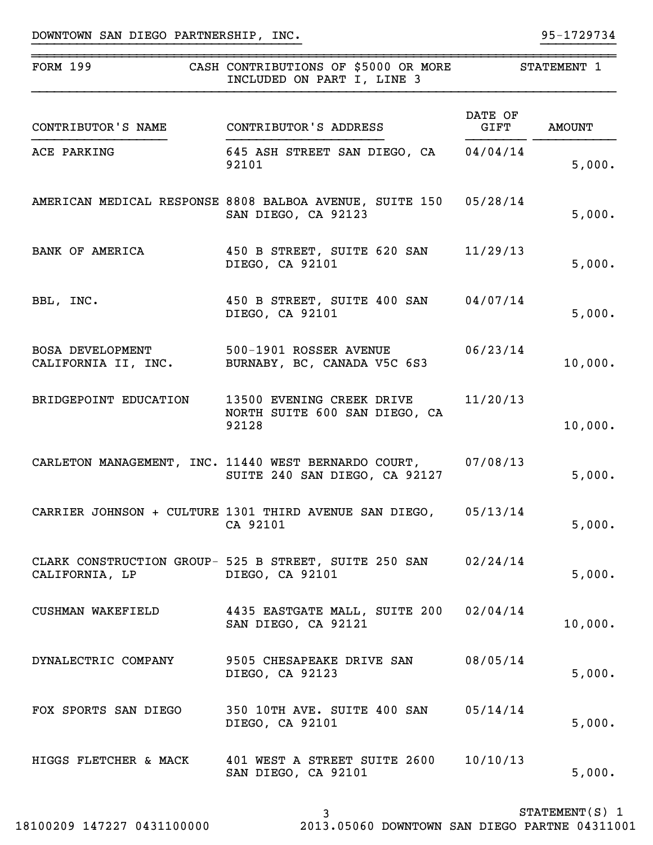| <b>FORM 199</b>                         | CASH CONTRIBUTIONS OF \$5000 OR MORE<br>INCLUDED ON PART I, LINE 3                             | STATEMENT 1     |                  |  |
|-----------------------------------------|------------------------------------------------------------------------------------------------|-----------------|------------------|--|
| CONTRIBUTOR'S NAME                      | CONTRIBUTOR'S ADDRESS                                                                          | DATE OF<br>GIFT | AMOUNT           |  |
| ACE PARKING                             | 645 ASH STREET SAN DIEGO, CA 04/04/14<br>92101                                                 |                 | 5,000.           |  |
|                                         | AMERICAN MEDICAL RESPONSE 8808 BALBOA AVENUE, SUITE 150<br>SAN DIEGO, CA 92123                 | 05/28/14        | 5,000.           |  |
| <b>BANK OF AMERICA</b>                  | 450 B STREET, SUITE 620 SAN<br>DIEGO, CA 92101                                                 | 11/29/13        | 5,000.           |  |
| BBL, INC.                               | 450 B STREET, SUITE 400 SAN 04/07/14<br>DIEGO, CA 92101                                        |                 | 5,000.           |  |
| BOSA DEVELOPMENT 500-1901 ROSSER AVENUE | CALIFORNIA II, INC. BURNABY, BC, CANADA V5C 6S3                                                | 06/23/14        | 10,000.          |  |
| BRIDGEPOINT EDUCATION                   | 13500 EVENING CREEK DRIVE<br>NORTH SUITE 600 SAN DIEGO, CA<br>92128                            | 11/20/13        | 10,000.          |  |
|                                         | CARLETON MANAGEMENT, INC. 11440 WEST BERNARDO COURT, 07/08/13<br>SUITE 240 SAN DIEGO, CA 92127 |                 | 5,000.           |  |
|                                         | CARRIER JOHNSON + CULTURE 1301 THIRD AVENUE SAN DIEGO, 05/13/14<br>CA 92101                    |                 | 5,000.           |  |
| CALIFORNIA, LP                          | CLARK CONSTRUCTION GROUP- 525 B STREET, SUITE 250 SAN 02/24/14<br>DIEGO, CA 92101              |                 | 5,000.           |  |
| CUSHMAN WAKEFIELD                       | 4435 EASTGATE MALL, SUITE 200 02/04/14<br>SAN DIEGO, CA 92121                                  |                 | 10,000.          |  |
| DYNALECTRIC COMPANY                     | 9505 CHESAPEAKE DRIVE SAN<br>DIEGO, CA 92123                                                   | 08/05/14        | 5,000.           |  |
| FOX SPORTS SAN DIEGO                    | 350 10TH AVE. SUITE 400 SAN 05/14/14<br>DIEGO, CA 92101                                        |                 | 5,000.           |  |
|                                         | HIGGS FLETCHER & MACK 401 WEST A STREET SUITE 2600 10/10/13<br>SAN DIEGO, CA 92101             |                 | 5,000.           |  |
|                                         | 3                                                                                              |                 | $STATEMENT(S)$ 1 |  |

}}}}}}}}}}}}}}}}}}}}}}}}}}}}}}}}}}}} }}}}}}}}}}

~~~~~~~~~~~~~~~~~~~~~~~~~~~~~~~~~~~~~~~~~~~~~~~~~~~~~~~~~~~~~~~~~~~~~~~~~~~~~~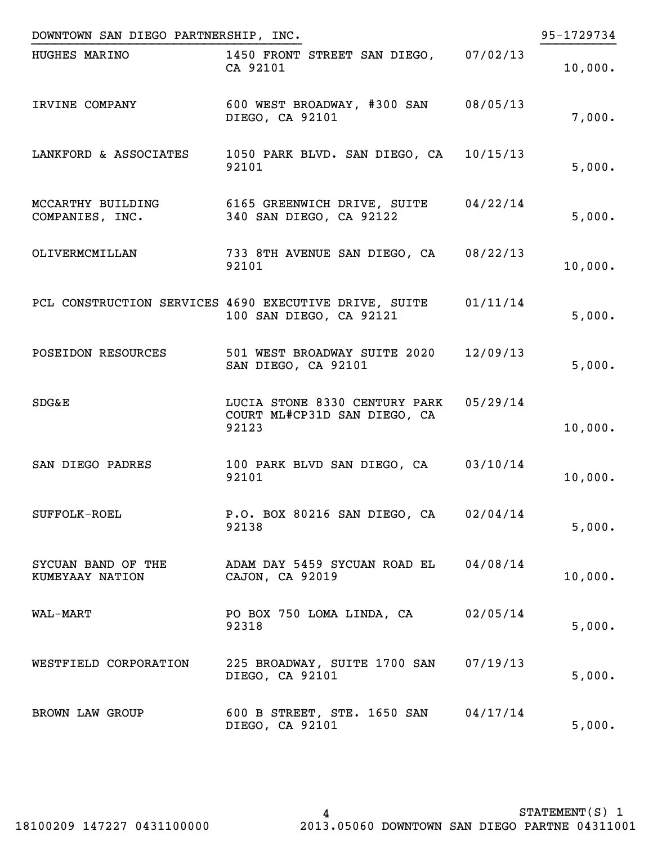| DOWNTOWN SAN DIEGO PARTNERSHIP, INC.  |                                                                                  |          | 95-1729734 |
|---------------------------------------|----------------------------------------------------------------------------------|----------|------------|
| HUGHES MARINO                         | 1450 FRONT STREET SAN DIEGO, 07/02/13<br>CA 92101                                |          | 10,000.    |
| IRVINE COMPANY                        | 600 WEST BROADWAY, #300 SAN 08/05/13<br>DIEGO, CA 92101                          |          | 7,000.     |
| LANKFORD & ASSOCIATES                 | 1050 PARK BLVD. SAN DIEGO, CA 10/15/13<br>92101                                  |          | 5,000.     |
| MCCARTHY BUILDING<br>COMPANIES, INC.  | $6165$ GREENWICH DRIVE, SUITE $04/22/14$<br>340 SAN DIEGO, CA 92122              |          | 5,000.     |
| OLIVERMCMILLAN                        | 733 8TH AVENUE SAN DIEGO, CA 08/22/13<br>92101                                   |          | 10,000.    |
|                                       | PCL CONSTRUCTION SERVICES 4690 EXECUTIVE DRIVE, SUITE<br>100 SAN DIEGO, CA 92121 | 01/11/14 | 5,000.     |
| POSEIDON RESOURCES                    | 501 WEST BROADWAY SUITE 2020<br>SAN DIEGO, CA 92101                              | 12/09/13 | 5,000.     |
| <b>SDG&amp;E</b>                      | LUCIA STONE 8330 CENTURY PARK 05/29/14<br>COURT ML#CP31D SAN DIEGO, CA<br>92123  |          | 10,000.    |
| SAN DIEGO PADRES                      | 100 PARK BLVD SAN DIEGO, CA 03/10/14<br>92101                                    |          | 10,000.    |
| SUFFOLK-ROEL                          | P.O. BOX 80216 SAN DIEGO, CA 02/04/14<br>92138                                   |          | 5,000.     |
| SYCUAN BAND OF THE<br>KUMEYAAY NATION | ADAM DAY 5459 SYCUAN ROAD EL 04/08/14<br>CAJON, CA 92019                         |          | 10,000.    |
| WAL-MART                              | PO BOX 750 LOMA LINDA, CA<br>92318                                               | 02/05/14 | 5,000.     |
| WESTFIELD CORPORATION                 | 225 BROADWAY, SUITE 1700 SAN 07/19/13<br>DIEGO, CA 92101                         |          | 5,000.     |
| BROWN LAW GROUP                       | 600 B STREET, STE. 1650 SAN<br>DIEGO, CA 92101                                   | 04/17/14 | 5,000.     |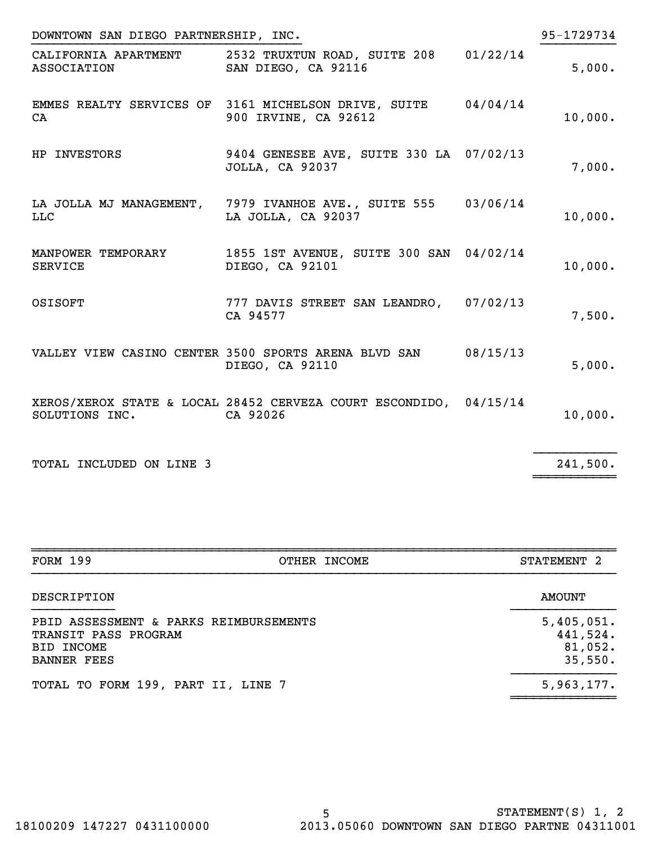| 95-1729734<br>DOWNTOWN SAN DIEGO PARTNERSHIP, INC. |                                                                                       |  |         |  |  |
|----------------------------------------------------|---------------------------------------------------------------------------------------|--|---------|--|--|
| <b>ASSOCIATION</b>                                 | CALIFORNIA APARTMENT 2532 TRUXTUN ROAD, SUITE 208 01/22/14<br>SAN DIEGO, CA 92116     |  | 5,000.  |  |  |
| CA                                                 | EMMES REALTY SERVICES OF 3161 MICHELSON DRIVE, SUITE 04/04/14<br>900 IRVINE, CA 92612 |  | 10,000. |  |  |
| HP INVESTORS                                       | 9404 GENESEE AVE, SUITE 330 LA 07/02/13<br><b>JOLLA, CA 92037</b>                     |  | 7,000.  |  |  |
| <b>LLC</b>                                         | LA JOLLA MJ MANAGEMENT, 7979 IVANHOE AVE., SUITE 555 03/06/14<br>LA JOLLA, CA 92037   |  | 10,000. |  |  |
| <b>SERVICE</b>                                     | MANPOWER TEMPORARY 1855 1ST AVENUE, SUITE 300 SAN 04/02/14<br>DIEGO, CA 92101         |  | 10,000. |  |  |
| OSISOFT                                            | 777 DAVIS STREET SAN LEANDRO, 07/02/13<br>CA 94577                                    |  | 7,500.  |  |  |
|                                                    | VALLEY VIEW CASINO CENTER 3500 SPORTS ARENA BLVD SAN 08/15/13<br>DIEGO, CA 92110      |  | 5,000.  |  |  |
| SOLUTIONS INC.                                     | XEROS/XEROX STATE & LOCAL 28452 CERVEZA COURT ESCONDIDO, 04/15/14<br>CA 92026         |  | 10,000. |  |  |
|                                                    |                                                                                       |  |         |  |  |

TOTAL INCLUDED ON LINE 3

 $241,500.$ 

| <b>FORM 199</b>                                                                                    | OTHER INCOME | STATEMENT <sub>2</sub>                       |
|----------------------------------------------------------------------------------------------------|--------------|----------------------------------------------|
| DESCRIPTION                                                                                        |              | <b>AMOUNT</b>                                |
| PBID ASSESSMENT & PARKS REIMBURSEMENTS<br>TRANSIT PASS PROGRAM<br>BID INCOME<br><b>BANNER FEES</b> |              | 5,405,051.<br>441,524.<br>81,052.<br>35,550. |
| TOTAL TO FORM 199, PART II, LINE 7                                                                 |              | 5,963,177.                                   |

~~~~~~~~~~~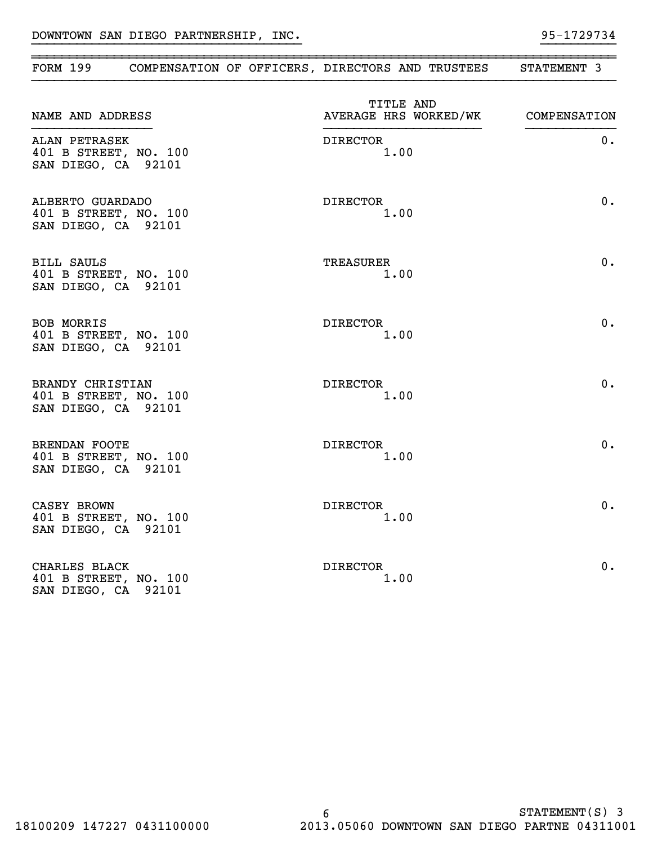| FORM 199                                                             | COMPENSATION OF OFFICERS, DIRECTORS AND TRUSTEES | STATEMENT 3  |
|----------------------------------------------------------------------|--------------------------------------------------|--------------|
| NAME AND ADDRESS                                                     | TITLE AND<br>AVERAGE HRS WORKED/WK               | COMPENSATION |
| ALAN PETRASEK<br>401 B STREET, NO. 100<br>SAN DIEGO, CA 92101        | <b>DIRECTOR</b><br>1.00                          | $0$ .        |
| ALBERTO GUARDADO<br>401 B STREET, NO. 100<br>SAN DIEGO, CA 92101     | <b>DIRECTOR</b><br>1.00                          | 0.           |
| <b>BILL SAULS</b><br>401 B STREET, NO. 100<br>SAN DIEGO, CA 92101    | <b>TREASURER</b><br>1.00                         | 0.           |
| <b>BOB MORRIS</b><br>401 B STREET, NO. 100<br>SAN DIEGO, CA 92101    | <b>DIRECTOR</b><br>1.00                          | 0.           |
| BRANDY CHRISTIAN<br>401 B STREET, NO. 100<br>SAN DIEGO, CA 92101     | DIRECTOR<br>1.00                                 | 0.           |
| <b>BRENDAN FOOTE</b><br>401 B STREET, NO. 100<br>SAN DIEGO, CA 92101 | <b>DIRECTOR</b><br>1.00                          | 0.           |
| CASEY BROWN<br>401 B STREET, NO. 100<br>SAN DIEGO, CA 92101          | DIRECTOR<br>1.00                                 | 0.           |
| CHARLES BLACK<br>401 B STREET, NO. 100<br>SAN DIEGO, CA 92101        | <b>DIRECTOR</b><br>1.00                          | 0.           |

}}}}}}}}}}}}}}}}}}}}}}}}}}}}}}}}}}}} }}}}}}}}}}

~~~~~~~~~~~~~~~~~~~~~~~~~~~~~~~~~~~~~~~~~~~~~~~~~~~~~~~~~~~~~~~~~~~~~~~~~~~~~~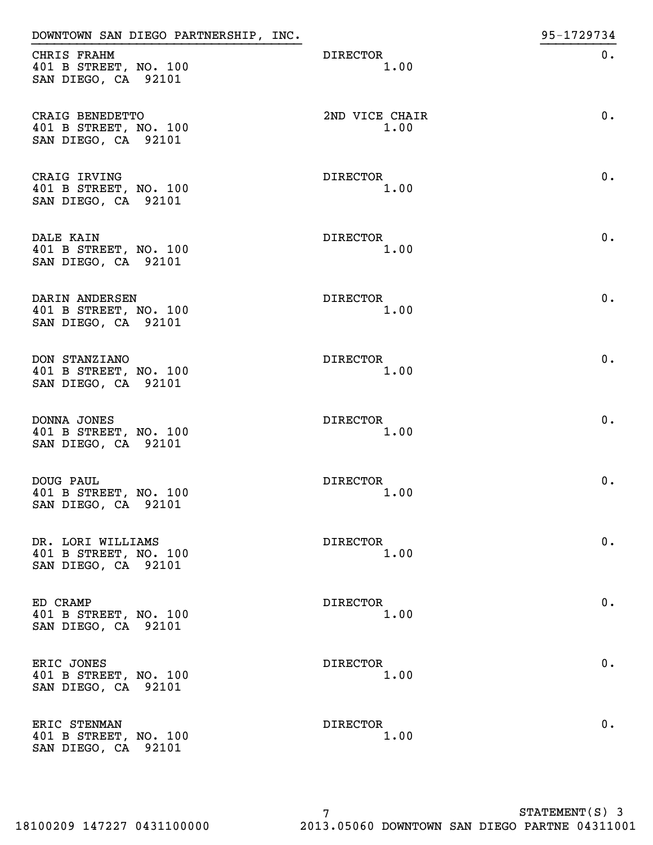| DOWNTOWN SAN DIEGO PARTNERSHIP, INC.                              |                         | 95-1729734 |
|-------------------------------------------------------------------|-------------------------|------------|
| CHRIS FRAHM<br>401 B STREET, NO. 100<br>SAN DIEGO, CA 92101       | <b>DIRECTOR</b><br>1.00 | $0$ .      |
| CRAIG BENEDETTO<br>401 B STREET, NO. 100<br>SAN DIEGO, CA 92101   | 2ND VICE CHAIR<br>1.00  | $0$ .      |
| CRAIG IRVING<br>401 B STREET, NO. 100<br>SAN DIEGO, CA 92101      | <b>DIRECTOR</b><br>1.00 | $0$ .      |
| DALE KAIN<br>401 B STREET, NO. 100<br>SAN DIEGO, CA 92101         | <b>DIRECTOR</b><br>1.00 | 0.         |
| DARIN ANDERSEN<br>401 B STREET, NO. 100<br>SAN DIEGO, CA 92101    | <b>DIRECTOR</b><br>1.00 | 0.         |
| DON STANZIANO<br>401 B STREET, NO. 100<br>SAN DIEGO, CA 92101     | <b>DIRECTOR</b><br>1.00 | 0.         |
| DONNA JONES<br>401 B STREET, NO. 100<br>SAN DIEGO, CA 92101       | <b>DIRECTOR</b><br>1.00 | $0$ .      |
| DOUG PAUL<br>401 B STREET, NO. 100<br>SAN DIEGO, CA 92101         | <b>DIRECTOR</b><br>1.00 | $0$ .      |
| DR. LORI WILLIAMS<br>401 B STREET, NO. 100<br>SAN DIEGO, CA 92101 | DIRECTOR<br>1.00        | $0$ .      |
| ED CRAMP<br>401 B STREET, NO. 100<br>SAN DIEGO, CA 92101          | <b>DIRECTOR</b><br>1.00 | $0$ .      |
| ERIC JONES<br>401 B STREET, NO. 100<br>SAN DIEGO, CA 92101        | DIRECTOR<br>1.00        | 0.         |
| ERIC STENMAN<br>401 B STREET, NO. 100<br>SAN DIEGO, CA 92101      | <b>DIRECTOR</b><br>1.00 | $0$ .      |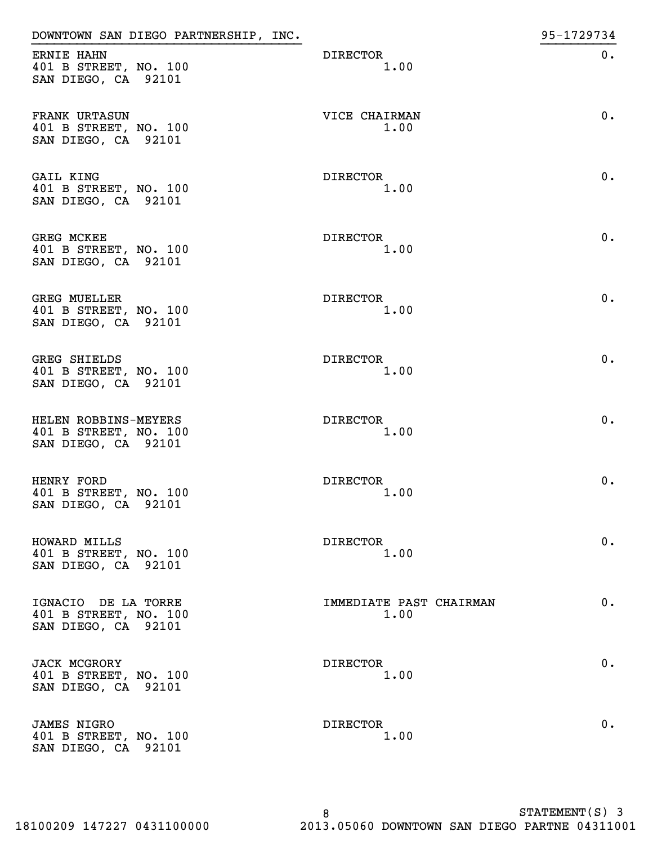| DOWNTOWN SAN DIEGO PARTNERSHIP, INC.                                 |                                 | 95-1729734 |
|----------------------------------------------------------------------|---------------------------------|------------|
| ERNIE HAHN<br>401 B STREET, NO. 100<br>SAN DIEGO, CA 92101           | <b>DIRECTOR</b><br>1.00         | $0$ .      |
| FRANK URTASUN<br>401 B STREET, NO. 100<br>SAN DIEGO, CA 92101        | VICE CHAIRMAN<br>1.00           | 0.         |
| GAIL KING<br>401 B STREET, NO. 100<br>SAN DIEGO, CA 92101            | DIRECTOR<br>1.00                | $0$ .      |
| <b>GREG MCKEE</b><br>401 B STREET, NO. 100<br>SAN DIEGO, CA 92101    | DIRECTOR<br>1.00                | 0.         |
| <b>GREG MUELLER</b><br>401 B STREET, NO. 100<br>SAN DIEGO, CA 92101  | DIRECTOR<br>1.00                | 0.         |
| <b>GREG SHIELDS</b><br>401 B STREET, NO. 100<br>SAN DIEGO, CA 92101  | DIRECTOR<br>1.00                | 0.         |
| HELEN ROBBINS-MEYERS<br>401 B STREET, NO. 100<br>SAN DIEGO, CA 92101 | <b>DIRECTOR</b><br>1.00         | 0.         |
| HENRY FORD<br>401 B STREET, NO. 100<br>SAN DIEGO, CA 92101           | <b>DIRECTOR</b><br>1.00         | $0$ .      |
| HOWARD MILLS<br>401 B STREET, NO. 100<br>SAN DIEGO, CA 92101         | DIRECTOR<br>1.00                | $0$ .      |
| IGNACIO DE LA TORRE<br>401 B STREET, NO. 100<br>SAN DIEGO, CA 92101  | IMMEDIATE PAST CHAIRMAN<br>1.00 | 0.         |
| <b>JACK MCGRORY</b><br>401 B STREET, NO. 100<br>SAN DIEGO, CA 92101  | DIRECTOR<br>1.00                | 0.         |
| <b>JAMES NIGRO</b><br>401 B STREET, NO. 100<br>SAN DIEGO, CA 92101   | DIRECTOR<br>1.00                | 0.         |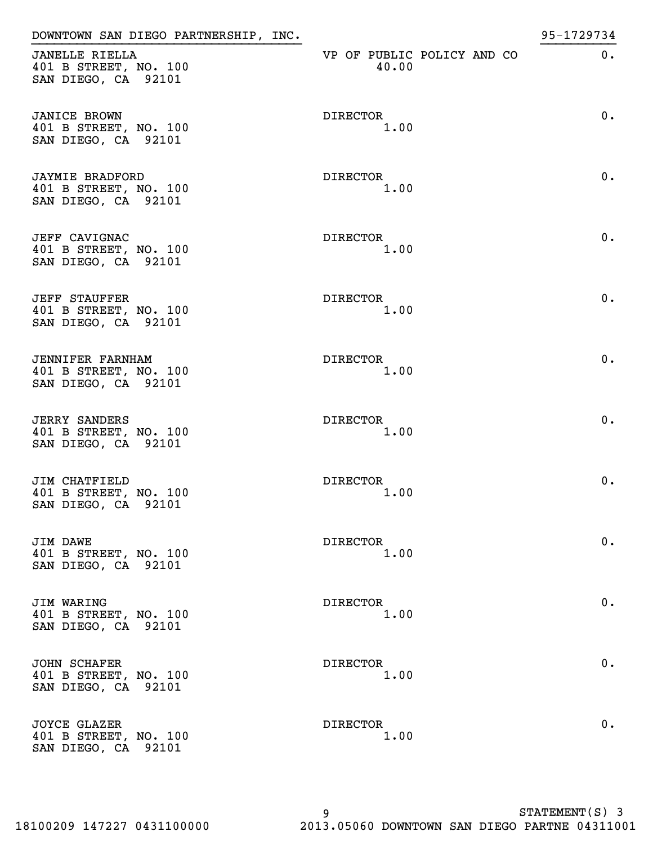| DOWNTOWN SAN DIEGO PARTNERSHIP, INC.                                    |                                     | 95-1729734 |
|-------------------------------------------------------------------------|-------------------------------------|------------|
| <b>JANELLE RIELLA</b><br>401 B STREET, NO. 100<br>SAN DIEGO, CA 92101   | VP OF PUBLIC POLICY AND CO<br>40.00 | $0$ .      |
| <b>JANICE BROWN</b><br>401 B STREET, NO. 100<br>SAN DIEGO, CA 92101     | DIRECTOR<br>1.00                    | $0$ .      |
| <b>JAYMIE BRADFORD</b><br>401 B STREET, NO. 100<br>SAN DIEGO, CA 92101  | DIRECTOR<br>1.00                    | $0$ .      |
| <b>JEFF CAVIGNAC</b><br>401 B STREET, NO. 100<br>SAN DIEGO, CA 92101    | DIRECTOR<br>1.00                    | $0$ .      |
| <b>JEFF STAUFFER</b><br>401 B STREET, NO. 100<br>SAN DIEGO, CA 92101    | DIRECTOR<br>1.00                    | 0.         |
| <b>JENNIFER FARNHAM</b><br>401 B STREET, NO. 100<br>SAN DIEGO, CA 92101 | DIRECTOR<br>1.00                    | 0.         |
| <b>JERRY SANDERS</b><br>401 B STREET, NO. 100<br>SAN DIEGO, CA 92101    | <b>DIRECTOR</b><br>1.00             | $0$ .      |
| JIM CHATFIELD<br>401 B STREET, NO. 100<br>SAN DIEGO, CA 92101           | <b>DIRECTOR</b><br>1.00             | 0.         |
| <b>JIM DAWE</b><br>401 B STREET, NO. 100<br>SAN DIEGO, CA 92101         | DIRECTOR<br>1.00                    | $0$ .      |
| JIM WARING<br>401 B STREET, NO. 100<br>SAN DIEGO, CA 92101              | DIRECTOR<br>1.00                    | 0.         |
| <b>JOHN SCHAFER</b><br>401 B STREET, NO. 100<br>SAN DIEGO, CA 92101     | DIRECTOR<br>1.00                    | 0.         |
| <b>JOYCE GLAZER</b><br>401 B STREET, NO. 100<br>SAN DIEGO, CA 92101     | DIRECTOR<br>1.00                    | 0.         |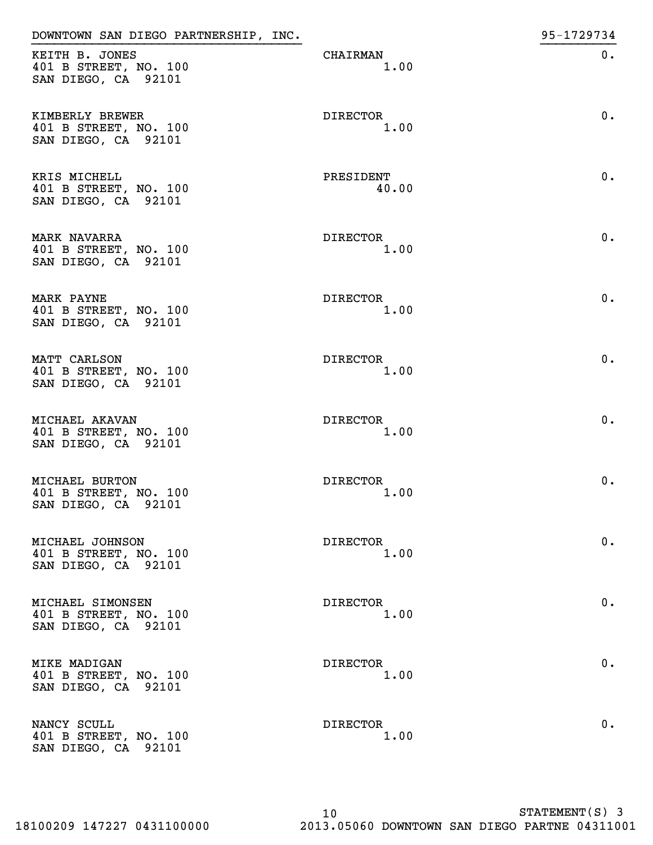| DOWNTOWN SAN DIEGO PARTNERSHIP, INC.                                |                         | 95-1729734 |
|---------------------------------------------------------------------|-------------------------|------------|
| KEITH B. JONES<br>401 B STREET, NO. 100<br>SAN DIEGO, CA 92101      | CHAIRMAN<br>1.00        | $0$ .      |
| KIMBERLY BREWER<br>401 B STREET, NO. 100<br>SAN DIEGO, CA 92101     | DIRECTOR<br>1.00        | 0.         |
| KRIS MICHELL<br>401 B STREET, NO. 100<br>SAN DIEGO, CA 92101        | PRESIDENT<br>40.00      | 0.         |
| <b>MARK NAVARRA</b><br>401 B STREET, NO. 100<br>SAN DIEGO, CA 92101 | DIRECTOR<br>1.00        | 0.         |
| MARK PAYNE<br>401 B STREET, NO. 100<br>SAN DIEGO, CA 92101          | DIRECTOR<br>1.00        | 0.         |
| MATT CARLSON<br>401 B STREET, NO. 100<br>SAN DIEGO, CA 92101        | DIRECTOR<br>1.00        | 0.         |
| MICHAEL AKAVAN<br>401 B STREET, NO. 100<br>SAN DIEGO, CA 92101      | DIRECTOR<br>1.00        | 0.         |
| MICHAEL BURTON<br>401 B STREET, NO. 100<br>SAN DIEGO, CA 92101      | <b>DIRECTOR</b><br>1.00 | $0$ .      |
| MICHAEL JOHNSON<br>401 B STREET, NO. 100<br>SAN DIEGO, CA 92101     | DIRECTOR<br>1.00        | 0.         |
| MICHAEL SIMONSEN<br>401 B STREET, NO. 100<br>SAN DIEGO, CA 92101    | DIRECTOR<br>1.00        | 0.         |
| <b>MIKE MADIGAN</b><br>401 B STREET, NO. 100<br>SAN DIEGO, CA 92101 | DIRECTOR<br>1.00        | 0.         |
| NANCY SCULL<br>401 B STREET, NO. 100<br>SAN DIEGO, CA 92101         | DIRECTOR<br>1.00        | 0.         |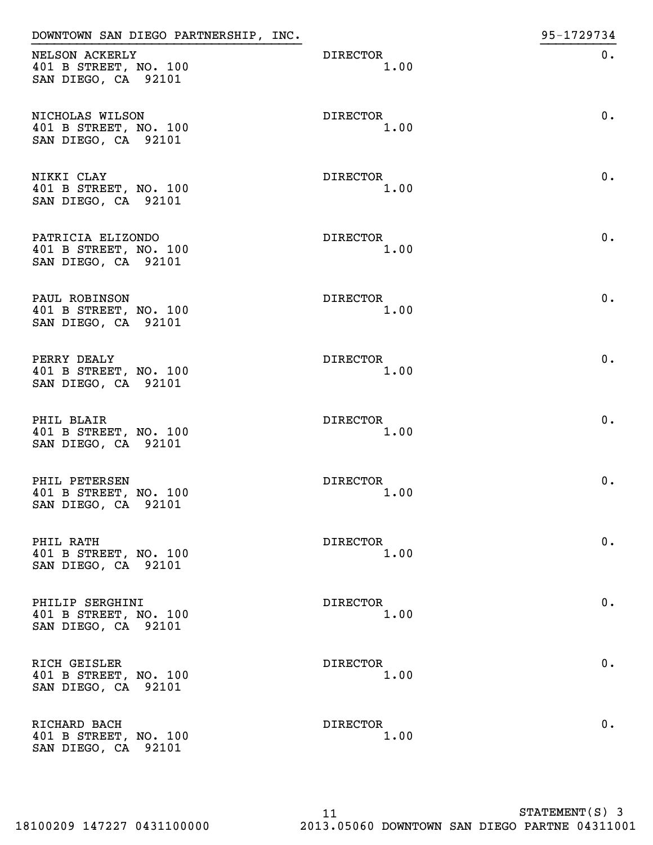| DOWNTOWN SAN DIEGO PARTNERSHIP, INC.                              |                         | 95-1729734 |
|-------------------------------------------------------------------|-------------------------|------------|
| NELSON ACKERLY<br>401 B STREET, NO. 100<br>SAN DIEGO, CA 92101    | DIRECTOR<br>1.00        | $0$ .      |
| NICHOLAS WILSON<br>401 B STREET, NO. 100<br>SAN DIEGO, CA 92101   | DIRECTOR<br>1.00        | 0.         |
| NIKKI CLAY<br>401 B STREET, NO. 100<br>SAN DIEGO, CA 92101        | DIRECTOR<br>1.00        | 0.         |
| PATRICIA ELIZONDO<br>401 B STREET, NO. 100<br>SAN DIEGO, CA 92101 | DIRECTOR<br>1.00        | 0.         |
| PAUL ROBINSON<br>401 B STREET, NO. 100<br>SAN DIEGO, CA 92101     | <b>DIRECTOR</b><br>1.00 | 0.         |
| PERRY DEALY<br>401 B STREET, NO. 100<br>SAN DIEGO, CA 92101       | DIRECTOR<br>1.00        | 0.         |
| PHIL BLAIR<br>401 B STREET, NO. 100<br>SAN DIEGO, CA 92101        | <b>DIRECTOR</b><br>1.00 | 0.         |
| PHIL PETERSEN<br>401 B STREET, NO. 100<br>SAN DIEGO, CA 92101     | <b>DIRECTOR</b><br>1.00 | 0.         |
| PHIL RATH<br>401 B STREET, NO. 100<br>SAN DIEGO, CA 92101         | DIRECTOR<br>1.00        | 0.         |
| PHILIP SERGHINI<br>401 B STREET, NO. 100<br>SAN DIEGO, CA 92101   | DIRECTOR<br>1.00        | 0.         |
| RICH GEISLER<br>401 B STREET, NO. 100<br>SAN DIEGO, CA 92101      | DIRECTOR<br>1.00        | 0.         |
| RICHARD BACH<br>401 B STREET, NO. 100<br>SAN DIEGO, CA 92101      | DIRECTOR<br>1.00        | 0.         |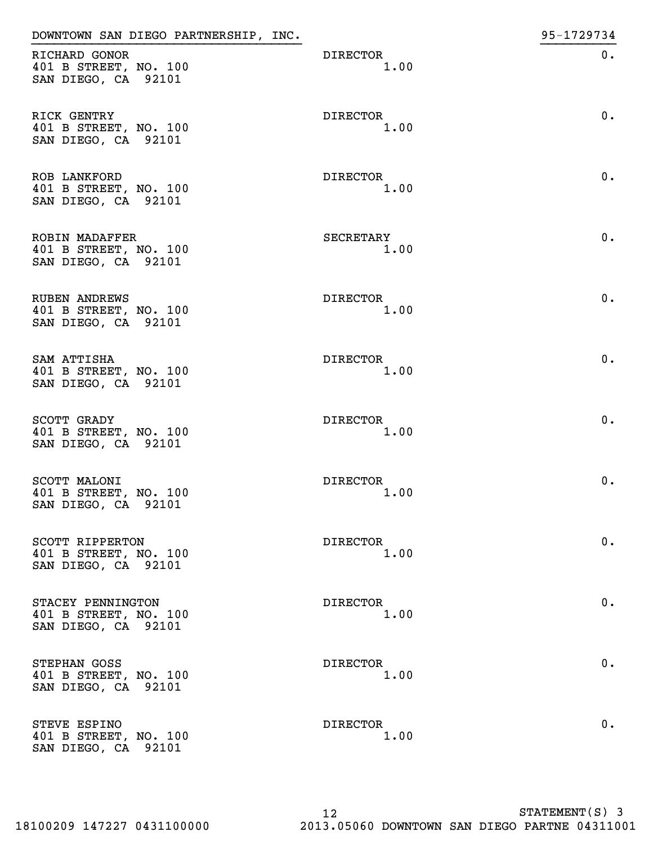| DOWNTOWN SAN DIEGO PARTNERSHIP, INC.                                  |                         | 95-1729734 |
|-----------------------------------------------------------------------|-------------------------|------------|
| RICHARD GONOR<br>401 B STREET, NO. 100<br>SAN DIEGO, CA 92101         | DIRECTOR<br>1.00        | $0$ .      |
| RICK GENTRY<br>401 B STREET, NO. 100<br>SAN DIEGO, CA 92101           | DIRECTOR<br>1.00        | 0.         |
| ROB LANKFORD<br>401 B STREET, NO. 100<br>SAN DIEGO, CA 92101          | DIRECTOR<br>1.00        | $0$ .      |
| <b>ROBIN MADAFFER</b><br>401 B STREET, NO. 100<br>SAN DIEGO, CA 92101 | SECRETARY<br>1.00       | 0.         |
| <b>RUBEN ANDREWS</b><br>401 B STREET, NO. 100<br>SAN DIEGO, CA 92101  | DIRECTOR<br>1.00        | 0.         |
| SAM ATTISHA<br>401 B STREET, NO. 100<br>SAN DIEGO, CA 92101           | DIRECTOR<br>1.00        | 0.         |
| SCOTT GRADY<br>401 B STREET, NO. 100<br>SAN DIEGO, CA 92101           | DIRECTOR<br>1.00        | 0.         |
| SCOTT MALONI<br>401 B STREET, NO. 100<br>SAN DIEGO, CA 92101          | <b>DIRECTOR</b><br>1.00 | 0.         |
| SCOTT RIPPERTON<br>401 B STREET, NO. 100<br>SAN DIEGO, CA 92101       | DIRECTOR<br>1.00        | 0.         |
| STACEY PENNINGTON<br>401 B STREET, NO. 100<br>SAN DIEGO, CA 92101     | DIRECTOR<br>1.00        | 0.         |
| STEPHAN GOSS<br>401 B STREET, NO. 100<br>SAN DIEGO, CA 92101          | DIRECTOR<br>1.00        | 0.         |
| STEVE ESPINO<br>401 B STREET, NO. 100<br>SAN DIEGO, CA 92101          | DIRECTOR<br>1.00        | 0.         |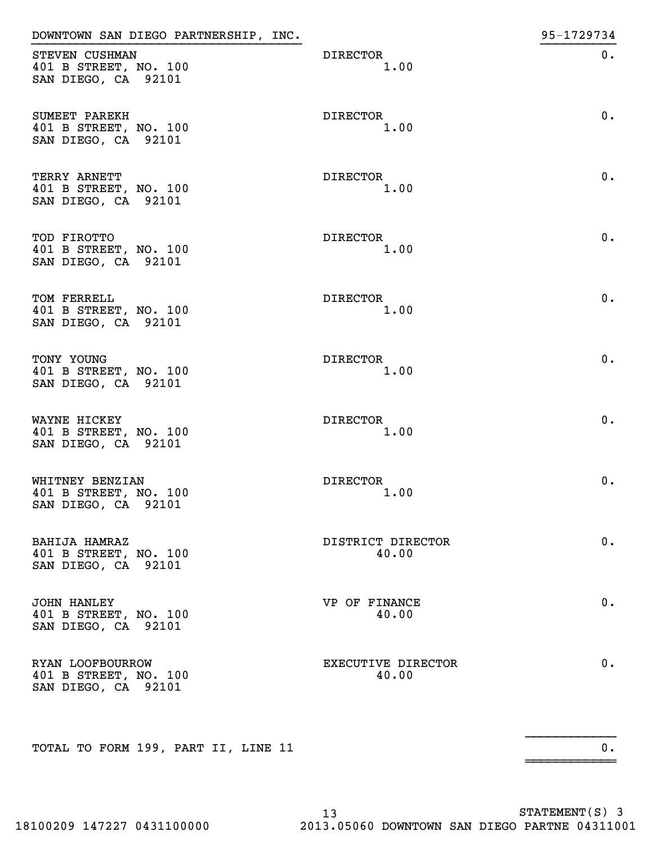| DOWNTOWN SAN DIEGO PARTNERSHIP, INC.                               |                             | 95-1729734 |
|--------------------------------------------------------------------|-----------------------------|------------|
| STEVEN CUSHMAN<br>401 B STREET, NO. 100<br>SAN DIEGO, CA 92101     | DIRECTOR<br>1.00            | 0.         |
| SUMEET PAREKH<br>401 B STREET, NO. 100<br>SAN DIEGO, CA 92101      | DIRECTOR<br>1.00            | 0.         |
| TERRY ARNETT<br>401 B STREET, NO. 100<br>SAN DIEGO, CA 92101       | <b>DIRECTOR</b><br>1.00     | 0.         |
| TOD FIROTTO<br>401 B STREET, NO. 100<br>SAN DIEGO, CA 92101        | DIRECTOR<br>1.00            | 0.         |
| TOM FERRELL<br>401 B STREET, NO. 100<br>SAN DIEGO, CA 92101        | DIRECTOR<br>1.00            | 0.         |
| TONY YOUNG<br>401 B STREET, NO. 100<br>SAN DIEGO, CA 92101         | <b>DIRECTOR</b><br>1.00     | 0.         |
| WAYNE HICKEY<br>401 B STREET, NO. 100<br>SAN DIEGO, CA 92101       | <b>DIRECTOR</b><br>1.00     | 0.         |
| WHITNEY BENZIAN<br>401 B STREET, NO. 100<br>SAN DIEGO, CA 92101    | <b>DIRECTOR</b><br>1.00     | 0.         |
| BAHIJA HAMRAZ<br>401 B STREET, NO. 100<br>SAN DIEGO, CA 92101      | DISTRICT DIRECTOR<br>40.00  | 0.         |
| <b>JOHN HANLEY</b><br>401 B STREET, NO. 100<br>SAN DIEGO, CA 92101 | VP OF FINANCE<br>40.00      | 0.         |
| RYAN LOOFBOURROW<br>401 B STREET, NO. 100<br>SAN DIEGO, CA 92101   | EXECUTIVE DIRECTOR<br>40.00 | 0.         |
| TOTAL TO FORM 199, PART II, LINE 11                                |                             | $0$ .      |
|                                                                    |                             |            |